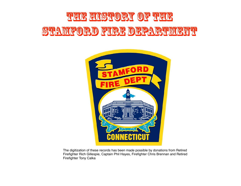## THE HISTORY OF THE Stamford Fire Department



The digitization of these records has been made possible by donations from Retired Firefighter Rich Gillespie, Captain Phil Hayes, Firefighter Chris Brennan and Retired Firefighter Tony Calka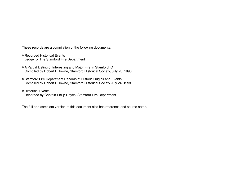These records are a compilation of the following documents.

- Recorded Historical Events Ledger of The Stamford Fire Department
- A Partial Listing of Interesting and Major Fire In Stamford, CT Compiled by Robert D Towne, Stamford Historical Society, July 23, 1993
- Stamford Fire Department Records of Historic Origins and Events Compiled by Robert D Towne, Stamford Historical Society July 24, 1993
- Historical Events Recorded by Captain Philip Hayes, Stamford Fire Department

The full and complete version of this document also has reference and source notes.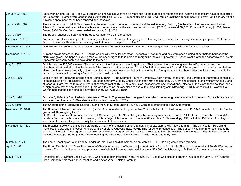| January 22, 1869  | Rippowam Engine Co. No. 1 and Gulf Stream Engine Co. No. 2 have held meetings fro the purpose of reorganization. A new set of officers have been elected<br>for Rippowam. [Names were announced in Advocate Feb. 5, 1869.] Present officers of No. 2 will remain until their annual meeting in May. On February 19, the<br>Advocate announced much hose repaired and inspected.                                                                                                                                                                                                                                                                                                                                                   |
|-------------------|-----------------------------------------------------------------------------------------------------------------------------------------------------------------------------------------------------------------------------------------------------------------------------------------------------------------------------------------------------------------------------------------------------------------------------------------------------------------------------------------------------------------------------------------------------------------------------------------------------------------------------------------------------------------------------------------------------------------------------------|
| January 29, 1869  | The carpenter shop of I.& H. Woodman, the blacksmith shop of Wm. A. Lockwood and the old Academy Building (on the site of the two later town halls on<br>Atlantic Sq.) were destroyed. All available water was consumed at the end. Losses: Woodman, \$2,500; Lockwood, \$2,000; Combs & Provost, \$1,200; James<br>Daniel, \$350.00. Only Woodman carried insurance, for \$1,000.                                                                                                                                                                                                                                                                                                                                                |
| July 4, 1869      | The Hook & Ladder Company and the Hose Company were in the parade.                                                                                                                                                                                                                                                                                                                                                                                                                                                                                                                                                                                                                                                                |
| December 3, 1869  | "We now have at least one good fire company in Stamford. A few months ago a group of young menformed thestrongest company in years. Gulf Stream<br>Co. No. 2 now has 70 membersmeetings well attendeddiscipline excellent."                                                                                                                                                                                                                                                                                                                                                                                                                                                                                                       |
| December 20, 1869 | Odd Fellows Hall suffered a gas explosion, possibly the first such accident in Stamford. Wooden gas mains were laid only four years earlier.                                                                                                                                                                                                                                                                                                                                                                                                                                                                                                                                                                                      |
| December 24, 1869 | re the fire at Waterside, the No. 2 Engine was quickly ready for operation. As for No. 1, two men and boy were seen tugging at her half an hour after the<br>alarm was given. We hope our young men will be encouraged to take hold and reorganize the old "Rippowam.' " Seven weeks later, the editor wrote: "The old<br>Rippowam company seems to have gone to the bad."                                                                                                                                                                                                                                                                                                                                                        |
| May 7, 1870       | On this date the \$50,000 steamer "Shippan" arrived, the first to use the enlarged canal. That evening the elderly engineer, his wife, the cook and the<br>chambermaid stayed aboard while the rest of the crew went off to the circus. About 9:00 P.M. fire broke out forward of the engine house. nobody sounded an<br>alarm; the firemen were probably at the circus, too. all on board escaped, but by the time the No. 2 engine arrived two hours after the fire started, the ship had<br>burned to the water line, taking a freight house on the dock with it.                                                                                                                                                              |
| June 1, 1870      | Lease of site for Rippowam engine house, June 1, 1870: "the Stamford Foundry Companydoth hereby lease untothe Borough of Stamford a certain lot<br>to be occupied by a Fire Engine House." Bounded northerly 59 ft. by Canal St.; easterly 50ft and southerly 20 ft. by land of lessors, and westerly 64 ft. by land<br>of Isaac Quintard, for the term of 10 years at he yearly rent of \$60.00 plus any taxes, assessments and impositionsalso to build a close fence not less than 7<br>ft. high on easterly and southerly sides. [This lot is the same, or very close to one of the three listed by committee Aug. 6, 1866 "opposite J. D. Warren Co."<br>Warren had changed its name to Stamford Foundry Co. Aug. 20, 1869.] |
| June 3, 1870      | On June 3, 1870, the Stamford Advocate wrote: "The old [Rippowam No. 1] engine house which has so long been a landmark on Atlantic Square is removed to<br>a location near the canal." (See also deed to this land, June 14, 1873.)                                                                                                                                                                                                                                                                                                                                                                                                                                                                                               |
| July 6, 1870      | The Charters of the Rippowam Engine Co. and the Gulf Stream Engine Co. No. 2 were both amended to allow 80 members.                                                                                                                                                                                                                                                                                                                                                                                                                                                                                                                                                                                                               |
| November 11, 1870 | The Stamford Advocated reported on two (or three) firemen's balls. Engine Co. No. 2 had a ball in Hoyt's Hall Friday, Nov. 11, 1870. Atlantic Hose Co. "are to<br>give a ball Thanksgiving Eve."<br>On Dec. 30, the Advocate reported on the Gulf Stream Engine Co. No. 2 Ball, given by honorary members. It stated: "Gulf Streamof which Richmond A.<br>Leeds is Foreman, is the model fire company of the village. It has a full complement of 80 members." Sherwood, pg. 197, called the Ball "one of the largest<br>social events ever in Seely Hallreally the social event of the season.                                                                                                                                   |
| November 12, 1870 | The Historical Society has in its files programs of many of the lavish firemen's annual banguets, starting with Nov. 28, 1855. The early balls mixed grand<br>marches, singers, and orchestral numbers with six or eight vaudeville acts, leaving time for 20 to 30 dance sets. The dancers would form for each set at the<br>sound of a fire bell. The programs show how social dancing progressed over the years from Quadrilles, Schottishes, Mazourkas and Virginia Reels through<br>Waltzes, Two-steps and Rag times, finally reaching the One-step and the Foxtrot in the lat 'teens and early 20's.                                                                                                                        |
| March 10, 1871    | The annual meeting of Relief Hook & Ladder Co. No. 1 was held at their house on March 1. F. E. Skelding was elected foreman.                                                                                                                                                                                                                                                                                                                                                                                                                                                                                                                                                                                                      |
| April 12, 1871    | The Union Fire Brick and Drain Pipe Works of Charles Anness at the Waterside just north of the foot of Atlantic St. Fire was discovered at 4:30 AM Wednesday<br>morning. Though the firemen arrived promptly, the whole building was destroyed. Loss was \$23,000. the laboratory of B. Keith & Co. was also damaged.                                                                                                                                                                                                                                                                                                                                                                                                             |
| May 5, 1871       | A meeting of Gulf Stream Engine Co. No. 2 was held at their firehouse Friday the 5th. R. A. Leeds was elected Foreman. On Tuesday May 7, 1871 Atlantic<br>Hose Company held their annual meeting and elected Wm. D. Nolan Foreman.                                                                                                                                                                                                                                                                                                                                                                                                                                                                                                |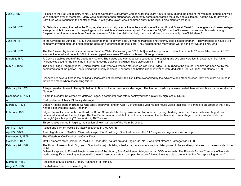| June 2, 1871      | A glance at the Roll Call registry of No. 2 Engine Company/Gulf Stream Company for the years 1866 to 1885, during the peak of the volunteer period, shows a<br>very high turn-over of members. Many were expelled for non-attendance. Apparently some men wanted the glory and excitement, not the day-to-day work.<br>Barn fires were frequent in the center of town. "Totally destroyed" was a common entry in the logs. False alarms were rare.                                                                                  |
|-------------------|-------------------------------------------------------------------------------------------------------------------------------------------------------------------------------------------------------------------------------------------------------------------------------------------------------------------------------------------------------------------------------------------------------------------------------------------------------------------------------------------------------------------------------------|
| June 10, 1871     | On Saturday morning the bell in the Congregational church signaled a fire in the storehouse of Lyman Hoyt & Sons at Canal St. the engines and hose carriages<br>were prompt, but the cistern in the park gave out so neighbors' wells were tapped. Damage was \$2,000, much of it caused by overly enthusiastic young<br>"helpers" - not firemen - who threw furniture carelessly. [Note: the Methodist bell, rung by A. M. Horton, was usually the official alarm.]                                                                |
| June 10, 1871     | In the Advocate for June 16, 1871, it was reported that Rippowam Fire Co. was reorganized and Henry Mollett elected foreman. "They propose to have a live<br>company of young men" and expected the Borough authorities to do their part. They pointed to the many good works done by "we of old No. One."                                                                                                                                                                                                                          |
| June 30, 1871     | The Gen'l assembly issued a charter for a Stamford Water Co. as early as 1856, [but] actual incorporationdid not occur until 12 years later. Not until 1870<br>was stock offered and not until 1871 did water, piped from lakes 12 miles north reach Borough mains.                                                                                                                                                                                                                                                                 |
| March 3, 1872     | P. Devine's stables south of the depot, at 4:00 AM. The horses and carriages were saved, but the building and two cats were lost in a two-hour fire. A fire<br>hydrant was used for the first time in Stamford, saving adjacent buildings. (See also March 17, 1888)                                                                                                                                                                                                                                                                |
| May 19, 1873      | The Long Ridge Congregational (Union) church, a 31-year old wooden structure on Old Long Ridge Rd., burned to the ground. The fire had been set by the<br>demented son of the pastor. The building was quickly replaced. The "new and better" Greek revival church, dedicated Feb. 23, 1874, still stands in 1993.<br>Chances are several fires in the outlying villages are not reported in this list. Often overlooked by the Advocate and other sources, they would not be found in<br>the sweep made when assembling this list. |
|                   |                                                                                                                                                                                                                                                                                                                                                                                                                                                                                                                                     |
| February 19, 1874 | A large boarding house in Henry St. belong to Burr Lockwood was totally destroyed. The firemen used only a two-wheeled, hand-drawn hose carriage called a<br>"Jumper".                                                                                                                                                                                                                                                                                                                                                              |
| December 13, 1874 | A barn in Meadow St. owned by Matthew Fagan, a contractor, was totally destroyed with a relatively high loss of \$1,000.                                                                                                                                                                                                                                                                                                                                                                                                            |
|                   | Skiddy's bar on Atlantic St. totally destroyed.                                                                                                                                                                                                                                                                                                                                                                                                                                                                                     |
| March 12, 1876    | Deacon Adams' barn on Broad St. was totally destroyed, and on April 12 of the same year his too-house was a total loss. In a third fire on Broad St that year,<br>Knapp's bar was destroyed. And then:                                                                                                                                                                                                                                                                                                                              |
| February 1877     | Edgar Studwell's barn on the south side of Broad St. west of the bridge was set on fire. Alarmed by dogs barking, local men formed a bucket brigade and<br>prevented spread to other buildings. The Fire Department arrived, but did not put a stream on the fire because, it was alleged, the fire was "outside the<br>borough." [Ws this "policy"? See April 19, 1867 above.]                                                                                                                                                     |
|                   | Three houses burned in Algiers, the section of town just west of the Main St. bridge.                                                                                                                                                                                                                                                                                                                                                                                                                                               |
| April 12, 1879    | A shed and barn on Pacific St. totally destroyed in 3:00 AM fire.                                                                                                                                                                                                                                                                                                                                                                                                                                                                   |
| April 24, 1879    | A conflagration at 1:30 AM in Mianus destroyed 7 or 8 buildings. Stamford men too the "old" engine and a jumper over to help.                                                                                                                                                                                                                                                                                                                                                                                                       |
| November 3, 1879  | The Waterbury Coal Yard at the Canal Dock                                                                                                                                                                                                                                                                                                                                                                                                                                                                                           |
| October 3, 1881   | Matt. Lambert's store [saloon] in Pacific St. [near Main] caught fire and Engine Co. No. 2 was "first stream." Damage was \$1,000.                                                                                                                                                                                                                                                                                                                                                                                                  |
| February 26, 1882 | The Union House on Main St., one of Stamford's major buildings, had a narrow escape from what later proved to be an attempt at arson on the east side of the<br>Hotel.<br>"When fire spread to Roswell Hoyt's house east of the church, Stamford firemen telegraphed an SOS to Norwalk. The Phoenix Engine Company of Norwalk<br>made a magnificent smokey entrance with a new horse-drawn steam pumper. this powerful machine was able to prevent the fire from spreading further."                                                |
| March 15, 1882    | Residence of Mrs. Horace Brooks, Hubbard's Hill, totaled.                                                                                                                                                                                                                                                                                                                                                                                                                                                                           |
| August 7, 1882    | Presbyterian Church destroyed by fire.                                                                                                                                                                                                                                                                                                                                                                                                                                                                                              |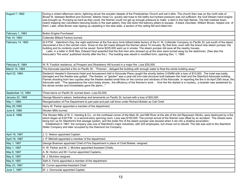| August 7, 1882          | During a violent afternoon storm, lightning struck the wooden steeple of the Presbyterian Church and set it afire. The church then was on the north side of<br>Broad St. between Bedford and Summer. Atlantic Hose Co. quickly laid hose to the belfry but hydrant pressure was not sufficient. the Gulf Stream hand engine<br>was brought up. Pumping as hard as they could, the firemen could not get up enough pressure to make a dent in the high flames. The bell crashed down,<br>nearly trapping two volunteers rescuing books in the east gallery; they slid down the balcony pillars to escape. A black volunteer, William Brown, helped one of<br>them. Later, while Brown was ripping up carpeting in the east aisle, a section of the ceiling fell and killed him. |
|-------------------------|--------------------------------------------------------------------------------------------------------------------------------------------------------------------------------------------------------------------------------------------------------------------------------------------------------------------------------------------------------------------------------------------------------------------------------------------------------------------------------------------------------------------------------------------------------------------------------------------------------------------------------------------------------------------------------------------------------------------------------------------------------------------------------|
| February 1, 1883        | <b>Button Engine Purchased</b>                                                                                                                                                                                                                                                                                                                                                                                                                                                                                                                                                                                                                                                                                                                                                 |
| Feb 14, 1883            | Collender Billiard Factory burned.                                                                                                                                                                                                                                                                                                                                                                                                                                                                                                                                                                                                                                                                                                                                             |
| February 14, 1883       | At 9 P.M., Valentine's Day, the night watchman at the five-story brick billiard-table factory of the H. W. Collender Company on Pacific St. just south of the depot,<br>discovered a fire in the varnish room. Snow on the dirt roads delayed the fireman about 10 minutes. By that time, even with the brand new steam pumper, the<br>building and its contents could not be saved. Some \$225,000 went up in smoke. The steam pumper did save all the nearby houses.<br>Later, in a letter in SHS files, Edward Hoyt asserted that the first men who showed up at the door were turned away by the watchman. (See also the<br>Advocate's "fire extra" published shortly after the fire.) The building was rebuilt in modified form, opening Dec. 1, 1885.                    |
| February 6, 1884        | W. R. Fosdick residence, at Prospect and Strawberry Hill burned in a major fire. Loss \$30,000.                                                                                                                                                                                                                                                                                                                                                                                                                                                                                                                                                                                                                                                                                |
| March 14, 1884          | The Advocate reported a fire on Pacific St.: "Firemendeluged the building with enough water to float the whole building away."                                                                                                                                                                                                                                                                                                                                                                                                                                                                                                                                                                                                                                                 |
| April 22, 1884          | Diederich Heseler's Germania Hotel and Amusement Hall in Advocate Place caught fire shortly before 3:00AM with a loss of \$10,000. The hotel was badly<br>damaged and the theatre was gutted. The theatre, or "garden" was a year-old iron-clad structure built between the hotel and the Stamford Advocate building.<br>Flames shooting from two cupolas atop the theatre started small fires on the cornice and windows of the Advocate. In reporting the fire in its April 25th issue, the<br>Advocate said: "The appearance the ruins today showsthe efficiency of the firemen's work How the fire started is a mysterya boarder was awakened by<br>the dense smoke and immediately gave the alarm"                                                                        |
| September 12, 1884      | Three barns on Pacific St. burned down. Loss \$3,000.                                                                                                                                                                                                                                                                                                                                                                                                                                                                                                                                                                                                                                                                                                                          |
| <b>January 22, 1885</b> | George Maurer's saloon, barbershop and tenements on Pacific St. burned with a loss of \$20,000.                                                                                                                                                                                                                                                                                                                                                                                                                                                                                                                                                                                                                                                                                |
| May 1, 1885             | Reorganization of Fire Department to part paid and part call force under Richard Bolster as Call Chief.                                                                                                                                                                                                                                                                                                                                                                                                                                                                                                                                                                                                                                                                        |
| May 25,1885             | Harry W. Parker appointed a member of the department.                                                                                                                                                                                                                                                                                                                                                                                                                                                                                                                                                                                                                                                                                                                          |
| June 8, 1886            | Woolen Mills burned.                                                                                                                                                                                                                                                                                                                                                                                                                                                                                                                                                                                                                                                                                                                                                           |
| June 8, 1886            | The Woolen Mills of W. C. Harding & Co., on the northeast corner of the Main St. and Mill River at the site of the old Rippowam Works, were destroyed by a fire<br>which began at 9:00 P.M. in a second-story spinning room. Loss was \$150,000. The prompt arrival of the firemen was offset by an accident: The streets were<br>being torn up for Stamford's first sewage system, and the boiler fire of the steam pumper was doused when it ran into a shallow excavation.<br>Established in 1867, the company was one of Stamford's major industries, with 225 employees, but chose not to rebuild. The site was sold to the Stamford<br>Water Company and later occupied by the Diamond Ice Company.                                                                      |
| April 18, 1887          | J. C. Nelson appointed Captain.                                                                                                                                                                                                                                                                                                                                                                                                                                                                                                                                                                                                                                                                                                                                                |
| April 18, 1887          | J. P. Mitchell appointed a member of the department.                                                                                                                                                                                                                                                                                                                                                                                                                                                                                                                                                                                                                                                                                                                           |
| May 1, 1887             | George Bowman appointed Chief of Fire Department in place of Chief Bolster, resigned.                                                                                                                                                                                                                                                                                                                                                                                                                                                                                                                                                                                                                                                                                          |
| May 1, 1887             | H. W. Parker and M. J. McIntire appointed Assistant Chiefs.                                                                                                                                                                                                                                                                                                                                                                                                                                                                                                                                                                                                                                                                                                                    |
| May 6, 1887             | A. M. Horton and M> Curran appointed Captains.                                                                                                                                                                                                                                                                                                                                                                                                                                                                                                                                                                                                                                                                                                                                 |
| May 9, 1887             | M. J. McIntire resigned.                                                                                                                                                                                                                                                                                                                                                                                                                                                                                                                                                                                                                                                                                                                                                       |
| May 9, 1887             | Seth A. Ferris appointed a member of the department.                                                                                                                                                                                                                                                                                                                                                                                                                                                                                                                                                                                                                                                                                                                           |
| May 23, 1887            | M. Curran appointed Assistant Chief.                                                                                                                                                                                                                                                                                                                                                                                                                                                                                                                                                                                                                                                                                                                                           |
| June 1, 1887            | W. J. Gonnoude appointed Captain.                                                                                                                                                                                                                                                                                                                                                                                                                                                                                                                                                                                                                                                                                                                                              |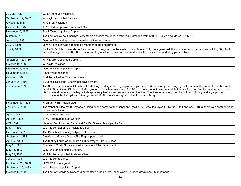| July 25, 1887      | W. J. Gonnoude resigned.                                                                                                                                                                                                                                                                                                                                                                                                                                                                                                                                                                         |
|--------------------|--------------------------------------------------------------------------------------------------------------------------------------------------------------------------------------------------------------------------------------------------------------------------------------------------------------------------------------------------------------------------------------------------------------------------------------------------------------------------------------------------------------------------------------------------------------------------------------------------|
| September 12, 1887 | W. Kaylor appointed Captain.                                                                                                                                                                                                                                                                                                                                                                                                                                                                                                                                                                     |
| October 3, 1887    | M. Curran Resigned.                                                                                                                                                                                                                                                                                                                                                                                                                                                                                                                                                                              |
| October 17,1887    | A. M. Horton appointed Assistant Chief.                                                                                                                                                                                                                                                                                                                                                                                                                                                                                                                                                          |
| November 7, 1887   | Frank Weed appointed Captain.                                                                                                                                                                                                                                                                                                                                                                                                                                                                                                                                                                    |
| March 17, 1888     | The barn of Devine & Scully's livery stable opposite the depot destroyed. Damages were \$10,000. (See also March 3, 1872.)                                                                                                                                                                                                                                                                                                                                                                                                                                                                       |
| August 1, 1888     | George F. Hyland appointed a member of the department.                                                                                                                                                                                                                                                                                                                                                                                                                                                                                                                                           |
| July 1, 1889       | John G. Schlechtweg appointed a member of the department.                                                                                                                                                                                                                                                                                                                                                                                                                                                                                                                                        |
| July 7, 1889       | Phillip Zipf's Hotel in Woodside Park burned to the ground in the early morning hours. Only three years old, this summer resort had a main building 30 x 44 ft.<br>and a dancing pavilion 34 x 60 ft., incorporating a saloon, restaurant an quarters for the family, surrounded by picnic tables.                                                                                                                                                                                                                                                                                               |
| September 16, 1889 | M. J. Mullen appointed Captain.                                                                                                                                                                                                                                                                                                                                                                                                                                                                                                                                                                  |
| October 15, 1889   | W. Kaylor resigned.                                                                                                                                                                                                                                                                                                                                                                                                                                                                                                                                                                              |
| November 1, 1889   | George Eagle appointed Captain.                                                                                                                                                                                                                                                                                                                                                                                                                                                                                                                                                                  |
| November 1, 1889   | Frank Weed resigned.                                                                                                                                                                                                                                                                                                                                                                                                                                                                                                                                                                             |
| October 1889       | First Aerial Ladder Truck purchased.                                                                                                                                                                                                                                                                                                                                                                                                                                                                                                                                                             |
| January 24, 1890   | St. John's Episcopal Church destroyed by fire.                                                                                                                                                                                                                                                                                                                                                                                                                                                                                                                                                   |
| January 24, 1890   | The St. John's Episcopal Church, a 170-ft. long building with a high spire, completed in 1843 on level ground slightly to the west of the present church complex<br>on Main St. at Grove St., burned to the ground in less than two hours. At 3:00 in the afternoon, it was noticed that the roof was on fire; the sexton had tended<br>his furnace at noon and the high winds apparently had sucked some coals up the flue. The firemen arrived promptly, but had difficulty making a proper<br>connection to the fire hydrant. Damage was \$30,000, not including the valuable church library. |
| November 10, 1891  | Fireman William Nolan died.                                                                                                                                                                                                                                                                                                                                                                                                                                                                                                                                                                      |
| January 27, 1892   | The Venetian Bloc, W. H. Taylor's building on the corner of the Canal and Pacific Sts., was destroyed (?) by fire. On February 6, 1893, there was another fire in<br>the same building.                                                                                                                                                                                                                                                                                                                                                                                                          |
| April 7, 1892      | A. M. Horton resigned.                                                                                                                                                                                                                                                                                                                                                                                                                                                                                                                                                                           |
| April 25, 1892     | Z. M. Horton appointed Captain.                                                                                                                                                                                                                                                                                                                                                                                                                                                                                                                                                                  |
| 4/27/1892          | Venetian Block, corner Canal and Pacific Streets, destroyed by fire.                                                                                                                                                                                                                                                                                                                                                                                                                                                                                                                             |
| May 1, 1892        | J. C. Nelson appointed Assistant Chief.                                                                                                                                                                                                                                                                                                                                                                                                                                                                                                                                                          |
| December 24, 1892  | The Camphor Factory (Phillips) in Glenbrook.                                                                                                                                                                                                                                                                                                                                                                                                                                                                                                                                                     |
| September 1892     | American LaFrance Steam Fire Engine purchased.                                                                                                                                                                                                                                                                                                                                                                                                                                                                                                                                                   |
| April 17, 1893     | The Hinkey house on Hubbard's Hill destroyed. \$20,000 loss.                                                                                                                                                                                                                                                                                                                                                                                                                                                                                                                                     |
| May 3, 1893        | Charles H. Speh, Sr., appointed a member of the department.                                                                                                                                                                                                                                                                                                                                                                                                                                                                                                                                      |
| May 15, 1893       | G. M. Walton appointed Captain.                                                                                                                                                                                                                                                                                                                                                                                                                                                                                                                                                                  |
| May 22, 1893       | M. J. Mullen appointed Assistant Chief.                                                                                                                                                                                                                                                                                                                                                                                                                                                                                                                                                          |
| June 1, 1893       | J. C. Nelson resigned.                                                                                                                                                                                                                                                                                                                                                                                                                                                                                                                                                                           |
| September 25, 1893 | G. W. Walton resigned.                                                                                                                                                                                                                                                                                                                                                                                                                                                                                                                                                                           |
| September 25, 1893 | W. V. Pepper appointed Captain.                                                                                                                                                                                                                                                                                                                                                                                                                                                                                                                                                                  |
| October 14, 1893   | The barn of George A. Rogers, a carpenter on Maple Ave., near Warren, burned down for \$2,500 damage.                                                                                                                                                                                                                                                                                                                                                                                                                                                                                            |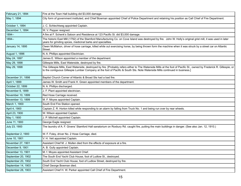| February 21, 1894  | Fire at the Town Hall building did \$3,000 damage.                                                                                                                                                                                                                                                    |
|--------------------|-------------------------------------------------------------------------------------------------------------------------------------------------------------------------------------------------------------------------------------------------------------------------------------------------------|
| May 1, 1894        | City form of government instituted, and Chief Bowman appointed Chief of Police Department and retaining his position as Call Chief of Fire Department.                                                                                                                                                |
| October 1, 1894    | J. C. Schlechtweg appointed Captain.                                                                                                                                                                                                                                                                  |
| December 1, 1894   | W. V. Pepper resigned.                                                                                                                                                                                                                                                                                |
| 1894--             | A fire at F. Schenk's Saloon and Residence at 123 Pacific St. did \$3,000 damage.                                                                                                                                                                                                                     |
| 1894--             | The historic East Mill (1792) of the Stamford Manufacturing Co. on Cove Island was destroyed by fire. John W. Holly's original grist mill, it was used in later<br>years for grinding spices, medicinal barks and specialties.                                                                        |
| January 14, 1895   | Owen McMahon, driver of hose carriage, killed while out exercising horse, by being thrown form the machine when it was struck by a street car on Atlantic<br>Street.                                                                                                                                  |
| August 1, 1896     | N. A. Phillips appointed Electrician.                                                                                                                                                                                                                                                                 |
| May 24, 1897       | James E. Wilson appointed a member of the department.                                                                                                                                                                                                                                                 |
| May 29, 1898       | Gillespie Mills, East Waterside, destroyed by fire.                                                                                                                                                                                                                                                   |
| May 29, 1898       | The Gillespie Mills, East Waterside, destroyed by fire. [Probably refers either to The Waterside Mills at the foot of Pacific St., owned by Frederick R. Gillespie, or<br>to the contiguous Gillespie Lumber Company at the foot of Pacific & South Sts. Note Waterside Mills continued in business.] |
| December 31, 1898  | Baptist Church Corner of Atlantic & Broad Sts had a bad fire.                                                                                                                                                                                                                                         |
| April 1, 1899      | James W. Smith and Frank H. Green appointed members of the department.                                                                                                                                                                                                                                |
| October 22, 1899   | N. A. Phillips discharged.                                                                                                                                                                                                                                                                            |
| November 6, 1899   | J. F. Plant appointed electrician.                                                                                                                                                                                                                                                                    |
| November 10, 1899  | Red Hose Carriage received.                                                                                                                                                                                                                                                                           |
| November 13, 1899  | M. F. Moyes appointed Captain.                                                                                                                                                                                                                                                                        |
| March 1, 1900      | South End Fire Station opened.                                                                                                                                                                                                                                                                        |
| April 4, 1900      | Captain Z. R. Horton killed while responding to an alarm by falling from Truck No. 1 and being run over by rear wheels.                                                                                                                                                                               |
| April 23, 1900     | W. Wilson appointed Captain.                                                                                                                                                                                                                                                                          |
| May 1, 1900        | J. P. Mitchell appointed Captain.                                                                                                                                                                                                                                                                     |
| June 11, 1900      | George Eagle resigned.                                                                                                                                                                                                                                                                                |
| July 23, 1900      | The laundry of A. F. Givens' Stamford Hall sanatorium on Roxbury Rd. caught fire, putting the main buildings in danger. (See also Jan. 12, 1910.)                                                                                                                                                     |
| September 2, 1900  | W. F. Foley, driver No. 2 Hose Carriage, died.                                                                                                                                                                                                                                                        |
| June 10, 1901      | V. H. Veit appointed Captain.                                                                                                                                                                                                                                                                         |
| November 27, 1901  | Assistant Chief M. J. Mullen died from the effects of exposure at a fire.                                                                                                                                                                                                                             |
| December 9, 1901   | A. B. Gully appointed Captain.                                                                                                                                                                                                                                                                        |
| December 13, 1901  | M. f. Moyes appointed Assistant Chief.                                                                                                                                                                                                                                                                |
| September 20, 1902 | The South End Yacht Club House, foot of Ludlow St., destroyed.                                                                                                                                                                                                                                        |
| September 20, 1902 | South End Yacht Club House, foot of Ludlow Street, destroyed by fire.                                                                                                                                                                                                                                 |
| September 14, 1903 | Chief George Bowman died.                                                                                                                                                                                                                                                                             |
| September 28, 1903 | Assistant Chief H. W. Parker appointed Call Chief of Fire Department.                                                                                                                                                                                                                                 |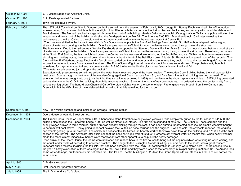| October 12, 1903   | J. P. Mitchell appointed Assistant Chief.                                                                                                                                                                                                                                                                                                                                                                                                                                                                                                                                                                                                                                                                                                                                                                                                                                                                                                                                                                                                                                                                                                                                                                                                                                                                                                                                                                                                                                                                                                                                                                                                                                                                                                                                                                                                                                                                                                                                                                                                                                                                                                                                                                                                                                                                                                                                                                                                                                                                                                                                                                                                                                                                                                                                                                                                                                                                                                                                                                                                                                                                                                                                                                 |
|--------------------|-----------------------------------------------------------------------------------------------------------------------------------------------------------------------------------------------------------------------------------------------------------------------------------------------------------------------------------------------------------------------------------------------------------------------------------------------------------------------------------------------------------------------------------------------------------------------------------------------------------------------------------------------------------------------------------------------------------------------------------------------------------------------------------------------------------------------------------------------------------------------------------------------------------------------------------------------------------------------------------------------------------------------------------------------------------------------------------------------------------------------------------------------------------------------------------------------------------------------------------------------------------------------------------------------------------------------------------------------------------------------------------------------------------------------------------------------------------------------------------------------------------------------------------------------------------------------------------------------------------------------------------------------------------------------------------------------------------------------------------------------------------------------------------------------------------------------------------------------------------------------------------------------------------------------------------------------------------------------------------------------------------------------------------------------------------------------------------------------------------------------------------------------------------------------------------------------------------------------------------------------------------------------------------------------------------------------------------------------------------------------------------------------------------------------------------------------------------------------------------------------------------------------------------------------------------------------------------------------------------------------------------------------------------------------------------------------------------------------------------------------------------------------------------------------------------------------------------------------------------------------------------------------------------------------------------------------------------------------------------------------------------------------------------------------------------------------------------------------------------------------------------------------------------------------------------------------------------|
| October 12, 1903   | S. A. Ferris appointed Captain.                                                                                                                                                                                                                                                                                                                                                                                                                                                                                                                                                                                                                                                                                                                                                                                                                                                                                                                                                                                                                                                                                                                                                                                                                                                                                                                                                                                                                                                                                                                                                                                                                                                                                                                                                                                                                                                                                                                                                                                                                                                                                                                                                                                                                                                                                                                                                                                                                                                                                                                                                                                                                                                                                                                                                                                                                                                                                                                                                                                                                                                                                                                                                                           |
| February 4, 1904   | Town Hall destroyed by fire.                                                                                                                                                                                                                                                                                                                                                                                                                                                                                                                                                                                                                                                                                                                                                                                                                                                                                                                                                                                                                                                                                                                                                                                                                                                                                                                                                                                                                                                                                                                                                                                                                                                                                                                                                                                                                                                                                                                                                                                                                                                                                                                                                                                                                                                                                                                                                                                                                                                                                                                                                                                                                                                                                                                                                                                                                                                                                                                                                                                                                                                                                                                                                                              |
| February 4, 1904   | The 1871 brick Town Hall on Atlantic Square caught fire sometime in the evening of February 4, 1904. Judge H. Stanley Finch, working in his office, noticed<br>smoke coming from upstairs, but thought it was slight. John Klinger, a letter carrier was the first to discover the flames, in company with John MacMahon and<br>Frank Greene. The fire had reached a stage which drove them out of he building. Hawley Oefinger, a special officer, got Walter Williams, a police office on the<br>telephone and he ran out of the building and called the fire department on Box 24. The time was 7:05 PM. Even then it took 16 minutes to realize the<br>seriousness of the fire. Owing to the cold weather, no water could be drawn from the nearest hydrant at Central Park.<br>The hose was shifted to the hydrant near Webb's Dry Goods store opposite the Stamford Savings Bank on Main St. Half an hour elapsed before a good<br>stream of water was pouring into the building. One fire engine was not sufficient, for now the flames were roaring through the entire structure.<br>The hose was shifted to the hydrant near Webb's Dry Goods store opposite the Stamford Savings Bank on Main St. Half an hour elapsed before a good stream<br>of water was pouring into the building. One fire engine was not sufficient, for now the flames were roaring through the entire structure. There being no horses<br>at the South End Station, the team which had drawn the Central engine was sent down to bring up the South End engine. Within the hour two streams were<br>shooting into the fiery abyss, the second being drawn from a hydrant in front of the Bell Block down Atlantic St. Prompt action saved most of the records. Town<br>Clerk William F. Waterbury, Judge Finch and a few citizens carried out the land records and whatever else they could. It is said a "bucket brigade" was formed<br>to pass the material to store fronts across the street. The Post office staff got out all the mail except for some second class. The probate vault, though it<br>smoldered for days, managed to keep its contents safe. At 8:00 the heavy bell in the clock tower "struck its own knell and fell.<br>"The water supply seemed just a drop in the bucket."<br>Spectators said pressure was sometimes so low the water barely reached beyond the hose nozzles. The wooden Cook Building behind the Hall was partially<br>destroyed. Sparks caught in the tower of the wooden Congregational Church across Bank St., and for a few minutes that building seemed doomed. The<br>extension ladder was brought into use (only the third time since it was acquired in 1889) and the flame in the church spire was subdued. Stiff fighting prevented<br>serious damage to the C. O. Miller building, though its windows cracked. Snow on the roofs of nearby structures, it is believed, saved the center of city from a<br>serious conflagration. The hand-drawn Chemical Cart of Noroton Heights was on the scene to help. Fire engines were brought from New Canaan and<br>Greenwich, but the difficulties of travel delayed their arrival so that little remained for them to do. |
| September 15, 1904 | New Fire Whistle purchased and installed on Sewage Pumping Station.                                                                                                                                                                                                                                                                                                                                                                                                                                                                                                                                                                                                                                                                                                                                                                                                                                                                                                                                                                                                                                                                                                                                                                                                                                                                                                                                                                                                                                                                                                                                                                                                                                                                                                                                                                                                                                                                                                                                                                                                                                                                                                                                                                                                                                                                                                                                                                                                                                                                                                                                                                                                                                                                                                                                                                                                                                                                                                                                                                                                                                                                                                                                       |
| December 14, 1904  | Opera House on Atlantic Street burned.                                                                                                                                                                                                                                                                                                                                                                                                                                                                                                                                                                                                                                                                                                                                                                                                                                                                                                                                                                                                                                                                                                                                                                                                                                                                                                                                                                                                                                                                                                                                                                                                                                                                                                                                                                                                                                                                                                                                                                                                                                                                                                                                                                                                                                                                                                                                                                                                                                                                                                                                                                                                                                                                                                                                                                                                                                                                                                                                                                                                                                                                                                                                                                    |
| December 14, 1904  | The Grand Opera House on upper Atlantic St., a handsome stone-front theatre only eleven years old, was completely gutted by fire for a loss of \$41,500. The<br>building also housed the Rippowam Lodge, 100F as well as street-level stores. The first alarm sounded at 7:15 AM. The Luther St. hose carriage and the<br>supply wagon arrived in three minutes, but the fire was already blazing through the roof. It had been burning, undetected because the smoke was first thought<br>to be from soft-coal stoves. Heavy going underfoot delayed the South End hose carriage and the engines. It was so cold, the Advocate reported, the engines<br>had trouble getting up to full pressure. The smoky, but not spectacular flames, stubbornly worked their way down through the building, and b 11 © 0 AM the final<br>section of the roof fell. The Advocate later explained that the hose carriages were "first due" in order to get hydrant water on the fire fast. When heavy weather<br>made the roads almost impassible, horses were "borrowed" from other apparatus to help pull the heavy carriages.<br>Upon arrival at the Opera House, the teams were unhitched and rushed back to the fire houses to bring out the engines (which were firing up while waiting) and<br>the aerial ladder truck, all according to accepted practice. The danger to the Burlington Arcade Building, just next door to the south, was a great concern.<br>Important public records, including the tax lists, that had been snatched from the Town Hall conflagration in January, were stored here. For the second time in<br>the year, a hasty evacuation of them was organized by the Town Clerk, and they were rushed to the temporary municipal building in Atlantic St. The Arcade took<br>some water damage, but fortunately did not catch fire. The Palace Theatre building in 1925-6 on the Grand Opera site still stands in 1993, and still carries the<br>same name.                                                                                                                                                                                                                                                                                                                                                                                                                                                                                                                                                                                                                                                                                                                                                                                                                                                                                                                                                                                                                                                                                                                                                                                                                               |
| April 1, 1905      | A. B. Gully resigned.                                                                                                                                                                                                                                                                                                                                                                                                                                                                                                                                                                                                                                                                                                                                                                                                                                                                                                                                                                                                                                                                                                                                                                                                                                                                                                                                                                                                                                                                                                                                                                                                                                                                                                                                                                                                                                                                                                                                                                                                                                                                                                                                                                                                                                                                                                                                                                                                                                                                                                                                                                                                                                                                                                                                                                                                                                                                                                                                                                                                                                                                                                                                                                                     |
| May 1, 1905        | First Chemical Apparatus purchased.                                                                                                                                                                                                                                                                                                                                                                                                                                                                                                                                                                                                                                                                                                                                                                                                                                                                                                                                                                                                                                                                                                                                                                                                                                                                                                                                                                                                                                                                                                                                                                                                                                                                                                                                                                                                                                                                                                                                                                                                                                                                                                                                                                                                                                                                                                                                                                                                                                                                                                                                                                                                                                                                                                                                                                                                                                                                                                                                                                                                                                                                                                                                                                       |
| July 4, 1905       | Fire in Diamond Ice Co.'s plant.                                                                                                                                                                                                                                                                                                                                                                                                                                                                                                                                                                                                                                                                                                                                                                                                                                                                                                                                                                                                                                                                                                                                                                                                                                                                                                                                                                                                                                                                                                                                                                                                                                                                                                                                                                                                                                                                                                                                                                                                                                                                                                                                                                                                                                                                                                                                                                                                                                                                                                                                                                                                                                                                                                                                                                                                                                                                                                                                                                                                                                                                                                                                                                          |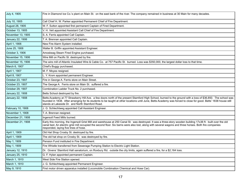| July 4, 1905      | Fire in Diamond Ice Co.'s plant on Main St. on the east bank of the river. The company remained in business at 30 Main for many decades.                                                                                                                                                                                                                                             |
|-------------------|--------------------------------------------------------------------------------------------------------------------------------------------------------------------------------------------------------------------------------------------------------------------------------------------------------------------------------------------------------------------------------------|
| July 10, 1905     | Call Chief H. W. Parker appointed Permanent Chief of Fire Department.                                                                                                                                                                                                                                                                                                                |
| August 28, 1905   | W. F. Sutton appointed first permanent Captain of Fired Department.                                                                                                                                                                                                                                                                                                                  |
| October 13, 1905  | V. H. Veit appointed Assistant Call Chief of Fire Department.                                                                                                                                                                                                                                                                                                                        |
| November 13, 1905 | S. A. Ferris appointed Call Captain.                                                                                                                                                                                                                                                                                                                                                 |
| January 22, 1906  | T. A. Brennan appointed Call Captain.                                                                                                                                                                                                                                                                                                                                                |
| April 1, 1906     | New Fire Alarm System installed.                                                                                                                                                                                                                                                                                                                                                     |
| June 25, 1906     | Walter B. Griffin appointed Assistant Engineer.                                                                                                                                                                                                                                                                                                                                      |
| October 3, 1906   | Amoskeag Steam Fired Engine purchased.                                                                                                                                                                                                                                                                                                                                               |
| November 15, 1906 | Wire Mill on Pacific St. destroyed by fire.                                                                                                                                                                                                                                                                                                                                          |
| November 15, 1906 | The wire mill of Atlantic Insulated Wire & Cable Co. at 757 Pacific St. burned. Loss was \$350,000, the largest dollar loss to that time.                                                                                                                                                                                                                                            |
| March 6, 1907     | Chief's Buggy purchased.                                                                                                                                                                                                                                                                                                                                                             |
| April 1, 1907     | M. F. Moyes resigned.                                                                                                                                                                                                                                                                                                                                                                |
| April 8, 1907     | L. Y. Krom appointed permanent Engineer.                                                                                                                                                                                                                                                                                                                                             |
| October 23, 1907  | Fire in George A. Ferris store on Main Street.                                                                                                                                                                                                                                                                                                                                       |
| October 23, 1907  | The George A. Ferris store on Main St. suffered a fire.                                                                                                                                                                                                                                                                                                                              |
| October 29, 1907  | Combination Ladder Truck No. 2 purchased.                                                                                                                                                                                                                                                                                                                                            |
|                   |                                                                                                                                                                                                                                                                                                                                                                                      |
| January 22, 1908  | Betts School destroyed by fire.                                                                                                                                                                                                                                                                                                                                                      |
| January 22, 1908  | Betts Academy at 77 Strawberry Hill Ave. a few doors north of the present Stamford High School, burned to the ground with a loss of \$36,850. The school was<br>founded in 1838. After arranging for its students to be taught at other locations until June, Betts Academy was forced to close for good. Betts' 1838 house still<br>stands at Lakeside Dr. and North Stamford Road. |
| February 10, 1908 | J. G. Schlechtweg appointed Call Assistant Engineer.                                                                                                                                                                                                                                                                                                                                 |
| November 1, 1908  | T. A. Brennan resigned.                                                                                                                                                                                                                                                                                                                                                              |
| December 21, 1908 | Ingersoll Feed Mills burned.                                                                                                                                                                                                                                                                                                                                                         |
| December 21, 1908 | Early this morning, the Ingersoll Grist Mill and warehouse at 250 Canal St. was destroyed. It was a three-story wooden building 17x36 ft. built over the old<br>canal bed. An electric grist mill occupied the second floor. Six barns were also lost, along with several wagons and three horses. Both fire companies<br>responded, laying five lines of hose.                      |
| April 1, 1909     | Old Hat Shop Crosby St. destroyed by fire.                                                                                                                                                                                                                                                                                                                                           |
| April 1, 1909     | The old hat shop on Crosby St. was destroyed by fire.                                                                                                                                                                                                                                                                                                                                |
| May 1, 1909       | Pension Fund instituted in Fire Department.                                                                                                                                                                                                                                                                                                                                          |
| May 1, 1909       | Fire Whistle transferred from Sewerage Pumping Station to Electric Light Station.                                                                                                                                                                                                                                                                                                    |
| January 12, 1910  | Dr. Givens' Stamford Hall sanatorium, on Roxbury Rd. outside the city limits, again suffered a fire, for a \$2,164 loss.                                                                                                                                                                                                                                                             |
| January 25, 1910  | G. F. Hylan appointed permanent Captain.                                                                                                                                                                                                                                                                                                                                             |
| March 1, 1910     | West Side Fire Station opened.                                                                                                                                                                                                                                                                                                                                                       |
| March 1, 1910     | J. G. Schlechtweg appointed Permanent Engineer.                                                                                                                                                                                                                                                                                                                                      |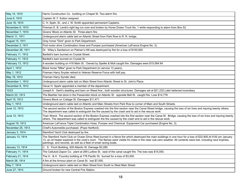| May 14, 1910      | Harris Construction Co. building on Chapel St. Two-alarm fire.                                                                                                                                                                                                                                                                                                                                        |
|-------------------|-------------------------------------------------------------------------------------------------------------------------------------------------------------------------------------------------------------------------------------------------------------------------------------------------------------------------------------------------------------------------------------------------------|
| June 6, 1910      | Captain W. F. Sutton resigned.                                                                                                                                                                                                                                                                                                                                                                        |
| June 16, 1910     | C. H. Speh, Sr., and J. W. Smith appointed permanent Captains.                                                                                                                                                                                                                                                                                                                                        |
| November 6, 1910  | Fireman E. B. Lamb's right leg run over and broken by Horse Drawn Truck No. 1 while responding to alarm from Box 52.                                                                                                                                                                                                                                                                                  |
| November 7, 1910  | Givens' Block on Atlantic St. Three-alarm fire.                                                                                                                                                                                                                                                                                                                                                       |
| March 11, 1911    | Underground alarm cable laid on Atlantic Street from Park Row to R. R. bridge.                                                                                                                                                                                                                                                                                                                        |
| August 15, 1911   | Gray horse "Dick" given to Park Department.                                                                                                                                                                                                                                                                                                                                                           |
| December 2, 1911  | First motor drive Combination Hose and Pumper purchased (American LaFrance Engine No. 2).                                                                                                                                                                                                                                                                                                             |
| December 28, 1911 | Dr. Wiley's Sanitarium on Palmer's Hill was destroyed by fire for a loss of \$100,000.                                                                                                                                                                                                                                                                                                                |
| February 11, 1912 | Bartlett's barn burned on Crystal Street.                                                                                                                                                                                                                                                                                                                                                             |
| February 11, 1912 | Bartlett's barn burned on Crystal St.                                                                                                                                                                                                                                                                                                                                                                 |
| February 13, 1912 | A wooden building on 416 Main St. Owned by Spelke & Moll caught fire. Damages were \$15,084.94.                                                                                                                                                                                                                                                                                                       |
| April 1, 1912     | Black horse "Mike" given to Park Department (in service 13 years).                                                                                                                                                                                                                                                                                                                                    |
| May 1, 1912       | Fireman Harry Snyder retired to Veteran Reserve Force with half pay.                                                                                                                                                                                                                                                                                                                                  |
| May 19, 1912      | Fireman Harry Synder died.                                                                                                                                                                                                                                                                                                                                                                            |
| December 1, 1912  | Underground alarm cable laid on Main Street from Atlantic Street to St. John's Place.                                                                                                                                                                                                                                                                                                                 |
| December 8, 1912  | Oscar H. Spahr appointed a member of the department.                                                                                                                                                                                                                                                                                                                                                  |
| 10/23             | Joseph A. Gerli's dwelling and barn on Weed Ave., both wooden structures. Damages set at \$21,232.Later believed incendiary.                                                                                                                                                                                                                                                                          |
| March 23, 1913    | The Beehler hat store in the Fessenden block on Atlantic St. opposite Bell St. caught fire. Loss \$14,776                                                                                                                                                                                                                                                                                             |
| April 15, 1913    | Givens Block on Cottage St. Damages \$11,471.                                                                                                                                                                                                                                                                                                                                                         |
| May 1, 1913       | Underground alarm cable laid on Atlantic and Main Streets from Park Row to corner of Main and South Streets.                                                                                                                                                                                                                                                                                          |
| June 12, 1913     | The second section of the Boston Express crashed into the first section near the Canal Street bridge, causing the loss of six lives and injuring twenty others.<br>The department was called to extinguish the fire caused by the crash and to aid in the rescue work.                                                                                                                                |
| June 12, 1913     | Train Wreck. The second section of the Boston Express crashed into the first section near the Canal St. Bridge, causing the loss of six lives and injuring twenty<br>others. The department was called to extinguish the fire caused by the crash and to aid in the rescue work.                                                                                                                      |
| August 19, 1913   | American LaFrance Triple Combination Hose, Pumper and Chemical Equipment Car purchased (Engine No. 3).                                                                                                                                                                                                                                                                                                |
| November 25, 1913 | Chief's Automobile purchased. (Pope Hartford).                                                                                                                                                                                                                                                                                                                                                        |
| January 3, 1914   | Stamford Yacht Club destroyed by fire.                                                                                                                                                                                                                                                                                                                                                                |
| January 13, 1914  | The Stamford Yacht Club on Ocean Drive West burned in a fierce fire which destroyed the main buildings in one hour for a loss of \$32,800.At 9:00 pm January<br>13, an oil heater explored in the cook's room. The flames were visible fro miles in the clear sub-zero weather. All contents were lost, including race trophies,<br>paintings, and records, as well as a fleet of small racing boats. |
| January 13, 1914  | C. S. Finch Building, 505 Atlantic St. Damage \$3,280.                                                                                                                                                                                                                                                                                                                                                |
| February 11, 1914 | The Celluloid Zapon Co. plant at 269 Ludlow St. east of the canal caught fire. The loss was \$15,000.                                                                                                                                                                                                                                                                                                 |
| February 21, 1914 | The H. & H. Foundry building at 776 Pacific St. burned for a loss of \$3,000.                                                                                                                                                                                                                                                                                                                         |
| March 26, 1914    | A fire at the Armour plant on Canal St. lost \$7,000.                                                                                                                                                                                                                                                                                                                                                 |
| May 7, 1914       | Underground alarm cable laid on Main Street from South to West Main Street.                                                                                                                                                                                                                                                                                                                           |
| June 27, 1914     | Ground broken for new Central Fire Station.                                                                                                                                                                                                                                                                                                                                                           |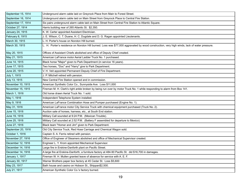| September 15, 1914 | Underground alarm cable laid on Greyrock Place from Main to Forest Street.                                                                   |
|--------------------|----------------------------------------------------------------------------------------------------------------------------------------------|
| September 16, 1914 | Underground alarm cable laid on Main Street from Greyrock Place to Central Fire Station.                                                     |
| September 17, 1914 | Six pairs underground alarm cable laid on Main Street from Central Fire Station to Atlantic Square.                                          |
| October 27, 1914   | Harris building rear of 265 Atlantic St. \$2,350.                                                                                            |
| January 24, 1915   | K. W. Carter appointed Assistant Electrician.                                                                                                |
| February 8, 1915   | J. E. Wilson, C. T. Duane, H. C. Dugdale and D. G. Ragan appointed Lieutenants.                                                              |
| March 30, 1915     | L. H. Porter's house on Noroton Hill burned.                                                                                                 |
| March 30, 1915     | L. H. Porter's residence on Noroton Hill burned. Loss was \$77,000 aggravated by wood construction, very high winds, lack of water pressure. |
| May 20, 1915       | Offices of Assistant Chiefs abolished and office of Deputy Chief created.                                                                    |
| May 21, 1915       | American LaFrance motor Aerial Ladder Truck No. 1 purchased.                                                                                 |
| June 14, 1915      | Black horse "Major" given to Park Department (in service 16 years).                                                                          |
| June 17, 1915      | Two horses, "Doc" and "Harry" give to Park Department.                                                                                       |
| June 20, 1915      | V. H. Veit appointed Permanent Deputy Chief of Fire Department.                                                                              |
| July 1, 1915       | J. P. Mitchell retired with pension.                                                                                                         |
| July 13, 1915      | New Central Fire Station opened and in commission.                                                                                           |
| November 10, 1915  | American Synthetic Color Co., Sunnyside Ave. Loss \$11,000                                                                                   |
| November 15, 1915  | Fireman M. H. Clark's right ankle broken by being run over by motor Truck No. 1 while responding to alarm from Box 141.                      |
| March 1, 1916      | Old horse drawn Aerial Truck No. 1 sold.                                                                                                     |
| May 1, 1916        | Independent Telephone System installed.                                                                                                      |
| May 9, 1916        | American LaFrance Combination Hose and Pumper purchased (Engine No. 1).                                                                      |
| May 31, 1916       | American LaFrance motor City Service Truck with chemical equipment purchased (Truck No. 2).                                                  |
| June 15, 1916      | Auction sale of horses, harness, etc., at South End station.                                                                                 |
| June 19, 1916      | Military Call sounded at 9:24 P.M. (Mexican Trouble).                                                                                        |
| June 25, 1916      | Military Call sounded at 2:52 P.M. (Battery F assembled for departure to Mexico).                                                            |
| June 27, 1916      | Black team "Homer and Jim" given to Park Department.                                                                                         |
| September 20, 1916 | Old City Service Truck, Red Hose Carriage and Chemical Wagon sold.                                                                           |
| October 1, 1916    | Captain S. A. Ferris retired with pension.                                                                                                   |
| November 27, 1916  | Office of Engineer of Steamers abolished and office of Mechanical Supervisor created.                                                        |
| December 12, 1916  | Engineer L. Y. Krom appointed Mechanical Supervisor.                                                                                         |
| December 14, 1916  | arge fire in Erskine-Danforth plant on Pacific Street.                                                                                       |
| December 14, 1916  | A large fire at Erskine-Danforth, a furniture factory at 484-90 Pacific St. did \$16,700 in damages.                                         |
| January 1, 1917    | Fireman W. H. Mullen granted leave of absence for service with A. E. F.                                                                      |
| January 30, 1917   | Warner Brothers paper box factory at 45 Cedar St. Loss \$5,600                                                                               |
| May 23, 1917       | Bath house and casino on Hobson St., Shippan\$2,500.                                                                                         |
| July 21, 1917      | American Synthetic Color Co.'s factory burned.                                                                                               |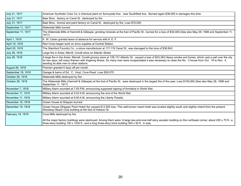| July 21, 1917      | American Synthetic Color Co.'s chemical plant on Sunnyside Ave. near Southfield Ave. Burned again.\$38,000 in damages this time.                                                                                                                                                                                                                                          |
|--------------------|---------------------------------------------------------------------------------------------------------------------------------------------------------------------------------------------------------------------------------------------------------------------------------------------------------------------------------------------------------------------------|
| July 31, 1917      | Baer Bros. factory on Canal St. destroyed by fire.                                                                                                                                                                                                                                                                                                                        |
| July 31, 1917      | Baer Bros. bronze and paint factory on Canal St. destroyed by fire. Loss \$75,000.                                                                                                                                                                                                                                                                                        |
| September 11, 1917 | Waterside Mills burned.                                                                                                                                                                                                                                                                                                                                                   |
| September 11, 1917 | The Waterside Mills of Hammill & Gillespie, grinding minerals at the foot of Pacific St., burned for a loss of \$30,000. (See also May 29, 1898 and September 11,<br>1917)                                                                                                                                                                                                |
| April 1, 1918      | K. W. Carter granted leave of absence for service with A. E. F.                                                                                                                                                                                                                                                                                                           |
| April 19, 1918     | Red Cross began work on army supplies at Central Station.                                                                                                                                                                                                                                                                                                                 |
| April 20, 1918     | The Stamford Foundry Co., a stove manufacturer at 117-119 Canal St., was damaged to the tune of \$38,843.                                                                                                                                                                                                                                                                 |
| July 28, 1918      | Large fire in Acker, Merrill, Condit store on Atlantic Street.                                                                                                                                                                                                                                                                                                            |
| July 28, 1918      | A large fire in the Acker, Merrall, Condit grocery store at 129-131 Atlantic St. caused a loss of \$23,363. Heavy smoke and fumes, which cast a pall over the city<br>for two days, left many firemen with lingering illness. So many men were incapacitated it was necessary to close the No. 3 house from Oct. 18 to Nov. 4,<br>sending its able men to other stations. |
| August 26, 1918    | Firemen granted 5 days off per month.                                                                                                                                                                                                                                                                                                                                     |
| September 18, 1918 | Garage & barns of Ed. C. Hoyt, Cove Road. Loss \$26,075.                                                                                                                                                                                                                                                                                                                  |
| October 26, 1918   | Waterside Mills destroyed by fire.                                                                                                                                                                                                                                                                                                                                        |
| October 26, 1918   | The Waterside Mills (Hammill & Gillespie) at the foot of Pacific St. were destroyed in the largest fire of the year. Loss \$100,000. (See also May 28, 1898 and<br>September 11, 1917)                                                                                                                                                                                    |
| November 7, 1918   | Military Alarm sounded at 7:55 P.M. announcing supposed signing of Armistice in World War.                                                                                                                                                                                                                                                                                |
| November 11, 1918  | Military Alarm sounded at 5:02 A.M. announcing the end of the World War.                                                                                                                                                                                                                                                                                                  |
| November 11, 1918  | Military Alarm sounded at 9:00 A.M. announcing the Liberty Parade.                                                                                                                                                                                                                                                                                                        |
| December 19, 1918  | Ocean House at Shippan burned.                                                                                                                                                                                                                                                                                                                                            |
| December 19, 1918  | Ocean House (Shippan Point Hotel) fire caused \$12,500 loss. This well-known resort hotel was located slightly south and slightly inland from the present<br>Woodway Beach Club building at the foot of Hobson St.                                                                                                                                                        |
| February 19, 1919  | Cove Mills destroyed by fire.<br>All the major factory buildings were destroyed. Among them were: A large two-and-one-half story wooden building on the northeast corner, about 200 x 75 ft.; a                                                                                                                                                                           |
|                    | three-story building 100 x 1235 ft.; and a long three-story brick building 300 x 50 ft. in size.                                                                                                                                                                                                                                                                          |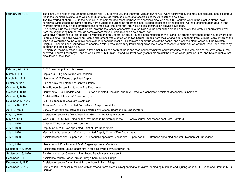| February 19, 1919  | The giant Cove Mills of the Stamford Extracts Mfg. Co. (previously the Stamford Manufacturing Co.) were destroyed by the most spectacular, most disastrous<br>fire in the Stamford history. Loss was over \$500,000 as much as \$2,000,000 according to the Advocate the next day.<br>The fire started at about 7:00 in the evening in the acid storage room, perhaps by a careless smoker. About 100 workers were in the plant. A strong, cold<br>northwest wind spread the flames quickly from building to building as firebrands leap-frogged across the giant complex. All the firefighting apparatus, all the<br>hydrants strategically placed throughout the complex, all the "fireproof" fire-walled brick construction proved powerless.<br>The flames lit up the sky with vivid colors, drawing thousands of spectators to the high ground around the plant. Fortunately, the terrifying sparks flew away<br>from the neighboring homes, though some owners moved furniture outside as a precaution.<br>Wind-driven firebrands fell on the old Holly house and on General Skiddy's Pound Rocks mansion on the island, but firemen stationed at the houses were able<br>to put out small fires and save them. Some excitement was created when two barges, loosed from their wharves to keep them from burning, were driven by the<br>wind out toward the sound with five people aboard needing rescue. All Stamford apparatus was at the scene, and a second alarm called out the Noroton<br>Heights, Glenbrook and Springdale companies. Water pressure from hydrants dropped so low it was necessary to pump salt water from Cove Pond, where by<br>good fortune the tide was high.<br>By morning, the brick office building, a few small buildings north of the island road and few wharves and warehouse on the west side of the cove were all that<br>survived. Four tall chimneysone of which was 136 ft. highstood like loyal, weary sentinels amidst the broken walls, jumbled kilns, and twisted rubble that<br>smoldered at their feet. |
|--------------------|------------------------------------------------------------------------------------------------------------------------------------------------------------------------------------------------------------------------------------------------------------------------------------------------------------------------------------------------------------------------------------------------------------------------------------------------------------------------------------------------------------------------------------------------------------------------------------------------------------------------------------------------------------------------------------------------------------------------------------------------------------------------------------------------------------------------------------------------------------------------------------------------------------------------------------------------------------------------------------------------------------------------------------------------------------------------------------------------------------------------------------------------------------------------------------------------------------------------------------------------------------------------------------------------------------------------------------------------------------------------------------------------------------------------------------------------------------------------------------------------------------------------------------------------------------------------------------------------------------------------------------------------------------------------------------------------------------------------------------------------------------------------------------------------------------------------------------------------------------------------------------------------------------------------------------------------------------------------------------------------------------------------------------------------------------|
| February 24, 1919  | B. F. Bouton appointed Lieutenant.                                                                                                                                                                                                                                                                                                                                                                                                                                                                                                                                                                                                                                                                                                                                                                                                                                                                                                                                                                                                                                                                                                                                                                                                                                                                                                                                                                                                                                                                                                                                                                                                                                                                                                                                                                                                                                                                                                                                                                                                                         |
| March 1, 1919      | Captain G. F. Hyland retired with pension.                                                                                                                                                                                                                                                                                                                                                                                                                                                                                                                                                                                                                                                                                                                                                                                                                                                                                                                                                                                                                                                                                                                                                                                                                                                                                                                                                                                                                                                                                                                                                                                                                                                                                                                                                                                                                                                                                                                                                                                                                 |
| March 24, 1919     | Lieutenant C. T. Duane appointed Captain.                                                                                                                                                                                                                                                                                                                                                                                                                                                                                                                                                                                                                                                                                                                                                                                                                                                                                                                                                                                                                                                                                                                                                                                                                                                                                                                                                                                                                                                                                                                                                                                                                                                                                                                                                                                                                                                                                                                                                                                                                  |
| September 2, 1919  | Sale of Army food started at Central Station.                                                                                                                                                                                                                                                                                                                                                                                                                                                                                                                                                                                                                                                                                                                                                                                                                                                                                                                                                                                                                                                                                                                                                                                                                                                                                                                                                                                                                                                                                                                                                                                                                                                                                                                                                                                                                                                                                                                                                                                                              |
| October 1, 1919    | Two-Platoon System instituted in Fire Department.                                                                                                                                                                                                                                                                                                                                                                                                                                                                                                                                                                                                                                                                                                                                                                                                                                                                                                                                                                                                                                                                                                                                                                                                                                                                                                                                                                                                                                                                                                                                                                                                                                                                                                                                                                                                                                                                                                                                                                                                          |
| October 1, 1919    | Lieutenants H. C. Dugdale and B. F. Bouton appointed Captains, and S. A. Ezequelle appointed Assistant Mechanical Supervisor.                                                                                                                                                                                                                                                                                                                                                                                                                                                                                                                                                                                                                                                                                                                                                                                                                                                                                                                                                                                                                                                                                                                                                                                                                                                                                                                                                                                                                                                                                                                                                                                                                                                                                                                                                                                                                                                                                                                              |
| October 1, 1919    | Assistant Electrician K. W. Carter resigned.                                                                                                                                                                                                                                                                                                                                                                                                                                                                                                                                                                                                                                                                                                                                                                                                                                                                                                                                                                                                                                                                                                                                                                                                                                                                                                                                                                                                                                                                                                                                                                                                                                                                                                                                                                                                                                                                                                                                                                                                               |
| November 10, 1919  | F. J. Fox appointed Assistant Electrician.                                                                                                                                                                                                                                                                                                                                                                                                                                                                                                                                                                                                                                                                                                                                                                                                                                                                                                                                                                                                                                                                                                                                                                                                                                                                                                                                                                                                                                                                                                                                                                                                                                                                                                                                                                                                                                                                                                                                                                                                                 |
| January 29, 1920   | Fireman Oscar H. Spahr died from effects of exposure at fire.                                                                                                                                                                                                                                                                                                                                                                                                                                                                                                                                                                                                                                                                                                                                                                                                                                                                                                                                                                                                                                                                                                                                                                                                                                                                                                                                                                                                                                                                                                                                                                                                                                                                                                                                                                                                                                                                                                                                                                                              |
| April 10, 1920     | Survey of City fire protective facilities started by National Board of Fire Underwriters.                                                                                                                                                                                                                                                                                                                                                                                                                                                                                                                                                                                                                                                                                                                                                                                                                                                                                                                                                                                                                                                                                                                                                                                                                                                                                                                                                                                                                                                                                                                                                                                                                                                                                                                                                                                                                                                                                                                                                                  |
| May 17, 1920       | Assistance sent to the fire at Wee Burn Golf Club Building at Noroton.                                                                                                                                                                                                                                                                                                                                                                                                                                                                                                                                                                                                                                                                                                                                                                                                                                                                                                                                                                                                                                                                                                                                                                                                                                                                                                                                                                                                                                                                                                                                                                                                                                                                                                                                                                                                                                                                                                                                                                                     |
| May 17, 1920       | Wee Burn Golf Club building on the Post Road in Noroton opposite ST. John's church. Assistance sent from Stamford.                                                                                                                                                                                                                                                                                                                                                                                                                                                                                                                                                                                                                                                                                                                                                                                                                                                                                                                                                                                                                                                                                                                                                                                                                                                                                                                                                                                                                                                                                                                                                                                                                                                                                                                                                                                                                                                                                                                                         |
| July 1, 1920       | Chief H. W. Parker retired with pension.                                                                                                                                                                                                                                                                                                                                                                                                                                                                                                                                                                                                                                                                                                                                                                                                                                                                                                                                                                                                                                                                                                                                                                                                                                                                                                                                                                                                                                                                                                                                                                                                                                                                                                                                                                                                                                                                                                                                                                                                                   |
| July 1, 1920       | Deputy Chief V. H. Veit appointed Chief of Fire Department.                                                                                                                                                                                                                                                                                                                                                                                                                                                                                                                                                                                                                                                                                                                                                                                                                                                                                                                                                                                                                                                                                                                                                                                                                                                                                                                                                                                                                                                                                                                                                                                                                                                                                                                                                                                                                                                                                                                                                                                                |
| July 1, 1920       | Mechanical Supervisor L. Y. Krom appointed Deputy Chief of Fire Department.                                                                                                                                                                                                                                                                                                                                                                                                                                                                                                                                                                                                                                                                                                                                                                                                                                                                                                                                                                                                                                                                                                                                                                                                                                                                                                                                                                                                                                                                                                                                                                                                                                                                                                                                                                                                                                                                                                                                                                                |
| July 1, 1920       | Assistant Mechanical Supervisor S. A. Ezequelle appointed Mechanical Supervisor, H. R. Bronson appointed Assistant Mechanical Supervisor.                                                                                                                                                                                                                                                                                                                                                                                                                                                                                                                                                                                                                                                                                                                                                                                                                                                                                                                                                                                                                                                                                                                                                                                                                                                                                                                                                                                                                                                                                                                                                                                                                                                                                                                                                                                                                                                                                                                  |
| July 1, 1920       | Lieutenants J. E. Wilson and D. G. Ragan appointed Captains.                                                                                                                                                                                                                                                                                                                                                                                                                                                                                                                                                                                                                                                                                                                                                                                                                                                                                                                                                                                                                                                                                                                                                                                                                                                                                                                                                                                                                                                                                                                                                                                                                                                                                                                                                                                                                                                                                                                                                                                               |
| September 18, 1920 | Assistance sent to Sound Beach fire in building owned by Greenwich Inn.                                                                                                                                                                                                                                                                                                                                                                                                                                                                                                                                                                                                                                                                                                                                                                                                                                                                                                                                                                                                                                                                                                                                                                                                                                                                                                                                                                                                                                                                                                                                                                                                                                                                                                                                                                                                                                                                                                                                                                                    |
| September 18, 1920 | Building owned by Greenwich Inn, Sound Beach. Assistance sent.                                                                                                                                                                                                                                                                                                                                                                                                                                                                                                                                                                                                                                                                                                                                                                                                                                                                                                                                                                                                                                                                                                                                                                                                                                                                                                                                                                                                                                                                                                                                                                                                                                                                                                                                                                                                                                                                                                                                                                                             |
| December 2, 1920   | Assistance sent to Darien, fire at Purdy's barn, Miller's Bridge.                                                                                                                                                                                                                                                                                                                                                                                                                                                                                                                                                                                                                                                                                                                                                                                                                                                                                                                                                                                                                                                                                                                                                                                                                                                                                                                                                                                                                                                                                                                                                                                                                                                                                                                                                                                                                                                                                                                                                                                          |
| December 3, 1920   | Assistance sent to Darien fire at Purdy's barn, Miller's Bridge.                                                                                                                                                                                                                                                                                                                                                                                                                                                                                                                                                                                                                                                                                                                                                                                                                                                                                                                                                                                                                                                                                                                                                                                                                                                                                                                                                                                                                                                                                                                                                                                                                                                                                                                                                                                                                                                                                                                                                                                           |
| December 26, 1920  | Combination Chemical in collision with another automobile while responding to an alarm, damaging machine and injuring Capt. C. T. Duane and Fireman N. G.<br>Gorman.                                                                                                                                                                                                                                                                                                                                                                                                                                                                                                                                                                                                                                                                                                                                                                                                                                                                                                                                                                                                                                                                                                                                                                                                                                                                                                                                                                                                                                                                                                                                                                                                                                                                                                                                                                                                                                                                                       |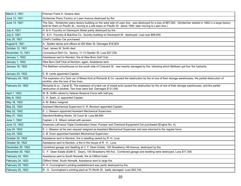| March 3, 1921     | Fireman Frank H. Greene died.                                                                                                                                                                                                                                                |
|-------------------|------------------------------------------------------------------------------------------------------------------------------------------------------------------------------------------------------------------------------------------------------------------------------|
| June 13, 1921     | Schleicher Piano Factory on Lawn Avenue destroyed by fire.                                                                                                                                                                                                                   |
| June 13, 1921     | The Geo. Schleicher piano factory building on the west side of Lawn Ave. was destroyed for a loss of \$87,000. (Schleicher started in 1892 in a large factory<br>built for them on Pacific St., moving to a site lower on Pacific St. about 1900, later moving to Lawn Ave.) |
| July 4, 1921      | H. & H. Foundry on Davenport Street partly destroyed by fire.                                                                                                                                                                                                                |
| July 4, 1921      | H. & H. Foundry & Machine Co. foundry building on Davenport St. destroyed. Loss was \$68,000.                                                                                                                                                                                |
| July 25, 1921     | Chief's Cadillac Car purchased.                                                                                                                                                                                                                                              |
| August 9, 1921    | A. Spelke stores and offices at 292 Main St. Damages \$16,803                                                                                                                                                                                                                |
| October 12, 1921  | Capt. James W. Smith died.                                                                                                                                                                                                                                                   |
| November 13, 1921 | Connecticut Shirt Co. factory, 11-13 Garden St. Loss \$27,535.                                                                                                                                                                                                               |
| January 1, 1922   | Assistance sent to Noroton, fire at Wee Burn Golf Club.                                                                                                                                                                                                                      |
| January 1, 1922   | Wee Burn Golf Club at Noroton, again. Assistance sent.                                                                                                                                                                                                                       |
| January 18, 1922  | The Belltown schoolhouse on the south side of Crescent St. was heavily damaged by fire, following which Belltown got four fire hydrants.                                                                                                                                     |
| January 23, 1922  | E. B. Lamb appointed Captain.                                                                                                                                                                                                                                                |
| February 24, 1922 | The explosion of a Tank car of Mixed Acid at Richards & Co. caused the destruction by fire of one of their storage warehouses, the partial destruction of<br>another, also the loss of two lives.                                                                            |
| February 24, 1922 | Richards & co., Canal St. The explosion of a tank car of mixed acid caused the destruction by fire of one of their storage warehouses, and the partial<br>destruction of another. Two lives were lost. Damages \$131,000                                                     |
| April 1, 1922     | W. B. Griffin retired to Veteran Reserve Force with half pay.                                                                                                                                                                                                                |
| May 8, 1922       | C. H. Speh, Jr. appointed Captain.                                                                                                                                                                                                                                           |
| May 16, 1922      | A. M. Baker resigned                                                                                                                                                                                                                                                         |
| May 22, 1922      | Assistant Mechanical Supervisor H. R. Bronson appointed Captain.                                                                                                                                                                                                             |
| May 22, 1922      | E. J. Gleason appointed Assistant Mechanical Supervisor.                                                                                                                                                                                                                     |
| May 27, 1922      | Stamford Bottling Works, 20 Court St. Loss \$8,850.                                                                                                                                                                                                                          |
| June 1, 1922      | Captain J. E. Wilson retired with pension.                                                                                                                                                                                                                                   |
| June 12, 1922     | American LaFrance Triple Combination Hose, Pumper and Chemical Equipment Car purchased (Engine No. 4).                                                                                                                                                                       |
| July 24, 1922     | E. J. Gleason at his own request resigned as Assistant Mechanical Supervisor and was returned to the regular force.                                                                                                                                                          |
| July 24, 1922     | C. B. Krom appointed Assistant Mechanical Supervisor.                                                                                                                                                                                                                        |
| October 30, 1922  | Assistance sent to Noroton, fire in dwelling owned by R. H. Love.                                                                                                                                                                                                            |
| October 30, 1922  | Assistance sent to Noroton, a fire in the house of R. H. Love.                                                                                                                                                                                                               |
| December 20, 1922 | Combined garage and dwelling at C. F. Dean Estate, 100 Strawberry Hill Avenue, destroyed by fire.                                                                                                                                                                            |
| December 20, 1922 | C. F. Dean Estate (Edith E. Dean), 100 Strawberry Hill Ave. Combined garage and dwelling were destroyed. Loss \$17,300.                                                                                                                                                      |
| February 24, 1923 | Assistance sent to South Norwalk, fire at Clifford hotel.                                                                                                                                                                                                                    |
| February 24, 1923 | Clifford Hotel, South Norwalk. Assistance sent to large fire.                                                                                                                                                                                                                |
| February 25, 1923 | R. H. Cunningham's printing establishment was partly destroyed by fire.                                                                                                                                                                                                      |
| February 25, 1923 | R. H. Cunningham's printing plant at 74 Worth St. badly damaged. Loss \$45,745.                                                                                                                                                                                              |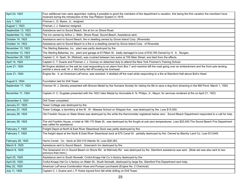| April 23, 1923     | Four additional men were appointed, making it possible to grant the members of the department a vacation, this being the first vacation the members have<br>received during the introduction of the Two-Platoon System in 1919. |
|--------------------|---------------------------------------------------------------------------------------------------------------------------------------------------------------------------------------------------------------------------------|
| July 1, 1923       | Fireman L. D. Myers, Jr., resigned.                                                                                                                                                                                             |
| August 1, 1923     | Fireman J. J. Salamon resigned.                                                                                                                                                                                                 |
| September 13, 1923 | Assistance sent to Sound Beach, fire at Inn on Shore Road.                                                                                                                                                                      |
| September 13, 1923 | The Inn owned by Arthur J. Bitlin, Shore Road, Sound Beach. Assistance sent.                                                                                                                                                    |
| October 14, 1923   | Assistance sent to Sound Beach, fire in dwelling owned by Grove Island Corp. (Riverside)                                                                                                                                        |
| October 14, 1923   | Assistance sent to Sound Beach to a fire in a dwelling owned by Grove Island Corp. of Riverside.                                                                                                                                |
| November 13, 1923  | The Sterling Bakeries, Inc. plant was partly destroyed by fire.                                                                                                                                                                 |
| November 13, 1923  | The Sterling Bakeries, Inc. plant and garage at 617Main St. badly damaged to tune of \$16,785.Owned by H. A. Sturges.                                                                                                           |
| December 29, 1923  | Captain C. H. Speh, Sr. (Retired), was crushed between two autos at 705 Main Street, and died from the effects.                                                                                                                 |
| April 14, 1924     | Captain C. T. Duane and Fireman J. J. Cooney on detached duty to attend the New York Firemen's Training School.                                                                                                                 |
| June 21, 1924      | #4 Engine skidded on the wet tar road responding to an alarm from Box 7 and machine left the road going over an embankment and the front axle landing<br>astride a stone wall, W. J. McCarthy fell off bruising his forehead.   |
| June 21, 1924      | Engine No. 4, an American-LaFrance, was wrecked. It skidded off the road while responding to a fire at Stamford Hall above Bull's Head.                                                                                         |
| August 5, 1924     | Foundation laid for Drill Tower.                                                                                                                                                                                                |
| September 17, 1924 | Fireman W. J. Densky presented with Bronze Medal by the Humane Society for risking his life to save a dog from drowning in the Mill Pond, March 1, 1924.                                                                        |
| November 11, 1924  | Captain H. C. Dugdale presented with the 1923 Valor Medal by Honorable A. N. Philips, Jr., Mayor, for services rendered at fire on April 21, 1923.                                                                              |
| December 4, 1924   | Drill Tower completed.                                                                                                                                                                                                          |
| January 27, 1925   | Tower Cottage was destroyed by fire.                                                                                                                                                                                            |
| January 27, 1925   | Tower Cottage, a dormitory at the W. W. Massee School on Shippan Ave. was destroyed by fire. Loss \$15,500.                                                                                                                     |
| January 28, 1925   | Old Franklin House on State Street was destroyed by fire while the thermometer registered below zero. Sound Beach Department responded to a call for help.                                                                      |
| January 28, 1925   | The old Franklin House, a hotel at 166-170 State St., was destroyed by fire fought at sub-zero temperatures. Loss \$20,400. The Sound Beach Fire Department<br>was called for assistance.                                       |
| February 7, 1925   | Freight Depot at North & East River Steamboat Dock was partly destroyed by fire.                                                                                                                                                |
| February 7, 1925   | The freight depot at the North & East River Steamboat dock at 670 Canal St. partially destroyed by fire. Owned by Blachly Land Co. Loss \$13,649.                                                                               |
| February 28, 1925  | Harris Constr. Co. block at 302-310 Atlantic St. Loss \$26,383.                                                                                                                                                                 |
| March 8, 1925      | Assistance sent to Sound Beach. Greenwich Inn destroyed by fire.                                                                                                                                                                |
| March 8, 1925      | The Greenwich Inn in Sound Beach on Shore Rd. at Wahneta Rd. was destroyed by fire. Stamford assistance was sent. [Note aid was also sent to two<br>previous fires here.]                                                       |
| April 25, 1925     | Assistance sent to South Norwalk. Crofut-Knapp Hat Co.'s factory destroyed by fire.                                                                                                                                             |
| April 25, 1925     | Crofut-Knapp Hat Co.'s factory on Water St., South Norwalk, destroyed by large fire. Stamford Fire Department sent help.                                                                                                        |
| May 22, 1925       | American LaFrance Combination Hose and Pumper purchased (Engine No. 2 Chemical).                                                                                                                                                |
| July 11, 1925      | Captain C. t. Duane and J. P. Kotos injured from fall while drilling on Drill Tower.                                                                                                                                            |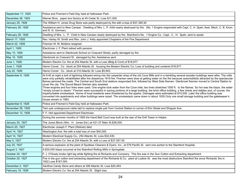| September 17, 1925 | Police and Firemen's Field Day held at Halloween Park.                                                                                                                                                                                                                                                                                                                                                                                                                                                                                                                                                                                                                                                                                                                                                                                                                                                                                                                                                                                                                                                                                                                                                                                            |
|--------------------|---------------------------------------------------------------------------------------------------------------------------------------------------------------------------------------------------------------------------------------------------------------------------------------------------------------------------------------------------------------------------------------------------------------------------------------------------------------------------------------------------------------------------------------------------------------------------------------------------------------------------------------------------------------------------------------------------------------------------------------------------------------------------------------------------------------------------------------------------------------------------------------------------------------------------------------------------------------------------------------------------------------------------------------------------------------------------------------------------------------------------------------------------------------------------------------------------------------------------------------------------|
| December 26, 1925  | Warner Bros. paper box factory at 45 Cedar St. Loss \$11,000.                                                                                                                                                                                                                                                                                                                                                                                                                                                                                                                                                                                                                                                                                                                                                                                                                                                                                                                                                                                                                                                                                                                                                                                     |
| January 25, 1926   | The William H. Jones Drug Store was partly destroyed by fire with a loss of \$37,390.92                                                                                                                                                                                                                                                                                                                                                                                                                                                                                                                                                                                                                                                                                                                                                                                                                                                                                                                                                                                                                                                                                                                                                           |
| February 28, 1926  | Assistance sent to New Canaan. Dwelling of Mrs. L. P. child nearly destroyed by fire. (No. 1 Engine responded with Capt. C. H. Speh, Asst. Mech. C. B. Krom<br>and N. G. Gorman).                                                                                                                                                                                                                                                                                                                                                                                                                                                                                                                                                                                                                                                                                                                                                                                                                                                                                                                                                                                                                                                                 |
| February 28, 1926  | Dwelling of Mrs. L. P. Child in New Canaan nearly destroyed by fire. Stamford's No. 1 Engine Co., Capt. C. H. Speh, sent to assist.                                                                                                                                                                                                                                                                                                                                                                                                                                                                                                                                                                                                                                                                                                                                                                                                                                                                                                                                                                                                                                                                                                               |
| March 17, 1926     | Rev. Harley W. Smith and Rev. John J. Kelly appointed Chaplains of the Fire Department.                                                                                                                                                                                                                                                                                                                                                                                                                                                                                                                                                                                                                                                                                                                                                                                                                                                                                                                                                                                                                                                                                                                                                           |
| March 22, 1926     | Fireman W. M. Mullens resigned.                                                                                                                                                                                                                                                                                                                                                                                                                                                                                                                                                                                                                                                                                                                                                                                                                                                                                                                                                                                                                                                                                                                                                                                                                   |
| April 1, 1926      | Electrician J. F. Plant retired with pension.                                                                                                                                                                                                                                                                                                                                                                                                                                                                                                                                                                                                                                                                                                                                                                                                                                                                                                                                                                                                                                                                                                                                                                                                     |
| May 10, 1926       | Assistance sent to Glenbrook School on Crescent Street, partly damaged by fire.                                                                                                                                                                                                                                                                                                                                                                                                                                                                                                                                                                                                                                                                                                                                                                                                                                                                                                                                                                                                                                                                                                                                                                   |
| May 10, 1926       | Glenbrook on Crescent St. damaged by fire. Assistance sent.                                                                                                                                                                                                                                                                                                                                                                                                                                                                                                                                                                                                                                                                                                                                                                                                                                                                                                                                                                                                                                                                                                                                                                                       |
| June 1, 1926       | Modern Electric Co. fire at 254 Atlantic St. with a Loss (Bldg & Cont) of \$18,977                                                                                                                                                                                                                                                                                                                                                                                                                                                                                                                                                                                                                                                                                                                                                                                                                                                                                                                                                                                                                                                                                                                                                                |
| June 1, 1926       | Harris Constr. Co. block at 254 Atlantic St. housing the Modern Electric Co. Loss of building and contents \$18,977.                                                                                                                                                                                                                                                                                                                                                                                                                                                                                                                                                                                                                                                                                                                                                                                                                                                                                                                                                                                                                                                                                                                              |
| July 22, 1926      | Harris Constr. Co. block at 310 Atlantic St. Loss \$5,943.                                                                                                                                                                                                                                                                                                                                                                                                                                                                                                                                                                                                                                                                                                                                                                                                                                                                                                                                                                                                                                                                                                                                                                                        |
| September 6, 1926  | At 9:40 at night a bolt of lightning followed wiring into the carpenter shop of the old Cove Mills and in a twinkling several wooden buildings were afire. The mills<br>were only partially rehabilitated after the disastrous 1919 fire. Firemen were slow at getting water on the fire because automobilists attracted by the spectacular<br>flames jammed the roads. The Central and South End stations responded first, followed by West Side firemen. Glenbrook firemen moved to Central Station to<br>cover the city. The Sound Beach firemen also assisted.<br>Three engines and four lines were used. One engine took water from the Cove inlet; two lines stretched 1000 ft. to the flames. So hot was the blaze, the water<br>"simply turned to steam." Firemen were successful in saving portions of a large building, the brick office building, a few sheds and stables and, of course, the<br>imperturbable smokestack. Home of local residents were threatened by the sparks. Damages were estimated at \$10,000. Later the office building was<br>converted into apartments and other buildings were razed. The smokestack came down in about 1935. Only one small storage building and the gatekeeper's<br>house remain in 1993. |
| September 8, 1926  | Police and Firemen's Field Day held at Halloween Park.                                                                                                                                                                                                                                                                                                                                                                                                                                                                                                                                                                                                                                                                                                                                                                                                                                                                                                                                                                                                                                                                                                                                                                                            |
| November 26, 1926  | Twin pair underground cable laid to replace single pair from Central Station to corner of Elm Street and Shippan Ave.                                                                                                                                                                                                                                                                                                                                                                                                                                                                                                                                                                                                                                                                                                                                                                                                                                                                                                                                                                                                                                                                                                                             |
| December 13, 1926  | F. F. Veit appointed Department Electrician.                                                                                                                                                                                                                                                                                                                                                                                                                                                                                                                                                                                                                                                                                                                                                                                                                                                                                                                                                                                                                                                                                                                                                                                                      |
|                    | During the summer months of 1926 the Hand Ball Court was built at the rear of the Drill Tower in Hdqtrs.                                                                                                                                                                                                                                                                                                                                                                                                                                                                                                                                                                                                                                                                                                                                                                                                                                                                                                                                                                                                                                                                                                                                          |
| January 25, 1927   | The Jones Block (Wm. H. Jones Est.) at 421-27 Main St.\$38,000.                                                                                                                                                                                                                                                                                                                                                                                                                                                                                                                                                                                                                                                                                                                                                                                                                                                                                                                                                                                                                                                                                                                                                                                   |
| March 20, 1927     | Electrician Joseph F. Plant (Retired) died.                                                                                                                                                                                                                                                                                                                                                                                                                                                                                                                                                                                                                                                                                                                                                                                                                                                                                                                                                                                                                                                                                                                                                                                                       |
| April 14, 1927     | Washington Ave. fire with a total loss of over \$40,000.                                                                                                                                                                                                                                                                                                                                                                                                                                                                                                                                                                                                                                                                                                                                                                                                                                                                                                                                                                                                                                                                                                                                                                                          |
| April 14, 1927     | Modern Electrical Supply Co., 254 Atlantic St. Loss \$32,435.                                                                                                                                                                                                                                                                                                                                                                                                                                                                                                                                                                                                                                                                                                                                                                                                                                                                                                                                                                                                                                                                                                                                                                                     |
| May 5, 1927        | Modern Electric Co. fire at 254 Atlantic St. with a Loss of \$37,557.50.                                                                                                                                                                                                                                                                                                                                                                                                                                                                                                                                                                                                                                                                                                                                                                                                                                                                                                                                                                                                                                                                                                                                                                          |
| July 20, 1927      | A serious explosion at the plant of Spotless Cleaners & Dyers, Inc., at 579 Pacific St. sent one worker to the Stamford Hospital.                                                                                                                                                                                                                                                                                                                                                                                                                                                                                                                                                                                                                                                                                                                                                                                                                                                                                                                                                                                                                                                                                                                 |
| August 3, 1927     | A \$35,000 blaze occurred at the Stamford Rolling Mills in Springdale.                                                                                                                                                                                                                                                                                                                                                                                                                                                                                                                                                                                                                                                                                                                                                                                                                                                                                                                                                                                                                                                                                                                                                                            |
| October 20, 1927   | F. J. O'Grady broke right leg while fighting fire at Richards and Company. This fire was in the Gun Cotton and Extracting department.                                                                                                                                                                                                                                                                                                                                                                                                                                                                                                                                                                                                                                                                                                                                                                                                                                                                                                                                                                                                                                                                                                             |
| October 20, 1927   | Fire in the gun cotton and extracting department of the Richards & Co. plant at Ludlow St. was the most destructive Stamford fire since Richards' fire in<br>1922.Loss \$167,000.                                                                                                                                                                                                                                                                                                                                                                                                                                                                                                                                                                                                                                                                                                                                                                                                                                                                                                                                                                                                                                                                 |
| December 2, 1927   | Xanthos Candy Store and others at 306 Atlantic St. Loss \$25,493.                                                                                                                                                                                                                                                                                                                                                                                                                                                                                                                                                                                                                                                                                                                                                                                                                                                                                                                                                                                                                                                                                                                                                                                 |
| February 16, 1928  | Modern Electric Co. fire at 254 Atlantic St. Slight loss.                                                                                                                                                                                                                                                                                                                                                                                                                                                                                                                                                                                                                                                                                                                                                                                                                                                                                                                                                                                                                                                                                                                                                                                         |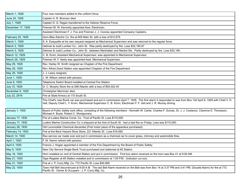| March 1, 1928     | Four new members added to the uniform force.                                                                                                                                                                                                                                      |
|-------------------|-----------------------------------------------------------------------------------------------------------------------------------------------------------------------------------------------------------------------------------------------------------------------------------|
| June 24, 1928     | Captain H. R. Bronson died.                                                                                                                                                                                                                                                       |
| July 1, 1928      | Captain D. G. Ragan transferred to the Veteran Reserve Force.                                                                                                                                                                                                                     |
| December 17, 1928 | Fireman M. W. Kennedy appointed Asst. Electrician.                                                                                                                                                                                                                                |
|                   | Assistant Electrician F. J. Fox and Fireman J. J. Cooney appointed Company Captains.                                                                                                                                                                                              |
| February 20, 1929 | Gorn-Blau Electric Co. fire at 605 Main St. with a loss of \$12,579.                                                                                                                                                                                                              |
| March 1, 1929     | S. A. Ezequelle at his own request resigned as Mechanical Supervisor and was returned to the regular force.                                                                                                                                                                       |
| March 3, 1929     | Getman & Judd Lumber Co., John St. Was partly destroyed by fire. Loss \$32,190.87                                                                                                                                                                                                 |
| March 3, 1929     | Getman & Judd Lumber Co., John St. between Manhattan and Market Sts. Partly destroyed by fire. Loss \$32,190.                                                                                                                                                                     |
| March 12, 1929    | C. B. Krom, Assistant Mechanical Supervisor, was appointed to Mechanical Supervisor.                                                                                                                                                                                              |
| March 26, 1929    | Fireman W. F. Seely was appointed Asst. Mechanical Supervisor.                                                                                                                                                                                                                    |
| May 29, 1929      | Rev. Harley W. Smith resigned as Chaplain of the Fire Department.                                                                                                                                                                                                                 |
| May 29, 1929      | Rev. Alfred Grant Walton was appointed Chaplain of the Fire Department.                                                                                                                                                                                                           |
| May 29, 1929      | J. J. Leary resigned.                                                                                                                                                                                                                                                             |
| June 1, 1929      | J. W. Wilson retired with pension.                                                                                                                                                                                                                                                |
| June 6, 1929      | Telephone Switch Board installed at Central Fire Station.                                                                                                                                                                                                                         |
| July 10, 1929     | G. C. Murphy Store fire at 268 Atlantic with a loss of \$54,022.40                                                                                                                                                                                                                |
| November 9, 1929  | Christopher Merriman died.                                                                                                                                                                                                                                                        |
| July 22, 2919     | Fire at State Armory at 115 South St.                                                                                                                                                                                                                                             |
|                   | The Chief's new Buick car was purchased and put in commission April 7, 1929. The first alarm it responded to was from Box 142 April 9, 1929 with Chief V. H.<br>Veit, Deputy Chief L. Y. Krom, Mechanical Supervisor C. B. Krom, Electrician F. F. Veit and J. R. Murray driving. |
| January 1, 1930   | Board of Public Safety took office, consisting of the following members - Kenneth W. Carter, Charles F. Guinas, Dr. J. J. Costanzo, Clarence E. Thompson,<br>Michael A. Boyle, Robert C. Montgomery.                                                                              |
| January 17, 1930  | Fire at Luders Marine Const. Co. Foot of Pacific St. Loss \$115,000.                                                                                                                                                                                                              |
| January 17, 1930  | Luders Marine Construction Co.'s shipyard at the foot of South St. had a bad fire on Friday. Loss was \$115,000.                                                                                                                                                                  |
| January 28, 1930  | Old Locomobile Chemical discarded (First motor piece of fire apparatus purchased).                                                                                                                                                                                                |
| February 14, 1930 | Fire at the Beck Hazard Shoe Store, 221 Atlantic St. Loss \$16,060.                                                                                                                                                                                                               |
| March 14, 1930    | Reo service car made over and put in commission as a chemical car to cover grass, chimney and automobile fires.                                                                                                                                                                   |
| April 1, 1930     | F. M. Hamm retired with pension.                                                                                                                                                                                                                                                  |
| April 4, 1930     | Francis J. Hogan appointed a member of the Fire Department by the Board of Public Safety.                                                                                                                                                                                         |
| May 9, 1930       | New City Service Single Bank Truck purchased and stationed at #2 Station.                                                                                                                                                                                                         |
| May 16, 1930      | Horn installed on roof of Central Station and put in commission. First box alarm received on the horn was Box 41 at 9:00 AM.                                                                                                                                                      |
| May 21, 1930      | Tape Register at #3 Station installed and in commission at 1:00 P.M. (Indicator cut out).                                                                                                                                                                                         |
| May 21, 1930      | Fire at J. P. Curry Mfg. Co. 772 Pacific St. Loss \$40,990.                                                                                                                                                                                                                       |
| May 22, 1930      | Town Hall Bell discontinued at 8:00 A.M. The last Bell Alarm received on the Bell was from Box 14 at 3:37 PM and 3:41 PM. (Double Alarm) for fire at 772<br>Pacific St. Owner & Occupant - J. P. Curry Mfg. Co.                                                                   |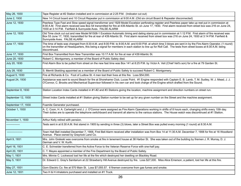| May 26, 1930       | Tape Register at #2 Station installed and in commission at 2:25 P.M. (Indicator cut out)                                                                                                                                                                                                                                                                                              |
|--------------------|---------------------------------------------------------------------------------------------------------------------------------------------------------------------------------------------------------------------------------------------------------------------------------------------------------------------------------------------------------------------------------------|
| June 2, 1930       | New 14 Circuit board and 10 Circuit Repeater put in commission at 9:00 A.M. (Old six circuit Board & Repeater disconnected)                                                                                                                                                                                                                                                           |
| June 12, 1930      | Peerless Type Fast and Slow speed signal transformer and 1929 Model Excelsior perforating register and Peerless paper take up reel put in commission at<br>8:00 A.M. First alarm received was Box 54 transmitted for fire at 439 Atlantic St. on June 17, 1930. First alarm received from street box was 216 on June 24,<br>1930 at 3:14 P.M. Fairfield & Sunnyside Aves. FALSE ALARM |
| June 12, 1930      | Old Time clock cut out and new Model M1508-1 Excelsior Automatic timing and dating stamp put in commission at 1:12 P.M. First alarm of fire received was<br>Box 53 June 17, 1930, transmitted for fire at rear of 439 Atlantic St. First alarm received from street box was 216 on June 24, 1930 at 3:14 P.M. Fairfield &<br>Sunnyside Aves. FALSE ALARM                              |
| June 17, 1930      | The time of tests was changed from 8:30 A.M. and 8:00 P.M. to 8:00 A.M. and 6:00 P.M. at which time 3 blows are sent in by the Fire Alarm Operator, (1 round)<br>on the transmitter at Headquarters, this being a signal for members in each station to line up for Roll Call. The tests from street boxes at 8:30 A.M. being<br>discontinued.                                        |
| June 17, 1930      | First Box Transmitted from New Transmitter was 10:17 A.M. for fire at rear of 439 Atlantic St.                                                                                                                                                                                                                                                                                        |
| June 20, 1930      | Robert C. Montgomery, a member of the Board of Public Safety died.                                                                                                                                                                                                                                                                                                                    |
| July 20, 1930      | First Alarm Box to be pulled from street on the new fast time was Box 141 at 8:25 P.M. by Victor A. Veit (Chief Veit's son) for a fire at 79 Garden St.                                                                                                                                                                                                                               |
| July 28, 1930      | S. Merritt Skelding appointed as a member of the Board of Public Safety to succeed Robert C. Montgomery.                                                                                                                                                                                                                                                                              |
| August 5, 1930     | Fire at Richards & Co. Foot of Ludlow St. 4 men lost their lives at this fire. Loss \$54,000.                                                                                                                                                                                                                                                                                         |
| August 24, 1930    | Assistance was sent to sound Beach for fire at Shorehame Club, Lucas Point. #1 Engine responded with Captain E. B. Lamb, T. M. Sudley, W. J. Mead, J. J.<br>O'Connor, C. Brooks and Mechanical Supervisor followed in his own car and took charge of the Engine which drafted from the Sound.                                                                                         |
| September 8, 1930  | Station Location Index Cards installed in #1-#2 and #3 Stations giving the location, machine assignment and direction numbers on street run.                                                                                                                                                                                                                                          |
| September 12, 1930 | Street Index Cards installed at #1 Station giving Station number to be set up for any given number on the Street and the machine assignment.                                                                                                                                                                                                                                          |
| September 17, 1930 | Foamite Generator purchased.                                                                                                                                                                                                                                                                                                                                                          |
| October 1, 1930    | A. C. Coon, H. A. Cartwright and J. J. O'Connor were assigned as Fire Alarm Operations working in shifts of 8 hours each, changing shifts every 10th day.<br>Their duties are to operate the telephone switchboard and transmit all alarms to the various stations. The House watch was discontinued at #1 Station.                                                                   |
| November 1, 1930   | Arthur Kelly retired with pension.                                                                                                                                                                                                                                                                                                                                                    |
| .                  | Tests sent in at 8:30 A.M. first stared in 1905 by sending in three (3) blows, later a Street Box was pulled every morning (1 round) at 8:30 A.M.                                                                                                                                                                                                                                     |
| -----------------  | Town Hall Bell installed December 7, 1906, First Bell Alarm received after installation was from Box 14 at 11:30 A.M. December 7, 1906 for fire at 16 Woodland<br>Avenue. Place owned by Grayrock Land Co.                                                                                                                                                                            |
| April 9, 1931      | Mrs. John Greleski was overcome from smoke at fire in tenement house at 38 Harbor St. She was taken out of the building by firemen J. R. Murray, D. J.<br>German and V. W. Kurth.                                                                                                                                                                                                     |
| April 16, 1931     | C. E. Schneider transferred from the Active Force to the Veteran Reserve Force with one-half pay.                                                                                                                                                                                                                                                                                     |
| April 20, 1931     | C. T. Mayes appointed a member of the Fire Department by the Board of Public Safety.                                                                                                                                                                                                                                                                                                  |
| May 1, 1931        | Mrs. Minnie C. Lockwood lost her life at the fire which destroyed her dwelling on Blackley Road.                                                                                                                                                                                                                                                                                      |
| May 5, 1931        | Dr. Edward C. Gray's Sanitarium at 22 Strawberry Hill Avenue destroyed by fire. Loss \$27,000. Miss Alice Emerson, a patient, lost her life at this fire.                                                                                                                                                                                                                             |
| May 27, 1931       | Gorn Electric Co. fire at 570 Main St. Loss \$7,055.57. 6 firemen overcome from gas fumes and smoke.                                                                                                                                                                                                                                                                                  |
| June 12, 1931      | Two H & H inhalators purchased and installed on #1 Truck.                                                                                                                                                                                                                                                                                                                             |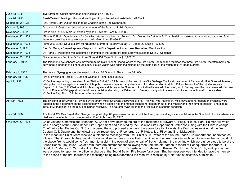| June 13, 1931     | Two Stretcher Outfits purchased and installed on #1 Truck.                                                                                                                                                                                                                                                                                                                                                                                                                                                                                                                                                                                                                                                                                                                                                                                                                                                                                                                                                                                                                                                                                                                                                                                                                                                                                                                                                                                                                                                                                                                            |
|-------------------|---------------------------------------------------------------------------------------------------------------------------------------------------------------------------------------------------------------------------------------------------------------------------------------------------------------------------------------------------------------------------------------------------------------------------------------------------------------------------------------------------------------------------------------------------------------------------------------------------------------------------------------------------------------------------------------------------------------------------------------------------------------------------------------------------------------------------------------------------------------------------------------------------------------------------------------------------------------------------------------------------------------------------------------------------------------------------------------------------------------------------------------------------------------------------------------------------------------------------------------------------------------------------------------------------------------------------------------------------------------------------------------------------------------------------------------------------------------------------------------------------------------------------------------------------------------------------------------|
| June 26, 1931     | Prest-O-Weld Heaving cutting and welding outfit purchased and installed on #1 Truck.                                                                                                                                                                                                                                                                                                                                                                                                                                                                                                                                                                                                                                                                                                                                                                                                                                                                                                                                                                                                                                                                                                                                                                                                                                                                                                                                                                                                                                                                                                  |
| September 2, 1931 | Rev. Alfred Grant Walton resigned as Chaplain of the Fire Department.                                                                                                                                                                                                                                                                                                                                                                                                                                                                                                                                                                                                                                                                                                                                                                                                                                                                                                                                                                                                                                                                                                                                                                                                                                                                                                                                                                                                                                                                                                                 |
| October 7, 1931   | Dr. James J. Costanzo resigned as a member of the Board of Public Safety.                                                                                                                                                                                                                                                                                                                                                                                                                                                                                                                                                                                                                                                                                                                                                                                                                                                                                                                                                                                                                                                                                                                                                                                                                                                                                                                                                                                                                                                                                                             |
| November 6, 1931  | Fire in block at 830 Main St. owned by Isaac Davidoff. Loss \$9,814.82.                                                                                                                                                                                                                                                                                                                                                                                                                                                                                                                                                                                                                                                                                                                                                                                                                                                                                                                                                                                                                                                                                                                                                                                                                                                                                                                                                                                                                                                                                                               |
| November 25, 1931 | (Time 9:12 P.M.) Double alarm for fire which started in a barn at 196 North St. Owned by Catherin E. Chamberlain and extend to a nearby garage and from<br>there to a dwelling, the sparks set two roofs afire. Loss \$5,886.17.                                                                                                                                                                                                                                                                                                                                                                                                                                                                                                                                                                                                                                                                                                                                                                                                                                                                                                                                                                                                                                                                                                                                                                                                                                                                                                                                                      |
| November 26, 1931 | (Time 2:09 A.M.) Double alarm for fire at the Stamford Foundry Co. at 127 Canal St. Loss \$7,204.86                                                                                                                                                                                                                                                                                                                                                                                                                                                                                                                                                                                                                                                                                                                                                                                                                                                                                                                                                                                                                                                                                                                                                                                                                                                                                                                                                                                                                                                                                   |
| December 2, 1931  | Rev. Dr. George Stewart appoint Chaplain of the Fire Department to success Rev. Alfred Grant Walton.                                                                                                                                                                                                                                                                                                                                                                                                                                                                                                                                                                                                                                                                                                                                                                                                                                                                                                                                                                                                                                                                                                                                                                                                                                                                                                                                                                                                                                                                                  |
| December 14, 1931 | Dr. Frank C. McMahon was appointed a member of the Board of Pubic Safety to succeed Dr. J. J. Costanzo.                                                                                                                                                                                                                                                                                                                                                                                                                                                                                                                                                                                                                                                                                                                                                                                                                                                                                                                                                                                                                                                                                                                                                                                                                                                                                                                                                                                                                                                                               |
| December 25, 1931 | Fire at Abraham Fordiman's Furniture Store at 451 Main St. Loss \$10,900.20.                                                                                                                                                                                                                                                                                                                                                                                                                                                                                                                                                                                                                                                                                                                                                                                                                                                                                                                                                                                                                                                                                                                                                                                                                                                                                                                                                                                                                                                                                                          |
| February 3, 1932  | The telephone switchboard was moved from the Main floor at Headquarters of the Fire Alarm Room on the top floor, the three Fire Alarm Operators being on<br>duty there in periods of eight hours each. House Watch was again maintained on the main floor at the watch desk at Headquarters.                                                                                                                                                                                                                                                                                                                                                                                                                                                                                                                                                                                                                                                                                                                                                                                                                                                                                                                                                                                                                                                                                                                                                                                                                                                                                          |
| February 4, 1932  | The Jewish Synagogue was destroyed by fire at 20 Greyrock Place. Loss \$41,084.                                                                                                                                                                                                                                                                                                                                                                                                                                                                                                                                                                                                                                                                                                                                                                                                                                                                                                                                                                                                                                                                                                                                                                                                                                                                                                                                                                                                                                                                                                       |
| February 18, 1932 | Fire at dwelling of Harold H. Burns at Wallack's Point. Loss \$8,275.                                                                                                                                                                                                                                                                                                                                                                                                                                                                                                                                                                                                                                                                                                                                                                                                                                                                                                                                                                                                                                                                                                                                                                                                                                                                                                                                                                                                                                                                                                                 |
| April 5, 1932     | #2 Engine responding to an alarm from Station 218 at 6:47 A.M. was hit by one of the City Garbage Trucks at the corner of Richmond Hill & Greenwich Aves.,<br>driving the machine against an electric light pole, the machine was badly damaged. T.J. Meehan died April 6, 1932 as the result of the injuries received.<br>Captain F. J. Fox, T. F. Clark and J. M. Maloney were all taken to the Stamford Hospital badly injured. the driver, W. J. Densky, was the only uninjured (Coroner<br>John J. Phelan of Bridgeport handed down a decision absolving the Driver, W. J. Densky, of any criminal responsibility in connection with the accident).<br>#2 Engine Reg. No. 1165 discarded after accident.                                                                                                                                                                                                                                                                                                                                                                                                                                                                                                                                                                                                                                                                                                                                                                                                                                                                         |
| April 24, 1932    | The dwelling at 10 Dryden St. owned by Abraham Moskowitz was destroyed by fire. The wife, Mrs. Rachel M. Moskowitz and her daughter, Frances, were<br>trapped in the a bedroom on the second floor when it got too hot, the mother pushed her daughter out of the window and then jumped herself. She died at<br>10:00 P.M. that night as the result of injuries received. The daughter was taken to the Hospital in a serious condition.                                                                                                                                                                                                                                                                                                                                                                                                                                                                                                                                                                                                                                                                                                                                                                                                                                                                                                                                                                                                                                                                                                                                             |
| June 30, 1932     | At a fire at 129 Gay Street Mrs. George Campbell (Age 85 years) was burned about the head, arms and legs she was taken to the Stamford Hospital where she<br>died from the effects of burns received at 10:40 A.M. July 11, 1932                                                                                                                                                                                                                                                                                                                                                                                                                                                                                                                                                                                                                                                                                                                                                                                                                                                                                                                                                                                                                                                                                                                                                                                                                                                                                                                                                      |
| November 30, 1932 | Chief Veit and Commissioner Kenneth W. Carter drove down to the fire at the residence of Edward C. Fogg, Hillcrest Park, Palmer Hill which<br>was in charge of the Sound Beach Fire Department and assisted by the CosCob Fire Department. After consulting with the Chief in charge<br>Chief Veit called Engine Co. N. 3 and ordered them to proceed at once to the above location to assist the Companies working at the fire.<br>Captain C. T. Duane and the following crew responded, J. F. Lonergan, J. P. Kotos, T. J. Riley and E. J. McLaughlin.<br>In the meantime Chief Krom received a telephone message from Asst. Chief S. M. Potter of the Sound Beach Fire Department understood as<br>follows: That if possible they would to have send some men to cover their machines as their men were in such condition from the hard work of<br>the above fire he would some fresh men to assist in the event of another call of fire to help man the machine which were understood to be at the<br>Sound Beach Fire House. Chief Krom therefore summoned the following men from the off Platoon to report at Headquarters for orders, H. F.<br>Dodd, J. R. Murray, D. W. Burke, F. C. Berg, L. J. Hogan, T. F. Richardson, C. T. Mayes, J. Kozma, W. H. Speh, V. W. Kurth, and upon arrival<br>were ordered to report to the officer in charge at the Sound Beach Fire House for orders. But the message was intended to have the men sent<br>to the scene of the fire, therefore the message being misunderstood the men were recalled by Chief Veit at discovery of mistake. |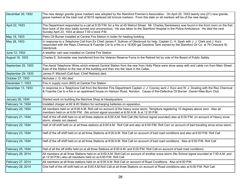| December 30, 1932  | The new design granite grave markers was adopted by the Stamford Firemen's Association. On April 25, 1933 twenty one (21) new granite<br>grave markers at the total cost of \$315 replaced old bronze markers. From this date on all markers will be of the new design.                                                                      |
|--------------------|----------------------------------------------------------------------------------------------------------------------------------------------------------------------------------------------------------------------------------------------------------------------------------------------------------------------------------------------|
| April 22, 1933     | The Department responded to a call at 9:35 P.M. for a fire at 45 Walnut Street. Mr. Charles Sienkiewicz was found in the front room on the first<br>floor back of the door badly burned and unconscious. He was taken to the Stamford Hospital in the Police Ambulance. He died the next<br>Sunday April 23, 1933 at about 7:00 o'clock P.M. |
| May 19, 1933       | Petro Oil Burner installed at Central Fire Station in boiler for heating building.                                                                                                                                                                                                                                                           |
| May 28, 1933       | In response to a Telephone Call from Ex Chief James F. Sullivan of Glenbrook for help, Captain C. H. Speh with J. J. Clark and J. Kurz<br>responded with the Repo Chemical & Foamite Car to a fire in a 18,800 gal Gasoline Tank owned by the Stamford Oil Co. at 79 Crescent St.<br>Glenbrook.                                              |
| June 12, 1933      | A weather vain was installed on Central Fire Station                                                                                                                                                                                                                                                                                         |
| August 16, 1933    | Charles E. Schneider was transferred from the Veteran Reserve Force to the Retired list by vote of the Board of Public Safety                                                                                                                                                                                                                |
| September 25, 1933 | The Aerial Telephone Wires which entered Central Station from the rear from Holly Place were done away with and cable run from Main Street<br>East of the Station to the rear of the building and then into the Vault in the Cellar.                                                                                                         |
| September 29, 1933 | James P. Mitchell (Call Asst. Chief Retired) died.                                                                                                                                                                                                                                                                                           |
| October 27, 1933   | Nicholas J. G. Abt died                                                                                                                                                                                                                                                                                                                      |
| December 7, 1933   | Fire in supply room (#20) at Central Fire Station                                                                                                                                                                                                                                                                                            |
| December 13, 1933  | In response to a Telephone Call from the Noroton Fire Department Captain J. J. Cooney sent J. Kurz and W. J. Dowling with the Reo Chemical<br>& Foamite Car to a fire in an apartment house on Hanson Road, Noroton. Cause of fire-Defective Oil Burner Owner-Wee Burn Club                                                                  |
| January 26, 1934   | Started work on building the Machine Shop at Headquarters.                                                                                                                                                                                                                                                                                   |
| February 14, 1934  | Installed charger at #2 & #3 Station for recharging batteries on apparatus.                                                                                                                                                                                                                                                                  |
| February 20, 1934  | All members held on at 8:00 A.M. Roll call on account of the heavy snow storm, Tempiture registering 10 degrees above zero. Also all<br>members held on at 6:00 P.M. (No school signal sounded at &:50 A.M. & at 12:30 P.M.                                                                                                                  |
| February 21, 1934  | Half of the off shift held on at all three stations at 8:00 A.M. Roll Call (No School signal sounded) also at 6:00 P.M. on account of Heavy snow<br>storm, streets not cleared.                                                                                                                                                              |
| February 22, 1934  | Half of off shift held on at all three stations at 8:00 A.M. Roll Call and also at 6:00 P.M. Roll Carr on account of bad traveling since snow storm.                                                                                                                                                                                         |
| February 23, 1934  | Half of the off shift held on at all three Stations at 8:00 A.M. Roll Call on account of bad road conditions and also at 6:00 P.M. Roll Call                                                                                                                                                                                                 |
| February 24, 1934  | Half of the off shift held on at all three Stations at 8:00 A.M. Roll Call on account of bad road conditions. Also at 6:00 P.M. Roll Call                                                                                                                                                                                                    |
| February 25, 1934  | Hall of all the off shifts held on at all three Stations at 8:00 A.M. and 6:00 P.M. Roll Call on account of bad road conditions.                                                                                                                                                                                                             |
| February 26, 2014  | All members at all three Stations held on at 8:00 A.M. Roll Call on account of another snow storm (No School signal sounded at 7:50 A.M. and<br>at 12:30 P.M.) also all members held on at 6:00 P.M. Roll Call                                                                                                                               |
| February 27, 2014  | All members at all three stations held on at 8:00 A.M. Roll Call on account of Road Conditions. Also at 6:00 P.M.                                                                                                                                                                                                                            |
| February 28, 2014  | One half of the off shift held on at 8:00 A.M.Roll Call at all three Stations on account of Road conditions also at 6:00 P.M. Roll Call                                                                                                                                                                                                      |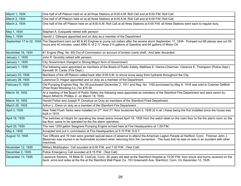| March 1, 1934     | One half of off Platoon held on at all three Stations at 8:00 A.M. Roll Call and at 6:00 P.M. Roll Call                                                                                                                                                                                        |
|-------------------|------------------------------------------------------------------------------------------------------------------------------------------------------------------------------------------------------------------------------------------------------------------------------------------------|
| March 2, 1934     | One half of off Platoon held on at all three Stations at 8:00 A.M. Roll Call and at 6:00 P.M. Roll Call                                                                                                                                                                                        |
| March 2, 1934     | One half of the off Platoon held on at 8:00 A.M. Roll Call at all three Stations at 6:00 P.M. all three Stations went back to regular duty.                                                                                                                                                    |
| May 1, 1934       | Stephen A. Ezequelle retired with pension                                                                                                                                                                                                                                                      |
| May 1, 1934       | Harold J. Gillespie appointed and on duty as a member of the Department                                                                                                                                                                                                                        |
|                   | September 17 to 22, 1934 The Department sent out #2 & #3 Engines to pump out cellars after the severe storm September 17, 1934- Pumped out 68 places was out 59<br>hours and 40 minutes, used 4950 ft. of 2 1/2" Hose 214 gallons of Gasoline and 64 gallons of Motor Oil                      |
| November 16, 1934 | #1 Engine (Reg. No. 65) Out of Commission on account of broken crank shaft. And later discarded.                                                                                                                                                                                               |
| January 1, 1935   | John P. Grumbly retired with pension                                                                                                                                                                                                                                                           |
| January 1, 1935   | City Government changed to Strong Mayor form of Government.                                                                                                                                                                                                                                    |
| January 1, 1935   | The following were appointed as members of the Board of Public Safety, Matthew E. Hanna-Chairman, Clarence E. Thompson (Police Dept.)<br>Kenneth W. Carter (Fire Dept.)                                                                                                                        |
| January 23, 1935  | Members of the off Platoon called back after 8:00 A.M. to shove snow away from hydrants throughout the City.                                                                                                                                                                                   |
| January 28, 1935  | Lawrence D. Hogan appointed and on duty as a member of the Department                                                                                                                                                                                                                          |
| February 9, 1935  | Old Pumping Engines Reg. No. 65 purchased December 2, 1911 and Reg. No. 1165 purchased by May 9, 1916 was sold to Casimer DeMott<br>(Post Road Wrecking Co.) for \$75.00                                                                                                                       |
| March 18, 1935    | At a meeting of the Board of Public Safety the following were appointed as members of the Stamford Fire Department and were sworn by<br>Mayor Alfred N. Phillips Jr. on March 19, 1935.                                                                                                        |
| March 19, 1935    | Harold Fisher and Joseph P. Donahue on Duty as members of the Stamford Fired Department.                                                                                                                                                                                                       |
| March 25, 1935    | Arthur L. Dixon on duty as a member of the Stamford Fire Department.                                                                                                                                                                                                                           |
| April 3, 1935     | New Toilet Flush Tanks were installed on 2 <sup>nd</sup> . And 3 <sup>rd</sup> . floor lavatories April 3, 1935 (6 in all) these being the first installed since the house was<br>built in 1915.                                                                                               |
| April 18, 1935    | The switches at Hdgtrs for operating the street sirens moved April 18, 1935 from the watch desk on the main floor to the fire alarm room on the<br>top floor, same to be operated by the fire alarm operators.                                                                                 |
| April 25, 1935    | The new 1250 gallon Seagrave Pumping Engine arrived here at Fire Headquarters at 1:29 P.M.                                                                                                                                                                                                     |
| May 4, 1935       | Accepted and put in commission at Fire Headquarters at 5:10 P.M. D.S.T.                                                                                                                                                                                                                        |
| August 10, 1935   | Two Officers and 16 men were granted special leave of absence to attend the American Legion Parade at Hartford, Conn. Fireman John J.<br>Biessman was injured in an Automobile accident when returning from the convention. The buss that he was on was in an accident with other<br>machines. |
| November 12, 1935 | Military Mobilization Call sounded at 6:00 P.M. and 7:00 P.M. (Test Call)                                                                                                                                                                                                                      |
| December 2, 1935  | Police Emergency Call sounded at 8:15 P.M. (Test Call)                                                                                                                                                                                                                                         |
| December 13, 1935 | Lawrence Santoro, 19 Bible St. CosCob, Conn. 26 years old died at the Stamford Hospital at 10:00 P.M. from shock and burns received on the<br>back, arms and sides at the fire at the Stamford Wall Paper Co. 153 Greenwich Ave. Stamford, Conn. On December 12, 1935.                         |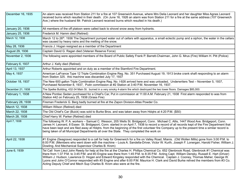| December 16, 1935 | An alarm was received from Station 211 for a fire at 107 Greenwich Avenue, where Mrs Delia Leonard and her daughter Miss Agnes Leonard<br>received burns which resulted in their death. (On June 16, 1926 an alarm was from Station 211 for a fire at the same address (107 Greenwich<br>Ave.) where the husband Mr. Patrick Leonard received burns which resulted in his death.)                                                                                                                                                                                                                                                                |
|-------------------|--------------------------------------------------------------------------------------------------------------------------------------------------------------------------------------------------------------------------------------------------------------------------------------------------------------------------------------------------------------------------------------------------------------------------------------------------------------------------------------------------------------------------------------------------------------------------------------------------------------------------------------------------|
| January 20, 1936  | All members of the off platoon were called back to shovel snow away from hydrants.                                                                                                                                                                                                                                                                                                                                                                                                                                                                                                                                                               |
| January 25, 1936  | Frederick M. Hamm died (Retired)                                                                                                                                                                                                                                                                                                                                                                                                                                                                                                                                                                                                                 |
| March 12, 1936    | March 12 to 26 <sup>th</sup> . 1936 The Department pumped water out of cellars with apparatus, a small eclectic pump and a siphon, the water in the cellars<br>was caused by heavy rains and the melting of the snow.                                                                                                                                                                                                                                                                                                                                                                                                                            |
| May 28, 1936      | Francis J. Hogan resigned as a member of the Department                                                                                                                                                                                                                                                                                                                                                                                                                                                                                                                                                                                          |
| August 29, 1936   | Captain David G. Ragan died (Veteran Reserve Force)                                                                                                                                                                                                                                                                                                                                                                                                                                                                                                                                                                                              |
| November 2, 1936  | The following were appointed members of the Board of Public Safety Frank P. Barrett-Chairman, John G. Mrus (Fire) William H. Pitt (Police)                                                                                                                                                                                                                                                                                                                                                                                                                                                                                                       |
| February 6, 1937  | Arthur J. Kelly died (Retired)                                                                                                                                                                                                                                                                                                                                                                                                                                                                                                                                                                                                                   |
| April 13, 1937    | Arthur Roberts appointed and on duty as a member of the Stamford Fire Department.                                                                                                                                                                                                                                                                                                                                                                                                                                                                                                                                                                |
| May 4, 1937       | American LaFrance Type 12 Triple Combination Engine Reg. No. 351 Purchased August 19, 1913 broke crank shaft responding to an alarm<br>from Station 325. this machine was discarded July 17, 1937                                                                                                                                                                                                                                                                                                                                                                                                                                                |
| October 18, 1937  | The New 600 gallon Triple Combination Engine Reg. No. I-926 arrived here and was unloaded, Underwriters Test - November 5, 1937,<br>Purchased November 8, 1937, Putin commission at #2 Station at 3:40 P.M. November 16, 1937.                                                                                                                                                                                                                                                                                                                                                                                                                   |
| December 21, 1938 | The Spelke Building, 432-34 Main St. burned in a very smoky 4-alarm fire which destroyed the two lower floors. Damages \$85,000.                                                                                                                                                                                                                                                                                                                                                                                                                                                                                                                 |
| February 1, 1938  | A New Pontiac Sedan purchased for a Chief's Car, Put in commission at 11:00 A.M. February 21, 1938 First alarm responded to was from<br>Station 442 on February 25, 1938 (Grass Fire)                                                                                                                                                                                                                                                                                                                                                                                                                                                            |
| February 28, 1938 | Fireman Frederick G. Berg badly burned at fire at the Zapon Division-Atlas Powder Co.                                                                                                                                                                                                                                                                                                                                                                                                                                                                                                                                                            |
| March 12, 1938    | William Wilson (Retired) died                                                                                                                                                                                                                                                                                                                                                                                                                                                                                                                                                                                                                    |
| March 22, 1938    | The Old Chief's Car (Buick) was sold to Burke Bros. and was taken away from Hdqtrs at 4:20 P.M. (\$50)                                                                                                                                                                                                                                                                                                                                                                                                                                                                                                                                           |
| March 28, 1938    | Chief Harry W. Parker (Retired) died                                                                                                                                                                                                                                                                                                                                                                                                                                                                                                                                                                                                             |
| April 7, 1938     | The following W. P. A. workers - Samuel C. Wesson, 205 Wells St. Bridgeport, Conn. Michael C. Allis, 1447 Wood Ave. Bridgeport, Conn.<br>James H. Leonard, 8 Essex St. Bridgeport, Conn. started in on April 7, 1938 to record a record of all records kept of the Fire Department that<br>have been kept and are filed away at Hdgtrs. from the beginning of the first volunteer fire Company up to the present time a similar record is<br>being taken of all Municipal Departments all over the State. They completed the work on                                                                                                             |
| April 22, 1938    | #1 Engine (Seagrave) responded to a call for help for Greenwich for a fire on Valley Road, Mianis. (Old Wollen Mills) gone from 3:00 P.M. to<br>6:00 P.M. (Members who went down with the machine - Louis A. Sandella-Driver, Victor W. Kurth, Joseph F. Lonergan, Harold Fisher, William J.<br>Dowling. And Mechanical Supervisor Charles B. Krom)                                                                                                                                                                                                                                                                                              |
| June 6, 1939      | Tel Call from Lieut John Reedy for help at the fire at the Charles H. Phillips Chemical Co. 652 Glenbrook Road, Glenbrook #1 Chemical was<br>there from 1:37 P.M. to 3:45 P.M. and #3 Engine was there from 1:45 P.M. to 8:35 P.M. Acting Capt. William Densky, Russell E. Hart (Driver)<br>William J. Hudson, Lawrence D. Hogan and Edward Kingsley responded with the Chemical. Captain J. Cooney, Thomas Maher, George W.<br>Lyons and John O'Connor responded with #3 Engine and after 6:00 P.M. Maurice H. Clark and David Burke relived the members from #3 Co.<br>Acting Deputy Chief and Mech Sup Charles B. Krom also were at the fire. |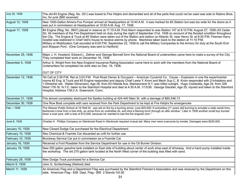| July 30, 1938     | The old #3 Engine (Reg. No. 351) was towed to Fire Hdqtrs and dismantled and all of the parts that could not be used was sole to Rabino Bros.<br>Inc. for junk (\$60 received)                                                                                                                                                                                                                                                                                                                                                                                                                                                                                                                                                                                                 |
|-------------------|--------------------------------------------------------------------------------------------------------------------------------------------------------------------------------------------------------------------------------------------------------------------------------------------------------------------------------------------------------------------------------------------------------------------------------------------------------------------------------------------------------------------------------------------------------------------------------------------------------------------------------------------------------------------------------------------------------------------------------------------------------------------------------|
| August 12, 1938   | New 1000-Gallon Ahrens-Fox Pumper arrived at Headquarters at 10:40 A.M. it was marked for #2 Station but was too wide for the doors so it<br>was put in commission at Headquarters at 10:52 A.M. Aug. 17, 1938.                                                                                                                                                                                                                                                                                                                                                                                                                                                                                                                                                                |
| August 17, 1938   | #4 Engine (Reg. No. 3847) placed in reserve at 11:15 A.M. First Alarm responded to was Station 147 at 8:10 P.M. August 27, 1938 (43 Cedar<br>St) All members of the Fire Department held on duty during the night of September 21st. 1938 on account of the flooded condition throughout<br>the City. The Engine & Truck at #2 Station were taken out of the Station and station on Atlantic St. near Henry St. at 8:30 P.M. Fireman Harry<br>Goettel was stationed in Chief Veit's house to receive alarms by phone. Machines taken back to the station at 11:10 P.M.<br>Military or Mobilization Call sounded at 6:00 P.M. September 22, 1938 to call the Military Companies to the Armory for duty at the South End<br>and Shippan Pont. (One Company was sent to Hartford) |
| November 29, 1938 | Major J. H. Howland, Edward L. Zeltner and George Bennett form the National Board of underwriters came here to make a survey of the City.<br>They completed their work on December 16, 1938                                                                                                                                                                                                                                                                                                                                                                                                                                                                                                                                                                                    |
| December 5, 1938  | Arthur S. Wright from the New England Insurance Rating Association came here to work with the members from the National Board of<br>Underwriters he completed his work also on Dec. 16, 1938.                                                                                                                                                                                                                                                                                                                                                                                                                                                                                                                                                                                  |
|                   | <b>OUT OF CITY</b>                                                                                                                                                                                                                                                                                                                                                                                                                                                                                                                                                                                                                                                                                                                                                             |
| December 12, 1938 | Tel Call at 2:39 P.M. Ret at 3:03 P.M. Post Road Owner & Occupant – American Cynamid Co. Cause – Explosion in one the experimental<br>rooms #2 Eng. & Truck and #3 Engine responded and deputy Chief Lewis Y. Krom and Mech Sup C. B. Krom responded with 2-Inhalators and<br>1-Stretcher set. Walter Glinsmann, Age 28. from 63 Hillside Ave. Mamaroneck N.Y. was killed outright. Hugo Costarella, Age 24, from 326<br>West 17th St. N.Y.C. taken to the Stamford Hospital and died at 4:30 A.M. 1/13/38. George Glackler, Age 25, injured and taken to the Stamford<br>Hospital, Address Y.M.C.A. Greenwich, Conn.                                                                                                                                                          |
| December 21, 1938 | Fire almost completely destroyed the Spelke building at 424-440 Main St. with a damage of \$85,546.73                                                                                                                                                                                                                                                                                                                                                                                                                                                                                                                                                                                                                                                                          |
| December 30, 1938 | One Row Boat complete with oars received from the Park Department to be kept at Fire Hdgtrs for emergencies                                                                                                                                                                                                                                                                                                                                                                                                                                                                                                                                                                                                                                                                    |
| Feb -- 1938       | The Weaver Public School at 16 Wall St. was set on fire by a burning arrow. Loss \$20,000."A schoolboy [11 years old] burning to emulate a radio serial hero,<br>fashioned a bow from a tree limb, an arrow from an umbrellas rib, and shot a flaming torch through an attic window." Later in 1938 another small boy burned<br>down a coal yard, with a loss of \$12,000, because he 'wanted to see the fire engines com."                                                                                                                                                                                                                                                                                                                                                    |
| June 6, 1938      | Charles H. Phillips Company on Glenbrook Road in Glenbrook required mutual aid. Many men were overcome by smoke. Damages were \$420,000.                                                                                                                                                                                                                                                                                                                                                                                                                                                                                                                                                                                                                                       |
| January 10, 1939  | New Closed Dodge Car purchased for the Electrical Department.                                                                                                                                                                                                                                                                                                                                                                                                                                                                                                                                                                                                                                                                                                                  |
| February 10, 1939 | Reo Chemical & Foamite Car discarded as unfit for further use                                                                                                                                                                                                                                                                                                                                                                                                                                                                                                                                                                                                                                                                                                                  |
| February 10, 1939 | Brockway Service Car put in commission as a Foamite Car                                                                                                                                                                                                                                                                                                                                                                                                                                                                                                                                                                                                                                                                                                                        |
| January 16, 1939  | Received a Ford Roadster from the Service Department for use in the Oil Burner Division.                                                                                                                                                                                                                                                                                                                                                                                                                                                                                                                                                                                                                                                                                       |
| January 19, 1939  | New 550 gallon gasoline tank installed on East side of building about center of work shop east of driveway. And a hand pump installed inside<br>the workshop. The old 275 gallon tank located at the North West corner of the building was filled with sand.                                                                                                                                                                                                                                                                                                                                                                                                                                                                                                                   |
| February 28, 1939 | New Dodge Truck purchased for a Service Car                                                                                                                                                                                                                                                                                                                                                                                                                                                                                                                                                                                                                                                                                                                                    |
| March 9, 1939     | John G. Schlechtweg (Retired) died                                                                                                                                                                                                                                                                                                                                                                                                                                                                                                                                                                                                                                                                                                                                             |
| March 11, 1939    | An American Flag and a Department Flag was purchased by the Stamford Firemen's Association and was received by the Department on this<br>date. American Flag - \$38 Dept. Flag - \$95 2 Stands %5.50                                                                                                                                                                                                                                                                                                                                                                                                                                                                                                                                                                           |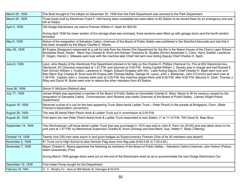| March 25, 1939     | The Boat brought to Fire Hdgtrs on December 30, 1939 from the Park Department was returned to the Park Department.                                                                                                                                                                                                                                                                                                                                                                                                                                                                                                                                                                                                                                                                                      |
|--------------------|---------------------------------------------------------------------------------------------------------------------------------------------------------------------------------------------------------------------------------------------------------------------------------------------------------------------------------------------------------------------------------------------------------------------------------------------------------------------------------------------------------------------------------------------------------------------------------------------------------------------------------------------------------------------------------------------------------------------------------------------------------------------------------------------------------|
| March 25, 1939     | Three boats built by Electrician Frank F. Veit having been completed two were taken to #2 Station to be stored there for an emergency and one<br>left at Hdgtrs.                                                                                                                                                                                                                                                                                                                                                                                                                                                                                                                                                                                                                                        |
| April 5, 1939      | Old Dodge Electricians car sold to Fireman William H. Speh for \$20.00                                                                                                                                                                                                                                                                                                                                                                                                                                                                                                                                                                                                                                                                                                                                  |
|                    | During April 1939 the lower section of the storage shed was enclosed, three sections were fitted up with garage doors and the fourth section<br>enclosed.                                                                                                                                                                                                                                                                                                                                                                                                                                                                                                                                                                                                                                               |
| May 6, 1939        | Notice of the resignation of Salvatore Catino, chairman of the Board of Public Safety was published in the Stamford Advocate and stat that it<br>has been accepted by the Mayor Charles E. Moore.                                                                                                                                                                                                                                                                                                                                                                                                                                                                                                                                                                                                       |
| May 29, 1939       | #2 Engine (Seagrave) responded to a call for help from the Darien Fire Department for the fire in the Manor House of the Cherry Lawn School -<br>Brookside Road, Darien. Mech Sup Charles B. Krom and firemen Theodore M. Studley (Driver) Alexander C. Coon, Harry Goettel, Lawrence<br>D. Hogan, Harold J. Gillespie went over with the machine later Chief Veit sent over Acting Deputy Chief Charles H. Speh.                                                                                                                                                                                                                                                                                                                                                                                       |
| June 6, 1939       | Lieut. John Reedy of the Glenbrook Fire Department phoned in for help on the Charles H. Phillips Chemical Co. Fire at 652 Glenbrook Ave.<br>Glenbrook, #1 Chemical responded at 1:37 P.M. and returned at 3:45 P.M. Acting Capital William J. Densky was in charge and had Russell E.<br>Hart (Driver) William J. Hudson, Lawrence D. Hogan, Edward Kingsley with him. Later Acting Deputy Chief Charles H. Speh went over and<br>then Mech Sup Charles B. Krom took #3 Engine with Thomas Maher, George W. Lyons, John J. Biessman, John O'Connor and went over at<br>1:45 P.M. Captain John J. Cooney went over at 3:25 P.M. this machine stayed there until 8:35 P.M. after 6:00 P.M. Maurice H. Clark, Thomas J.<br>Riley and David W. Burke went over to relieve the other members from #3 Station |
| June 26, 1939      | Simon P. McGuire (Retired) died                                                                                                                                                                                                                                                                                                                                                                                                                                                                                                                                                                                                                                                                                                                                                                         |
| July 17, 1939      | James Wright was appointed a member of the Board of Public Safety by Honorable Charles E. Moor, Mayor to fill he vacancy caused by the<br>resignation of Salvatore Catino. Commissioner John Roberts was made Chairman of the Board of Public Safety. (James Wright-Police<br>Department)                                                                                                                                                                                                                                                                                                                                                                                                                                                                                                               |
| August 19, 1939    | Received a prize of a cup for the best appearing Truck (New Aerial Ladder Truck - Peter Pirsch) in the parade at Bridgeport, Conn. (State<br>Firemen's Association convention)                                                                                                                                                                                                                                                                                                                                                                                                                                                                                                                                                                                                                          |
| August 26, 1939    | The new 85 Aerial Peter Pirsch Hook & Ladder Truck put in commission at 2:00 P.M.                                                                                                                                                                                                                                                                                                                                                                                                                                                                                                                                                                                                                                                                                                                       |
| August 30, 1939    | First alarm the new Peter Pirsch Aerial Hook & Ladder Truck responded to was Station 17 at 11:12 P.M. 700 Canal St. Baer Bros.                                                                                                                                                                                                                                                                                                                                                                                                                                                                                                                                                                                                                                                                          |
| September 14, 1939 | The Old American LaFrance Aerial Ladder Truck that was purchased in 1915 was sold to John A. Ferro Inc (\$100) and was taken down to his<br>junk yard at 1:37 P.M. by Mechanical Supervisor Charles B. Krom (Driving) and Asst Mech. Sup. Walter F. Seely (Tillering)                                                                                                                                                                                                                                                                                                                                                                                                                                                                                                                                   |
| October 14, 1939   | Twenty nine (29) men were sworn in and given badges as Supernumerary Firemen (One of he 30 members was absent)                                                                                                                                                                                                                                                                                                                                                                                                                                                                                                                                                                                                                                                                                          |
| November 2, 1939   | #1 Truck out to High School to take German Flag down from flag pole (6:55 A.M. to 7:25 A.M.)                                                                                                                                                                                                                                                                                                                                                                                                                                                                                                                                                                                                                                                                                                            |
| November 7, 1938   | Mayor Charles E. Moore appointed the following as members of the Board of Public Safety - Salvatore Catino-Chairman John Robert (Police)<br>Adam Gosciensky (Fire)                                                                                                                                                                                                                                                                                                                                                                                                                                                                                                                                                                                                                                      |
|                    | During March 1939 garage doors were put on the end of the Electricians shed so as to accommodate the new Dodge Electricians Car.                                                                                                                                                                                                                                                                                                                                                                                                                                                                                                                                                                                                                                                                        |
| December 19, 1939  | First Indian Pump bought for the Department                                                                                                                                                                                                                                                                                                                                                                                                                                                                                                                                                                                                                                                                                                                                                             |
| February 19, 1940  | G. C. Murphy Co. store at 268 Atlantic St. Damages \$142,910.                                                                                                                                                                                                                                                                                                                                                                                                                                                                                                                                                                                                                                                                                                                                           |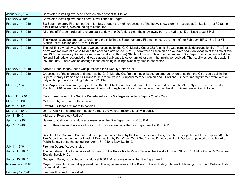| January 29, 1940  | Completed installing overhead doors on main floor at #2 Station                                                                                                                                                                                                                                                                                                                                                                                                                                                                                                                                                                                                              |
|-------------------|------------------------------------------------------------------------------------------------------------------------------------------------------------------------------------------------------------------------------------------------------------------------------------------------------------------------------------------------------------------------------------------------------------------------------------------------------------------------------------------------------------------------------------------------------------------------------------------------------------------------------------------------------------------------------|
| February 3, 1940  | Completed installing overhead doors in work shop at Hdqtrs.                                                                                                                                                                                                                                                                                                                                                                                                                                                                                                                                                                                                                  |
| February 14, 1940 | Six Supernumerary Firemen called in for duty through the night on account of the heavy snow storm. (4 located at #1 Station 1-at #2 Station<br>and 1-at #3 Station) Also on the night of the 15 <sup>th</sup> .                                                                                                                                                                                                                                                                                                                                                                                                                                                              |
| February 15, 1940 | All of the off Platoon ordered to return back to duty at 9:00 A.M. to clear the snow away from the hydrants. Dismissed at 3:15 P.M.                                                                                                                                                                                                                                                                                                                                                                                                                                                                                                                                          |
| February 15, 1940 | The Mayor issued an emergency order and the chief had 6 Supernumerary Firemen on duty the night of the February 15 <sup>th</sup> & 16 <sup>th</sup> . 3-at #1<br>Station - at #2 Station and 1- at #3 Station                                                                                                                                                                                                                                                                                                                                                                                                                                                                |
| February 19, 1940 | The building owned by J. R. Evans Co and occupied by the G. C. Murphy Co. at 268 Atlantic St. was completely destroyed by fire. The first<br>alarm was received at 4:54 A.M. and the second alarm at 5:05 A.M. (There were 11 firemen on sick leave and 2 on vacation at the time of this<br>fire, 13 Supernumerary firemen came in and worked at this fire) Glenbrook, Sound Beach and Greenwich Fire Departments responded at the<br>fire and Springdale responded and was stationed at Hdqtrs to cover any other alarm that might be received. The recall was sounded at 2:41<br>P.M. that day. There was no damage to the adjoining buildings except by smoke and water. |
| February 19, 1940 | A new 4-Door Dodge Sedan was purchased for a Deputy Chief's Car                                                                                                                                                                                                                                                                                                                                                                                                                                                                                                                                                                                                              |
| February 19, 1940 | On account of the shortage of firemen at the G. C. Murphy Co. fire the mayor issued an emergency order so that the Chief could call in the<br>Supernumerary Firemen and Civilians to help there were 13-Supernumerary Firemen and 8 Civilians. Supernumerary firemen were kept on<br>duty night up to and including February 27, 1940.                                                                                                                                                                                                                                                                                                                                       |
| March 5, 1940     | The Mayor issued an emergency order so that the Chief could hire extra men to come in and help on the Alarm System after the Ice storm of<br>March 4, 1940, when there were seven circuits out of eight out of commission on account of the storm 7-men were hired in to help.                                                                                                                                                                                                                                                                                                                                                                                               |
| March 11, 1940    | Essex turned over to the Service Department for the Garbage Inspector. (Deputy Chief's Car)                                                                                                                                                                                                                                                                                                                                                                                                                                                                                                                                                                                  |
| March 21, 1940    | Michael J. Ryan retired with pension                                                                                                                                                                                                                                                                                                                                                                                                                                                                                                                                                                                                                                         |
| March 21, 1940    | Edward J. Gleason retired with pension                                                                                                                                                                                                                                                                                                                                                                                                                                                                                                                                                                                                                                       |
| March 21, 1940    | John J. Clark transferred from the active list to the Veteran reserve force with pension                                                                                                                                                                                                                                                                                                                                                                                                                                                                                                                                                                                     |
| April 8, 1940     | Michael J. Ryan died (Retired)                                                                                                                                                                                                                                                                                                                                                                                                                                                                                                                                                                                                                                               |
| April 12, 1940    | Hawley C. Oefinger Jr on duty as a member of the Fire Department at 6:00 P.M.                                                                                                                                                                                                                                                                                                                                                                                                                                                                                                                                                                                                |
| April 15, 1940    | John J. Kokoska and Lawrence Parks on duty as a member of the Fire Department at 8:00 A.M.                                                                                                                                                                                                                                                                                                                                                                                                                                                                                                                                                                                   |
|                   | By vote of the Common Council and an appropriation of \$500 by the Board of Finance Every member (Except the last three appointed) of he<br>Fire Department underwent a Physical Examination by Dr. William Truitt Godfrey and Dr. Voyle A. Paul (Doctors appointed by the Board of<br>Public Safety during the period from April 18, 1940 to May 13, 1940.                                                                                                                                                                                                                                                                                                                  |
| July 11, 1940     | Fireman George W. Lyons died                                                                                                                                                                                                                                                                                                                                                                                                                                                                                                                                                                                                                                                 |
| August 14, 1940   | The first alarm of fire to be received by means of the Police Radio Patrol Car was the fire at 211 South St. at 4:51 A.M. - Owner & Occupant-<br>Electric Specialty Co.                                                                                                                                                                                                                                                                                                                                                                                                                                                                                                      |
| August 15, 1940   | George L. Dailey appointed and on duty at 8:00 A.M. as a member of the Fire Department                                                                                                                                                                                                                                                                                                                                                                                                                                                                                                                                                                                       |
| November 4, 1940  | Mayor Edward A. Gonnoud appointed the following as members of the Board of Public Safety: James F. Manning, Chairman, William White,<br>James M. McKeon                                                                                                                                                                                                                                                                                                                                                                                                                                                                                                                      |
| February 12, 1941 | Fireman Thomas F. Clark died                                                                                                                                                                                                                                                                                                                                                                                                                                                                                                                                                                                                                                                 |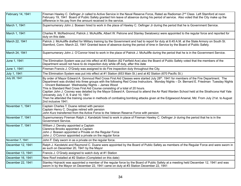| February 14, 1941 | Fireman Hawley C. Oefinger Jr called to Active Service in the Naval Reserve Force, Rated as Radioman 2 <sup>nd</sup> Class Left Stamford at noon<br>February 19, 1941 Board of Public Safety granted him leave of absence during his period of service. Also voted that the City make up the<br>difference in his pay from the amount received in the service.                                                                                                                                                                                                                                                                                                                                                                                                                    |
|-------------------|-----------------------------------------------------------------------------------------------------------------------------------------------------------------------------------------------------------------------------------------------------------------------------------------------------------------------------------------------------------------------------------------------------------------------------------------------------------------------------------------------------------------------------------------------------------------------------------------------------------------------------------------------------------------------------------------------------------------------------------------------------------------------------------|
| March 1, 1941     | Supernumerary John J. Boesen hired to work in the place of Hawley C. Oefinger Jr during the period that he is Government Service.                                                                                                                                                                                                                                                                                                                                                                                                                                                                                                                                                                                                                                                 |
| March 1, 1941     | Charles R. McRedmond, Patrick J. McAuliffe, Albert W. Petrone and Stanley Swiatowicz were appointed to the regular force and reported for<br>duty on this date.                                                                                                                                                                                                                                                                                                                                                                                                                                                                                                                                                                                                                   |
| March 22, 1941    | Patrick J. McAuliffe drafted for Military training by the Government and had to report for duty at 6:45 A.M. at the State Armory on South St.<br>Stamford, Conn. March 22, 1941 Granted leave of absence during the period of time in Service by the Board of Public Safety.                                                                                                                                                                                                                                                                                                                                                                                                                                                                                                      |
| March 24, 1941    | Supernumerary John J. O'Connor hired to work in the place of Patrick J. McAuliffe during the period that he is in the Government Service.                                                                                                                                                                                                                                                                                                                                                                                                                                                                                                                                                                                                                                         |
| June 1, 1941      | The Elimination System was put into effect at #3 Station (82 Fairfield Ave) also the Board of Public Safety voted that the members of the<br>Department would not have to do inspection duty while off duty, after this date                                                                                                                                                                                                                                                                                                                                                                                                                                                                                                                                                      |
| June 1, 1941      | Fireman Francis J. O'Grady was assigned to do Fire inspection duty throughout the City.                                                                                                                                                                                                                                                                                                                                                                                                                                                                                                                                                                                                                                                                                           |
| July 1, 1941      | The Elimination System was put into effect at #1 Station (653 Main St.) and at #2 Station (670 Pacific St.)                                                                                                                                                                                                                                                                                                                                                                                                                                                                                                                                                                                                                                                                       |
| July 28, 1941     | By order of Mayor Edward A. Gonnoud Red Cross First Aid Classes were started July 28th. 1941 for members of the Fire Department. The<br>Department was divided into three groups with the following Red Cross Instructors. Monday Nights - Dr. Bernard E. Friedman Tuesday Nights<br>- Vincent Baldassari Wednesday Nights - James Wood<br>This is Standard Red Cross First Aid Course consisting of a total of 20 hours.<br>Capitan John J. Cooney was detailed by the Mayor Edward A. Gonnoud to attend the Air Raid Warden School held at the Strathcona Hall Yale<br>University July 7, 8, 9 and 10, 1941<br>Then he attended the training course in methods of combating bombing attacks given at the Edgewood Arsenal, Md. From July 21st. to August<br>2nd inclusive 1941. |
| November 1, 1941  | Captain Charles T. Duane retired with pension<br>Captain Henry C. Douglas retired with pension<br>John Kurz transferred from the Active Force to the Veteran Reserve Force with pension                                                                                                                                                                                                                                                                                                                                                                                                                                                                                                                                                                                           |
| November 7, 1941  | Supernumerary Fireman Ralph J. Kandetzki hired to work in place of Fireman Hawley C. Oefinger Jr during the period that he is in the<br>Government Service.                                                                                                                                                                                                                                                                                                                                                                                                                                                                                                                                                                                                                       |
| November 7, 1941  | William J. Densky appointed a Captain<br>Clarence Brooks appointed a Captain<br>John J. Boesen appointed a Private on the Regular Force<br>John J. O'Connor appointed a private on the regular force                                                                                                                                                                                                                                                                                                                                                                                                                                                                                                                                                                              |
| November 7, 1941  | John F. Daly sworn in as a private on the regular force.                                                                                                                                                                                                                                                                                                                                                                                                                                                                                                                                                                                                                                                                                                                          |
| December 12, 1941 | Ralph J. Kandetzki and Raymond C. Duane were appointed by the Board of Public Safety as members of the Regular Force and were sworn in<br>as such on December 20, 1941 by the Mayor                                                                                                                                                                                                                                                                                                                                                                                                                                                                                                                                                                                               |
| December 13, 1941 | Francis J. O'Grady assigned to watch duty at #1 Station                                                                                                                                                                                                                                                                                                                                                                                                                                                                                                                                                                                                                                                                                                                           |
| December 16, 1941 | New Roof installed at #2 Station (Completed on this date)                                                                                                                                                                                                                                                                                                                                                                                                                                                                                                                                                                                                                                                                                                                         |
| December 22, 1941 | Stanley Hojnacki was appointed a member of the regular force by the Board of Public Safety at a meeting held December 12, 1941 and was<br>sworn in by the Mayor on December 22, 1941 came on duty at #3 Station December 22, 1941                                                                                                                                                                                                                                                                                                                                                                                                                                                                                                                                                 |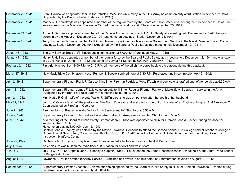| December 22, 1941 | Frank Caruso was appointed to fill in for Patrick J. McAuliffe while away in the U.S. Army he came on duty at #3 Station December 22, 1941<br>(Appointed by the Board of Public Safety - 12/12/41)                                                                                                                                                                                                                                                                                                                                     |
|-------------------|----------------------------------------------------------------------------------------------------------------------------------------------------------------------------------------------------------------------------------------------------------------------------------------------------------------------------------------------------------------------------------------------------------------------------------------------------------------------------------------------------------------------------------------|
| December 23, 1941 | Matthew S. Kowalczyk was appointed a member of the regular force by the Board of Public Safety at a meeting held December 12, 1941. He<br>was sworn in by the Mayor on December 22, 1941 he came on duty at #3 Station on December 23, 1941                                                                                                                                                                                                                                                                                            |
| December 24, 1941 | Arthur T. Betz was appointed a member of the Regular Force by the Board of Public Safety at a meeting held December 12, 1941, he was<br>sworn in by the Mayor on December 20, 1941 and came on duty at #1 Station December 24, 1941                                                                                                                                                                                                                                                                                                    |
| December 26, 1941 | Terry J. Connors Jr was appointed to fill in for Hawley C. Oefinger Jr while away in Government Service in the Naval Reserve Force. Came on<br>duty at #3 Station December 26, 1941 (Appointed by the Board of Public Safety at a meeting held December 12, 1941)                                                                                                                                                                                                                                                                      |
| January 8, 1942   | The City Service Truck at #3 Station put in commission at 8:00 A.M. (Purchased May 31, 1916)                                                                                                                                                                                                                                                                                                                                                                                                                                           |
| January 7, 1942   | Henry F. Hall was appointed a member of the regular force by the Board of Public Safety at a meeting held December 12, 1941 and was sworn<br>in by the Mayor on January 5, 1942 and came on duty at #1 Station at 8:00 A.M. January 7, 1942                                                                                                                                                                                                                                                                                            |
| February 24, 1942 | First trial blackout from 9:00 P.M. to 9:15 P.M. all members of the off shift ordered back to the stations during this blackout.                                                                                                                                                                                                                                                                                                                                                                                                       |
| March 17, 1942    | New Mack Triple Combination (Hose, Pumper & Booster) arrived here at 7:30 P.M. Purchased and in commission April 3, 1942)                                                                                                                                                                                                                                                                                                                                                                                                              |
| April 2, 1942     | Supernumerary Fireman Frank P. Caruso filling in for Fireman Patrick J. McAuliffe while in service was drafted and left for service at 6:50 A.M.                                                                                                                                                                                                                                                                                                                                                                                       |
| April 13, 1942    | Supernumerary Fireman James F. Lyle came on duty to fill in for Regular Fireman Patrick J. McAuliffe while away in service in the Army.<br>(Appointed by the Board of Public Safety at a meeting held April 1, 1942)                                                                                                                                                                                                                                                                                                                   |
| April 21, 1942    | Mrs. Hattie F. Griffin wife of the Late Walter F. Griffin died she was on pension after the death of her husband                                                                                                                                                                                                                                                                                                                                                                                                                       |
| May 12, 1942      | John J. O'Connor taken off the position as Fire Alarm Operator and assigned to ride out on the rear of #1 Engine at Hdqtrs. And Alexander C.<br>Coon assigned as Fire Alarm Operator                                                                                                                                                                                                                                                                                                                                                   |
| June 2, 1942      | Fireman John J. Boesen was drafted for Army Service and left Stamford at 6:50 A.M.                                                                                                                                                                                                                                                                                                                                                                                                                                                     |
| June 2, 1942      | Supernumerary Fireman John Frattaroli was also drafted for Army service and left Stamford at 6:50 A.M.                                                                                                                                                                                                                                                                                                                                                                                                                                 |
| June 5, 1942      | At a meeting of the Board of Public Safety Fireman John J. Dillon was appointed to fill in for Fireman John J. Boesen during his absence<br>serving in the U.S. Army.<br>He came on duty at 8:00 A.M. Jun 15, 1942<br>Captain John J. Cooney was detailed by the Mayor Edward A. Gonnoud to attend the Second Annual Fire College held at Teachers College of<br>Connecticut at New Britain, Conn. on Jun 8th, 8th, 10th, & 11th 1942 under the Connecticut State Department of Education, Division of<br>Instruction, Hartford, Conn. |
| June 25, 1942     | Captain John J. Cooney & Captain Frank J. Fox attended a lecture on Bombing held at Derby, Conn.                                                                                                                                                                                                                                                                                                                                                                                                                                       |
| July 1, 1942      | An enclosure was built on the main floor at #3 Station for a toilet and wash room                                                                                                                                                                                                                                                                                                                                                                                                                                                      |
| 7/14/1642         | July 14 & 15 1942 Captain John J. Cooney & Captain Frank J. Fox attended the Bomb Reconnaissance School held at the State Trade School<br>of Bridgeport, Conn.                                                                                                                                                                                                                                                                                                                                                                         |
| August 4, 1942    | Lawrence F. Parkes drafted for Army Service, (Examined and sworn in on this date) left Stamford for Devans on August 18, 1942                                                                                                                                                                                                                                                                                                                                                                                                          |
| September 1, 1942 | Supernumerary Fireman Joseph J. Zezima after being appointed by the Board of Public Safety to fill in for Fireman Lawrence F. Parkes during<br>his absence in the Army came on duty at 8:00 A.M.                                                                                                                                                                                                                                                                                                                                       |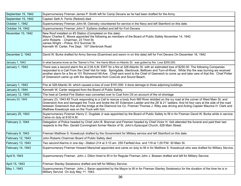| September 15, 1942 | Supernumerary Fireman James P. Smith left for Camp Devans as he had been drafted for the Army.                                                                                                                                                                                                                                                                                                                                                                                                                        |
|--------------------|-----------------------------------------------------------------------------------------------------------------------------------------------------------------------------------------------------------------------------------------------------------------------------------------------------------------------------------------------------------------------------------------------------------------------------------------------------------------------------------------------------------------------|
| September 15, 1942 | Captain Seth A. Ferris (Retired) died                                                                                                                                                                                                                                                                                                                                                                                                                                                                                 |
| October 1, 1942    | Supernumerary Fireman John M. Ostrosky volunteered for service in the Navy and left Stamford on this date.                                                                                                                                                                                                                                                                                                                                                                                                            |
| October 14, 1942   | Supernumerary Fireman John F. Epifanio drafted and left for Fort Devans                                                                                                                                                                                                                                                                                                                                                                                                                                               |
| November 10, 1942  | New Roof installed on #3 Station (Completed on this date)<br>Mayor Charles E. Moore appointed the following as members of the Board of Public Safety November 14, 1942<br>John Roberts - Chairman, 23 Third St.<br>James Wright - Police, 812 Summer St.<br>Kenneth W. Carter, Fire Dept. 107 Glenbrook Road                                                                                                                                                                                                          |
| December 2, 1942   | David W. Burke drafted for Army Service (Examined and sworn in on this date) left for Fort Devans On December 16, 1942                                                                                                                                                                                                                                                                                                                                                                                                |
| January 1, 1943    | In what became know as the "Sarner's Fire," the Harris Block on Atlantic St. was gutted by fire. Loss \$200,000.                                                                                                                                                                                                                                                                                                                                                                                                      |
| January 1, 1943    | There was a second alarm fire at 2:05 A.M. EWT for a fire at 328 Atlantic St. with an estimated loss of \$250.00 The following Companies<br>responded to a Call From the Chief Veit for help: Springdale, Glenbrook, Belltown and Turn-of-River. While this fire was burning we received<br>another alarm for a fire at 101 Richmond Hill Ave. Chief sent word to the Chief of Geenwich to come up and take care of that fire. Chief Potter<br>of Greenwich came up with the departments from CosCob and Sound Beach. |
| January 1, 1943    | Fire at 328 Atlantic St. which caused a loss of over \$191,000 it done damage to three adjoining buildings.                                                                                                                                                                                                                                                                                                                                                                                                           |
| January 5, 1944    | Kenneth W. Carter resigned from the Board of Public Safety.                                                                                                                                                                                                                                                                                                                                                                                                                                                           |
| January 12, 1943   | The heat at Central Fire Station was converted over to Coal from Oil on account of the oil shortage                                                                                                                                                                                                                                                                                                                                                                                                                   |
| January 23, 1943   | January 23, 1943 #3 Truck responding to a Call to rescue a body from Mill River skidded on the icy road at the corner of West Main St. and<br>Greenwich Ave and damaged the Truck and broke the 40' Extension Ladder and the 28' & 21' ladders. And hit four cars at the side of the road<br>between Greenwich Ave and the bridge at the Diamond Ice Co. Fireman Thomas J. Riley was driving and Acting Captain Maurice H. Clark and<br>Matthew Kowalczyk was on the Truck with him.                                  |
| January 25, 1943   | Supernumerary Fireman Henry C. Dugdale Jr was appointed by the Board of Public Safety to fill in for Fireman David W. Burke while in service.<br>Came on duty at 8:00 A.M.                                                                                                                                                                                                                                                                                                                                            |
| February 3, 1944   | Delegation of Police headed by Chief John B. Brennan and Firemen headed by Chief Victor H. Veit attended the funeral and paid their last<br>respects to the Rev. Gerald Cunningham former Rector of St. John's Episcopal Church, 628 Main Street.                                                                                                                                                                                                                                                                     |
| February 9, 1943   | Fireman Matthew S. Kowalczyk drafted by the Government for Military service and left Stamford on this date.                                                                                                                                                                                                                                                                                                                                                                                                           |
| February 12, 1943  | John Roberts Chairman Board of Public Safety died                                                                                                                                                                                                                                                                                                                                                                                                                                                                     |
| February 13, 1943  | Two second Alarms in one day –Station 214 at 3:10 am. 255 Fairfield Ave. and 119 at 1:25 P.M. 30 Main St.                                                                                                                                                                                                                                                                                                                                                                                                             |
| February 14, 1943  | Supernumerary Fireman Howard Marschall appointed and came on duty to fill in for Matthew S. Kowalczyk who was drafted for Military Service.                                                                                                                                                                                                                                                                                                                                                                           |
| April 9, 1943      | Supernumerary Fireman John J. Dillon hired to fill in for Regular Fireman John J. Boesen drafted and left for Military Service.                                                                                                                                                                                                                                                                                                                                                                                       |
| April 15, 1943     | Fireman Stanley Swiatowicz drafted and left for Military Service.                                                                                                                                                                                                                                                                                                                                                                                                                                                     |
| May 1, 1943        | Supernumerary Fireman John J. Baran appointed by the Mayor to fill in for Fireman Stanley Swiatowicz for the duration of the time he is in<br>Military Service On duly May 1 <sup>st</sup> , 1943.                                                                                                                                                                                                                                                                                                                    |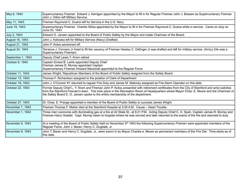| May 6, 1943       | Supernumerary Fireman Edward J. Kerrigan appointed by the Mayor to fill in for Regular Fireman John J. Boesen as Supernumerary Fireman<br>John J. Dillon left Military Service.                                                                                                                                                                                           |
|-------------------|---------------------------------------------------------------------------------------------------------------------------------------------------------------------------------------------------------------------------------------------------------------------------------------------------------------------------------------------------------------------------|
| May 11, 1943      | Fireman Raymond C. Duane left for Service in the U.S. Navy                                                                                                                                                                                                                                                                                                                |
| June 19, 1943     | Supernumerary Fireman Charles Skiba appointed by the Mayor to fill in for Fireman Raymond C. Duane while in service. Came on duty on<br>June 20, 1943                                                                                                                                                                                                                     |
| July 2, 1943      | Edward O. Jansen appointed to the Board of Public Safety by the Mayor and made Chairman of the Board.                                                                                                                                                                                                                                                                     |
| August 16, 1943   | John J. Kokoska left for Military Service (Navy) (Drafted)                                                                                                                                                                                                                                                                                                                |
| August 21, 1943   | John P. Kotos pensioned off.                                                                                                                                                                                                                                                                                                                                              |
| August 24, 1943   | Terrance J. Conners Jr hired to fill the vacancy of Fireman Hawley C. Oefinger Jr was drafted and left for military service. (Army) (He was a<br>Supernumerary Fireman)                                                                                                                                                                                                   |
| September 1, 1943 | Deputy Chief Lewis Y. Krom retired                                                                                                                                                                                                                                                                                                                                        |
| October 9, 1943   | Captain Ernest B. Lamb appointed Deputy Chief<br>Fireman James R. Murray appointed Captain<br>Supernumerary Fireman Howard Marschall appointed to the Regular Force                                                                                                                                                                                                       |
| October 11, 1943  | James Wright, Republican Members of the Board of Public Safety resigned from the Safety Board.                                                                                                                                                                                                                                                                            |
| October 13, 1943  | Thomas F. Richardson assigned to the position of Clerk of Department                                                                                                                                                                                                                                                                                                      |
| October 18, 1943  | John J. O'Connor #1 returned to regular Fire Duty and James M. Maloney assigned as Fire Alarm Operator on this date.                                                                                                                                                                                                                                                      |
| October 22, 1943  | Former Deputy Chief L. Y. Krom and Fireman John P. Kotos presented with retirement certificates from the City of Stamford and wrist watches<br>from the Stamford Firemen's Assn. This took place in the Recreation Room at Headquarters where Mayor Chas. E. Moore and the Chairman of<br>the Safety Board E. O. Jansen spoke to the entire membership of the department. |
| October 27, 1943  | Dr. Chas. E. Prange appointed a member of the Board of Public Safety to succeed James Wright.                                                                                                                                                                                                                                                                             |
| November 1, 1943  | Fireman Thomas F. Maher died at the Stamford Hospital at 3:20 A.M. Cause - Heart Trouble.                                                                                                                                                                                                                                                                                 |
| November 1, 1943  | Three men overcome with illuminating gas at a fire at 42 State St., at 9:21 P.M. Acting Deputy Chief C. H. Speh, Captain James R. Murray and<br>Fireman Harry Goettel. Capt. Murray taken to hospital where he was revived and later returned to the scene of the fire and returned to duty.                                                                              |
| November 5, 1943  | At a meeting of the Board of Public Safety held on November 5 <sup>th</sup> 1943 the following Supernumerary Firemen were appointed members of the<br>Regular Force. John J. Baran, Henry C. Dugdale, Jr.                                                                                                                                                                 |
| November 9, 1943  | John T. Baran and Henry C. Dugdale, Jr., were sworn in by Mayor Charles e. Moore as permanent members of the Fire Det. Time starts as of<br>this date.                                                                                                                                                                                                                    |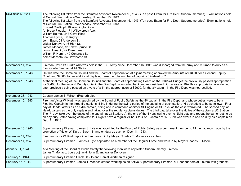| November 10, 1943 | The following list taken from the Stamford Advocate November 16, 1943 (Ten pass Exam for Fire Dept. Supernumeraries) Examinations held<br>at Central Fire Station - Wednesday, November 10, 1943<br>The following list taken from the Stamford Advocate November 16, 1943 (Ten pass Exam for Fire Dept. Supernumeraries) Examinations held<br>at Central Fire Station - Wednesday, November 10, 1943<br>Edward Goldkopf, 10 Washington Court<br>Ambrose Pleasic, 71 Willowbrook Ave.<br>William Beirne, 243 Cove Road<br>Thomas Byrne, 30 Rugby St.<br>John Egan, 53 Anderson St.<br>Walter Donovan, 16 High St.<br>James Monaco, 137 New Spruce St.<br>Louis Hojnacki, 42 Dyke Lane<br>William F. Hamm, 49 Congress St.<br>Ablert Macsata, 34 Hawthorne St.                                                                                                                                                                                                |
|-------------------|-------------------------------------------------------------------------------------------------------------------------------------------------------------------------------------------------------------------------------------------------------------------------------------------------------------------------------------------------------------------------------------------------------------------------------------------------------------------------------------------------------------------------------------------------------------------------------------------------------------------------------------------------------------------------------------------------------------------------------------------------------------------------------------------------------------------------------------------------------------------------------------------------------------------------------------------------------------|
| November 11, 1943 | Fireman David W. Burke who was held in the U.S. Army since December 16, 1942 was discharged from the army and returned to duty as a<br>First Grade Fireman at #1 Station.                                                                                                                                                                                                                                                                                                                                                                                                                                                                                                                                                                                                                                                                                                                                                                                   |
| November 16, 1943 | On this date the Common Council and the Board of Appropriation at a joint meeting approved the Amounts of \$3400. for a Second Deputy<br>Chief, and \$2600. for an additional Captain, make the total number of captains 8 instead of 7.                                                                                                                                                                                                                                                                                                                                                                                                                                                                                                                                                                                                                                                                                                                    |
| November 18, 1943 | At the final meeting of the Common Council and the Board of Appropriating Board on the 1943-44 Budget the previously passed appropriation<br>for \$3400. for the second Deputy Chief in the Fire Dept., was called back and reconsidered. On a vote of 10-2 this appropriation was denied,<br>after previously being passed on a vote of 8-5. the appropriation of \$2600. for the 8 <sup>th</sup> captain in the Fire Dept. was not recalled.                                                                                                                                                                                                                                                                                                                                                                                                                                                                                                              |
| November 23, 1943 | Captain James E. Wilson (Retired) died.                                                                                                                                                                                                                                                                                                                                                                                                                                                                                                                                                                                                                                                                                                                                                                                                                                                                                                                     |
| December 10, 1943 | Fireman Victor W. Kurth was appointed by the Board of Public Safety as the 8 <sup>th</sup> captain in the Fire Dept., and whose duties were to be a<br>Floating Captain in the three fire stations, filling in during the swing period of the captains at each station. His schedule to be as follows: First<br>day at Headquarters as an extra captain, riding and in command of either #1 Engine or #1 Truck as the case warranted. The second day, at<br>Headquarters as the only captain and taking over the regular captains duties. The third day, take over the duties of the captain at #2 Station.<br>The 4 <sup>th</sup> day, take over the duties of the captain at #3 Station. At the end of the 4 <sup>th</sup> day swing over to Night duty and repeat the same routine as<br>on day duty. After having completed four nights have a regular 24 hour tour off. Captain V. W. Kurth was sworn in and on duty as a captain on<br>Dec. 11, 1943. |
| December 10, 1943 | Supernumerary Fireman James J. Lyle was appointed by the Board of Public Safety as a permanent member to fill the vacancy made by the<br>promotion of Victor W. Kurth. Sworn in and on duty as such on Dec. 11, 1943.                                                                                                                                                                                                                                                                                                                                                                                                                                                                                                                                                                                                                                                                                                                                       |
| December 11, 1943 | Fireman Victor W. Kurth appointed and sworn in by Mayor Charles E. Moore as a captain.                                                                                                                                                                                                                                                                                                                                                                                                                                                                                                                                                                                                                                                                                                                                                                                                                                                                      |
| December 11, 1943 | Supernumerary Fireman James J. Lyle appointed as a member of the Regular Force and worn in by Mayor Charles E. Moore.                                                                                                                                                                                                                                                                                                                                                                                                                                                                                                                                                                                                                                                                                                                                                                                                                                       |
| January 31, 1944  | At a Meeting of the Board of Public Safety the following men were appointed Supernumerary Firemen:<br>James T. Monaco, Louis Jojnacki, John Egan, Walter Donovan                                                                                                                                                                                                                                                                                                                                                                                                                                                                                                                                                                                                                                                                                                                                                                                            |
| February 1, 1944  | Supernumerary Firemen Frank DeVito and Daniel Wortman resigned.                                                                                                                                                                                                                                                                                                                                                                                                                                                                                                                                                                                                                                                                                                                                                                                                                                                                                             |
| February 15, 1944 | Supernumerary Fireman James T. Monaco started working as an Active Supernumerary Fireman at Headquarters at 8:00am with group #4.                                                                                                                                                                                                                                                                                                                                                                                                                                                                                                                                                                                                                                                                                                                                                                                                                           |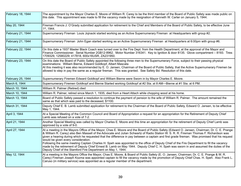| February 18, 1944 | The appointment by the Mayor Charles E. Moore of William R. Carey to be the third member of the Board of Public Safety was made public on<br>this date. This appointment was made to fill the vacancy made by the resignation of Kenneth W. Carter on January 5, 1944.                                                                                                                                                                                                                                                                                                                                                                                                                                                                                                                                                             |
|-------------------|------------------------------------------------------------------------------------------------------------------------------------------------------------------------------------------------------------------------------------------------------------------------------------------------------------------------------------------------------------------------------------------------------------------------------------------------------------------------------------------------------------------------------------------------------------------------------------------------------------------------------------------------------------------------------------------------------------------------------------------------------------------------------------------------------------------------------------|
| May 20, 1944      | Fireman Francis J. O'Grady submitted application for retirement to the Chief and Members of the Board of Public Safety, to be effective June<br>$1st$ , 1944.                                                                                                                                                                                                                                                                                                                                                                                                                                                                                                                                                                                                                                                                      |
| February 21, 1944 | Supernumerary Fireman Louis Jojnacki started working as an Active Supernumerary Fireman at Headquarters with group #2.                                                                                                                                                                                                                                                                                                                                                                                                                                                                                                                                                                                                                                                                                                             |
| February 21, 1944 | Supernumerary Fireman John Egan started working as an Active Supernumerary Fireman at Headquarters at 6:00pm with group #6.                                                                                                                                                                                                                                                                                                                                                                                                                                                                                                                                                                                                                                                                                                        |
| February 22, 1944 | On this date a 1937 Master Black Coach was turned over to the Fire Dept. from the Health Department, at the approval of the Mayor and<br>Finance Commissioner. Serial Number 2GB12-8962. Motor Number 316341. Key to Ignition & door 8135. Glove compartment - 8193. Tires<br>1709329, 12580229; 417818, 600x16USR, ZA231950.                                                                                                                                                                                                                                                                                                                                                                                                                                                                                                      |
| February 23, 1944 | On this date the Board of Public Safety appointed the following three men to the Supernumerary Force, subject to their passing physical<br>examinations: William Bierne, Edward Goldkopf, Albert Mascata<br>At this meeting it was also recommended by E. O. Jansen, Chairman of the Board of Public Safety, that the Active Supernumerary Firemen be<br>allowed to step in pay the same as a regular fireman. This was granted. See Safety Bd. Resolution of this date.                                                                                                                                                                                                                                                                                                                                                           |
| February 25, 1944 | Supernumerary Firemen Edward Goldkopf and William Bierne were Sworn in by Mayor Charles E. Moore.                                                                                                                                                                                                                                                                                                                                                                                                                                                                                                                                                                                                                                                                                                                                  |
| March 6, 1944     | Supernumerary Firemen Goldkopf and Bierne Started working Goldkopf at #2 Sta. at 8 AM---Bierne at #1 Sta. at 6 PM.                                                                                                                                                                                                                                                                                                                                                                                                                                                                                                                                                                                                                                                                                                                 |
| March 10, 1944    | William R. Palmer (Retired) died                                                                                                                                                                                                                                                                                                                                                                                                                                                                                                                                                                                                                                                                                                                                                                                                   |
| March 10, 1944    | William R. Palmer, retired since March 1, 1935, died from a Heart Attach while chopping wood at his home.                                                                                                                                                                                                                                                                                                                                                                                                                                                                                                                                                                                                                                                                                                                          |
| March 13, 1944    | Board of Public Safety passed a resolution to continue the payment of pension to the wife of William R. Palmer. The amount remained the<br>same as that which was paid to the deceased, \$1100.                                                                                                                                                                                                                                                                                                                                                                                                                                                                                                                                                                                                                                    |
| March 31, 1944    | Deputy Chief E. B. Lamb submitted application for retirement to the Chairman of the Board of Public Safety, Edward O. Jansen, to be effective<br>May 1, 1944.                                                                                                                                                                                                                                                                                                                                                                                                                                                                                                                                                                                                                                                                      |
| April 3, 1944     | At a Special Meeting of the Common Council and Board of Appropriation a request for an appropriation for the Retirement of Deputy Chief<br>Lamb was refused on a vote of 7-2.                                                                                                                                                                                                                                                                                                                                                                                                                                                                                                                                                                                                                                                      |
| April 21, 1944    | Another Special Meeting was called by Mayor Charles E. Moore and this time an appropriation for the retirement of Deputy Chief Lamb was<br>approved by a vote of 9-0.                                                                                                                                                                                                                                                                                                                                                                                                                                                                                                                                                                                                                                                              |
| April 27, 1944    | At a meeting in the Mayors Office of the Mayor, Chas E. Moore and the Board of Public Safety (Edward O. Jansen, Chairman; Dr. C. E. Prange<br>& William R. Carey) also Ben Massell of the Advocate and Julian Schwartz of Radio Station W. S. R. R. Fireman Thomas F. Richardson was<br>given a hearing during which he requested that the difference in pay between a captain and first grade fireman. Was promised that his request<br>would be given every consideration.<br>Following the same meeting Captain Charles H. Speh was appointed to the office of Deputy Chief of the Fire Department to fill the vacancy<br>made by the retirement of Deputy Chief Ernest B. Lamb on May 1944. Deputy Chief C. H. Speh was sworn in and assumed the duties of the<br>Deputy Chief of the Stamford Fire Department on May 1, 1944. |
| May 12, 1944      | At a meeting in the Mayors Office the Mayor, Chas E. Moore, & Board of Public Safety (E. O. Jansen, Chairman; Dr. C. E. Prange & W. R.<br>Carey) Fireman Joseph Kozma was appointed captain to fill the vacancy made by the promotion of Deputy Chief Chas. H. Speh. Also Frank L.<br>Caruso (in military service) was appointed as a regular member of the department.                                                                                                                                                                                                                                                                                                                                                                                                                                                            |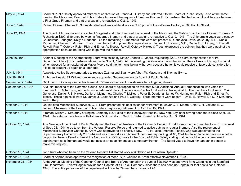| May 26, 1944       | Board of Public Safety approved retirement application of Francis J. O'Grady and referred it to the Board of Public Safety. Also at the same<br>meeting the Mayor and Board of Public Safety Approved the request of Fireman Thomas F. Richardson, that he be paid the difference between<br>a First Grade Fireman and that of a captain, retroactive to Oct. 9, 1943.                                                                                                                                                                                                                                                                                                                                                                                                                                                                                                             |
|--------------------|------------------------------------------------------------------------------------------------------------------------------------------------------------------------------------------------------------------------------------------------------------------------------------------------------------------------------------------------------------------------------------------------------------------------------------------------------------------------------------------------------------------------------------------------------------------------------------------------------------------------------------------------------------------------------------------------------------------------------------------------------------------------------------------------------------------------------------------------------------------------------------|
| June 5, 1944       | Retired Fireman Charles E. Schneider died suddenly while at work at 9:45 pm at Pitney -Bowes Factory at 583 Pacific Street.                                                                                                                                                                                                                                                                                                                                                                                                                                                                                                                                                                                                                                                                                                                                                        |
| June 12, 1944      | The Board of Appropriation by a vote of 6 against and 3 for it refused the request of the Mayor and the Safety Board to give Fireman Thomas R.<br>Richardson \$200. difference between a first grade fireman and that of a captain, retroactive to Oct. 9, 1943. The 3 favorable votes were cast by<br>Councilmen Harington, Kelly & Daddona. Of the remaining 10 members four were not present M. Genovese, Dave McGourty, M.D., Daniel<br>McInerney, Charles T. McKean. The six members that opposed this request were: James J. Costanzo, M.D., Daniel F. B. Hickey, E. Everett<br>Rowell, Paul T. Osterby, Ralph Rich and Ernest V. Troost. Rowell, Osterby, Hickey & Troost expressed the opinion that they were against the<br>appropriation because no rating was to go with the request.                                                                                   |
| June 30, 1944      | Another Meeting of the Appropriating Board was called by Mayor Charles E. Moore. requesting \$200. as extra compensation for Fire<br>Department Clerk (T.Richardson) retroactive to Nov. 1, 1943. At this meeting this item which was the first on the call was not brought up at all.<br>When pressed for an explanation Mayor Moore said the item was being withdrawn because he felt it would receive unfavorable consideration.<br>It is to be brought up again on a later date.                                                                                                                                                                                                                                                                                                                                                                                               |
| July 1, 1944       | Appointed Active Supernumeraries to replace Zezima and Egan were Albert W. Macsata and Thomas Byrne.                                                                                                                                                                                                                                                                                                                                                                                                                                                                                                                                                                                                                                                                                                                                                                               |
| July 28, 1944      | Ambrose Pleasic, 71 Willowbrook Avenue appointed Supernumerary by Board of Public Safety.                                                                                                                                                                                                                                                                                                                                                                                                                                                                                                                                                                                                                                                                                                                                                                                          |
| September 7, 1944  | Capt. John J. Cooney died at his home at 8:50am as the result of a stroke after a lingering illness.                                                                                                                                                                                                                                                                                                                                                                                                                                                                                                                                                                                                                                                                                                                                                                               |
| September 25, 1944 | At a joint meeting of the Common Council and Board of Appropriation on this date \$200. Additional Annual Compensation was voted for<br>Fireman T. F. Richardson, who acts as departmental clerk. The vote was 8 votes for it and 2 votes against it. The members for it were: M.A.<br>Genovese, Daniel F. B. Hickey, Daniel J. McInerney, Charles T. McKean, Peter E. Daddona, James W. Harrington, Ralph Rich and Ernest V.<br>Troost. Those against it were Dr. James J. Costanzo and Paul T. Osterby. Three members were absent - Dr. E. E. Rowell, Dr. D. P. McGourty<br>and S. Kelly.                                                                                                                                                                                                                                                                                        |
| October 2, 1944    | On this date Mechanical Supervisor, C. B. Krom presented his application for retirement to Mayor C. E. Moore, Chief V. H. Veit and E. O.<br>Jansen, Chairman of the Board of Public Safety, requesting retirement on October 15, 1944.                                                                                                                                                                                                                                                                                                                                                                                                                                                                                                                                                                                                                                             |
| October 6, 1944    | Fireman William J. McCarthy of Engine Company No. 1 died at the Roosevelt Hospital, New York City, after having been there since Sept. 25,<br>1944. Reported on sick leave with Asthmas & Bronchitis on Sept. 6, 1944. Buried on Monday Oct. 9, 1944.                                                                                                                                                                                                                                                                                                                                                                                                                                                                                                                                                                                                                              |
| October 10, 1944   | At a Meeting of the Board of Public Safety and the Board of Trustees of the Firemen's Pension Fund it was voted to grant the John Kurz request<br>of Sept. 28, 1944 to be taken from the Veteran Reserve Force and returned to active duty as a regular fireman. Also the retirement of<br>Mechanical Supervisor Charles B. Krom was approved to be effective Nov. 1, 1944. also Ambrose Pleasic, who was appointed to the<br>Supernumerary Force on July 28, 1944 and was to report as an Active Supernumerary on August 16, 1944 but failed to do so because a better<br>proposition being offered to him at the Noroton Post Office, wrote to the Board of Public Safety stating that he would accept a permanent<br>appointment as a fireman but would not accept an appointment as a temporary fireman. The Board voted to have him appear in person to<br>make this request. |
| October 16, 1944   | John Kurz who had been on the Veteran Reserve list started work at # Station as Fire Alarm Operator                                                                                                                                                                                                                                                                                                                                                                                                                                                                                                                                                                                                                                                                                                                                                                                |
| October 23, 1944   | Board of Appropriation approved the resignation of Mech. Sup. Charles B. Krom effective November 1, 1944.                                                                                                                                                                                                                                                                                                                                                                                                                                                                                                                                                                                                                                                                                                                                                                          |
| November 21, 1944  | At the Annual Meeting of the Common Council and Board of Appropriation the sum of \$26,100. was approved for 9 Captains in the Stamford<br>Fire Department. This will again provide for a Captain of #1 Truck Company, since there has been no Captain for that post since October 9,<br>1943. The entire personnel of the department will now be 79 members instead of 78.                                                                                                                                                                                                                                                                                                                                                                                                                                                                                                        |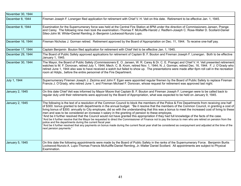| November 30, 1944 |                                                                                                                                                                                                                                                                                                                                                                                                                                                                                                                                                                                                                                                                                                                                                                                                                                                                                                                                                                                                                                                                                                                                     |
|-------------------|-------------------------------------------------------------------------------------------------------------------------------------------------------------------------------------------------------------------------------------------------------------------------------------------------------------------------------------------------------------------------------------------------------------------------------------------------------------------------------------------------------------------------------------------------------------------------------------------------------------------------------------------------------------------------------------------------------------------------------------------------------------------------------------------------------------------------------------------------------------------------------------------------------------------------------------------------------------------------------------------------------------------------------------------------------------------------------------------------------------------------------------|
| December 8, 1944  | Fireman Joseph F. Lonergan filed application for retirement with Chief V. H. Veit on this date. Retirement to be effective Jan. 1, 1945.                                                                                                                                                                                                                                                                                                                                                                                                                                                                                                                                                                                                                                                                                                                                                                                                                                                                                                                                                                                            |
| December 8, 1944  | Examination for the Supernumerary force was held at the Central Fire Station at 8PM under the direction of Commissioners Jansen, Prange<br>and Carey. The following nine men took the examination:-Thomas F. McAuliffe-Harold J. Redfern-Joseph C. Rose-Walter D. Scollard-Daniel<br>Sileo-John M. White=Daniel Remling Jr.-Benjamin Lockwood-Nunzio Lupo.                                                                                                                                                                                                                                                                                                                                                                                                                                                                                                                                                                                                                                                                                                                                                                          |
| December 16, 1944 | Fireman Nicholas J. Gorman retired. Retirement approved by the Board of Appropriation on Dec. 11, 1944. To receive one-half pay.                                                                                                                                                                                                                                                                                                                                                                                                                                                                                                                                                                                                                                                                                                                                                                                                                                                                                                                                                                                                    |
| December 17, 1944 | Captain Benjamin Bouton filed application for retirement with Chief Veit to be effective Jan. 1, 1945.                                                                                                                                                                                                                                                                                                                                                                                                                                                                                                                                                                                                                                                                                                                                                                                                                                                                                                                                                                                                                              |
| December 29, 1944 | The Board of Public Safety approved applications for retirement of Captain B. F. Bouton and Fireman Joseph F. Lonergan. Both to be effective<br>January 1, 1945.                                                                                                                                                                                                                                                                                                                                                                                                                                                                                                                                                                                                                                                                                                                                                                                                                                                                                                                                                                    |
| December 30, 1944 | The Mayor, the Board of Public Safety (Commissioners E. O. Jansen, W. R. Carey & Dr. C. E. Prange) and Chief V. H. Veit presented retirement<br>watches to M. F. Donovan, retired July 1, 1944; Mech. C. B. Krom, retired Nov. 1, 1944; N. J. Gorman, retired Dec. 16, 1944. F. J. O'Grady who<br>retired June 1, 1944 also was to have received a watch but failed to show up. The presentations were made after 6pm roll call in the recreation<br>room at Hdgts., before the entire personnel of the Fire Department.                                                                                                                                                                                                                                                                                                                                                                                                                                                                                                                                                                                                            |
| July 1, 1944      | Supernumerary Firemen Joseph J. Zezima and John F. Egan were appointed regular firemen by the Board of Public Safety to replace Fireman<br>Francis J. O'Grady, who retired June 1, and Fireman Michael F. Donovan, whose request for retirement was approved last night.                                                                                                                                                                                                                                                                                                                                                                                                                                                                                                                                                                                                                                                                                                                                                                                                                                                            |
| January 2, 1945   | On this date Chief Veit was informed by Mayor Moore that Captain B. F. Bouton and Fireman Joseph F. Lonergan were to be called back to<br>regular duty until their retirements were approved by the Board of Appropriation, what was expected to be held on January 9, 1945.                                                                                                                                                                                                                                                                                                                                                                                                                                                                                                                                                                                                                                                                                                                                                                                                                                                        |
| January 2, 1945   | The following is the text of a resolution of the Common Council to block the members of the Police & Fire Departments from receiving one half<br>of \$300. bonus granted to both departments in the annual budget. "Be it resolve that the members of the Common Council, in granting a cost of<br>living bonus of \$300. annually to City employes, did so with the understanding that this was a bonus to meet the increased cost of living to these<br>men and was to be considered an increase n salary in the granting of pension to these employes.<br>"And be it further resolved that the Council would not have granted this appropriation if they had full knowledge of the facts of the case.<br>"And be it further resolve that the Mayor be requested to direct the Commissioner of Finance not to pay the bonus to men who are retired on pension from the<br>police and fire departments during the current fiscal year.<br>"And be it further resolved that any payments on bonus made during the current fiscal year shall be considered as overpayment and adjusted at the time of the<br>next pension payments." |
| January 5, 1945   | On this date the following appointments were made by the Board of Public Safety in the ranks of the Supernumerary Force. Benjamin Burtis<br>Lockwood-Nunzio A. Lupo-Thomas Francis McAuliffe-Daniel Remling, Jr.-Walter Daniel Scollard. All appointments are subject to Physical<br>Examination.                                                                                                                                                                                                                                                                                                                                                                                                                                                                                                                                                                                                                                                                                                                                                                                                                                   |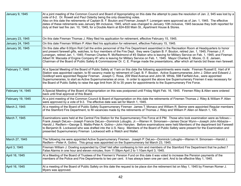| January 9, 1945   | At a joint meeting of the Common Council and Board of Appropriating on this date the attempt to pass the resolution of Jan. 2, 945 was lost by a<br>vote of 8-2. Dr. Rowell and Paul Osterby being the only dissenting votes.<br>Also on this date the retirements of Captain B. F. Bouton and Fireman Joseph F. Lonergan were approved as of Jan. 1, 1945. The effective<br>dates of these retirements was January 9th inclusive, 1945, which was changed to January 10th inclusive, 1945 because they both reported for<br>duty at their last fire Jan. 10, 1945, for a Double Alarm at 824-830 Main St., Apartment House & Stores.                                                                                       |
|-------------------|-----------------------------------------------------------------------------------------------------------------------------------------------------------------------------------------------------------------------------------------------------------------------------------------------------------------------------------------------------------------------------------------------------------------------------------------------------------------------------------------------------------------------------------------------------------------------------------------------------------------------------------------------------------------------------------------------------------------------------|
| January 23, 1945  | On this date Fireman Thomas J. Riley filed his application for retirement, effective February 15, 1945.                                                                                                                                                                                                                                                                                                                                                                                                                                                                                                                                                                                                                     |
| January 24, 1945  | On this date Fireman William P. Allen filed his application for retirement, effective February 15, 1945.                                                                                                                                                                                                                                                                                                                                                                                                                                                                                                                                                                                                                    |
| January 30, 1945  | On this date after 6:00pm Roll Call the entire personnel of the Fire Department assembled in the Recreation Room at Headquarters to honor<br>and present farewell gifts, watches, to four members of the Fire Dept. they were Captain B. F. Bouton, retired Jan. 1, 1945; Fireman J. F.<br>Lonergan, retired Jan. 1, 1945; Fireman Charles R. McRedmond of #3 Station who is leaving for Military Service on Feb. 1, 1945; and Fireman<br>Albert W. Macsata of Engine Company #1 who is leaving for Military Service on Feb. 1, 1945. Mayor Charles E. Moore, O. E. Jansen,<br>Chairman of the Board of Public Safety & Commissioner Dr. C. E. Prange made the presentations, after which all hands bid these men farewell. |
| February 7, 1945  | At a Special Meeting of the Board of Public Safety at 11am on this date the following appointments were made: Fireman Russell E. Hart of #<br>Station was appointed captain, to fill vacancy made by retirement of Capt. B. F. Bouton. Active Supernumeraries John J. Dillon and Edward J.<br>Goldkopf were appointed Regular Fireman. Joseph C. Rosa, 209 West Avenue and John M. White, 598 Fairfield Ave., were appointed<br>Supernumeraries, to start as Active Supernumeraries at once. In order to appoint the above tow Supernumerary Firemen it was necessary for<br>the Board of Public Safety to raise the age limit from 30 to 35 years for appointments to the Supernumerary Fire Force.                        |
| February 14, 1945 | A Special Meeting of the Board of Appropriation on this was postponed until Friday Night Feb. 16, 1945. Firemen Riley & Allen were ordered<br>back until final approval of this Board.                                                                                                                                                                                                                                                                                                                                                                                                                                                                                                                                      |
| February 19, 1945 | At a joint meeting of the Common Council & Board of Appropriation on this date the retirements of Firemen Thomas J. Riley & William P. Allen<br>were approved by a vote of 9-3. The effective date was set for March 1, 1945.                                                                                                                                                                                                                                                                                                                                                                                                                                                                                               |
| March 2, 1945     | At a meeting of the Board of Public Safety Supernumerary Fireman James T. Monaco and William R. Beirne were appointed Regular members<br>of the Stamford Fire Department, to fill vacancies made by the retirements of Thomas J. Riley and William P. Allen on March 1, 145.                                                                                                                                                                                                                                                                                                                                                                                                                                                |
| March 7, 1945     | Examinations were held at the Central Fire Station for the Supernumerary Fire Force at 8 PM. Those who took examination were as follows:--<br>Frank Joseph DeLeo—Joseph Francis DeLeo—Dominick Lobuglio, Jr.—Warren H. Simonsen—James Oscar Wynn—Joseph John Abbazia—<br>Harold J. Redfern—George S. Mattis-Peter A. Golino—John Hanylen. Before examinations were held Members of the department bid Farewell<br>to Benjamin B. Lockwood who was drafted into the U.S. Navy. Members of the Board of Public Safety were present for the Examination and<br>presented Supernumerary Fireman Lockwood with a Watch and Wallet.                                                                                               |
| March 27, 1945    | The following me were appointed Active Supernumerary Firemen. Joseph P. DeLeo-Dominick Lobuglio-Warren H. Simonsen-Harold J.<br>Redfern—Peter A. Golino. This group was appointed on the Supernumerary list March 23, 1945.                                                                                                                                                                                                                                                                                                                                                                                                                                                                                                 |
| April 3, 1945     | Fireman William J. Dowling suspended by Chief Veit after confessing to him and members of the Stamford Fire Department that he pulled 7<br>False Alarms in one hour and eleven minutes, from 11:59pm April 2 to 1:10am April 3, 1945.                                                                                                                                                                                                                                                                                                                                                                                                                                                                                       |
| April 16, 1945    | At a Meeting of the Board of Trustees of the Firemen's' Pension Fund on this date it was voted to increase the Pension payments of the<br>members of the Police and Fire Departments to two per cent. It has always been one per cent. And to be effective May 1, 1945.                                                                                                                                                                                                                                                                                                                                                                                                                                                     |
| April 16, 1945    | At a meeting of the Board of Public Safety on this date the request to be place don the retirement list on May 1, 1945 by Fireman Romer J.<br>Myers was approved.                                                                                                                                                                                                                                                                                                                                                                                                                                                                                                                                                           |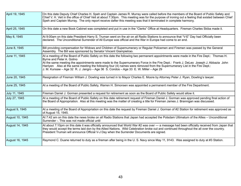| April 19, 1945  | On this date Deputy Chief Charles H. Speh and Captain James R. Murray were called before the members of the Board of Public Safety and<br>Chief V. H. Veit in the office of Chief Veit at about 7:30pm. This meeting was for the purpose of ironing out a feeling that existed between Chief<br>Speh and Captain Murray. The only report receive dafter this meeting was that it terminated in complete harmony.                                                                                                                |
|-----------------|---------------------------------------------------------------------------------------------------------------------------------------------------------------------------------------------------------------------------------------------------------------------------------------------------------------------------------------------------------------------------------------------------------------------------------------------------------------------------------------------------------------------------------|
| April 25, 1945  | On this date a new Book Cabinet was completed and put in use in the "Clerks" Office at Headquarters. Fireman Charles Skiba made it.                                                                                                                                                                                                                                                                                                                                                                                             |
| May 8, 1945     | At 9:00am on this date President Harry S. Truman went on the air on all Radio Stations to announce that "V-E" Day had Officially been<br>declared. The Unconditional Surrender of All Europe was official and the War in Europe had come to an end.                                                                                                                                                                                                                                                                             |
| June 8, 1945    | Bill providing compensation for Widows and Children of Supernumerary or Regular Policemen and Firemen was passed by the General<br>Assembly. The Bill was sponsored by Senator Vincent Giampietrao.                                                                                                                                                                                                                                                                                                                             |
| June 11, 1945   | At a meeting of the Board of Public Safety on this date the following two permanent appointments were made in the Fire Dept.: Thomas H.<br>Byrne and Peter A. Golino<br>At the same meeting the appointments were made to the Supernumerary Force in the Fire Dept.: Frank J. DeLeo Joseph J. Abbazia John<br>Hanlyen Also at the same meeting the following four (4) names were removed from the Supernumerary List in the Fire Dept.:<br>J. M. Kunsaw - Age 32 R. J. Jangro - Age 36 S. Condos - Age 33 E. W. Miller - Age 29 |
| June 20, 1945   | Resignation of Fireman William J. Dowling was turned in to Mayor Charles E. Moore by Attorney Peter J. Ryan, Dowling's lawyer.                                                                                                                                                                                                                                                                                                                                                                                                  |
| June 25, 1945   | At a meeting of the Board of Public Safety, Warren H. Simonsen was appointed a permanent member of the Fire Department.                                                                                                                                                                                                                                                                                                                                                                                                         |
| July 11, 1945   | Fireman Daniel J. Gorman presented a request for retirement as soon as the Board of Public Safety would allow it.                                                                                                                                                                                                                                                                                                                                                                                                               |
| July 27, 1945   | At a meeting of the Board of Public Safety on this date retirement request of Fireman Daniel J. Gorman was approved pending final action of<br>the Board of Appropriation. Also at this meeting was the matter of creating a title for Fireman James J. Brannigan was discussed.                                                                                                                                                                                                                                                |
| August 9, 1945  | At a meeting of the Board of Appropriation on this date the request by Fireman Daniel J. Gorman of #2 Station for retirement was approved as<br>of August 15, 1945.                                                                                                                                                                                                                                                                                                                                                             |
| August 10, 1945 | At 7:42 am on this date the news broke on all Radio Stations that Japan had accepted the Potsdam Ultimatum of the Allies - Unconditional<br>Surrender -. This was not made official until                                                                                                                                                                                                                                                                                                                                       |
| August 14, 1945 | At about 7:10pm on this date it was officially announced that World War #2 was over --- a message had been officially received from Japan that<br>they would accept the terms laid don by the Allied Nations. Wild Celebration broke out and continued throughout the all over the country.<br>President Truman will announce Official V-J Day when the Surrender Documents are signed.                                                                                                                                         |
| August 16, 1945 | Raymond C. Duane returned to duty as a fireman after being in the U. S. Navy since May 11, 9143. Was assigned to duty at #3 Station.                                                                                                                                                                                                                                                                                                                                                                                            |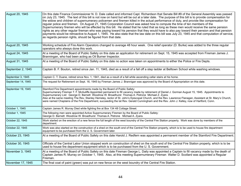| August 20, 1945        | On this date Finance Commissioner N. D. Dale called and informed Capt. Richardson that Senate Bill #9 of the General Assembly was passed<br>on July 23, 1945. The text of this bill is not now on hand but will be out at a later date. The purpose of this bill is to provide compensation for<br>the widow and children of supernumerary policemen and firemen killed in the actual performance of duty, and provide like compensation for<br>regular police and firemen. On August 21, 1945 Corporation Council was asked how to compute the time of ten members of the<br>Supernumerary firemen who will be effected by this bill. He stated that he ruled that as long as these men would receive the same pension<br>rights as any other regular fireman who was paying toward his pension that they would have to also pay toward their pension and that pension<br>payments would be retroactive to August 1, 1945. He also state that the law date on this bill was July 23, 1945 and that computation of service,<br>as regards pension rights, should be figured from that date. |
|------------------------|---------------------------------------------------------------------------------------------------------------------------------------------------------------------------------------------------------------------------------------------------------------------------------------------------------------------------------------------------------------------------------------------------------------------------------------------------------------------------------------------------------------------------------------------------------------------------------------------------------------------------------------------------------------------------------------------------------------------------------------------------------------------------------------------------------------------------------------------------------------------------------------------------------------------------------------------------------------------------------------------------------------------------------------------------------------------------------------------|
| August 20, 1945        | Working schedule of Fire Alarm Operators changed to average 48 hour week. One relief operator (D. Burke) was added to the three regular<br>operators who always done this work.                                                                                                                                                                                                                                                                                                                                                                                                                                                                                                                                                                                                                                                                                                                                                                                                                                                                                                             |
| <b>August 24, 1945</b> | At a meeting of the Board of Public Safety on this date an application for retirement on Sept. 15, 1945 was accepted from Fireman James J.<br>Branningan, who had been acting as Oil Burner Inspector.                                                                                                                                                                                                                                                                                                                                                                                                                                                                                                                                                                                                                                                                                                                                                                                                                                                                                      |
| August 31, 1945        | At a meeting of the Board of Public Safety on this date no action was taken on appointments to either the Police or Fire Depts.                                                                                                                                                                                                                                                                                                                                                                                                                                                                                                                                                                                                                                                                                                                                                                                                                                                                                                                                                             |
| September 2, 1945      | Captain B. F. Bouton, retired since Jan. 11, 1945, died as a result of a fall off a step ladder at Belltown School while washing windows.                                                                                                                                                                                                                                                                                                                                                                                                                                                                                                                                                                                                                                                                                                                                                                                                                                                                                                                                                   |
| September 3, 1945      | Captain C. T. Duane, retired since Nov. 1, 1941, died as a result of a fall while ascending cellar stairs at his home.                                                                                                                                                                                                                                                                                                                                                                                                                                                                                                                                                                                                                                                                                                                                                                                                                                                                                                                                                                      |
| September 14, 1945     | The request for Retirement on Sept. 16, 1945 by Fireman James J. Brannigan was approved by the Board of Appropriation on this date.                                                                                                                                                                                                                                                                                                                                                                                                                                                                                                                                                                                                                                                                                                                                                                                                                                                                                                                                                         |
| September 19, 1945     | Stamford Fire Department appointments made by the Board of Public Safety:<br>Supernumerary Fireman T. F. McAuliffe Appointed permanent to fill vacancy made by retirement of Daniel J. Gorman August 15, 1945. Appointments to<br>Supernumerary List: George D. Barnett Woodrow W. Broadhurst Thomas A. Petrone Michael Z. Zyara.<br>Also at the same meeting The Rev. Stanley Hemsley, rector of St. John's Episcopal Church, and the Rev. Lawrence Flanagan, Assistant at St. Mary's Church,<br>were named Chaplains of the Fire Department, succeeding the lat Rev. Gerald Cunningham and the Rev. John J. Kelley, now of Hartford, Conn.                                                                                                                                                                                                                                                                                                                                                                                                                                                |
| October 1, 1945        | Captain James R. Murray Died while fighting fire at Box 134 48 Cottage Street.                                                                                                                                                                                                                                                                                                                                                                                                                                                                                                                                                                                                                                                                                                                                                                                                                                                                                                                                                                                                              |
| October 1, 1945        | The following men were appointed Active Supernumerary Firemen by the Board of Public Safety:<br>George D. Barnett Woodrow W. Broadhurst Thomas A. Petrone Michael A. Zyara.                                                                                                                                                                                                                                                                                                                                                                                                                                                                                                                                                                                                                                                                                                                                                                                                                                                                                                                 |
| October 22, 1945       | Work started on the erection of a new fence the full length of the west boundry of the Central Fire Station property. Work was done by members of the<br>department.                                                                                                                                                                                                                                                                                                                                                                                                                                                                                                                                                                                                                                                                                                                                                                                                                                                                                                                        |
| October 22, 1945       | Work was also started on the construction of a shed on the south end of the Central Fire Station property, which is to be used to house fire department<br>equipment to be purchased from the U.S. Government later.                                                                                                                                                                                                                                                                                                                                                                                                                                                                                                                                                                                                                                                                                                                                                                                                                                                                        |
| October 23, 1945       | At a meeting of the Board of Public Safety on this date Harold J. Redfern was appointed a permanent member of the Stamford Fire Department.                                                                                                                                                                                                                                                                                                                                                                                                                                                                                                                                                                                                                                                                                                                                                                                                                                                                                                                                                 |
| October 30, 1945       | Officials of the Central Labor Union stopped work on construction of shed on the south end of the Central Fire Station property, which is to be<br>used to house fire department equipment which is to be purchased from the U. S. Government.                                                                                                                                                                                                                                                                                                                                                                                                                                                                                                                                                                                                                                                                                                                                                                                                                                              |
| November 3, 1945       | At a meeting of the Board of Public Safety on this date Fireman George L. Daily was appointed a Captain to fill vacancy made by the death of<br>Captain James R. Murray on October 1, 1945. Also, at this meeting Supernumerary Fireman Walter D. Scollard was appointed a Regular<br>Fireman.                                                                                                                                                                                                                                                                                                                                                                                                                                                                                                                                                                                                                                                                                                                                                                                              |
| November 17, 1945      | The final coat of paint (green) was put on new fence on the west boundry of the Central Fire Station.                                                                                                                                                                                                                                                                                                                                                                                                                                                                                                                                                                                                                                                                                                                                                                                                                                                                                                                                                                                       |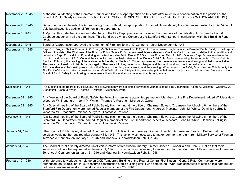| November 23, 1945 | At the Annual Meeting of the Common Council and Board of Appropriation on this date after much loud condemnation of the policies of the<br>Board of Public Safety in Fire (NEED TO LOOK AT OPPOSITE SIDE OF THIS SHEET FOR BALANCE OF INFORMATION AND FILL IN.)                                                                                                                                                                                                                                                                                                                                                                                                                                                                                                                                                                                                                                                                                                                                                                                                                                                                                                                                                                                                                                                                                                                                                   |
|-------------------|-------------------------------------------------------------------------------------------------------------------------------------------------------------------------------------------------------------------------------------------------------------------------------------------------------------------------------------------------------------------------------------------------------------------------------------------------------------------------------------------------------------------------------------------------------------------------------------------------------------------------------------------------------------------------------------------------------------------------------------------------------------------------------------------------------------------------------------------------------------------------------------------------------------------------------------------------------------------------------------------------------------------------------------------------------------------------------------------------------------------------------------------------------------------------------------------------------------------------------------------------------------------------------------------------------------------------------------------------------------------------------------------------------------------|
| November 23, 1945 | Department appointments, the Appropriating Board withheld an appropriation for an additional deputy fire chief, as requested by Chief Victor H.<br>Veit, but allowed five additional firemen in the department.                                                                                                                                                                                                                                                                                                                                                                                                                                                                                                                                                                                                                                                                                                                                                                                                                                                                                                                                                                                                                                                                                                                                                                                                   |
| December 1, 1945  | At 6pm on this date the Officers and Members of the Fire Dept. prepared and served the members of the Salvation Army Band a Ham &<br>Cabbage supper with all the trimmings. This Band was giving a Concert at the Stamford High School in conjunction with their Building Fund<br>Drive.                                                                                                                                                                                                                                                                                                                                                                                                                                                                                                                                                                                                                                                                                                                                                                                                                                                                                                                                                                                                                                                                                                                          |
| December 7, 1945  | Board of Appropriation approved the retirement of Fireman John J. O' Connor #1 as of December 15, 1945.                                                                                                                                                                                                                                                                                                                                                                                                                                                                                                                                                                                                                                                                                                                                                                                                                                                                                                                                                                                                                                                                                                                                                                                                                                                                                                           |
| December 14, 1945 | Capt. F. J. Fox, #1 Station; Fireman A. C. Coon, #3 Station and Fireman John F. Egan, #1 Station were brought before the Board of Public Safety in the Mayors<br>Office on this date. The Chairman of the Board of Public Safety, E. O. Jansen, read three statements. One from Capt. V. W. Kurth relative to the condition and<br>behavior of Capt. Fox and John Egan during and after the Helen Smith Fire at 238 Glenbrook Road on Dec. 5, 1945. One from Capt. Brooks relative to the<br>condition and behavior of A. C. Coon at the same fire. And the third statement from Deputy Chief C. H. Speh corroborating the statements of Capts Kurth &<br>Brooks. Following the reading of these statements the Mayor, Charles E. Moore, reprimanded them severely for excessive drinking, and their conduct after.<br>They were cautioned not to let his happen again. They were told they were not on charges and this reprimand would not be held against them.<br>All in attendance at the meeting were put on their honor not to divulge what went on at the meeting. When asked if the Safety Board was to officially notify the<br>Fire Dept. of the action taken against these men Chief Veit said absolutely nothing was to be put on their record. In justice to the Mayor and Members of the<br>Board of Public Safety for not taking more severe action in this matter this memorandum is being made. |
| December 31, 1945 | At a Meeting of the Board of Public Safety the Following men were appointed permanent Members of the Fire Department. Albert W. Macsata - Woodrow W.<br>Broadhurst - John M. White - Thomas A. Petrone - Michael A. Zyara.                                                                                                                                                                                                                                                                                                                                                                                                                                                                                                                                                                                                                                                                                                                                                                                                                                                                                                                                                                                                                                                                                                                                                                                        |
| December 31, 1945 | At a Meeting of the Board of Public Safety the Following men were appointed permanent Members of the Fire Department. Albert W. Macsata -<br>Woodrow W. Broadhurst - John M. White - Thomas A. Petrone - Michael A. Zyara.                                                                                                                                                                                                                                                                                                                                                                                                                                                                                                                                                                                                                                                                                                                                                                                                                                                                                                                                                                                                                                                                                                                                                                                        |
| December 31, 1945 | At a Special meeting of the Board of Public Safety this morning at the office of Chairman Edward O. Jansen the following 6 members of the<br>Stamford Fire Department were named Regular members of the Fire Department: Albert W. Macsata. John M. White. Dominick LoBuglio.<br>Woodrow W. Broadhurst. Michael A. Zyara. Thomas A. Petrone.                                                                                                                                                                                                                                                                                                                                                                                                                                                                                                                                                                                                                                                                                                                                                                                                                                                                                                                                                                                                                                                                      |
| December 31, 1945 | At a Special meeting of the Board of Public Safety this morning at the office of Chairman Edward O. Jansen the following 6 members of the<br>Stamford Fire Department were named Regular members of the Fire Department: Albert W. Macsata. John M. White. Dominick LoBuglio.<br>Woodrow W. Broadhurst. Michael A. Zyara. Thomas A. Petrone.                                                                                                                                                                                                                                                                                                                                                                                                                                                                                                                                                                                                                                                                                                                                                                                                                                                                                                                                                                                                                                                                      |
| January 14, 1946  | The Board of Public Safety directed Chief Veit to inform Active Supernumerary Firemen Joseph J. Abbazia and Frank J. DeLeo that their<br>services would not be required after January 31, 1946. This action was necessary to make room for the return from Military Service of Fireman<br>Terrance J. Conners, on January 16, 1946 and Matthew S. Kowalczyk on Feb. 1, 1946.                                                                                                                                                                                                                                                                                                                                                                                                                                                                                                                                                                                                                                                                                                                                                                                                                                                                                                                                                                                                                                      |
| January 14, 1946  | The Board of Public Safety directed Chief Veit to inform Active Supernumerary Firemen Joseph J. Abbazia and Frank J. DeLeo that their<br>services would not be required after January 31, 1946. This action was necessary to make room for the return from Military Service of Fireman<br>Terrance J. Conners, on January 16, 1946 and Matthew S. Kowalczyk on Feb. 1, 1946.                                                                                                                                                                                                                                                                                                                                                                                                                                                                                                                                                                                                                                                                                                                                                                                                                                                                                                                                                                                                                                      |
| February 19, 1946 | With reference to work being held up on OCD Temporary Building at the Rear of Central Fire Station - Gertz & Rutz, Contractors, were<br>authorized, on Requisition 4405, to resume construction of this building until it was completed. Work was scheduled to start on this date but did<br>not due to severe snow storm. Work did not start until Feb. 25, 1946.                                                                                                                                                                                                                                                                                                                                                                                                                                                                                                                                                                                                                                                                                                                                                                                                                                                                                                                                                                                                                                                |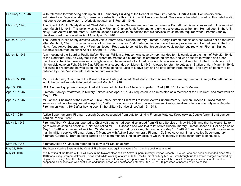| February 19, 1946 | With reference to work being held up on OCD Temporary Building at the Rear of Central Fire Station - Gertz & Rutz, Contractors, were<br>authorized, on Requisition 4405, to resume construction of this building until it was completed. Work was scheduled to start on this date but did<br>not due to severe snow storm. Work did not start until Feb. 25, 1946.                                                                                                                                                                                                                                                                                                                                                                                                                                    |
|-------------------|-------------------------------------------------------------------------------------------------------------------------------------------------------------------------------------------------------------------------------------------------------------------------------------------------------------------------------------------------------------------------------------------------------------------------------------------------------------------------------------------------------------------------------------------------------------------------------------------------------------------------------------------------------------------------------------------------------------------------------------------------------------------------------------------------------|
| March 7, 1946     | The Board of Public Safety directed Chief Veit to inform Active Supernumerary Fireman George Barnett that his services would not be required<br>after March 31, 1946. This action was to allow Fireman Charles R. McRedmond to return to active duty as a fireman. He had been in the U.S.<br>Navy. Also Active Supernumerary Fireman Joseph Rosa was to be notified that his services would not be required when Fireman Stanley<br>Swiatowicz returned on either April 1, or April 15, 1946.                                                                                                                                                                                                                                                                                                        |
| March 7, 1946     | The Board of Public Safety directed Chief Veit to inform Active Supernumerary Fireman George Barnett that his services would not be required<br>after March 31, 1946. This action was to allow Fireman Charles R. McRedmond to return to active duty as a fireman. He had been in the U.S.<br>Navy. Also Active Supernumerary Fireman Joseph Rosa was to be notified that his services would not be required when Fireman Stanley<br>Swiatowicz returned on either April 1, or April 15, 1946.                                                                                                                                                                                                                                                                                                        |
| March 8, 1946     | At a meeting of the Board of Public Safety Fireman William J. Hudson was severely reprimanded for his conduct on the night of Feb. 23, 1946,<br>at the Liedertafel Hall, 45 Greyrock Place, where he created a disturbance, misrepresented himself, and was abusive to women and other<br>members of that Club, was involved in a fight in which he received a fractured nose and face lacerations that sent him to the Hospital and put<br>him on sick leave on Feb. 24, 1946 at 7:55am, was suspended on March 4, 1946. Allowed to return to duty at #1 Station at 8am March 8, 1946.<br>Following his reprimand he was given the following penalty: Loss of 5 days pay, and no days off for three months. The days off penalty to be<br>reduced by Chief Veit if he felt Hudson conduct warranted. |
| March 25, 1946    | Mr. E. O. Jansen, Chairman of the Board of Public Safety, directed Chief Veit to inform Active Supernumerary Fireman George Barnett that he<br>would be carried an indefinite period beyond March 1, 1946.                                                                                                                                                                                                                                                                                                                                                                                                                                                                                                                                                                                            |
| April 3, 1946     | OCD Surplus Equipment Storage Shed at the rear of Central Fire Station completed. Cost \$1607.10 Labor & Material.                                                                                                                                                                                                                                                                                                                                                                                                                                                                                                                                                                                                                                                                                    |
| April 15, 1946    | Fireman Stanley Swiatowicz, in Military Service since April 15, 1943, requested to be reinstated as a member of the Fire Dept. and start work on<br>May 1, 1946.                                                                                                                                                                                                                                                                                                                                                                                                                                                                                                                                                                                                                                      |
| April 17, 1946    | Mr. Jansen, Chairman of the Board of Public Safety, directed Chief Veit to inform Active Supernumerary Fireman Joseph C. Rosa that his<br>services would not be required after April 30, 1946. This action was taken to allow Fireman Stanley Swiatowicz to return to duty as a Regular<br>Fireman on May 1, 1946 after having been in the Military Service since April 15, 1943.                                                                                                                                                                                                                                                                                                                                                                                                                     |
| May 6, 1946       | Active Supernumerary Fireman Joseph DeLeo suspended from duty for striking Fireman Matthew Kowalczyk at Double Alarm fire at Lumber<br>Yard on Pacific Street.                                                                                                                                                                                                                                                                                                                                                                                                                                                                                                                                                                                                                                        |
| May 15, 1946      | Fireman Albert W. Macsata reported to Chief Veit that he had been discharged from Military Service on May 14, 946, and that he would like to<br>go to work as soon as possible. Chief Veit called Mr. E. O. Jansen and was told to let Active Supernumerary Fireman Joseph F. DeLeo go as of<br>May 15, 1946 which would allow Albert W. Macsata to return to duty as a regular fireman on May 16, 1946 at 6pm. This move left just one more<br>man in military service (Fireman James T. Monaco) with Active Supernumerary Fireman D. Sileo covering him and Active Supernumerary<br>Fireman George D. Barnett being carried as an extra man until the salary account which his money is being taken from is exhausted.                                                                              |
| May 16, 1946      | Fireman Albert W. Macsata reported for duty at #1 Station at 6pm.                                                                                                                                                                                                                                                                                                                                                                                                                                                                                                                                                                                                                                                                                                                                     |
| May 23, 1946      | The Steam Heating System at the Central Fire Station was again converted from burning coal to burning oil                                                                                                                                                                                                                                                                                                                                                                                                                                                                                                                                                                                                                                                                                             |
| May 24, 1946      | At a Meeting of the Board of Public Safety in the Mayors office at 4pm Active Supernumerary Fireman Joseph F. DeLeo, who had been suspended since May 6,<br>1946 for striking Fireman Matthew S. Kowalczyk while working at a fire at #265 Pacific Street on May 5, 1946, was brought up to answer charges preferred by<br>Captain J. Densky. After the charges were read Fireman DeLeo was given permission to relate his side of the story. Following his description of what had<br>happened his suspension was continued and further action was postponed until May 28, 1946 at 3:00pm when witnesses could be called                                                                                                                                                                             |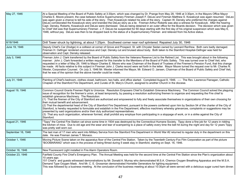| May 27, 1946       | At a Special Meeting of the Board of Public Safety at 3:30pm, which was changed by Dr. Prange from May 28, 1946 at 3:30pm, in the Mayors Office Mayor<br>Charles E. Moore present, the case between Active Supernumerary Fireman Joseph F. DeLeo and Fireman Matthew S. Kowalczyk was again resumed. DeLeo<br>was again given a chance to tell his side of the story. Then Kowalczyk related his side of the story. Captain W. Densky who preferred the charges against<br>DeLeo corroborated the Kowalczyk story and branded the DeLeo story as a lie. Fireman Arthur Roberts was also a witness for Kowalczyk. After the hearing<br>Capt. Densky, Roberts, Kowalczyk and DeLeo were dismissed. DeLeo being detained in an outer office for the Boards decision. The decision which was given<br>to Chief Veit was that Supernumerary Fireman J. F. DeLeo be suspended for 60 days starting with the first day of his original suspension which was May 6,<br>1946, without pay. DeLeo was then to be dropped back to the status of a Supernumerary Fireman and relieved from his Active status.                                                                       |
|--------------------|-------------------------------------------------------------------------------------------------------------------------------------------------------------------------------------------------------------------------------------------------------------------------------------------------------------------------------------------------------------------------------------------------------------------------------------------------------------------------------------------------------------------------------------------------------------------------------------------------------------------------------------------------------------------------------------------------------------------------------------------------------------------------------------------------------------------------------------------------------------------------------------------------------------------------------------------------------------------------------------------------------------------------------------------------------------------------------------------------------------------------------------------------------------------------|
| 6/18/1946          | Drill Tower struck by lightning, at about 1:25pm. Southwest corner near roof splintered. Repaired July 30, 1946                                                                                                                                                                                                                                                                                                                                                                                                                                                                                                                                                                                                                                                                                                                                                                                                                                                                                                                                                                                                                                                         |
| June 19, 1946      | Deputy Chief's Car (Dodge) in a collision at corner of Grove and Prospect. St. with Chrysler Sedan owned by Leonard Renfrew. Both cars badly damaged.<br>Fireman H. Oefinger rendered unconscious and Capt. Densky cut and bruised about body. Both taken to the Stamford Hospital-Oefinger was held for<br>observation and Capt. Densky released.                                                                                                                                                                                                                                                                                                                                                                                                                                                                                                                                                                                                                                                                                                                                                                                                                      |
| July 3, 1946       | Fireman John J. Clark transferred by the Board of Public Safety from the Veterans Reserve List to the Retired List. This was brought about in the following<br>manner: John J. Clark forwarded a written request for this transfer to the Members of the Board of Public Safety. This was turned over to Chief Veit, who<br>requested in a letter of May 29, 1946 to Mayor Charles E. Moore who was Chairman of the Board of Trustees of the Firemen's Pension Fund, that this change<br>be made. All facts relative to this subject in Fireman John J. Clarks record were set forth in the letter. Mayor Moore turned the request over to Mr. Charles N.<br>Wexler, Corporation Counsel. On July 3, 1946 Mr. Wexler informed the Mayor, Mr. Edward O. Jansen, Chairman of the Board of Public Safety and Chief Veit,<br>that he was of the opinion that the above transfer could be made.                                                                                                                                                                                                                                                                              |
| July 31, 1946      | Painting of Chief's bedroom, clothes closet, bathroom, two halls, and office started. Completed August 8, 1946. ---- The Rev. Lawrence Flanagan, Catholic<br>Chaplain of the Stamford Fire Department, and Curate of St. Mary's Church, assigned to another Church in the diocese.                                                                                                                                                                                                                                                                                                                                                                                                                                                                                                                                                                                                                                                                                                                                                                                                                                                                                      |
| August 19, 1946    | Common Council Grants Firemen Right to Unionize. Resolution Emposers Chief to Establish Grievance Machinery. The Common Council solved the plaguing<br>issue of recognition for the firemen's union, at least temporarily, by passing a resolution authorizing firemen to organize and requesting the Fire chief to<br>establish grievance Machinery. The Resolution:<br>(1) That the firemen of the City of Stamford are authorized and empowered to fully and freely associate themselves in organizations of their own choosing for<br>their mutual benefit and advancement.<br>(2) That the departmental head of the City of Stamford Fire Department, pursuant to the powers conferred upon him by Section 54 of the charter of the City of<br>Stamford, is hereby requested to formulate and establish in the Fire Department, effective machinery whereby grievances, complaints or suggestions may be<br>presented by said organizations and/or their duly authorized representatives.<br>(3) That any such organization, whenever formed, shall prohibit any employe from participating in a stoppage of work, or in a strike against the City of<br>Stamford. |
| August 21, 1946    | "Tippy" the Central Fire Station cat since some time in 1934 was destroyed by the Connecticut Humane Society. Tippy done a fine job for 12 years in ridding<br>the kitchen of mice. Due to old age and the wear and tear of scampering to a place of safety every time the bell hit during the night and day for 12 years Tippy<br>was pretty well worn out.                                                                                                                                                                                                                                                                                                                                                                                                                                                                                                                                                                                                                                                                                                                                                                                                            |
| September 16, 1946 | The last man of 17 men who went into Military Service from the Stamford Fire Department in World War #2 returned to regular duty in the department on this<br>date. He was Fireman James T. Monaco.                                                                                                                                                                                                                                                                                                                                                                                                                                                                                                                                                                                                                                                                                                                                                                                                                                                                                                                                                                     |
| October 1, 1946    | Moving Picture Scene taken on the apparatus floor of the Central Fire Station. Taken by the Twentieth Century-Fox Film Corporation as part of the picture<br>"BOOMARANG" which was in the process of being filmed during 5 week stay in Stamford, starting on Sept. 16, 1946.                                                                                                                                                                                                                                                                                                                                                                                                                                                                                                                                                                                                                                                                                                                                                                                                                                                                                           |
| October 16, 1946   | New Fluorescent Light installed in Fire Alarm Operators Room.                                                                                                                                                                                                                                                                                                                                                                                                                                                                                                                                                                                                                                                                                                                                                                                                                                                                                                                                                                                                                                                                                                           |
| October 23, 1946   | Fairfield County Fire Chief's Emergency Plan. The Annual Meeting was held for the second time at the Central Fire Station since the Plan's organization about<br>10 years ago.<br>151 Chief's and guests witnessed demonstrations by Mr. Donald A. Murray who demonstrated M.S.A. Chemox Oxygen Breathing Apparatus and the M.S.A.<br>Demand Type Oxygen Mask. And Mr. C. E. Grossman demonstrated Homelite Generators for lighting equipment.<br>This was followed by a business meeting. At the conclusion of the business meeting at about 10:30pm all were served with a delicious sugar cured ham dinner.                                                                                                                                                                                                                                                                                                                                                                                                                                                                                                                                                          |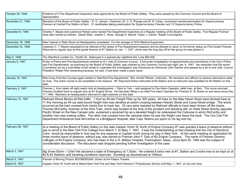| October 25, 1946  | Positions of 2 Fire Department Inspectors were approved by the Board of Public Safety. They were passed by the Common Council and the Board of<br>Appropriation.                                                                                                                                                                                                                                                                                                                                                                                                                                                                                                                                                                                                                                                                                                                                                                                                                                      |
|-------------------|-------------------------------------------------------------------------------------------------------------------------------------------------------------------------------------------------------------------------------------------------------------------------------------------------------------------------------------------------------------------------------------------------------------------------------------------------------------------------------------------------------------------------------------------------------------------------------------------------------------------------------------------------------------------------------------------------------------------------------------------------------------------------------------------------------------------------------------------------------------------------------------------------------------------------------------------------------------------------------------------------------|
| November 21, 1946 | Members of the Board of Public Safety - E. O. Jansen, Chairman; Dr. C. E. Prange and W. R. Carey, conducted mental examination for Supernumerary<br>Firemen at Central Fire Station at 8pm. 31 candidates taking examination for Supernumerary Firemen and 12 Supernumerary Police.                                                                                                                                                                                                                                                                                                                                                                                                                                                                                                                                                                                                                                                                                                                   |
| December 6, 1946  | Charles T. Mayes and Lawrence Parkes were named Fire Department Inspectors at a Regular meeting of the Board of Public Safety. Five Regular Fireman<br>were also named as follows: Daniel Sileo Joseph C. Rosa George D. Barnet Owen J. Carrier Robert Cunningham                                                                                                                                                                                                                                                                                                                                                                                                                                                                                                                                                                                                                                                                                                                                     |
| December 16, 1946 | New Cabinet in Relic Room at Headquarters completed. For the storage of OCD Medical Equipment.                                                                                                                                                                                                                                                                                                                                                                                                                                                                                                                                                                                                                                                                                                                                                                                                                                                                                                        |
| December 23, 1946 | Inspector C. T. Mayes requested to be relieved of the duties of Fire Department Inspector and be allowed to return to his former status as First Grade Fireman.<br>Returned to regular duty as first grade fireman at #1 Station on Jan. 1. 1047, which was the long day off for the group he was placed in.                                                                                                                                                                                                                                                                                                                                                                                                                                                                                                                                                                                                                                                                                          |
| May 5, 1946       | The Stamford Lumber Co., Pacific St., destroyed in a spectacular nighttime fire. Loss \$84,000.                                                                                                                                                                                                                                                                                                                                                                                                                                                                                                                                                                                                                                                                                                                                                                                                                                                                                                       |
| January 6, 1947   | Probe of Police and Fire Appointments ordered by 6-1 vote of Common Council. A full-scale investigation of appointments and promotions in the City's Police<br>and Fire Departments, as practiced by the Board of Public Safety, was ordered by the Common Council last night Jan. 6, 1947. the resolution that the seven<br>Councilmen act as a committee of the whole to undertake the investigation was introduced by Democrat John Gacher and passed by a six to one vote, Council<br>President ?Ralph Rich dissenting because, he said, it had been made a party issue.                                                                                                                                                                                                                                                                                                                                                                                                                          |
| January 16, 1947  | Red Cross First Aid Courses again started in Stamford Fire Department. Mrs. Arnold Pittman, Instructor. All members and officers to receive instructions while<br>on duty. The entire course to be completed in ten lessons. Mr. Raymond Dolan instructed at #2 Station and no instructor was available for #3 Station on this<br>date.                                                                                                                                                                                                                                                                                                                                                                                                                                                                                                                                                                                                                                                               |
| February 3, 1947  | Fireman J. Kurz taken off night watch duty at Headquarters - 10pm to 7am - and assigned to Fire Alarm Operator, relief man, at 8am. This move returned<br>Fireman Scollard back to regular duty as #1 Engine Driver. He had been filling in as relief Fire Alarm Operator for Fireman D. W. Burke on sick leave since Dec.<br>17, 1946. Members at Headquarters returned to night watches on this date.                                                                                                                                                                                                                                                                                                                                                                                                                                                                                                                                                                                               |
| February 15, 1947 | Railroad Wreck Blocks all Rail traffic. 1 Hurt as 45-dar Freight Piles up for 300 years. All lines on the New Haven Road were blocked here at<br>11 this morning as 45-car east-bound freight train was derailed at switch crossing between Atlantic Street and Canal Street bridge. The wreck<br>occurred as the train crossed from tracks four to track two. 32 cars were reported by Railroad officials to have been thrown off the tracks.<br>Thomas McCarthy, foreman of the Wire Train, which was located at the time of the accident and standing still, on State Street directly opposite<br>Pacific Street on the New Canaan side, sustained a sprained hip as a derailed freight car sideswiped the Caboose in which McCarthy and<br>another man was making coffee. The other man jumped from the caboose when he saw the freight cars leave the track. The Cos Cob Fire<br>Department Ambulance took McCarther to a Bridgeport Hospital, after Capt. Robins put splint on his leg and hip. |
| February 26, 1947 | At a meeting of the Board of Public Safety on this date Captain Victor W. Kurth of Engine Company #1 was granted a leave of absence without<br>pay to enroll in the New York Fire College from March 7, to Mary 1, 1947. it was the understanding at that meeting that the City of Stamford,<br>Conn. would be responsible in now way for any expense to Captain Kurth during his stay in New York. At the same meeting an application for<br>three months leave of absence, without pay, was denied to Fireman John F. Daly of #2 Engine Company. The name of Fireman Dominic<br>LoBuglio of #3 Engine Company, who has been in the U.S. Military Hospital, Framingham, Mass., since April 25, 1946 was the subject of<br>considerable discussion. The discussion was dropped pending further investigation of the case.                                                                                                                                                                             |
| March 3, 1947     | Big Snow Storm – Chief Veit declared a state of Emergency at 7:20am. He ordered 6 extra men at #1, Station and 3 extra men to be kept on at<br>#2 & #3 Stations until traveling conditions improved. Doubling up discontinued at 12Noon.                                                                                                                                                                                                                                                                                                                                                                                                                                                                                                                                                                                                                                                                                                                                                              |
| March 5, 1947     | Premier of Moving Picture 'BOOMERGAN" shown at the Palace Theatre.                                                                                                                                                                                                                                                                                                                                                                                                                                                                                                                                                                                                                                                                                                                                                                                                                                                                                                                                    |
| March 6, 1947     | Captain Victor W. Kurth left to Attend New York Fire and New York Firemen's' Probationary School until May 1, 1947, on his own time.                                                                                                                                                                                                                                                                                                                                                                                                                                                                                                                                                                                                                                                                                                                                                                                                                                                                  |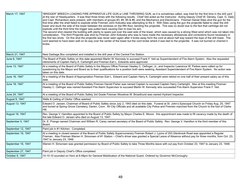| March 17, 1947     | "BRIDGER" BREECH LOADING FIRE APPARATUS LIFE GUN or LINE THROWING GUN, as it is sometimes called, was tried for the first time in the drill yard<br>at the rear of Headquarters. It was fired three times with the following results. Chief Veit acted as the Instructor. Acting Deputy Chief W. Densky, Capt. G. Daily<br>and Capt. Richardson were present, with members of groups #3, #4, #5 & #6, and the Mechanics and Electricians. Fireman Daniel Sileo shot the gun for the<br>first time after the shell failed to explode while Fireman John Kokoska was attempting to fire it. With Sileo using the gun the projectile failed to clear the drill<br>tower and stuck the side of the tower between the windows on the fifth floor, bending the projectile. This was no doubt due to the fact that cartridge did not<br>explode until the third time the trigger was pulled back causing Dan to lose his aim.<br>The second shot cleared the building with plenty to spare just over the east side of the tower, which was caused by a strong West wind which was not taken into<br>consideration. The third Projectile was shot by Fireman John Kokoska who was to have made the necessary allowances and corrections found necessary in<br>the first two shots. On this shot the projectile was never seen again after it broke away form the cord at about half way toward the tope of the drill tower. The<br>cord seemed to have been well on its way over the center of the tower but the cord broke where it was tied to the projectile. It was not burned or charred it<br>broke. |
|--------------------|----------------------------------------------------------------------------------------------------------------------------------------------------------------------------------------------------------------------------------------------------------------------------------------------------------------------------------------------------------------------------------------------------------------------------------------------------------------------------------------------------------------------------------------------------------------------------------------------------------------------------------------------------------------------------------------------------------------------------------------------------------------------------------------------------------------------------------------------------------------------------------------------------------------------------------------------------------------------------------------------------------------------------------------------------------------------------------------------------------------------------------------------------------------------------------------------------------------------------------------------------------------------------------------------------------------------------------------------------------------------------------------------------------------------------------------------------------------------------------------------------------------------------------------------------------------------------------------------------|
| March 21, 1947     | New Garbage Box completed and installed in the drill year of the Central Fire Station.                                                                                                                                                                                                                                                                                                                                                                                                                                                                                                                                                                                                                                                                                                                                                                                                                                                                                                                                                                                                                                                                                                                                                                                                                                                                                                                                                                                                                                                                                                             |
| June 6, 1947       | The Board of Public Safety on this date appointed Martin W. Kennedy to succeed Frank F. Veit as Superintendent of Fire Alarm System. Also the requested<br>retirements of Captain Harry A. Cartwright and Fireman Earl L. Edwards were approved.                                                                                                                                                                                                                                                                                                                                                                                                                                                                                                                                                                                                                                                                                                                                                                                                                                                                                                                                                                                                                                                                                                                                                                                                                                                                                                                                                   |
| June 13, 1947      | At a meeting of the Board of Public Safety in the Mayors Office Fireman Hawley C. Oefinger, Jr., and Inspector Lawrence W. Parkes were called up for<br>questioning by the Mayor and Board as to their qualifications for a position both were seeking, Assistant Superintendent of Fire Alarm System. No action was<br>taken on this date.                                                                                                                                                                                                                                                                                                                                                                                                                                                                                                                                                                                                                                                                                                                                                                                                                                                                                                                                                                                                                                                                                                                                                                                                                                                        |
| June 16, 1947      | At a meeting of the Board of Appropriation Fireman Earl L. Edward and Captain Harry A. Cartwright were retired on one half of their present salary as of this<br>date.                                                                                                                                                                                                                                                                                                                                                                                                                                                                                                                                                                                                                                                                                                                                                                                                                                                                                                                                                                                                                                                                                                                                                                                                                                                                                                                                                                                                                             |
| June 19, 1947      | At a meeting of the Board of Public Safety Fireman Harold Fisher was named Captain to succeed Captain Harry Cartwright. Also at this meeting Fireman<br>Hawley C. Oefinger was named Assistant Fire Alarm Supervisor to succeed Martin W. Kennedy who succeeded Fire Alarm Supervisor Frank F. Veit.                                                                                                                                                                                                                                                                                                                                                                                                                                                                                                                                                                                                                                                                                                                                                                                                                                                                                                                                                                                                                                                                                                                                                                                                                                                                                               |
| June 24, 1947      | At a meeting of the Board of Public Safety 3rd Grade Fireman Woodrow W. Broadhurst was named Hydrant Inspector.                                                                                                                                                                                                                                                                                                                                                                                                                                                                                                                                                                                                                                                                                                                                                                                                                                                                                                                                                                                                                                                                                                                                                                                                                                                                                                                                                                                                                                                                                    |
| August 9, 1947     | Walls & Ceiling of Clerks' Office washed.                                                                                                                                                                                                                                                                                                                                                                                                                                                                                                                                                                                                                                                                                                                                                                                                                                                                                                                                                                                                                                                                                                                                                                                                                                                                                                                                                                                                                                                                                                                                                          |
| August 13, 1947    | Edward O. Jansen, Chairman of Board of Public Safety since July 2, 1943 died on this date. Funeral at St. John's Episcopal Church on Friday Aug. 25, 1947<br>and buried at Spring Grove Cemetery, Darien, Conn. All City Officials and all available City Police and Firemen marched from the Church to the foot of Clarks<br>Hill.                                                                                                                                                                                                                                                                                                                                                                                                                                                                                                                                                                                                                                                                                                                                                                                                                                                                                                                                                                                                                                                                                                                                                                                                                                                                |
| August 16, 1947    | Rev. George V. Hamilton appointed to the Board of Public Safety by Mayor Charles E. Moore. this appointment was made to fill vacancy made by the death of<br>the late Edward O. Jansen who died on August 13, 1947.                                                                                                                                                                                                                                                                                                                                                                                                                                                                                                                                                                                                                                                                                                                                                                                                                                                                                                                                                                                                                                                                                                                                                                                                                                                                                                                                                                                |
| September 5, 1947  | Dr. E. Prange named Chairman and William R. Carey named secretary of the Board of Public Safety. Rev. George V. Hamilton is the third member of this<br>Board.                                                                                                                                                                                                                                                                                                                                                                                                                                                                                                                                                                                                                                                                                                                                                                                                                                                                                                                                                                                                                                                                                                                                                                                                                                                                                                                                                                                                                                     |
| September 12, 1947 | Paint job in #1 Kitchen. Completed.                                                                                                                                                                                                                                                                                                                                                                                                                                                                                                                                                                                                                                                                                                                                                                                                                                                                                                                                                                                                                                                                                                                                                                                                                                                                                                                                                                                                                                                                                                                                                                |
| September 16, 1947 | At a meeting in closed session of the Board of Public Safety Supernumerary Fireman Robert J. Lyons of 253 Glenbrook Road was appointed a Regular<br>Fireman. Also Fireman Warren H. Simonsen of #1 Station - Chief's driver was granted a Special Leave of Absence without pay for three months, from Oct. 23,<br>1947 to January 23, 1948.                                                                                                                                                                                                                                                                                                                                                                                                                                                                                                                                                                                                                                                                                                                                                                                                                                                                                                                                                                                                                                                                                                                                                                                                                                                        |
| September 16, 1947 | Warren H. Simonsen was granted permission by Board of Public Safety to take Three Months leave with out pay from October 23, 1947 to January 23, 1948.                                                                                                                                                                                                                                                                                                                                                                                                                                                                                                                                                                                                                                                                                                                                                                                                                                                                                                                                                                                                                                                                                                                                                                                                                                                                                                                                                                                                                                             |
| September 27, 1947 | Paint job in Deputy Chief's Office completed.                                                                                                                                                                                                                                                                                                                                                                                                                                                                                                                                                                                                                                                                                                                                                                                                                                                                                                                                                                                                                                                                                                                                                                                                                                                                                                                                                                                                                                                                                                                                                      |
| October 9, 1947    | 10-10-10 sounded on Horn at 6:48pm for General Mobilization of the National Guard. Ordered by Governor McConoughy                                                                                                                                                                                                                                                                                                                                                                                                                                                                                                                                                                                                                                                                                                                                                                                                                                                                                                                                                                                                                                                                                                                                                                                                                                                                                                                                                                                                                                                                                  |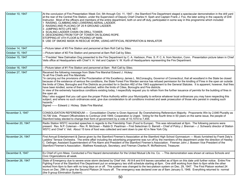| October 10, 1947  | At the conclusion of Fire Presentation Week Oct. 5th through Oct. 11, 1947 - the Stamford Fire Department staged a spectacular demonstration in the drill yard<br>at the rear of the Central Fire Station, under the Supervision of Deputy Chief Charles H. Speh and Captain Frank J. Fox, the later acting in the capacity of Drill<br>Instructor. Most of the officers and members of the entire department, both on and off duty, participated in some way in this programme which included:<br>1 RAISING, CLIMBING AND LOWERING AERIAL LADDER.<br>2 RAISING AND PLACING OF 25 ft GROUND LADDER.<br>3 JUMPING INTO LIFE NET.<br>4 SCALING LADDER CHAIN ON DRILL TOWER.<br>5 DESCENDING FROM TOP OF TOWER ON SLIDING ROPE.<br>STOPPING AT 4TH FLOOR & PICKING UP MAN.<br>6 USE OF SMOKE MASK IN RESCUE WORK, USING ARTIFICIAL RESPIRATION & INHALATOR                                                                                                                                                                                                                                                                                                                                                                                                                                                                            |
|-------------------|------------------------------------------------------------------------------------------------------------------------------------------------------------------------------------------------------------------------------------------------------------------------------------------------------------------------------------------------------------------------------------------------------------------------------------------------------------------------------------------------------------------------------------------------------------------------------------------------------------------------------------------------------------------------------------------------------------------------------------------------------------------------------------------------------------------------------------------------------------------------------------------------------------------------------------------------------------------------------------------------------------------------------------------------------------------------------------------------------------------------------------------------------------------------------------------------------------------------------------------------------------------------------------------------------------------------------------|
| October 14, 1947  | ---Picture taken of #3 Fire Station and personnel at 8am Roll Call by Sileo.                                                                                                                                                                                                                                                                                                                                                                                                                                                                                                                                                                                                                                                                                                                                                                                                                                                                                                                                                                                                                                                                                                                                                                                                                                                       |
| October 15, 1947  | ---Picture taken of #2 Fire Station and personnel at 8am Roll Call by Sileo.                                                                                                                                                                                                                                                                                                                                                                                                                                                                                                                                                                                                                                                                                                                                                                                                                                                                                                                                                                                                                                                                                                                                                                                                                                                       |
| October 15, 1947  | ---"Freckles" New Dalmatian Dog presented to the Fire Department by C. A. Harbison, Pres. S. P. C. A. from Noroton, Conn. Presentation picture taken in Chief<br>Veits office at Headquarters with Chief V. H. Veit and Captain V. W. Kurth of Headquarters representing the Fire Department.                                                                                                                                                                                                                                                                                                                                                                                                                                                                                                                                                                                                                                                                                                                                                                                                                                                                                                                                                                                                                                      |
| October 16, 1947  | ---Picture taken of #1 Fire Station and personnel at 8am Roll Call by Sileo.                                                                                                                                                                                                                                                                                                                                                                                                                                                                                                                                                                                                                                                                                                                                                                                                                                                                                                                                                                                                                                                                                                                                                                                                                                                       |
| October 27, 1947  | Received the following message from State Fire Marshal Edward J. Hickey:<br>To all Fire Chiefs and Fire Marshals:<br>"In carrying out the provisions of the Proclamation of His Excellency James L. McConaughy, Governor of Connecticut, that all woodland in the State be closed<br>because of the existence of serious fire conditions, the State Forest Fire Warden service has refused permission for the kindling of Fires in the open air outside<br>the limits of Cities, Boroughs and Fire Districts as provided for in Section 462 of the 1943 supplement to the General Statutes. It is apparent, however, that fires<br>have been kindled, some of them authorized, within the limits of Cities, Boroughs and Fire districts.<br>In view of the extremely hazardous conditions existing today, I respectfully request you to refrain from the further issuance of permits for the building of fires in<br>the open air.<br>May I also suggest that you call upon the proper Police Authority within your Municipality to enforce whatever local ordinances you may have respecting this<br>subject, and where no such ordinances exist, give due consideration to all conditions involved and seek prosecution of those who persist in creating such<br>hazards."<br>Signed ------ Edward J. Hickey State Fire Marshal. |
| November 3, 1947  | CONSOLIDATION REFERENDUM --- Consolidation Charter is Given Approval By Overwhelming Referendum Majority. Proponents Win by 2,646 Plurality as<br>18,706 Vote. Present Officeholders to Continue Until 1949; Cooperation is Urged. Voting for the fourth time in 50 years on the same issue, the people of<br>Stamford today elected to change their form of government by a vote of 10,1010 to 7,455.                                                                                                                                                                                                                                                                                                                                                                                                                                                                                                                                                                                                                                                                                                                                                                                                                                                                                                                             |
| November 20, 1947 | Radio Station WSTC recorded speeches in regards to the Friendship Train (Food to Europe). This was rebroadcast at 9pm. The following persons were<br>present: Rev. N.P. Coleman - Rev. R. McGown - Rabbi D. Pearlman - First Selectman G. Barrett - Chief of Policy J. Brennan - J. Schwartz director of Station<br>WSTC and Chief V. Veit. About 15 tons of food was collected and sent down to pier 42 in New York City.                                                                                                                                                                                                                                                                                                                                                                                                                                                                                                                                                                                                                                                                                                                                                                                                                                                                                                         |
| November 24, 1947 | First Annual Entertainment & Dance given by the Stamford Firemen's Association at the Stamford High School Gymnasium --- Music furnished by Frank Daly's<br>Laddins' Terrace Orchestra. The entire affair including the advertising programme was run off by the members of the department under the direction of Hawley<br>C. Oefinger, Assistant Superintendent of Fire Alarm and President of the Stamford Firemen's Association; Fireman John J. Boesen Vice President of the<br>Stamford Firemen's Association; Matthew Kowalczyk, Secretary; and Fireman Charles R. McRedmond, Treasurer.                                                                                                                                                                                                                                                                                                                                                                                                                                                                                                                                                                                                                                                                                                                                    |
| December 8, 1947  | Ex Chief of Lynn Mass. Conducted a Fire Hazard demonstration for the United Mutual Life Ins. Co. - This demonstration was shown at various Schools and<br>Civic Organizations all week.                                                                                                                                                                                                                                                                                                                                                                                                                                                                                                                                                                                                                                                                                                                                                                                                                                                                                                                                                                                                                                                                                                                                            |
| December 26, 1947 | State of Emergency due to severe snow storm declared by Chief Veit. All 8-8 and 6-6 leaves cancelled as of 6pm on this date until further notice. Entire Fire<br>Fighting Force of the Stamford Fire Department put on emergency two shift schedule starting at 6pm. One shift working from 8am to 6pm while the other<br>worked from 6pm to 8am with no long days on or off. This system was changed to the two-platoon system on Dec. 29, 1947. The First Platoon worked 24<br>hours on Dec. 29th to give the Second Platoon 24 hours off. The emergency was declared over as of 8am January 5, 1948. Everything returned to normal<br>(the 9 group Elimination System).                                                                                                                                                                                                                                                                                                                                                                                                                                                                                                                                                                                                                                                         |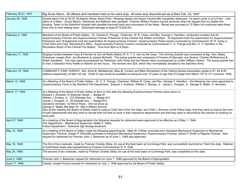| February 20-21, 1947 | Big Snow Storm. All officers and members held on for extra duty. All extra duty discontinued as of 8am Feb. 23, 1947.                                                                                                                                                                                                                                                                                                                                                                                                                                                                                                                                                                                                                                                    |
|----------------------|--------------------------------------------------------------------------------------------------------------------------------------------------------------------------------------------------------------------------------------------------------------------------------------------------------------------------------------------------------------------------------------------------------------------------------------------------------------------------------------------------------------------------------------------------------------------------------------------------------------------------------------------------------------------------------------------------------------------------------------------------------------------------|
| January 25, 1948     | Double Alarm Fire at 35-37-39 Atlantic Street, Brock Pres-Robergs Sports and Grand Central Mkt completely destroyed. 1st alarm came in at 2:37am - 2nd<br>alarm at 2:45am. Sound Beach, Glenbrook and Belltown also assisted. Fireman William Hudson injured seriously when he slipped from icy ladder into<br>building. Taken to the Stamford Hospital with possible fractured back and concussion of the Head. Recall was sounded at 12:36pm but machines were there<br>from time to time wetting down. (Estimated damage at least \$175,000.00)                                                                                                                                                                                                                       |
| February 4, 1948     | Members of the Board of Public Safety - Dr. Charles E. Prange, Chairman, W. R. Carey, and Rev. George V. Hamilton, conducted a written test for<br>Supernumerary Firemen and Supernumerary Fireman Policemen at the Central Fire Station at 8:00pm. 20 Applicants took the examination for Supernumerary<br>Policemen and 18 Applicants took the examination for Supernumerary Firemen. Supernumerary Police exams conducted by Commissioner W. R. Carey in<br>Chief Veit's and Capt. Richardson's office. Supernumerary Firemen's exams conducted by Commissioner C. E. Prange and Rev. G. V. Hamilton in the<br>Recreation Room of the Central Fire Station. Time from 8pm to 9:30pm.                                                                                  |
| February 11, 1948    | Singing Contest between Cops & Firemen at 7pm at Radio Station W. S. T. C. won by the Cops. The winning Quartet was composed of Sgt. Geo. Bates,<br>Policemen Joseph Rich, Jim Broderick & Joseph McGrath. The losing quartet was composed of Firemen Al Macsata, Joe Zezima, Charles McRedmond &<br>Ralph Kandetzki. The cops were accompanied by Policeman John Knap and the firemen were accompanied by civilian William Hyland. The losing quartet had<br>to man a Salvation Army Kettle on Atlantic for two hours. The winners won \$25. which they immediately donated to the Salvation Army.                                                                                                                                                                      |
| February 19, 1948    | COMMUNITY X-RAY SURVEY. Mrs. Anna B. Middlebrook, Miss M. Condon and Miss Richardson of the Visiting Nurses Association spoke to #1, #2 & #3<br>stations respectively, at 8am roll call. Chest X-rays would be available to everyone over 15 years of age free of charge from March 15 <sup>th</sup> to 31 <sup>st</sup> inclusive, 1948.                                                                                                                                                                                                                                                                                                                                                                                                                                |
| March 12, 1948       | At a Meeting of the Board of Public Safety - Dr. C. E. Prange, Chairman; William R. Carey, and Rev. George V. Hamilton - the following men were appointed to<br>Supernumerary Force in the Stamford Fire Department: Edward J. Andrews William J. Densky, Jr. James J. Douglas, Jr. George S. Mattis S. Verrastro                                                                                                                                                                                                                                                                                                                                                                                                                                                        |
| March 17, 1948       | At a Meeting of the Board of Public Safety at 4pm on this date the following Supernumerary Firemen were sworn in:<br>Edward J. Andrews 15 Sherman Street --- Badge #1<br>William J. Endksy, Jr., 372 Stillwater Ave. --- Badge #12<br>James J. Douglas, Jr. 55 Seaside Ave. --- Badge #14<br>Salvatore Verrastro 42 Minor Place - Did not show up<br>George S. Mattis 494 Main St. Still in Military Service.<br>Also at this meeting the Board of Safety voted to instruct Chief Veit of the Fire Dept. and Chief J. Brennan of the Police Dept. that they were to instruct the men<br>of both departments that they were to devote their full time to work in their respective departments and that they were to discontinue the practice of working on<br>extra jobs. |
| April 27, 1948       | At a meeting of the Board of Appropriation the following requests for retirement were approved to be effective as of May 1, 1948:<br>Fire Department - Mechanical Supervisor Walter F. Seely.<br>Police Department - Detective Sgt George Anderson.                                                                                                                                                                                                                                                                                                                                                                                                                                                                                                                      |
| May 14, 1948         | At a meeting of the Board of Safety made the following appointments: Mark W. O'Brien promoted form Assistant Mechanical Supervisor to Mechanical<br>Supervisor; Fireman Joseph P. McAuliffe promoted to Assistant Mechanical Supervisor; Supernumerary Fireman James P. Smith to Regular Fireman. Also<br>request for retirement by Fireman John J. Biessman as of June 1, 1948 was approved.                                                                                                                                                                                                                                                                                                                                                                            |
| May 18, 1948         | The first of two rowboats, made by Fireman Charles Skiba, for use at the boat basin at Cummings Park, was successfully launched at 10am this date. Material<br>to build these boats was requisitioned by Finance Commissioner N. D. Dale.                                                                                                                                                                                                                                                                                                                                                                                                                                                                                                                                |
| May 24, 1948         | The second of two rowboats, made by Fireman Charles Skiba, for use at the boat basin at Cummings Park, was completed on this date.                                                                                                                                                                                                                                                                                                                                                                                                                                                                                                                                                                                                                                       |
| June 2, 1948         | Fireman John J. Biessman request for retirement on June 1, 1948 approved by the Board of Appropriation                                                                                                                                                                                                                                                                                                                                                                                                                                                                                                                                                                                                                                                                   |
| June 17, 1948        | Captain Joseph Kozma request for retirement on July 1, 1948 approved by the Board of Public Safety.                                                                                                                                                                                                                                                                                                                                                                                                                                                                                                                                                                                                                                                                      |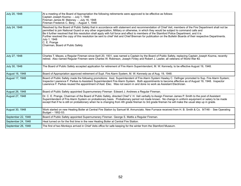| July 20, 1948      | At a meeting of the Board of Appropriation the following retirements were approved to be effective as follows:<br>Captain Joseph Kozma - - July 1, 1948<br>Fireman James M. Maloney - - July 16, 1948<br>Fireman Frederick C. Berg - - August 1, 1948                                                                                                                                                                                                                                                                                                                                                                                                                              |
|--------------------|------------------------------------------------------------------------------------------------------------------------------------------------------------------------------------------------------------------------------------------------------------------------------------------------------------------------------------------------------------------------------------------------------------------------------------------------------------------------------------------------------------------------------------------------------------------------------------------------------------------------------------------------------------------------------------|
| July 24, 1948      | Resolved by the Board of Public Safety that in accordance with statement and recommendation of Chief Veit, members of the Fire Department shall not be<br>permitted to join National Guard or any other organization, Military or otherwise, in which they would be subject to command calls and<br>Be it further resolved that this resolution shall apply with full force and effect to members of the Stamford Police Department, and it is<br>Further resolved the copy of this resolution be sent to chief Veit and Chief Brennan for publication on the Bulletin Boards of their respective Departments.<br>July 1, 1948<br>C. E. Prange<br>Chairman, Board of Public Safety |
| July 27, 1948      | Charles T. Mayes, a Regular Fireman since April 20, 1931, was named a Captain by the Board of Public Safety, replacing Captain Joseph Kozma, recently<br>retired. Also named Regular Firemen were Charles W. Robinson, Joseph Finley and Robert J. Lawler, all veterans of World War #2.                                                                                                                                                                                                                                                                                                                                                                                           |
| July 30, 1948      | The Board of Public Safety accepted application for retirement of Fire Alarm Superintendent, M. W. Kennedy, to be effective August 19, 1948.                                                                                                                                                                                                                                                                                                                                                                                                                                                                                                                                       |
| August 16, 1948    | Board of Appropriation approved retirement of Supt. Fire Alarm System, M. W. Kennedy as of Aug. 19, 1948.                                                                                                                                                                                                                                                                                                                                                                                                                                                                                                                                                                          |
| August 17, 1948    | Board of Public Safety made the following promotions: Asst. Superintendent of Fire Alarm System Hawley C. Oefinger promoted to Sup. Fire Alarm System;<br>Inspector Lawrence F. Parkes to Assistant Superintendent Fire Alarm System. Both appointments to become effective as of August 19, 1948. Inspector<br>Lawrence F. Parkes reused the appointment of Asst. Elec. Was not sworn in and done no work as Assistant Electrician.                                                                                                                                                                                                                                               |
| August 26, 1948    | Board of Public Safety appointed Supernumerary Fireman Edward J. Andrews a Regular Fireman.                                                                                                                                                                                                                                                                                                                                                                                                                                                                                                                                                                                        |
| August 27, 1948    | Dr. C. E. Prange, Chairman of the Board of Public Safety, directed Chief V. H. Veit verbally to Assign Fireman James P. Smith to the post of Assistant<br>Superintendent of Fire Alarm System on probationary basis. Probationary period not made known. No change in uniform equipment or salary to be made<br>except that if he is still on probationary when he is changing from 4th grade fireman to 3rd grade fireman he will make the usual step up in grade.                                                                                                                                                                                                                |
| August 30, 1948    | Work started on new Heating Boiler at Central Fire Station by Samuel M. Annunciato. New Furnace received from H. B. Smith & Co. 9/7/48 - See Operating<br>Budget - 1952-53.                                                                                                                                                                                                                                                                                                                                                                                                                                                                                                        |
| September 22, 1948 | Board of Public Safety appointed Supernumerary Fireman George S. Mattis a Regular Fireman.                                                                                                                                                                                                                                                                                                                                                                                                                                                                                                                                                                                         |
| September 24, 1948 | Heat turned on for the first time in the new Heating Boiler at Central Fire Station.                                                                                                                                                                                                                                                                                                                                                                                                                                                                                                                                                                                               |
| September 26, 1948 | The first of two Monkeys arrived in Chief Veits office for safe keeping for the winter from the Stamford Museum.                                                                                                                                                                                                                                                                                                                                                                                                                                                                                                                                                                   |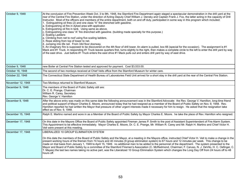| October 9, 1948   | At the conclusion of Fire Prevention Week Oct. 3 to 9th, 1948, the Stamford Fire Department again staged a spectacular demonstration in the drill yard at the<br>rear of the Central Fire Station, under the direction of Acting Deputy Chief William J. Densky and Captain Frank J. Fox, the latter acting in the capacity of Drill<br>Instructor. Most of the officers and members of the entire department, both on and off duty, participated in some way in this program which included:<br>Extinguishing oil fires (2) and one class "A" fire drenched with gasoline.<br>a. Extinguishing oil fire in dyked area with applicator.<br>b. Extinguishing oil fire in tank. Using same as above.<br>c. Extinguishing one class "A" fire drenched with gasoline. (building made specially for this purpose.)<br>2. Scaling Ladders:<br>a. Climbing from net to roof using five scaling ladders.<br>3. Rope sliding from top of tower to net.<br>4. Jumping into life net. From 34d floor doorway.<br>5. An imaginary fire is supposed to be discovered on the 4th floor of drill tower. An alarm is pulled, box 66 (special for the occasion). The assignment is #1<br>Mack and #1 Truck. In responding #1 Truck leaves quarters first, turns slightly to the right, then makes a complete circle to the left to enter the drill yard by way<br>of the east drive. Just before #1 Truck enters the east drive #1 Mack pulls out and enters drill yard by way of east drive. |
|-------------------|------------------------------------------------------------------------------------------------------------------------------------------------------------------------------------------------------------------------------------------------------------------------------------------------------------------------------------------------------------------------------------------------------------------------------------------------------------------------------------------------------------------------------------------------------------------------------------------------------------------------------------------------------------------------------------------------------------------------------------------------------------------------------------------------------------------------------------------------------------------------------------------------------------------------------------------------------------------------------------------------------------------------------------------------------------------------------------------------------------------------------------------------------------------------------------------------------------------------------------------------------------------------------------------------------------------------------------------------------------------------------------------------------------------------------------------------------------------------------|
| October 9, 1948   | new Boiler at Central Fire Station tested and approved for payment. Cost \$3,533.00.                                                                                                                                                                                                                                                                                                                                                                                                                                                                                                                                                                                                                                                                                                                                                                                                                                                                                                                                                                                                                                                                                                                                                                                                                                                                                                                                                                                         |
| October 16, 1948  | The second of two monkeys received at Chief Veits office from the Stamford Museum for winter care.                                                                                                                                                                                                                                                                                                                                                                                                                                                                                                                                                                                                                                                                                                                                                                                                                                                                                                                                                                                                                                                                                                                                                                                                                                                                                                                                                                           |
| October 22, 1948  | The Connecticut State Department of Health Bureau of Laboratories Field Unit arrived for a short stay in the drill yard at the rear of the Central Fire Station.                                                                                                                                                                                                                                                                                                                                                                                                                                                                                                                                                                                                                                                                                                                                                                                                                                                                                                                                                                                                                                                                                                                                                                                                                                                                                                             |
| November 12, 1948 | Two Monkeys returned to Stamford Museum.                                                                                                                                                                                                                                                                                                                                                                                                                                                                                                                                                                                                                                                                                                                                                                                                                                                                                                                                                                                                                                                                                                                                                                                                                                                                                                                                                                                                                                     |
| December 9, 1948  | The members of the Board of Public Safety still are:<br>Dr. C. E. Prange, Chairman<br>William R. Carey, Secretary<br>Rev. George V. Hamilton                                                                                                                                                                                                                                                                                                                                                                                                                                                                                                                                                                                                                                                                                                                                                                                                                                                                                                                                                                                                                                                                                                                                                                                                                                                                                                                                 |
| December 9, 1948  | After the above entry was made on this same date the following announcement was in the Stamford Advocate: the Rev. George V. Hamilton, long-time friend<br>and political support of Mayor Charles E. Moore, announced today that he had resigned as a member of the Board of Public Safety on Nov. 9, 1948. Rev.<br>Hamilton reported he had written the Mayor that pressure of other urgent interests made it necessary for him to resign. He asked that the resignation take<br>effect as of Nov. 9, 1948.                                                                                                                                                                                                                                                                                                                                                                                                                                                                                                                                                                                                                                                                                                                                                                                                                                                                                                                                                                 |
| December 15, 1948 | Ralph E. Martino named and wore in as a Member of the Board of Public Safety by Mayor Charles E. Moore. he take the place of Rev. Hamilton who resigned.                                                                                                                                                                                                                                                                                                                                                                                                                                                                                                                                                                                                                                                                                                                                                                                                                                                                                                                                                                                                                                                                                                                                                                                                                                                                                                                     |
| December 17, 1948 | On this date in the Mayors Office the Board of Public Safety appointed Fireman James P. Smith to the post of Assistant Superintendent of Fire Alarm System.<br>This Appointment to be effective immediately. Mayor Charles E. Moore, Dr. C. E. Prange, Mr. William R. Carey and Mr. Ralph H. Martino and Chief Victor H.<br>Veit were present at this meeting.                                                                                                                                                                                                                                                                                                                                                                                                                                                                                                                                                                                                                                                                                                                                                                                                                                                                                                                                                                                                                                                                                                               |
| December 17, 1948 | LIBERALIZED 10 GROUP ELIMINATION SYSTEM<br>On this date the members of the Board of Public Safety and the Mayor, at a meeting in the Mayors office, instructed Chief Victor H. Veit to make a change in the<br>present working hours of the firemen from 74 hours and 40 minutes (9 group elimination system) to 67 hours and 12 minutes per week. This change to be<br>made on trial basis from January 1, 1949 to April 15, 1949. no additional men to be added to the personnel of the department. The system presented to the<br>Mayor and Board of Public Safety by a committee of the Stamford Firemen's Association (C. McRedmond, Chairman; F. Caruso, N. J. DeVito, H. C. Oefinger, C.<br>T. Mayes) the last two names taking no active part, was the Liberalized 10 Group Elimination System which changes the Long Day Off from 24 hours off to 48<br>hours off.                                                                                                                                                                                                                                                                                                                                                                                                                                                                                                                                                                                                  |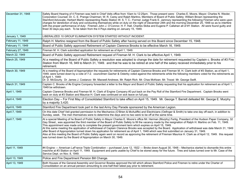| December 31, 1948 | Safety Board Hearing of 4 Firemen was held in Chief Veits office from 10am to 12:25pm. Those present were: Charles E. Moore, Mayor; Charles N. Wexler,<br>Corporation Counsel; Dr. C. E. Prange Chairman; W. R. Carey and Ralph Martino, Members of Board of Public Safety; William Brown representing the<br>Stamford Advocate; Herbert Martin representing Radio Station W. S. T. C.; Former Judge Frank E. Jamrozy representing the following Firemen who were upon<br>charges for dereliction of duty and conducting themselves while on duty on the night of December 24th and the morning December 25, 1948 so as to interfere<br>with the proper performance of duty: Firemen John J. O'Connor, H. F. Hall, Charles Skiba and Eugene P. Callahan all of #1 Station. All were found guilty and<br>fined 30 days pay each. To be taken from the 4 Pays starting on January 15, 1949.                                                                                               |
|-------------------|-----------------------------------------------------------------------------------------------------------------------------------------------------------------------------------------------------------------------------------------------------------------------------------------------------------------------------------------------------------------------------------------------------------------------------------------------------------------------------------------------------------------------------------------------------------------------------------------------------------------------------------------------------------------------------------------------------------------------------------------------------------------------------------------------------------------------------------------------------------------------------------------------------------------------------------------------------------------------------------------|
| January 1, 1949   | LIBERALIZED 10 GROUP ELIMINATION SYSTEM STARTED WITHOUT INCIDENT.                                                                                                                                                                                                                                                                                                                                                                                                                                                                                                                                                                                                                                                                                                                                                                                                                                                                                                                       |
| February 11, 1949 | Ralph H. Martino resigned from the Board of Public Safety after having served on this Board since December 15, 1948.                                                                                                                                                                                                                                                                                                                                                                                                                                                                                                                                                                                                                                                                                                                                                                                                                                                                    |
| February 11, 1949 | Board of Public Safety approved Retirement of Captain Clarence Brooks to be effective March 16, 1949.                                                                                                                                                                                                                                                                                                                                                                                                                                                                                                                                                                                                                                                                                                                                                                                                                                                                                   |
| February 27, 1949 | Fireman M. H. Clark submitted application for retirement as of April 1, 1949.                                                                                                                                                                                                                                                                                                                                                                                                                                                                                                                                                                                                                                                                                                                                                                                                                                                                                                           |
| March 22, 1949    | Board of Public Safety approved Retirement request of Fireman M. H. Clark to be effective April 1, 1949.                                                                                                                                                                                                                                                                                                                                                                                                                                                                                                                                                                                                                                                                                                                                                                                                                                                                                |
| March 25, 1949    | At a meeting of the Board of Public Safety a resolution was adopted to change the date for retirement requested by Captain c. Brooks of #3 Fire<br>Station from March 16, 949 to March 31, 1949. and that he was to be retired at one half of the salary received immediately prior to his<br>retirement.                                                                                                                                                                                                                                                                                                                                                                                                                                                                                                                                                                                                                                                                               |
| March 30, 1949    | At a meeting of the Board of Appropriation the requests for retirements of Captain Clarence Brooks and Fireman M. H. Clark both of #3 Station, as of April 1,<br>1949, were turned down by a vote of 7-2. councilmen Gacher & Osterby voted against the retirements while the following members voted for the retirements as<br>of April 1, 1949:<br>Dr. D. McGourty. Dr. James J. Costanzo Mr. Maxwell Andrews. Mr. Ralph Rich. Mr. Chas McKean. Mr. Troost Mr. George Swift.                                                                                                                                                                                                                                                                                                                                                                                                                                                                                                          |
| March 31, 1949    | Captain C. Brooks of #e Engine Company forwarded a letter to the Mayor and Board of Public Safety requesting that his application for retirement as of April 1,<br>1949 be withdrawn.                                                                                                                                                                                                                                                                                                                                                                                                                                                                                                                                                                                                                                                                                                                                                                                                   |
| April 1, 1949     | Captain Clarence Brooks and Fireman M. H. Clark of Engine Company #3 put back on the Pay Roll of the Stamford Fire Department. Captain Brooks went<br>back on duty at #3 Station and Maurice H. Clark was continued on sick leave on full pay.                                                                                                                                                                                                                                                                                                                                                                                                                                                                                                                                                                                                                                                                                                                                          |
| April 4, 1949     | Election Day - For First May of Consolidated Stamford to take effect on April 15, 1949. Mr. George T. Barrett defeated Mr. George E. Murphy<br>by a majority 3,420.                                                                                                                                                                                                                                                                                                                                                                                                                                                                                                                                                                                                                                                                                                                                                                                                                     |
| April 6, 1949     | Stamford Fire Department took part in the last Army Day Parade sponsored by the American Legion.                                                                                                                                                                                                                                                                                                                                                                                                                                                                                                                                                                                                                                                                                                                                                                                                                                                                                        |
| April 7, 1949     | On this date Chief Veit granted permission to the Mechanics (O'Brien & McAuliffe) and Electricians (Oefinger & Smith) to take one day off each, in addition to<br>Sunday, week. The men themselves were to determine the days and no two were to be off at the same time.                                                                                                                                                                                                                                                                                                                                                                                                                                                                                                                                                                                                                                                                                                               |
| April 7, 1949     | At a special Meeting of he Board of Public Safety in Mayor Charles E. Moore's office Mr. Herman (Murphy) Fertig, President of the Hudson Paper Company, 32<br>Gay Street., was appointed the third member of the Board of Public Safety to fill the vacancy made by the resignation of Ralph H. Martino on Feb. 11, 1949.<br>This appointment was made only to complete the present government term which expires on April 15, 1949.<br>At this same meeting the application of withdrawal of Captain Clarence Brooks was accepted by the Board. Application of withdrawal was date March 31, 1949<br>after Board of Appropriation turned down his application for retirement as of April 1, 1949 which was first submitted on January 31, 1949.<br>Also at this meeting the Board of Public Safety again went on record as approving the retirement of Fireman Maurice H. Clark as of April 12, 1949. this request<br>was turned down by the Board of Appropriation on March 30, 1949. |
| April 11, 1949    | #4 Engine --- American LaFrance Triple Combination – purchased June 12, 1922 --- Broke down August 30, 1948 – Mechanics started to dismantle this entire<br>machine at #3 Station on April 11, 1949. Equipment and parts usable by Chief to be stored away for the future. Tires and tubes turned over to Mr. Case of the<br>Service Dept. on Nov. 8, 1949.                                                                                                                                                                                                                                                                                                                                                                                                                                                                                                                                                                                                                             |
| April 13, 1949    | Police and Fire Department Pension Bill Change.                                                                                                                                                                                                                                                                                                                                                                                                                                                                                                                                                                                                                                                                                                                                                                                                                                                                                                                                         |
| April 13, 1949    | Both Houses of the General Assembly and Governor Bowles approved the bill which allows Stamford Police and Firemen to retire under the Charter of<br>Consolidation on an annual pension amounting to one-half their latest pay prior to retirement.                                                                                                                                                                                                                                                                                                                                                                                                                                                                                                                                                                                                                                                                                                                                     |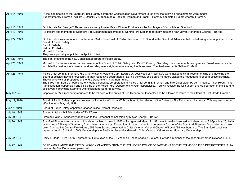| April 14, 1949 | At the last meeting of the Board of Public Safety before the Consolidation Government takes over the following appointments were made:<br>Supernumerary Fireman William J. Densky, Jr., appointed a Regular Fireman and Frank F. Hershey appointed Supernumerary Fireman.                                                                                                                                                                                                                                                                                                                                                                                                                                                                                                                                                     |
|----------------|-------------------------------------------------------------------------------------------------------------------------------------------------------------------------------------------------------------------------------------------------------------------------------------------------------------------------------------------------------------------------------------------------------------------------------------------------------------------------------------------------------------------------------------------------------------------------------------------------------------------------------------------------------------------------------------------------------------------------------------------------------------------------------------------------------------------------------|
| April 15, 1949 | On this date Mr. George T. Barrett was sworn by former Mayor Charles E. Moore as the first Mayor of Consolidated Stamford.                                                                                                                                                                                                                                                                                                                                                                                                                                                                                                                                                                                                                                                                                                    |
| April 19, 1949 | All officers and members of Stamford Fire Department assembled at Central Fire Station to formally meet the new Mayor, Honorable George T. Barrett.                                                                                                                                                                                                                                                                                                                                                                                                                                                                                                                                                                                                                                                                           |
| April 22, 1949 | On this date it was announced on the noon Radio Broadcast of Radio Station W. S. T. C. and in the Stamford Advocate that the following were appointed to the<br>Board of Public Safety:<br>Paul T. Osterby<br>Nathan E. Martin<br>Michael J. Drotar<br>They were probably appointed on April 21, 1949.                                                                                                                                                                                                                                                                                                                                                                                                                                                                                                                        |
| April 23, 1949 | The First Meeting of the new Consolidated Board of Public Safety.                                                                                                                                                                                                                                                                                                                                                                                                                                                                                                                                                                                                                                                                                                                                                             |
| April 25, 1949 | Michael J. Drotar was today name chairman of the Board of Public Safety, and Paul T. Osterby, Secretary. In a precedent-making move, Board members voted<br>to rotate the positions of chairman and secretary every eight months among the three men. The third member is Nathan E. Martin.                                                                                                                                                                                                                                                                                                                                                                                                                                                                                                                                   |
| April 25, 1949 | Police Chief John B. Brennan, Fire Chief Victor H. Veit and Capt. Edward W. Lockwood of Precinct #2 were invited to sit in, recommending and advising the<br>Board of policies they felt necessary in their respective departments. During the week-end Board members visited the headquarters of both police precincts.<br>They plan to visit all properties of the Fire Department in the near future.<br>The three man Board of Public Safety today pledged its co-operation to Police Chief John B. Brennan and Fire Chief Victor H. Veit in letters. They Read: "The<br>Administration, supervision and discipline of the Police (Fire) Department is your responsibility. You will receive the full support and co-operation of the Board to<br>assist you in providing Stamford with efficient police (fire) service." |
| May 9, 1949    | Inspector W. W. Broadhurst requested to be relieved of the duties of Fire Department Inspector and be allowed to return to the Status of First Grade Fireman.                                                                                                                                                                                                                                                                                                                                                                                                                                                                                                                                                                                                                                                                 |
| May 14, 1949   | Board of Public Safety approved request of Inspector Woodrow W. Broadhurst to be relieved of the Duties as Fire Department Inspector. This request is to be<br>effective as of May 16, 1949.                                                                                                                                                                                                                                                                                                                                                                                                                                                                                                                                                                                                                                  |
| June 1, 1949   | Board of Public Safety appointed Charles Skiba Hydrant Inspector.                                                                                                                                                                                                                                                                                                                                                                                                                                                                                                                                                                                                                                                                                                                                                             |
| July 18, 1949  | Started to take 4th & 5th stories off Drill Tower.                                                                                                                                                                                                                                                                                                                                                                                                                                                                                                                                                                                                                                                                                                                                                                            |
| July 20, 1949  | Fireman Ralph J. Kendetzky appointed to the Personnel commission by Mayor George T. Barrett.                                                                                                                                                                                                                                                                                                                                                                                                                                                                                                                                                                                                                                                                                                                                  |
| July 20, 1949  | Stamford Firemens Association originally organized in July 1, 1862 - Reorganized March 7, 1871 was formally dissolved and absorbed at 8:08pm July 20, 1949<br>by the Local 786 city of Stamford, Conn., International Ass. Federation of Labor. In the final ceremony Charter of the Stamford Firemens Association was taken<br>down from wall at Central Fire Hdgtrs., 653 Main St. and presented to Chief Victor H. Veit and Charter of Local 786 was hung up. The Stamford Local was<br>organized April 13, 1944. 100% Membership was finally achieved this date with Chief Victor H. Veit receiving Honorary Membership.                                                                                                                                                                                                  |
| July 22, 1949  | Harry F. Dodd - Fire Alarm Dispatcher at Hqtrs, died at the ST. Joseph's Hospt. At about 8:30am. He was a member of the department since October 1, 1919.                                                                                                                                                                                                                                                                                                                                                                                                                                                                                                                                                                                                                                                                     |
| July 22, 1949  | FORD AMBULANCE AND PATROL WAGON CHANGED FROM THE STAMFORD POLICE DEPARTMENT TO THE STAMFORD FIRE DEPARTMENT? To be<br>manned by Fire Department personnel.                                                                                                                                                                                                                                                                                                                                                                                                                                                                                                                                                                                                                                                                    |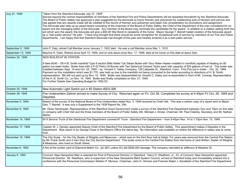| July 27, 1949      | 'Taken from the Stamford Advocate July 27, 1949"<br>Service beyond the normal responsibilities of members of the Stamford Fire and Police Departments will be rewarded henceforth by the Stamford Advocate.<br>The Board of Public Safety has approved a plan suggested by the Advocate to honor firemen and policemen for outstanding acts of heroism and service and<br>has agreed that any awards made will be credited to the record of firemen and policemen and taken into consideration for promotions and assignment.<br>The Advocate plan sets up an award board consisting of the chairman of the Board of Public Safety, the Chief of the Department of the men considered for an<br>award and the managing editor of the Advocate. Any member of the Board may nominate the candidates for the award. In addition to a citation setting forth the<br>act which won the award, the Advocate will give a \$50.00 War Bond to recipients of the honor. Mayor George T. Barrett hailed creation of the Advocate award<br>as a "real public service" He said. "I have long thought that there should be some recognition for exceptional acts of service by members of our Fire and Police<br>departments. I am happy that that Stamford Advocate has thought of this plan and heartily endorse it as a real public service." |
|--------------------|--------------------------------------------------------------------------------------------------------------------------------------------------------------------------------------------------------------------------------------------------------------------------------------------------------------------------------------------------------------------------------------------------------------------------------------------------------------------------------------------------------------------------------------------------------------------------------------------------------------------------------------------------------------------------------------------------------------------------------------------------------------------------------------------------------------------------------------------------------------------------------------------------------------------------------------------------------------------------------------------------------------------------------------------------------------------------------------------------------------------------------------------------------------------------------------------------------------------------------------------------------------------------------------------------------------------------------------|
| September 5, 1949  | John F. Daly, retired Call Member since January 1, 1922 died. He was a call Member since Mar. 1, 1910.                                                                                                                                                                                                                                                                                                                                                                                                                                                                                                                                                                                                                                                                                                                                                                                                                                                                                                                                                                                                                                                                                                                                                                                                                               |
| September 13, 1949 | Maurice H. Clark, Retired since April 13, 1949, and on sick leave since Nov. 17, 1948, died at his home on this date at about 3am.                                                                                                                                                                                                                                                                                                                                                                                                                                                                                                                                                                                                                                                                                                                                                                                                                                                                                                                                                                                                                                                                                                                                                                                                   |
| October 22, 1949   | NEW BOILER AT #2 STATION                                                                                                                                                                                                                                                                                                                                                                                                                                                                                                                                                                                                                                                                                                                                                                                                                                                                                                                                                                                                                                                                                                                                                                                                                                                                                                             |
|                    | A New #240 - S8 H.B. Smith manifold Type 8 section Mills Water Tub Steam Boiler with Taco Water Heater installed in manifold capable of Heating an 80<br>gallon hot water boiler. Boiler fired with a P-22 Petro Oil Burner with Two Spherical Cement Tanks each with capacity of 625 gallons of fuel oil. This boiler was<br>installed between Sept. 14 and Oct. 22, 1949 - by: Vincent C. Daley Company, 129 Lafayette St., Stamford, Conn. First Fire put in boiler - Oct. 22, 1949.<br>Payment on this installation which was \$1,770. was held up due to the manifold not being connected to the boiler according to directions of H. B. Smith<br>representative. Bill still not paid up by Nov. 10, 1949. Boiler was disassembled by Vincent C. Daley and re-assembled in front of Mr. Conway, Representative<br>of the H. B. Smith Co., on Nov. 14, 1949. Boiler was finally completed on Nov. 21, 1949.<br>For Further Details See Operating Budget for 1952-53.                                                                                                                                                                                                                                                                                                                                                             |
| October 25, 1949   | New Automatic Light Switch put in #3 Station #203-306                                                                                                                                                                                                                                                                                                                                                                                                                                                                                                                                                                                                                                                                                                                                                                                                                                                                                                                                                                                                                                                                                                                                                                                                                                                                                |
| October 26, 1949   | Fire Underwriters Zeltner arrived to make Survey of City. Returned again on Fri. Oct 28, Completed his survey at 4:45pm Fri Oct, 28, 1949 and<br>Departed.                                                                                                                                                                                                                                                                                                                                                                                                                                                                                                                                                                                                                                                                                                                                                                                                                                                                                                                                                                                                                                                                                                                                                                           |
| November 5, 1949   | Report of the survey of the National Board of Fire Underwriters dated Nov. 3, 1949 received by Chief Veit. This was a carbon copy of a report sent to Mayor<br>Geo. T. Barrett. It was only a Supplement to the 1938 Report No. 294.                                                                                                                                                                                                                                                                                                                                                                                                                                                                                                                                                                                                                                                                                                                                                                                                                                                                                                                                                                                                                                                                                                 |
| November 9, 1949   | Mr. Oliver Sandreuter, Representative of the Stamford Good Government made a survey of the Stamford Fire Department between 7pm and 10pm on this date<br>in company with Chief Veit and the three members of the Board of Public Safety (Mr. Michael J. Drotar, Chairman; Mr. Paul Osterby, Secretary and Mr. Nathan<br>Martin.                                                                                                                                                                                                                                                                                                                                                                                                                                                                                                                                                                                                                                                                                                                                                                                                                                                                                                                                                                                                      |
| November 14, 1949  | 65 ft Service Truck of the Glenbrook Fire Department covered #1 Truck - Stamford Fire Department - from 9:45pm Nov. 14 to 1:15pm Nov. 15, 1949.                                                                                                                                                                                                                                                                                                                                                                                                                                                                                                                                                                                                                                                                                                                                                                                                                                                                                                                                                                                                                                                                                                                                                                                      |
| November 17, 1949  | Captain W. J. Densky appointed Deputy Chief of the Stamford Fire Department by the Board of Public Safety. This appointment makes 2 Deputies in the<br>Department. Was sworn in by George Close in the Mayors Office the same day. No information was available on where the difference in salary was to come<br>from.                                                                                                                                                                                                                                                                                                                                                                                                                                                                                                                                                                                                                                                                                                                                                                                                                                                                                                                                                                                                               |
| November 19, 1949  | The City Scale – for the City Sealer of Weights and Measures – which was on the third floor hall at Hdqts. For years was removed from the Central Fire Station<br>by Mr. Frank Smith and 4 men from the City Service Department. This scale come to the Central Fire Station from the home of Jack Britton, Sealer of Weights<br>& Measures, who lived on South Street.                                                                                                                                                                                                                                                                                                                                                                                                                                                                                                                                                                                                                                                                                                                                                                                                                                                                                                                                                              |
| November 6, 1950   | A fire at the lumber yard of Diamond Match Co. [at 383 Ludlow St.] did \$206,000 damage. The company relocated at Jefferson & Meadow St.                                                                                                                                                                                                                                                                                                                                                                                                                                                                                                                                                                                                                                                                                                                                                                                                                                                                                                                                                                                                                                                                                                                                                                                             |
| January 9, 1950    | Concord, New Hampshire Man is selected for Post of Personnel Director of Stamford. Harry D. Weathers, Jr., 33, of Concord, New Hampshire appointed<br>Personnel Director. Mr. Weathers, who is supervisor of the New Hampshire Merit System Council, arrived at Stamford today and immediately entered into a<br>conference with the Personnel Commission Weldon P. Monson, Chairman, John H. Hinman and Fireman Ralph J. Kendetzki of the Stamford Fire Department.                                                                                                                                                                                                                                                                                                                                                                                                                                                                                                                                                                                                                                                                                                                                                                                                                                                                 |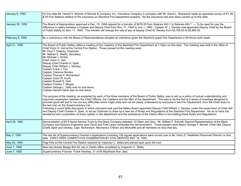| January 9, 1950  | On this date Mr. Harold S. Nichols of Nichols & Company Inc., Insurance Company in company with Mr. David L. Sherwood made an appraisal survey of #1, #2<br>& #3 Fire Stations relative to fire insurance on Stamford Fire Department property. No fire insurance had ever been carried up to this date.                                                                                                                                                                                                                                                                                                                                                                                                                                                                                                                                                                                                                                                                                                                                                                                                                                                                                                                                                                                                                                                                                                                                                                                                                                                                                                                                                                                                                              |
|------------------|---------------------------------------------------------------------------------------------------------------------------------------------------------------------------------------------------------------------------------------------------------------------------------------------------------------------------------------------------------------------------------------------------------------------------------------------------------------------------------------------------------------------------------------------------------------------------------------------------------------------------------------------------------------------------------------------------------------------------------------------------------------------------------------------------------------------------------------------------------------------------------------------------------------------------------------------------------------------------------------------------------------------------------------------------------------------------------------------------------------------------------------------------------------------------------------------------------------------------------------------------------------------------------------------------------------------------------------------------------------------------------------------------------------------------------------------------------------------------------------------------------------------------------------------------------------------------------------------------------------------------------------------------------------------------------------------------------------------------------------|
| January 30, 1950 | The Board of Appropriation approved a Dec. 19, 1949 request for a transfer of \$476.00 from Salaries 440.1 to Salaries 440.1 --- To be used for pay the<br>difference in salary between a Captain and Deputy Chief from Nov. 17, 1949 to July 1, 1950. Captain W. J. Densky was appointed Deputy Chief by the Board<br>of Public Safety on Nov. 17, 1949. This transfer will change the rate of pay of Deputy Chief W. Densky from \$3,795.00 to \$4,565.00.                                                                                                                                                                                                                                                                                                                                                                                                                                                                                                                                                                                                                                                                                                                                                                                                                                                                                                                                                                                                                                                                                                                                                                                                                                                                          |
| February 6, 1950 | By a unanimous vote the Board of Representatives adopted an ordinance given the Stamford (paid) Fire Department a 56 Hours work week.                                                                                                                                                                                                                                                                                                                                                                                                                                                                                                                                                                                                                                                                                                                                                                                                                                                                                                                                                                                                                                                                                                                                                                                                                                                                                                                                                                                                                                                                                                                                                                                                 |
| April 21, 1950   | The Board of Public Safety called a meeting of the Captains of the Stamford Fire Department at 7:15pm on this date. The meeting was held in the office of<br>Chief Victor H. Veit at the Central Fire Station. Those present at the meeting were:<br>Mr. Paul T. Osterby, Chairman.<br>Mr. Nathan E. Martin, Secretary.<br>Mr. Michael J. Drotar.<br>Chief Victor H. Veit.<br>Deputy Chief Charles H. Speh.<br>Deputy Chief William J. Densky.<br>Captain Frank J. Fox<br>Captain Clarence Brooks.<br>Captain Thomas F. Richardson.<br>Captain Victor W. Kurth.<br>Captain Russell E. Hart.<br>Captain Charles T. Mayes.<br>Captain George L. Daily was on sick leave.<br>Captain Harold Fisher was on sick leave.<br>The purpose of the meeting, as explained by each of the three members of the Board of Public Safety, was to set up a policy of mutual understanding and<br>improved cooperation between the Chief Officers, the Captains and the Men of the department. This was to be the first of a series of meetings designed to<br>promote good will and to iron out any difficulties which might arise and not be clearly understood by everyone in the Fire Department, from the Chief down to<br>the last man on the Supernumerary List.<br>Following a round table discussion in which everyone took part the Safety Board appointed Deputy Chief William J. Densky, under the supervision of Chief Veit<br>and Deputy Chief Charles H. Speh, to act as Chairman to draw up a new set of Rules and Regulations of the Stamford Fire Department. He ws to have the<br>assistance and cooperation of every captain in the department and the assistance of the Clerks office in formulating these Rules and Regulations. |
| April 26, 1950   | Demonstration of 65 ft Aerial Service Truck by the Mack Company between 12:30pm and 2pm. Mr. William F. Schmitt, Special Representative of the Mack<br>Company and Delivery Engineers Jack Davis and Fred Lewis conducted the demonstration. Those present were Mayor George T. Barrett, Chief Veit, Deputy<br>Chiefs Speh and Densky, Capt. Richardson, Mechanics O'Brien and McAuliffe and all members on duty that day.                                                                                                                                                                                                                                                                                                                                                                                                                                                                                                                                                                                                                                                                                                                                                                                                                                                                                                                                                                                                                                                                                                                                                                                                                                                                                                            |
| May 2, 1950      | The last list of Supernumerary Firemen's Applications including 106 signed applications were turned over to Mr. Harry D. Weathers Personnel Director on this<br>date. FIRST OPEN COMPETITIVE EXAMINATION BY CIVIL SERVICE MAY 19, 1950.                                                                                                                                                                                                                                                                                                                                                                                                                                                                                                                                                                                                                                                                                                                                                                                                                                                                                                                                                                                                                                                                                                                                                                                                                                                                                                                                                                                                                                                                                               |
| May 20, 1950     | Flag Pole on the Central Fire Station repaired by Inspector C. Skiba and placed back upon the roof.                                                                                                                                                                                                                                                                                                                                                                                                                                                                                                                                                                                                                                                                                                                                                                                                                                                                                                                                                                                                                                                                                                                                                                                                                                                                                                                                                                                                                                                                                                                                                                                                                                   |
| June 1, 1950     | New two-drawer Badge Box for use in Clerks office completed by Inspector C. Skiba.                                                                                                                                                                                                                                                                                                                                                                                                                                                                                                                                                                                                                                                                                                                                                                                                                                                                                                                                                                                                                                                                                                                                                                                                                                                                                                                                                                                                                                                                                                                                                                                                                                                    |
| June 7, 1950     | Supernumerary Fireman Frank Hershey, 31 of 66 Mayflower Ave. died.                                                                                                                                                                                                                                                                                                                                                                                                                                                                                                                                                                                                                                                                                                                                                                                                                                                                                                                                                                                                                                                                                                                                                                                                                                                                                                                                                                                                                                                                                                                                                                                                                                                                    |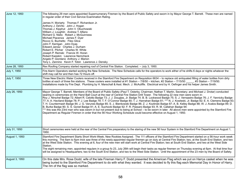| June 12, 1950  | The following 29 men were appointed Supernumerary Firemen by the Board of Public Safety and sworn in by Mayor George T. Barrett. These men are named<br>in regular order of their Civil Service Examination Rating.<br>James H. Moriarty Thomas F. Richardson Jr.<br>Anthony J. DeVito John J. Hogan<br>Thomas J. Kipphut John V. Obuchowski<br>William J. Loughlin Andrew T. Alfano<br>Richard G. Nieto Robert J. McGuinness<br>Michael Piacenza James F. Dyer<br>Rocco G. Buchetto Filex Glica<br>John F. Kerrigan John Dyas<br>Edward Jarosz Charles J. Durham<br>Robert E. Pilcher Charles W. White<br>Joseph P. Remski Francis W. Horan<br>Robert Kweskin Lawrence Nemcheck<br>Angelo P. Giordano Anthony J. Marion<br>Tony L. Zannino Kevin F. Tobin Lawrence J. Densky                                                                                                                                                                                                                                                                                                                                                                                                                            |
|----------------|----------------------------------------------------------------------------------------------------------------------------------------------------------------------------------------------------------------------------------------------------------------------------------------------------------------------------------------------------------------------------------------------------------------------------------------------------------------------------------------------------------------------------------------------------------------------------------------------------------------------------------------------------------------------------------------------------------------------------------------------------------------------------------------------------------------------------------------------------------------------------------------------------------------------------------------------------------------------------------------------------------------------------------------------------------------------------------------------------------------------------------------------------------------------------------------------------------|
| June 28, 1950  | Rex Roofing Company started repairing roof of Central Fire Station. Completed. - July 3, 1950.                                                                                                                                                                                                                                                                                                                                                                                                                                                                                                                                                                                                                                                                                                                                                                                                                                                                                                                                                                                                                                                                                                           |
| July 1, 1950   | Fire Alarm Operators started working the New Schedule. The New Schedule calls for the operators to work either of he shifts 6 days or nights whatever the<br>shift may call for and then has 72 Hours off.                                                                                                                                                                                                                                                                                                                                                                                                                                                                                                                                                                                                                                                                                                                                                                                                                                                                                                                                                                                               |
| July 7, 1950   | Three New Electric Water Coolers received in the Stamford Fire Department on Requisition 6634 - to replace old antiquated filling of water bottles from dirty<br>bottles at each of three fire stations. These coolers were installed at #1 Station - 7/8/50 - kitchen, #2 Station - 7/15/50<br>, #3 Station - 7/19/50.<br>Installations made by Fire Dept. Plumbing by H. Marschall & Asst. Mech. J. McAuliffe. Electrical end by H. Oefinger and his helper James Smith.                                                                                                                                                                                                                                                                                                                                                                                                                                                                                                                                                                                                                                                                                                                               |
| July 26, 1950  | Mayor George T. Barrett, Members of the Board of Public Safety (Paul T. Osterby, Chairman; Nathan T. Martin, Secretary; and Michael J. Drotar) conducted<br>searing in ceremonies on the Hand Ball Court at the rear of Central Fire Station Drill Tower. The following 22 new men were sworn in:<br>Roy J. Nirschel Badge 72; Albert R. Celotto Badge 73; J. J. Douglas, Jr. Badge 74; B. B. Lockwood Badge 75; S. J. Verraastro Badge 76; J. F. Yannicky Badge<br>77; A. A. Haviland Badge 78; P. J. Lee Badge 79; T. F. O'Connor Badge 80; T. J. Hanrahan Badge 81; *** N. J. Kowleski, Jr. Badge 82; E. A. Clemens Badge 83;<br>T. H. Countermash Badge 84; J. G. Varunes Badge 85; S. J. Bienkowski Badge 86; Z. J. Kozlinski Badge 87; A. B. Kelley Badge 88; W. J. Avalos Badge 89; D.<br>B. Burke Badge 90; S. S. Gonet Badge 91; A. E. Suchocki Badge 92; F. R. Passaro Badge 93; R. M. Callahan Badge 94:<br>*** this was the 23rd man who was sworn in but not present due to being at School - to be sworn in later. All above men were appointed by the Stamford Fire<br>Department as Regular Firemen in order that the 56 Hour Working Schedule could become effective on August 1, 1950. |
| July 31, 1950  | Short ceremonies were held at the rear of the Central Fire preparatory to the staring of the new 56 hour System in the Stamford Fire Department on August 1,<br>1950.                                                                                                                                                                                                                                                                                                                                                                                                                                                                                                                                                                                                                                                                                                                                                                                                                                                                                                                                                                                                                                    |
| August 1, 1950 | Stamford Fire Department Starts Short Work-Week; New Rookies Assigned. The 111 officers of the Stamford Fire Department started on a 56-hour work week<br>this morning. The 8am to 6pm trick saw three of the newly-appointed regular firemen go on duty at Central Fire Station; two, at the South End Station, and two<br>at the West Side Station. This evening at 6, four of the new men will start work at Central Fire Station; two at South End Station, and two at the West Side<br>Station.<br>The eight remaining men, appointed regulars in a group fo 23, July 26th will begin their tasks as regular firemen on Thursday evening at 6pm. At that time four<br>will be assigned to Headquarters; two to the South End Station, and two to the West Side Station. Until the appointment of the 23 men by the Board of Safety.                                                                                                                                                                                                                                                                                                                                                                 |
| August 3, 1950 | On this date Mrs. Rose Dodd, wife of the late Fireman Harry F. Dodd presented the American Flag which we put on Harrys casket when he was<br>being buried to the Stamford Fire Department to do with what they wanted. It was decided to fly this flag each Memorial Day in Honor of Harry.<br>The rim of the flag was so marked.                                                                                                                                                                                                                                                                                                                                                                                                                                                                                                                                                                                                                                                                                                                                                                                                                                                                        |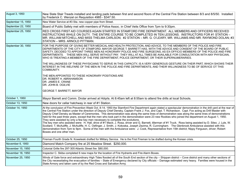| August 3, 1950     | New Slate Stair Treads installed and landing pads between first and second floors of the Central Fire Station between 8/3 and 8/5/50. Installed<br>by Frederick C. Wenzel on Requisition 4985 - \$347.50.                                                                                                                                                                                                                                                                                                                                                                                                                                                                                                                                                                                                                                                                                                                                                                                                                                                                                                                                                                                                                                    |
|--------------------|----------------------------------------------------------------------------------------------------------------------------------------------------------------------------------------------------------------------------------------------------------------------------------------------------------------------------------------------------------------------------------------------------------------------------------------------------------------------------------------------------------------------------------------------------------------------------------------------------------------------------------------------------------------------------------------------------------------------------------------------------------------------------------------------------------------------------------------------------------------------------------------------------------------------------------------------------------------------------------------------------------------------------------------------------------------------------------------------------------------------------------------------------------------------------------------------------------------------------------------------|
| September 15, 1950 | New Water Service at #3 Sta. new copper pipe from Street.                                                                                                                                                                                                                                                                                                                                                                                                                                                                                                                                                                                                                                                                                                                                                                                                                                                                                                                                                                                                                                                                                                                                                                                    |
| September 22, 1950 | Board of Public Safety met with members of Police Assoc. in Chief Veits Office from 7pm to 9:30pm.                                                                                                                                                                                                                                                                                                                                                                                                                                                                                                                                                                                                                                                                                                                                                                                                                                                                                                                                                                                                                                                                                                                                           |
| September 25, 1950 | RED CROSS FIRST AID COURSES AGAIN STARTED IN STAMFORD FIRE DEPARTMENT. ALL MEMBERS AND OFFICERS RECEIVED<br>INSTRUCTIONS WHILE ON DUTY. THE ENTIRE COURSE TO BE COMPLETED IN TEN LESSONS. INSTRUCTORS FOR #1 STATION -<br>MR. WILLIAM MITCHELL AND MISS THELMA CARLSON; #2 STATION - MR. G. O'LEARY, MR. WILLIAMS AND MR. RAYMOND DOLAN; #3<br>STATION - MRS. ARNOLD PITTMAN.                                                                                                                                                                                                                                                                                                                                                                                                                                                                                                                                                                                                                                                                                                                                                                                                                                                                |
| September 30, 1950 | FOR THE PURPOSE OF GIVING BETTER MEDICAL AND HEALTH PROTECTION, AND ADVICE, TO THE MEMBERS OF THE POLICE AND FIRE<br>DEPARTMENTS OF THE CITY OF STAMFORD, MAYOR GEORGE T. BARRETT HAS, WITH THE ADVICE AND CONSENT OF THE BOARD OF PUBLIC<br>SAFETY, DECIDED TO APPOINT THREE MEN AS HONORARY POLICE AND FIRE SURGEONS, AS EX-OFFICIO MEMBERS OF THE POLICE AND FIRE<br>DEPARTMENTS. THESE MEN WILL SERVE WITHOUT PAY. THEY WILL AT ALL TIMES BE AVAILABLE FOR CONSULTATION WITH ANY PHYSICIAN,<br>WHO IS TREATING A MEMBER OF THE FIRE DEPARTMENT, POLICE DEPARTMENT, OR THEIR SUPERNUMERARIES.<br>THE WILLINGNESS OF THESE PHYSICIANS TO SERVE IN THIS CAPACITY, IS A VERY GENEROUS GESTURE ON THEIR PART, WHICH SHOWS THEIR<br>INTEREST IN THE WELFARE OF THE MEN IN THE POLICE AND FIRE DEPARTMENTS, AND THEIR WILLINGNESS TO BE OF SERVICE OT THIS<br>COMMUNITY.                                                                                                                                                                                                                                                                                                                                                                        |
|                    | THE MEN APPOINTED TO THESE HONORARY POSITIONS ARE<br>DR. ROBERT H. ABRAHAMSON<br>DR. JAMES E. CRANE<br>DR. JOHN B. OGILVIE<br><b>GEORGE T. BARRETT, MAYOR</b>                                                                                                                                                                                                                                                                                                                                                                                                                                                                                                                                                                                                                                                                                                                                                                                                                                                                                                                                                                                                                                                                                |
| October 1, 1950    | Mayor Barrett and Comm. Drotar arrived at Hdqrts. At 8:45am left at 8:55am to attend fire drills at local Schools.                                                                                                                                                                                                                                                                                                                                                                                                                                                                                                                                                                                                                                                                                                                                                                                                                                                                                                                                                                                                                                                                                                                           |
| October 13, 1950   | New doors for cellar hatchway in rear of #1 Station.                                                                                                                                                                                                                                                                                                                                                                                                                                                                                                                                                                                                                                                                                                                                                                                                                                                                                                                                                                                                                                                                                                                                                                                         |
| October 14, 1950   | At the conclusion of Fire Prevention Week Oct. 8-14, 1950 the Stamford Fire Department again stated a spectacular demonstration in the drill yard at the rear of<br>the Central Fire Station under the direction of Deputy Chief Densky, Captain Frank J. Fox, and Capt. T. Richardson. Capt. Fox acting as Drill Master with<br>Deputy Chief Densky as Master of Ceremonies. This demonstration was along the same lines of demonstration was along the same lines of demonstrations<br>held for the past three years, except that the men who took part in the demonstration were 23 new Rookies who joined the department on August 1, 1950.<br>They were assisted by only a few key men necessary to complete the evolutions.<br>The key men who assisted were: H. Hall, drive of #1 Mack; J. Rosa, driver and G. Barnett, tillerman of #1 Truck. Ross being assisted by D. Sileo. J. Lyle, W.<br>Scollard. T. McAuliffe, J. McAuliffe, H. C. Oefinger, J. Smith, J. Kokoska, Joseph Zezima, R. Cunningham. The Glenbrook Ambulance assisted with this<br>demonstration from 7pm to 9pm. Some of the men with the Ambulance were: J. Cook, Representative from 15th district; Nippy Ferguson, driver; Robert<br>Bowes and one other man. |
| October 25, 1950   | Fireman Fourth Grade N. Koweleski drafted for Military Service. He is the First Fireman to be drafted during the Korean crisis.                                                                                                                                                                                                                                                                                                                                                                                                                                                                                                                                                                                                                                                                                                                                                                                                                                                                                                                                                                                                                                                                                                              |
| November 6, 1950   | Diamond Match Company fire at 25 Meadow Street. \$250,000.                                                                                                                                                                                                                                                                                                                                                                                                                                                                                                                                                                                                                                                                                                                                                                                                                                                                                                                                                                                                                                                                                                                                                                                   |
| November 15, 1950  | Colonial Grille fire 297-305 Atlantic Street fire \$80,000.                                                                                                                                                                                                                                                                                                                                                                                                                                                                                                                                                                                                                                                                                                                                                                                                                                                                                                                                                                                                                                                                                                                                                                                  |
| November 18, 1950  | Inspector C. Skiba completed 6 new maps for the location of Fire Hydrants and Fire Alarm Boxes.                                                                                                                                                                                                                                                                                                                                                                                                                                                                                                                                                                                                                                                                                                                                                                                                                                                                                                                                                                                                                                                                                                                                              |
| November 25, 1950  | Winds of Gale force and extraordinary High Tides flooded all of the South End section of the city - Shippan district - Cove district and many other sections of<br>the City necessitating the evacuation of families - State of Emergency declared by City officials - Damage estimated very heavy. Families were housed in the<br>State Armory and taken care of by the Red Cross and Salvation Army.                                                                                                                                                                                                                                                                                                                                                                                                                                                                                                                                                                                                                                                                                                                                                                                                                                       |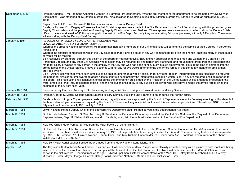| December 1, 1950  | Fireman Charles R. McRedmond Appointed Captain in Stamford Fire Department. Was the first member of the department to be promoted by Civil Service<br>Examination. Was stationed at #3 Station in group #1. Was assigned to Captains duties at #3 Station in group #3. Started to work as such at 6pm Dec. 2,<br>1950.                                                                                                                                                                                                                                                                                                                                                                                                                                                                                                                                                                                                                                                                                                                                                                                                                                                                                                                                                                                                                                                                                                                                                                                                                                                                                                                                                                                                                                                                                                                                       |
|-------------------|--------------------------------------------------------------------------------------------------------------------------------------------------------------------------------------------------------------------------------------------------------------------------------------------------------------------------------------------------------------------------------------------------------------------------------------------------------------------------------------------------------------------------------------------------------------------------------------------------------------------------------------------------------------------------------------------------------------------------------------------------------------------------------------------------------------------------------------------------------------------------------------------------------------------------------------------------------------------------------------------------------------------------------------------------------------------------------------------------------------------------------------------------------------------------------------------------------------------------------------------------------------------------------------------------------------------------------------------------------------------------------------------------------------------------------------------------------------------------------------------------------------------------------------------------------------------------------------------------------------------------------------------------------------------------------------------------------------------------------------------------------------------------------------------------------------------------------------------------------------|
|                   | Captain Frank J. Fox and Thomas F. Richardson sworn in provisional Deputy Chief<br>By Mayor Thomas F. J. Quigley - These are the first Provision appointments made in the Fire Department under Civil Ser. and along with this promotion goes<br>Deputy Chiefs salary and the priveledge of wearing Deputy Chiefs Uniform and Badges. These appointments were made in order to allow the Deputy Chiefs<br>office to have a work week of 56 Hours along with the rest of the Fire Dept. Formerly they were working 84 hours per week, with only 2 Deputies. These men<br>will work along with the Deputy Chief Densky.                                                                                                                                                                                                                                                                                                                                                                                                                                                                                                                                                                                                                                                                                                                                                                                                                                                                                                                                                                                                                                                                                                                                                                                                                                        |
| January 8, 1951   | RESOLUTION PASSED BY BOARD OF REPRESENTATIVES<br>LEAVE OF ABSENCE FOR MILITARY SERVICE<br>Whereas the present National Emergency will require that increasing numbers of our City employees will be entering the service of their Country in the Armed<br>Forces, and<br>Whereas no financial compensation which the City could reasonably provide could in any way compensate for even the financial sacrifice many of these public<br>servants will be making,<br>Be it Resolved by Stamford, through this action of the Board of Representatives, that, in token appreciation to these men and women, the Controller, the<br>Personnel Director, and any other City Officials whose action may be required, be and hereby are authorized and requested to grant, from the appropriations<br>made for salary or wages of any person in the employ of the City and who has been continuously in such employ for 90 days at the time of entrance into the<br>armed forces of the United States, a leave of absence with full pay for two weeks after entering the armed forces in addition to any right of re-employment<br>provided by law.<br>Be it Further Resolved that where such employees as paid on other than a weekly basis, or, for any other reason, interpretation of this resolution as required,<br>the personnel director be empowered to adopt rules to carry out substantially the intent of this resolution which rules, if any are required, shall be reported to<br>this board. This resolution shall continue in effect during the emergency proclaimed by the President of the United States unless amended or repealed; the<br>word "employee" shall include salaried officials; and the resolution shall apply to any qualified employee who shall have entered the armed forces since the<br>beginning of the current fiscal year. |
| January 16, 1951  | Supernumerary Fireman Anthony J. Devito starting working at #2 Sta. covering N. Kowaleski while in Military Service.                                                                                                                                                                                                                                                                                                                                                                                                                                                                                                                                                                                                                                                                                                                                                                                                                                                                                                                                                                                                                                                                                                                                                                                                                                                                                                                                                                                                                                                                                                                                                                                                                                                                                                                                         |
| January 18, 1951  | Fireman George S. Mattis, Second Grade Entered Military Service. He is the 2nd Fireman to enter during the Korean crisis.                                                                                                                                                                                                                                                                                                                                                                                                                                                                                                                                                                                                                                                                                                                                                                                                                                                                                                                                                                                                                                                                                                                                                                                                                                                                                                                                                                                                                                                                                                                                                                                                                                                                                                                                    |
| February 14, 1951 | Funds with which to give City employes a cost-of-living pay adjustment was approved by the Board of Representatives at its February meeting on this date, but<br>the board also adopted a resolution requesting the Board of Finance not levy a special tax to meet this and other appropriations. This allowed \$180, for each<br>City employe from January 1, 1951 to July 1, 1951.                                                                                                                                                                                                                                                                                                                                                                                                                                                                                                                                                                                                                                                                                                                                                                                                                                                                                                                                                                                                                                                                                                                                                                                                                                                                                                                                                                                                                                                                        |
| March 18, 1951    | Lewis Y. Krom, Retired Deputy Chief of the Stamford Fire Department died. He had served in the department for 36 years.                                                                                                                                                                                                                                                                                                                                                                                                                                                                                                                                                                                                                                                                                                                                                                                                                                                                                                                                                                                                                                                                                                                                                                                                                                                                                                                                                                                                                                                                                                                                                                                                                                                                                                                                      |
| March 19, 1951    | On this date between 8am and 9:09am Mr. Harry D. Weathers the Personnel Director appeared at the Central Fire Station at the Request of the Department<br>Representatives, Capt. H. Fisher, J. Gillespie and L. Sandella, to explain the reclassification set up in the Stamford Fire Department.                                                                                                                                                                                                                                                                                                                                                                                                                                                                                                                                                                                                                                                                                                                                                                                                                                                                                                                                                                                                                                                                                                                                                                                                                                                                                                                                                                                                                                                                                                                                                            |
| March 22, 1951    | New 750 Gallon Mack Pumper arrived from the Mack Factory at Long Island, N.Y.                                                                                                                                                                                                                                                                                                                                                                                                                                                                                                                                                                                                                                                                                                                                                                                                                                                                                                                                                                                                                                                                                                                                                                                                                                                                                                                                                                                                                                                                                                                                                                                                                                                                                                                                                                                |
| March 27, 1951    | On this date the use of the Recreation Room at the Central Fire Station for a field office for the Stamford Chapter Connecticut Heart Association Fund was<br>terminated. It had been used as such since January 15, 1951 with a private telephone being installed for this work. The work during that period was carried on<br>by: Mrs. E. R. Peterson, 129 Holmes Avenue, Darien, Conn., and Mrs. Richard Lindenfelder, 290 Sound View Ave., Stamford. The number of the phone<br>installed at Hdqts., was 3-9527                                                                                                                                                                                                                                                                                                                                                                                                                                                                                                                                                                                                                                                                                                                                                                                                                                                                                                                                                                                                                                                                                                                                                                                                                                                                                                                                          |
| March 30, 1951    | New 65 ft Mack Aerial Ladder Service Truck arrived from the Mack Factory, Long Island, N.Y.                                                                                                                                                                                                                                                                                                                                                                                                                                                                                                                                                                                                                                                                                                                                                                                                                                                                                                                                                                                                                                                                                                                                                                                                                                                                                                                                                                                                                                                                                                                                                                                                                                                                                                                                                                  |
| April 5, 1951     | The City's new 65-foot Mack Aerial Ladder Truck and 750 Gallon-per-minute Mack Pumper were officially accepted today with a picture of both machines being<br>taken in front of the Central Fire Station. The Pumper will be housed at the Central Station and the Truck will be housed at either #2 or #3 Station. Those<br>shown in the picture were: Reading from left to right: Edward Spellman, District Representative of the Mack Co., Safety Board Members Paul T. Osterby,<br>Michael J. Drotar, Mayor George T. Barrett, Safety Board Chairman Nathan E. Martin and Fire Chief Victor H. Veit.                                                                                                                                                                                                                                                                                                                                                                                                                                                                                                                                                                                                                                                                                                                                                                                                                                                                                                                                                                                                                                                                                                                                                                                                                                                     |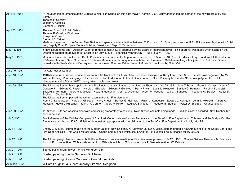| April 16, 1951 | At inauguration ceremonies at the Burdick Junior High School on this date Mayor Thomas F. J. Quigley announced the names of the new Board of Public<br>Safety:<br>Thomas P. Cassidy<br>Joseph A. Czescik<br>Clement S. Raiteri                                                                                                                                                                                                                                                                                                                                                                                                                                                                                                                                                                                                                                                                               |
|----------------|--------------------------------------------------------------------------------------------------------------------------------------------------------------------------------------------------------------------------------------------------------------------------------------------------------------------------------------------------------------------------------------------------------------------------------------------------------------------------------------------------------------------------------------------------------------------------------------------------------------------------------------------------------------------------------------------------------------------------------------------------------------------------------------------------------------------------------------------------------------------------------------------------------------|
| April 23, 1951 | The new Board of Public Safety:<br>Thomas P. Cassidy, Chairman<br>Joseph A. Czescik<br>Clement S. Raiteri<br>Made an inspection of the Central Fire Station and spent considerable time between 7:30pm and 10:15pm going over the 1951-52 fiscal year budget with Chief<br>Veit, Deputy Chief C. Speh, Deputy Chief W. Densky and Capt. T. Richardson.                                                                                                                                                                                                                                                                                                                                                                                                                                                                                                                                                       |
| May 14, 1951   | 5 New Lieutenants and 1 Assistant Clerk (Fireman James J. Lyle) approved by the Board of Representatives. This approval was made when acting on the<br>Operating Budget on above date. Effective on July 1, 1951. See fiscal year of July 1, 1951 to July 1, 1952.                                                                                                                                                                                                                                                                                                                                                                                                                                                                                                                                                                                                                                           |
| May 16, 1951   | Motion pictures taken of the Fire Dept., Personnel and equipment - Apparatus in action from 9:58am to 10:20am; #1 Mack - Engine and truck left quarters at<br>9:58am on test run, Ok in Quarters at 10:05am - Members in rear of quarters with life net, Fireman E. Callahan making a test jump from 3rd floor; Fireman<br>Kokoska with Chiefs Veit and Densky also demonstrated Scott Air Pak - Name of Movie Co. not know by Chief Veit.                                                                                                                                                                                                                                                                                                                                                                                                                                                                   |
| June 16, 1951  | Air Raid Test at 12:15pm                                                                                                                                                                                                                                                                                                                                                                                                                                                                                                                                                                                                                                                                                                                                                                                                                                                                                     |
| June 16, 1951  | 1916 American LaFrance Service Truck know s #3 Truck sold for \$175.00 to Theodore Hoisington of Kirby Lane, Rye, N.Y. The sale was negotiated by Mr.<br>William Heming, Purchasing Agent for the City of Stamford, Conn. Letter of Confirmation to Chief Veit may be found in "Purchasing Agent" file. It left<br>Headquarters at 9:50am 6/26/51 being driven by its new owner.                                                                                                                                                                                                                                                                                                                                                                                                                                                                                                                             |
| June 28, 1951  | The following firemen have applied for the Fire Lieutenant examination to be given on Thursday, June 28, 1951. John T. Baran - Frank L. Caruss - Henry C.<br>Dugdale Jr. - Edward C. Fester - Harold J. Gillespie - Edward J. Geldkopf - Harry F. Hall - Louis L. Hojnacki - Stanley G. Hojnacki - Ralph J. Kandetzki -<br>Edward J. Kerrigan - Albert W. Macsata - Howard Marschall - John J. O'Connor - Albert W. Petrone - Louis A. Sandella - Theodore M. Studley - Walter D.<br>Scollard - Charles Skiba.<br>The following fireman passed the written examination for Fire Lieutenant.<br>Henry C. Dugdale, Jr. - Harold J. Gillespie - Harry F. Hall - Stanley G. Hojnacki - Ralph J. Kandetzki - Edward J. Kerrigan - John J. Kokoska - Albert W.<br>Macsata - Howard Marschall - John J. O'Connor - Albert W. Petron - Louis A. Sandella - Theodore M. Studley - Walter D. Scollard - Charles Skiba. |
| June 30, 1951  | #1 Kitchen - Started washing side walls and ceiling preparatory to painting. New Kitchen cabinets being made. Old dish closet discarded. New Rubber Tile<br>floor to be laid.                                                                                                                                                                                                                                                                                                                                                                                                                                                                                                                                                                                                                                                                                                                                |
| July 5, 1951   | Frank Greaney of the Cadillac Company of Stamford, Conn., delivered a new Ambulance to the Stamford Fire Department. This was a Miller Body - Cadillac<br>Ambulance which cost \$6,801.97 left for demonstrating purposes with no obligation to the Stamford Fire Department until July 16, 1951.                                                                                                                                                                                                                                                                                                                                                                                                                                                                                                                                                                                                            |
| July 14, 1951  | Christy C. Mavris, Representative of the Meteor Sales of New England, 77 Summer St., Lynn, Mass., demonstrated a new Ambulance to the Safety Board and<br>Fire Dept. Officials. This was a Meteor Body - Cadillac Ambulance which cost \$7,481.00 list but could be purchased for \$6,900.00                                                                                                                                                                                                                                                                                                                                                                                                                                                                                                                                                                                                                 |
| July 17, 1951  | The following eight firemen passed both the written and oral examination for Fire Lieutenant given on July 17, 11951. Charles Skiba - Theodore M. Studley -<br>John J. Kokoska – Albert W. Macsata – Harold J. Gillespie – John J. O'Connor – Louis A. Sandella – Albert W. Petrone.                                                                                                                                                                                                                                                                                                                                                                                                                                                                                                                                                                                                                         |
| July 21, 1951  | Started painting Drill Tower - White with green trim.                                                                                                                                                                                                                                                                                                                                                                                                                                                                                                                                                                                                                                                                                                                                                                                                                                                        |
| July 21, 1951  | Started painting Shed - Same as Drill Tower                                                                                                                                                                                                                                                                                                                                                                                                                                                                                                                                                                                                                                                                                                                                                                                                                                                                  |
| July 31, 1951  | Started painting Doors & Window of Central Fire Station.                                                                                                                                                                                                                                                                                                                                                                                                                                                                                                                                                                                                                                                                                                                                                                                                                                                     |
| August 2, 1951 | William Loughlin, a Supernumerary Fireman, Resigned.                                                                                                                                                                                                                                                                                                                                                                                                                                                                                                                                                                                                                                                                                                                                                                                                                                                         |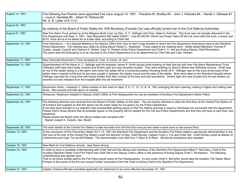| August 14, 1951    | The following five Firemen were appointed Fire Lieut. August 14, 1951. Theodore M. Studley #3 - John J. Kokoska #4 - Harold J. Gillespie #1<br>- Louis A. Sandella #5 - Albert W. Petrone #2.<br>Re: S. B. Letter of 8-11-51.                                                                                                                                                                                                                                                                                                                                                                                                                                                                                                                                                                                                                                                                       |
|--------------------|-----------------------------------------------------------------------------------------------------------------------------------------------------------------------------------------------------------------------------------------------------------------------------------------------------------------------------------------------------------------------------------------------------------------------------------------------------------------------------------------------------------------------------------------------------------------------------------------------------------------------------------------------------------------------------------------------------------------------------------------------------------------------------------------------------------------------------------------------------------------------------------------------------|
| August 24, 1951    | By authority of the Board of Public Safety the 1930 Brockway (Foamite Car) was officially turned over to the Civil Defence Authorities.                                                                                                                                                                                                                                                                                                                                                                                                                                                                                                                                                                                                                                                                                                                                                             |
| August 27, 1951    | New Fire Alarm Truck picked up at the Allegany Body Corp. by Elec. H. C. Oefinger and Chev. Sales A. Kotches. This truck was not actually delivered to the<br>Fire Department until Sept. 4, 1951. See Requisition 852 dated 3/29/51. Cost \$3,340.00 Winch and Power-Take-Off did not come with this truck, it would cost<br>\$319. more and is to be asked for at a later date, according to Chief Veit.                                                                                                                                                                                                                                                                                                                                                                                                                                                                                          |
| September 10, 1951 | Ford Ambulance --- At a Special Meeting in the Mayors Office from 2pm to 4pm it was decided to return the Fire Department Ambulance back to the Stamford<br>Police Department. The meeting was called by Acting Mayor Robert C. Shepherd. Those called to the meeting were: Safety Board Members Thomas P.<br>Casidy, Joseph Czyscik and Clement A. Raiteri, Capt. H. Herbert of the Police Department and Chief V. H. Veit and Acting Deputy Chief Richardson.<br>The exact date the Ambulance is to be returned to the Police Department is to be determined by Chief Veit and Capt. Herbert.                                                                                                                                                                                                                                                                                                     |
| September 11, 1951 | New Chevrolet Electrician's Truck accepted at 11am. In Comm. at 1pm.                                                                                                                                                                                                                                                                                                                                                                                                                                                                                                                                                                                                                                                                                                                                                                                                                                |
| September 12, 1951 | Superintendent of Fire Alarm H. C. Oefinger and his Assistant James P. Smith injured while working on their first job with new Fire Alarm Maintenance Truck.<br>Oefingers both beet were badly crushed and Smiths right arm was severely bruised. They were working on Spruce Street near Stillwater Avenue. Smith was<br>on top of the ladder tyeing in a fire alarm wire when the ladder fell to a horizontal position throwing Smith off it. Oefinger was on the truck at the base of the<br>ladder when it started to fall and his fee were caught in between the ladder mount and the step of the ladder. Both were taken to the Stamford Hospital where<br>Oefinger was kept for a long time with bones broken both feet crushed at the toes and bad lacerations. Smiths right arm was bruised and he was shaken up<br>severely but was released from the hospital after first aid treatment. |
| September 17, 1951 | Electricians Shed - Inspector C. Skiba worked on this shed on Sept. 5, 6, 11, 12, 13, & 14, 1951 enlarging the door opening, making it higher and making new<br>doors. Also poured concrete apron on outside.                                                                                                                                                                                                                                                                                                                                                                                                                                                                                                                                                                                                                                                                                       |
| September 20, 1951 | Temporary Telephone installed in Deputy Chief's Office at Fire Headquarters for use by members of Auxiliary Fire Department Harbor Patrol.                                                                                                                                                                                                                                                                                                                                                                                                                                                                                                                                                                                                                                                                                                                                                          |
| September 24, 1951 | The following directive was received from the Board of Public Safety on this date: "You are hereby directed to clear the third floor at the Central Fire Station of<br>all furniture and supplies so that this space can be made ready for occupancy by the Police Department.<br>It has also been brought to our attention that considerable parking space on the Fire Station grounds is used by individuals not connected with the department.<br>Please inform those owners that all available space on the property will be needed for the Fire and Police Departments and that they will have to park their cars<br>elsewhere.<br>Please advise the Board when the above matters are complied with."<br>Signed Joseph A. Czescik, Sec. Board                                                                                                                                                  |
| September 26, 1951 | The work started at the Central Fire Station to take the beds from the third floor and put two beds in each room on the second floor.                                                                                                                                                                                                                                                                                                                                                                                                                                                                                                                                                                                                                                                                                                                                                               |
| October 12, 1951   | At the conclusion of Fire Prevention Week Oct 7-13, 1951 the Stamford Fire Department and the Auxiliary Fire Patrol stated a spectacular demonstration in the<br>drill yard at the rear of the Central Fire Station under the direction of Dep. Chief Densky, Captain Frank J. Fox and Chief Veit. Chief Densky acted as Master of<br>Ceremonies and Capt. Fox as Drill Master. The demonstration was held from 7:30pm to 8:30pm. Glenbrook ambulance also assisted.                                                                                                                                                                                                                                                                                                                                                                                                                                |
| October 16, 1951   | New Mark for Civil Defence arrived. Jack Davis driving                                                                                                                                                                                                                                                                                                                                                                                                                                                                                                                                                                                                                                                                                                                                                                                                                                              |
| October 23, 1951   | In order to have a complete understanding with Chief Veit and the officers and members of the Stamford Fire Department Alfred F. McCarthy, Chief of the<br>Auxiliary Stamford Water Front Fire Patrol met Chief Veit in the Deputy Chief s office in the presence of Acting Deputy Chief T. Richardson. The following<br>understanding was agreed upon:<br>That on all future double alarms the Fire Patrol would report at Fire Headquarters. A crew under Chief A. McCarthy would take the Auxiliary 750 Gallon Mack<br>Pumper to the scene of the fire and receive further instructions form the Chief or Acting Chief of the Stamford Fire Department.                                                                                                                                                                                                                                          |
| October 31, 1951   | Captain Clarence Brooks submitted application for retirement to be come effective November 16, 1951.                                                                                                                                                                                                                                                                                                                                                                                                                                                                                                                                                                                                                                                                                                                                                                                                |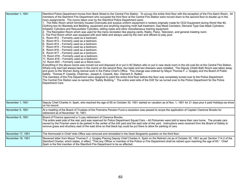| November 1, 1951  | Stamford Police Department moves from Bank Street to the Central Fire Station. To occupy the entire third floor with the exception of the Fire Alarm Room. All<br>members of the Stamford Fire Department who occupied the third floor at the Central Fire Station were moved down to the second floor to double up in the<br>room assignments. The rooms taken over by the Stamford Police Department were:<br>1. The Relic Room which formerly housed Overcoats and surplus uniform equipment in lockers originally made for OCD Equipment during World War #2,<br>Clothing box for Blankets and Bedding, equipment and anything requiring moth ball treatment, Gas Mask Canisters, Demand Type Gas Mask Cylinders,<br>Inhalator Cylinders and Resuscitator Cylinders, sliding ropes and other miscellaneous training equipment.<br>2. The Recreation Room which was used for the mens recreation like playing cards, Radio, Piano, Television, and general meeting room.<br>3. The Pool Room which was equipped with pool table and always used by the men and officers to play pool.<br>4. Room #12 - Formerly used as a bedroom.<br>5. Room #13 - Formerly used as a bedroom.<br>6. Room $#14$ – Formerly used as a bedroom.<br>7. Room #15 - Formerly used as a bedroom.<br>8. Room #16 - Formerly used as a bedroom.<br>9. Room #17 - Formerly used as a bedroom.<br>10. Room #18 - Formerly used as a bedroom.<br>11. Room #19 - Formerly used as a bedroom.<br>12. Room #20 - Formerly used as a Store-room.<br>Everything in the above rooms was moved out and disposed of or put in #3 Station attic or put in new stock room in the old coal bin at the Central Fire Station.<br>Where only bed had always been in the rooms on the second floor, two beds and two dressers were installed. The Deputy Chiefs Bath Room was taken away<br>and given to the Women doing clerical work in the Police Chief's Office. This change was ordered by Mayor Thomas F. J. Quigley and the Board of Public<br>Safety: Thomas P. Cassidy, Chairman, Joseph A. Czescik, Sec. Clement S. Raiteri.<br>The members of the Fire Department were assigned to paint the entire third floor before this floor was completely turned over to the Police Department.<br>The Central Fire Station was re-named the "Safety Building." The entire west side of the Drill Yar ws turned over to the Police Department for the Police<br>Department Cars. |
|-------------------|----------------------------------------------------------------------------------------------------------------------------------------------------------------------------------------------------------------------------------------------------------------------------------------------------------------------------------------------------------------------------------------------------------------------------------------------------------------------------------------------------------------------------------------------------------------------------------------------------------------------------------------------------------------------------------------------------------------------------------------------------------------------------------------------------------------------------------------------------------------------------------------------------------------------------------------------------------------------------------------------------------------------------------------------------------------------------------------------------------------------------------------------------------------------------------------------------------------------------------------------------------------------------------------------------------------------------------------------------------------------------------------------------------------------------------------------------------------------------------------------------------------------------------------------------------------------------------------------------------------------------------------------------------------------------------------------------------------------------------------------------------------------------------------------------------------------------------------------------------------------------------------------------------------------------------------------------------------------------------------------------------------------------------------------------------------------------------------------------------------------------------------------------------------------------------------------------------------------------------------------------------------------------------------------------------------------------------------------------------------------------------------------------------------------------------------------|
| November 1, 1951  | Deputy Chief Charles H. Speh, who reached the age of 65 on October 30, 1951 started on vacation as of Nov. 1, 1951 for 21 days plus 4 paid Holidays as show<br>on his record.                                                                                                                                                                                                                                                                                                                                                                                                                                                                                                                                                                                                                                                                                                                                                                                                                                                                                                                                                                                                                                                                                                                                                                                                                                                                                                                                                                                                                                                                                                                                                                                                                                                                                                                                                                                                                                                                                                                                                                                                                                                                                                                                                                                                                                                                |
| November 5, 1951  | At a meeting of the Board of Trustees of the Firemens Pension Fund a resolution was passed to accpe the application of Captain Clarence Brooks for<br>retirement as of November 16, 1951.                                                                                                                                                                                                                                                                                                                                                                                                                                                                                                                                                                                                                                                                                                                                                                                                                                                                                                                                                                                                                                                                                                                                                                                                                                                                                                                                                                                                                                                                                                                                                                                                                                                                                                                                                                                                                                                                                                                                                                                                                                                                                                                                                                                                                                                    |
| November 9, 1951  | Board of Finance approved a 1/2 pay retirement of Clarence Brooks.<br>The entire west side of the rear yard was reserved for Police Department Squad Cars - All Policemen were told to leave their cars home. The private cars<br>owned by the Firemen were to be parked in the center of the drill yard and the east side of the yard. Instructions were received from the Board of Safety to<br>remove grass and shurbery east of the east drive so that black top could be put there to allow for parking of cars.                                                                                                                                                                                                                                                                                                                                                                                                                                                                                                                                                                                                                                                                                                                                                                                                                                                                                                                                                                                                                                                                                                                                                                                                                                                                                                                                                                                                                                                                                                                                                                                                                                                                                                                                                                                                                                                                                                                        |
| November 17, 1951 | The thermostat in Chief Veits Office was removed and reinstalled in the Desk Sergeants quarters on the third floor.                                                                                                                                                                                                                                                                                                                                                                                                                                                                                                                                                                                                                                                                                                                                                                                                                                                                                                                                                                                                                                                                                                                                                                                                                                                                                                                                                                                                                                                                                                                                                                                                                                                                                                                                                                                                                                                                                                                                                                                                                                                                                                                                                                                                                                                                                                                          |
| November 19, 1951 | Received letter from Mayor Thomas F. J. Quigley Placing Deputy Chief Charles H. Speh on the Retired List as of October 30, 1951 as per Section 714.2 of the<br>Stamford Charter, which states, in effect, "That any Officer or member of the Police or Fire Department shall be retired upon reaching the age of 65." Chief<br>Speh is the first member of the Stamford Fire Department to be so effected.                                                                                                                                                                                                                                                                                                                                                                                                                                                                                                                                                                                                                                                                                                                                                                                                                                                                                                                                                                                                                                                                                                                                                                                                                                                                                                                                                                                                                                                                                                                                                                                                                                                                                                                                                                                                                                                                                                                                                                                                                                   |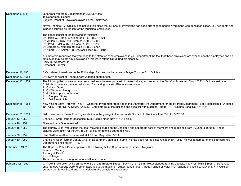| December 5, 1951  | Letter received from Department of Civil Services:<br>To Department Heads:<br>Subject: Panel of Physicians available for Employees.<br>Mayor Thomas F. J. Quigley has notified this office that a Panel of Physicians has been arranged to handle Workmens Compensation cases, i.e., accidents and<br>injuries occurring on the job for the municipal employees.<br>The panel consist of the following physicians:<br>Dr. Ralph W. Crane, 50 Glenbrook Rd. - Tel. 3-4321<br>Dr. William D. Trgy, 758 Summer St. Tel. 3-3400<br>Dr. David P. McGourty, 95 Hope St. Tel. 3-8619<br>Dr. Bernard C. Nemotin, 96 Main St. Tel. 3-6767<br>Dr. Albert P. C. Kezel, 188 Greyrock Place Tel. 3-0108<br>It is therefore requested that you bring to the attention of all employees in your department the fact that these physicians are available to the employees and an<br>employee may select any physician on this list to attend him during his disability.<br>Harry D. Weathers, Jr.<br>Personnel Director |
|-------------------|---------------------------------------------------------------------------------------------------------------------------------------------------------------------------------------------------------------------------------------------------------------------------------------------------------------------------------------------------------------------------------------------------------------------------------------------------------------------------------------------------------------------------------------------------------------------------------------------------------------------------------------------------------------------------------------------------------------------------------------------------------------------------------------------------------------------------------------------------------------------------------------------------------------------------------------------------------------------------------------------------------|
| December 11, 1951 | Safe ordered turned over to the Police dept. for their use by orders of Mayor Thomas F. J. Quigley.                                                                                                                                                                                                                                                                                                                                                                                                                                                                                                                                                                                                                                                                                                                                                                                                                                                                                                     |
| December 12, 1951 | Driveway on west of Headquarters widened about 5 feet.                                                                                                                                                                                                                                                                                                                                                                                                                                                                                                                                                                                                                                                                                                                                                                                                                                                                                                                                                  |
| December 13, 1951 | The following Relics were ordered removed from the rear yar, east of the east drive, and set up at the Stamford Museum. Mayor T. F. J. Quigley instructed<br>Chief Veit to remove them to make room for parking spaces. Pieces moved were:<br>1. Old Iron Gate.<br>2. Old Watering Trough, Iron.<br>3. 4 Hitching posts for horses.<br>4. 1 Stepping Stone.<br>5. 1 Old Street Light.                                                                                                                                                                                                                                                                                                                                                                                                                                                                                                                                                                                                                   |
| December 15, 1951 | New Maxim Snow Thrower - 4.6 HP Gasoline driven motor received in the Stamford Fire Department for the Hydrant Department. See Requisition 4104 dated<br>10/14/51. Order No. A-12326. \$427.50 Complete list of instructions and price list with Machine. Model 319 - Engine Serial No. 1743171                                                                                                                                                                                                                                                                                                                                                                                                                                                                                                                                                                                                                                                                                                         |
| December 26, 1951 | Old Horse drawn Steam Fire Engine station in the garage in the rear of #2 Sta. sold to Rubino's Junk Yard for \$325.00                                                                                                                                                                                                                                                                                                                                                                                                                                                                                                                                                                                                                                                                                                                                                                                                                                                                                  |
| January 13, 1952  | Charles B. Krom, former Mechanical Sup. Retired since Nov. 1, 1944 died.                                                                                                                                                                                                                                                                                                                                                                                                                                                                                                                                                                                                                                                                                                                                                                                                                                                                                                                                |
| January 16, 1952  | Fireman Harry Goettel retired.                                                                                                                                                                                                                                                                                                                                                                                                                                                                                                                                                                                                                                                                                                                                                                                                                                                                                                                                                                          |
| January 18, 1952  | The Murphy Lillis Productions Inc. took moving pictures on the 2nd floor, and apparatus floor of members and machines from 8:30am to 4:30pm. These<br>pictures were taken for the Am. Tel. & Tel. co. for defense on Atomic War.                                                                                                                                                                                                                                                                                                                                                                                                                                                                                                                                                                                                                                                                                                                                                                        |
| January 30, 1952  | New Cadillac - Miller Body arrived at 4:05pm. Requisition 3014                                                                                                                                                                                                                                                                                                                                                                                                                                                                                                                                                                                                                                                                                                                                                                                                                                                                                                                                          |
| January 30, 1952  | Charles H. Speh, former Deputy Chief of Department, died at 11:50pm He had been retired since October 30, 1951. He was a member of the Stamford Fire<br>Department since March 1, 1907.                                                                                                                                                                                                                                                                                                                                                                                                                                                                                                                                                                                                                                                                                                                                                                                                                 |
| February 6, 1952  | The Board of Public Safety appointed the following Active Supernumerary Firemen Regulars.<br>James H. Moriarty<br>Anthony J. DeVito<br>John J. Hogan<br>These men were covering for men in Military Service                                                                                                                                                                                                                                                                                                                                                                                                                                                                                                                                                                                                                                                                                                                                                                                             |
| February 12, 1952 | #3 Truck Broke down while en route to fire at 269 Bedford Street - Box 44 at 9:15 pm. Motor stopped running opposite #42 West Main Street. J. Donahue,<br>driver and A. Roberts were Firemen assigned to the machine. Water found in gas. About 1 gallon of water in 27 gallons of gasoline. Mayor T. F. J. Quigley<br>ordered the Safety Board and Chief Veit to make complete investigation.                                                                                                                                                                                                                                                                                                                                                                                                                                                                                                                                                                                                          |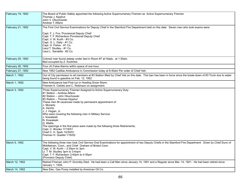| February 19, 1952 | The Board of Public Safety appointed the following Active Supernumerary Firemen as Active Supernumerary Firemen<br>Thomas J. Kipphut<br>John V. Obuchowski<br>Andrew T. Alfano                                                                                                                                                                                                                                                                                                                                                                                  |
|-------------------|-----------------------------------------------------------------------------------------------------------------------------------------------------------------------------------------------------------------------------------------------------------------------------------------------------------------------------------------------------------------------------------------------------------------------------------------------------------------------------------------------------------------------------------------------------------------|
| February 21, 1952 | The First Civil Service Examinations for Deputy Chief in the Stamford Fire Department held on this date. Seven men who took exams were:<br>Capt. F. J. Fox, Provisional Deputy Chief<br>Capt. T. F. Richardson Provisional Deputy Chief<br>Capt. V. W. Kurth - #3 Co.<br>Capt. G. L. Daily - #1 Co.<br>Capt. H. Fisher - #1 Co.<br>Lieut T. Studley - #1 Co.<br>Lieut L. Sandella - #2 Co.                                                                                                                                                                      |
| February 25, 1952 | Colored man found asleep under bed in Room #7 at Hdqts., at 1:30am.<br>Bed occupied by Z. Kozlinksi.                                                                                                                                                                                                                                                                                                                                                                                                                                                            |
| February 26, 1952 | Four (4) False Alarms within space of one hour.                                                                                                                                                                                                                                                                                                                                                                                                                                                                                                                 |
| February 27, 1952 | New 1952 Cadillac Ambulance in Commission today at 8:40am Per order of Chief Veit.                                                                                                                                                                                                                                                                                                                                                                                                                                                                              |
| March 1, 1952     | Out of City permission to all members at #3 Station lifted by Chief Veit on this date. This ban has been in force since the break-down of #3 Truck due to water<br>being found in gasoline on Feb. 12, 1952.                                                                                                                                                                                                                                                                                                                                                    |
| March 1, 1952     | New Ambulance had First run in Howling Snow Storm.<br>Firemen A. Celotto and C. Robinson on assignment.                                                                                                                                                                                                                                                                                                                                                                                                                                                         |
| March 3, 1952     | Three Supernumerary Firemen Assigned to Active Supernumerary Duty:<br>#1 Station - Andrew Alfano<br>#2 Station - John Obuchowski<br>#3 Station - Thomas Kipphut<br>These men fill vacancies made by permanent appointment of:<br>J. Moriarty<br>A. DeVito<br>J. J. Hogan, Jr.<br>Who were covering the following men in Military Service:<br>J. Kowaleski<br>N. Kowaleski<br>G. Mattis.<br>The openings in the first place were made by the following three Retirements;<br>Capt. C. Brooks 11/19/51<br>Chief C. H. Speh 10/30/51<br>Fireman H. Goettel 1/16/52 |
| March 5, 1952     | The following three men took Civil Service Oral Examinations for appointment of two Deputy Chiefs in the Stamford Fire Department: Given by Chief Dunn of<br>Middletown, Conn., and Chief Graham of Bristol Conn.<br>Capt. V. W. Kurth - 2:30pm to 3pm<br>Lt. T. M. Studley 3pm to 3:4opm<br>Capt. T. F. Richardson 3:40pm to 4:35pm<br>(Provision Deputy Chief)                                                                                                                                                                                                |
| March 12, 1952    | Retired Fireman John P. Grumbly Died. He had been a Call Man since January 14, 1901 and a Regular since Mar. 14, 1921. He had been retired since<br>January 1, 1935.                                                                                                                                                                                                                                                                                                                                                                                            |
| March 14, 1952    | New Elec. Gas Pump installed by American Oil Co.                                                                                                                                                                                                                                                                                                                                                                                                                                                                                                                |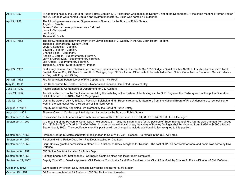| April 1, 1952      | At a meeting held by the Board of Public Safety, Captain T. F. Richardson was appointed Deputy Chief of the Department. At the same meeting Fireman Foster<br>and Lt. Sandella were named Captain and Hydrant Inspector C. Skiba was named a Lieutenant.                                                                                                                                                                                                    |
|--------------------|-------------------------------------------------------------------------------------------------------------------------------------------------------------------------------------------------------------------------------------------------------------------------------------------------------------------------------------------------------------------------------------------------------------------------------------------------------------|
| April 3, 1952      | The following men were named Supernumerary Fireman by the Board of Public Safety.<br>Angelo J. Carella<br>James F. Gorman --- Appointment was Refused<br>Larry J. Chrostowski<br>Leo Arecco<br>Thomas G. Smith                                                                                                                                                                                                                                              |
| April 10, 1952     | The following named men were sworn in by Mayor Thomas F. J. Quigley in the City Court Room: at 4pm.<br>Thomas F. Richardson - Deputy Chief.<br>Louis A. Sandella - Captain.<br>Edward C. Foster - Captain.<br>Charles Skiba - Lieutenant.<br>Angelo J. Carella - Supernumerary Fireman.<br>Larry J. Chrostowski - Supernumerary Fireman.<br>Leo Arecco - Supernumerary Fireman.<br>Thomas G. Smith - Supernumerary Fireman.                                 |
| April 24, 1952     | First 2 way General Elec. FM Radio receiver and transmitter installed in the Chiefs Car 1950 Dodge - Serial Number N-5391. Installed by Charles Ruby of<br>Fairfield Marine Co., 433 Main St. and H. C. Oefinger, Supt. Of Fire Alarm. Other units to be installed in Dep. Chiefs Car - Amb. - Fire Alarm Car - #1 Mack -<br>#1 Eng. - #2 Eng. and #3 Eng.                                                                                                  |
| April 28, 1952     | Fire Underwriters began survey of Fire Department - Mr. Peck                                                                                                                                                                                                                                                                                                                                                                                                |
| May 22, 1952       | Fire Underwriters Mr. Peck - Bicheck - Roberts and Johnson Completed Survey of City.                                                                                                                                                                                                                                                                                                                                                                        |
| June 13, 1952      | Payroll signed by All Members of Department for City Auditors.                                                                                                                                                                                                                                                                                                                                                                                              |
| June 19, 1952      | Aerial installed on roof by Electricians completing the installing of the System. After testing etc. by G. E. Engineer the Radio system will be put in Operation.<br>Call Letters are KCC 349 - 154.13 Megacycles                                                                                                                                                                                                                                           |
| July 12, 1952      | During the week of July 7, 1952 Mr. Peck, Mr. Beichek and Mr. Roberts returned to Stamford from the National Board of Fire Underwriters to recheck some<br>work in the connection with their survey of Stamford, Conn.                                                                                                                                                                                                                                      |
| August 14, 1952    | Deputy Chief Densky Appointed Fire Marshal by the Board of Public Safety.                                                                                                                                                                                                                                                                                                                                                                                   |
| August 14, 1952    | Fireman Owen J. Carrier appointed Hydrant Inspector by the Board of Public Safety.                                                                                                                                                                                                                                                                                                                                                                          |
| September 1, 1952  | Reclassified by Civil Service Comm with an increase of \$210.00 per year. From \$4,680.00 to \$4,890.00. H. C. Oefinger                                                                                                                                                                                                                                                                                                                                     |
| September 3, 1952  | At a meeting of the Personnel Commission held on Aug. 21, 1952, the salary grade for the position of Superintendent of Fire Alarms was changed from Grade<br>13 - (\$3849-4680) to Grad 14 *\$4050-4890). In accordance with this change, the salary of Hawley Oefinger shall be changed from \$4680 to \$4890 effective<br>September 1, 1952. The specifications for this position will be changed to include additional duties assigned to this position. |
| September 4, 1952  | Fireman George S. Mattis sent letter of resignation to Chief V. H. Veit - Reason - to remain in the U.S. Air Force.                                                                                                                                                                                                                                                                                                                                         |
| September 5, 1952  | Partition dividing Police Dept. from Fire Dept. installed on 2nd floor.                                                                                                                                                                                                                                                                                                                                                                                     |
| September 7, 1952  | Lieut. Studley granted permission to attend FCDA School at Olney, Maryland for Rescue. The cost of \$28.50 per week for room and board was borne by Civil<br>Defence.                                                                                                                                                                                                                                                                                       |
| September 8, 1952  | 550 Gallon Gas tank installed for Police Dept.                                                                                                                                                                                                                                                                                                                                                                                                              |
| September 9, 1952  | Painting began in #3 Station today. Ceilings in Captains office and locker room completed.                                                                                                                                                                                                                                                                                                                                                                  |
| September 22, 1952 | Deputy Chief W. J. Densky appointed Civil Defense Coordinator for all Fire Services in the City of Stamford, by Charles A. Price - Director of Civil Defense.                                                                                                                                                                                                                                                                                               |
| October 6, 1952    | Work started by Vincent Daily installing New Boiler and Burner at #3 Station                                                                                                                                                                                                                                                                                                                                                                                |
| October 15, 1952   | Oil Burner completed at #3 Station - 1000 Gal Tank - Heat turned on.                                                                                                                                                                                                                                                                                                                                                                                        |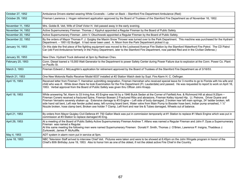| October 27, 1952  | Ambulance Drivers started wearing White Coveralls - Letter on Back - Stamford Fire Department Ambulance (Red)                                                                                                                                                                                                                                                                                                                                                                                                                                                                                                                                                                                                                                                         |
|-------------------|-----------------------------------------------------------------------------------------------------------------------------------------------------------------------------------------------------------------------------------------------------------------------------------------------------------------------------------------------------------------------------------------------------------------------------------------------------------------------------------------------------------------------------------------------------------------------------------------------------------------------------------------------------------------------------------------------------------------------------------------------------------------------|
| October 29, 1952  | Fireman Lawrence J. Hogan retirement application approved by the Board of Trustees of the Stamford Fire Department as of November 16, 1952.                                                                                                                                                                                                                                                                                                                                                                                                                                                                                                                                                                                                                           |
| November 11, 1952 | Mrs. Goldie B. Veit, Wife of Chief Victor H. Veit passed away in the early evening.                                                                                                                                                                                                                                                                                                                                                                                                                                                                                                                                                                                                                                                                                   |
| November 14, 1952 | Active Supernumerary Fireman Thomas J. Kipphut appointed a Regular Fireman by the Board of Public Safety.                                                                                                                                                                                                                                                                                                                                                                                                                                                                                                                                                                                                                                                             |
| November 20, 1952 | Active Supernumerary Fireman John V. Obuchowski appointed a Regular Fireman by the Board of Public Safety.                                                                                                                                                                                                                                                                                                                                                                                                                                                                                                                                                                                                                                                            |
| December 22, 1952 | By the orders of Mayor Thomas F. J. Quigley the Maxim Snow Thrower was turned over to the Park Department. This machine was purchased for the Hydrant<br>Department. - 1951-52 Budget. It had never been used. A. Moon from the Park Department picked it up.                                                                                                                                                                                                                                                                                                                                                                                                                                                                                                         |
| January 14, 1953  | On this date the first piece of fire fighting equipment was moved to the Lockwood Avenue Fire Station by the Stamford Waterfront Fire Patrol. The CD Patrol<br>Car (old Ford Ambulance formerly in the Policy Department, later to the Stamford Fire Department, now painted Red and in the Civilian Defense.)                                                                                                                                                                                                                                                                                                                                                                                                                                                        |
| January 30, 1953  | New Chev. Hydrant Truck delivered at 3pm by Redman Chev.                                                                                                                                                                                                                                                                                                                                                                                                                                                                                                                                                                                                                                                                                                              |
| February 20, 1953 | Conn. Diesel loaned a 15,000 Watt Generator to the Department to power Safety Center during Power Failure due to explosion at the Conn. Power Co. Plant<br>on Pacific St.                                                                                                                                                                                                                                                                                                                                                                                                                                                                                                                                                                                             |
| March 2, 1953     | Fireman Edward J. McLaughlin's application for retirement approved by the Board of Trustees of the Stamford Fire Department as of 3/16/53.                                                                                                                                                                                                                                                                                                                                                                                                                                                                                                                                                                                                                            |
| March 21, 1953    | One New Motorola Radio Receiver Model 6037 installed at #2 Station Watch desk by Supt. Fire Alarm H. C. Oefinger.                                                                                                                                                                                                                                                                                                                                                                                                                                                                                                                                                                                                                                                     |
| April 15, 1953    | Received letter from Fireman T. Hanrahan submitting resignation. Fireman Hanrahan who received special leave for 3 months to go to Florida with his wife and<br>child who was ill. While down there he took Examination for the Fire Department (Ft. Lauderdale) and passed. He was requested to report to work on April 16,<br>1953. Verbal approval from the Board of Public Safety was given thru Officer John Knapp.                                                                                                                                                                                                                                                                                                                                              |
| April 18, 1953    | While answering Tel. Alarm to 33 Irving Ave. #3 Engine was hit by a 1946 Buick Sedan at the Corner of Fairfield Ave. & Richmond Hill at about 9:20pm -<br>Fireman Coners received a fractured Spine, Fireman Boesen 2 Fractured Ribs and abrasions, Fireman Kelley injured Hip. Lt. Petrone, Driver Duane and<br>Fireman Verrastro severely shaken up. Extensive damage to #3 Engine - Left side of body damaged, 2 broken rear left main springs, 24' ladder broken, left<br>side hand rail bent, Left rear fender pulled away, left running board bent, Water valve from Main Pump to Booster hose bent, Indian pump smashed, 1 1/2"<br>Nozzle broken, hose clamp bent, Broken axe holder 7 Clamp, Left front and rear tire & Tubes damaged, Wheels out of balance. |
| April 21, 1953    | By orders from Mayor Quigley Civil Defence #1 750 Gallon Mack was put in commission temporarily at #1 Station to replace #1 Mack Engine which was put in<br>commission at #3 Station to replace damaged #3 Eng.                                                                                                                                                                                                                                                                                                                                                                                                                                                                                                                                                       |
| April 29, 1953    | At a meeting of the Board of Public Safety Active Supernumerary Fireman Andrew T. Alfano was named a Regular Fireman and John F. Dyas a Supernumerary<br>Fireman was named a Regular.<br>At this same meeting the following men were named Supernumerary Firemen: Donald F. Smith, Thomas J. O'Brien, Lawrence P. Insigna, Thaddeus J.<br>Zurkowski, James P. McAuliffe.                                                                                                                                                                                                                                                                                                                                                                                              |
| May 4, 1953       | ADT system in alarm room put in service at 5pm.                                                                                                                                                                                                                                                                                                                                                                                                                                                                                                                                                                                                                                                                                                                       |
| June 18, 1953     | NBC Television Staff arrived to interview Chief Veit. Pictures were taken and were to be showed at 6:45pm on the John Wingate program in honor of the<br>Chief's 80th Birthday June 19, 1953. Also to honor him as one of the oldest, if not the oldest active Fire Chief in the Country.                                                                                                                                                                                                                                                                                                                                                                                                                                                                             |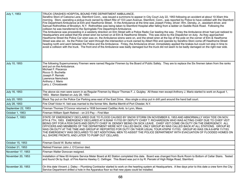| July 1, 1953       | TRUCK CRASHES HOSPITAL BOUND FIRE DEPARTMENT AMBULANCE.<br>Serafino Stoni of Catoona Lane, Stamford Conn., was issued a summons to appear in City Court July 22, 1953 following an accident at about 10:30am this<br>morning. Stoni, operating a pickup truck owned by Albert Ritz of 133 Lawn Avenue, Stamford, Conn., was reported by Police to have collided with the Stamford<br>Fire Department Ambulance at Elm and Hawthorne Street. In the Ambulance at the time was Joseph Finley, driver; Wm. Densky, Jr., assistant driver, and<br>Samuel Rothrolhles of Brooklyn, N.Y. Rothrolhles was being taken to Stamford Hospital after falling from a ladder on Saddle Rock Road. Following the<br>collision he was transferred to the Springdale Fire Department Ambulance.<br>The Ambulance was proceeding in a westerly direction on Elm Street with a Police Radio Car leading the way. Finley the Ambulance driver had just radioed to<br>Headquarters and asked that the street siren be turned on at Elm & Hawthorne Streets. This was done by the Dispatcher on duty. As they approached<br>Hawthorne Street the Police Car siren was on, the Ambulance sirens were on, and the street siren at the top of the pole on the corner of Elm & Hawthorne<br>Street was also on. As the Police Car went through the intersection a truck owned by Albert Ritz and operate by Serafino Stoni come off Hawthorne Street<br>heading north and went between the Police and the Ambulance. Finley, the Ambulance driver, immediately applied the brakes but could not stop in time to<br>avoid a collision with the truck. The front end of the Ambulance was badly damaged but the truck did not seem to be badly damaged on the right rear side. |
|--------------------|-----------------------------------------------------------------------------------------------------------------------------------------------------------------------------------------------------------------------------------------------------------------------------------------------------------------------------------------------------------------------------------------------------------------------------------------------------------------------------------------------------------------------------------------------------------------------------------------------------------------------------------------------------------------------------------------------------------------------------------------------------------------------------------------------------------------------------------------------------------------------------------------------------------------------------------------------------------------------------------------------------------------------------------------------------------------------------------------------------------------------------------------------------------------------------------------------------------------------------------------------------------------------------------------------------------------------------------------------------------------------------------------------------------------------------------------------------------------------------------------------------------------------------------------------------------------------------------------------------------------------------------------------------------------------------------------------------------------------------------------------------|
| July 10, 1953      | The following Supernumerary Firemen were named Regular Firemen by the Board of Public Safety. They are to replace the Six firemen taken from the ranks<br>and put on the Ambulance.<br>Michael F. Piacenza<br>Rocco G. Buchetta<br>Joseph P. Remski<br>Lawrence Nemcheck<br>Anthony J. Mario<br>Larry J. Chrostowski                                                                                                                                                                                                                                                                                                                                                                                                                                                                                                                                                                                                                                                                                                                                                                                                                                                                                                                                                                                                                                                                                                                                                                                                                                                                                                                                                                                                                                |
| July 16, 1953      | The above six men were sworn in as Regular Firemen by Mayor Thomas F. J. Quigley. All these men except Anthony J. Mario started to work on August 1,<br>1953. Marion Started on July 28, 1953.                                                                                                                                                                                                                                                                                                                                                                                                                                                                                                                                                                                                                                                                                                                                                                                                                                                                                                                                                                                                                                                                                                                                                                                                                                                                                                                                                                                                                                                                                                                                                      |
| July 20, 1953      | Black Top put on the Police Car Parking area east of the East Drive. Also single a strop put in drill yard around the hand ball court.                                                                                                                                                                                                                                                                                                                                                                                                                                                                                                                                                                                                                                                                                                                                                                                                                                                                                                                                                                                                                                                                                                                                                                                                                                                                                                                                                                                                                                                                                                                                                                                                              |
| July 28, 1953      | Fire Chief Victor H. Veit was married to the former Mrs. Bertha Merritt of Port Chester, N.Y.                                                                                                                                                                                                                                                                                                                                                                                                                                                                                                                                                                                                                                                                                                                                                                                                                                                                                                                                                                                                                                                                                                                                                                                                                                                                                                                                                                                                                                                                                                                                                                                                                                                       |
| September 22, 1953 | Fireman Thomas O'Connor returned a 1938 borrowed Cadillac Amb. to Lynn, Mass.                                                                                                                                                                                                                                                                                                                                                                                                                                                                                                                                                                                                                                                                                                                                                                                                                                                                                                                                                                                                                                                                                                                                                                                                                                                                                                                                                                                                                                                                                                                                                                                                                                                                       |
| October 1, 1953    | Fireman William Speh Retired - on 2/3 Pay - First Man                                                                                                                                                                                                                                                                                                                                                                                                                                                                                                                                                                                                                                                                                                                                                                                                                                                                                                                                                                                                                                                                                                                                                                                                                                                                                                                                                                                                                                                                                                                                                                                                                                                                                               |
| October 7, 1953    | STATE OF EMERGENCY DECLARED DUE TO FLOOD CAUSED BY SNOW STORM ON NOVEMBER 6, 1953 AND ABNORMALLY HIGH TIDE ON NOV.<br>6TH & 7TH, 1953. EMERGENCY DECLARED AT 9:50AM 11/7/53 BY DEPUTY CHIEF T. RICHARDSON WHO WAS ACTING CHIEF DUE TO CHIEF VEIT<br>BEING OFF FOR A FEW DAYS AND DEPUTY CHIEF W. DENSKY BEING ON SICK LEAVE. CHIEF VEIT COME ON DUTY ON THE EMERGENCY. ALL<br>OFFICERS AND MEMBERS OF THE DEPARTMENT WERE NOT CALLED BACK, ONLY GROUP #3 WAS CALLED BACK AT ALL STATIONS. GROUP #2<br>WAS ON DUTY AT THE TIME AND GROUP #1 REPORTED FOR DUTY ON THEIR USUAL TOUR AT6PM 11/7/53. GROUP #3 WAS ON A 6-6PM 11/7/53.<br>THE EMERGENCY WAS DECLARED TO GET ADDITIONAL MEN TO ASSIST THE POLICE DEPARTMENT WITH EVACUATION OF FLOODED HOMES ON<br>ALL SHORE FRONTS, AND LATER TO PUMP OUT CELLARS.                                                                                                                                                                                                                                                                                                                                                                                                                                                                                                                                                                                                                                                                                                                                                                                                                                                                                                                                        |
| October 15, 1953   | Fireman David W. Burke retired.                                                                                                                                                                                                                                                                                                                                                                                                                                                                                                                                                                                                                                                                                                                                                                                                                                                                                                                                                                                                                                                                                                                                                                                                                                                                                                                                                                                                                                                                                                                                                                                                                                                                                                                     |
| October 21, 1953   | Retired Fireman John J. O'Connor died.                                                                                                                                                                                                                                                                                                                                                                                                                                                                                                                                                                                                                                                                                                                                                                                                                                                                                                                                                                                                                                                                                                                                                                                                                                                                                                                                                                                                                                                                                                                                                                                                                                                                                                              |
| November 17, 1953  | Fireman Walter Donovan resigned.                                                                                                                                                                                                                                                                                                                                                                                                                                                                                                                                                                                                                                                                                                                                                                                                                                                                                                                                                                                                                                                                                                                                                                                                                                                                                                                                                                                                                                                                                                                                                                                                                                                                                                                    |
| November 20, 1953  | Installation of New 60 Ampere Service Meter Board at #2 Station completed this date. Board was changed from Bunk Room to Bottom of Cellar Stairs. Tested<br>and found Ok by Supt. of Fire Alarms Hawley C. Oefinger. This Board was put in by R. Peroski of High Ridge Road, Stamford.                                                                                                                                                                                                                                                                                                                                                                                                                                                                                                                                                                                                                                                                                                                                                                                                                                                                                                                                                                                                                                                                                                                                                                                                                                                                                                                                                                                                                                                              |
| November 30, 1953  | On this date Vincent J. Daley - Plumbing Contractor started to work on the hearting system at Headquarters. A few days prior to this date a crew form the City<br>Service Department drilled a hole in the Apparatus floor so that new pipes could be installed.                                                                                                                                                                                                                                                                                                                                                                                                                                                                                                                                                                                                                                                                                                                                                                                                                                                                                                                                                                                                                                                                                                                                                                                                                                                                                                                                                                                                                                                                                    |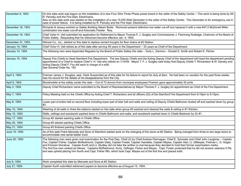| December 9, 1953  | On this date work was begun on the installation of a new Four Wire Three Phase power board in the cellar of the Safety Center - This work is being done by Mr.<br>R. Perosky and the Fire Dept. Electricians.<br>Also on this date work was started on the installation of a new 15,000 Watt Generator in the cellar of the Safety Center. This Generator is for emergency use in<br>case of power failure. It is being installed by R. Perosky and the Fire Dept. Electricians.                                                                                                                                                                                                                                                                                     |
|-------------------|----------------------------------------------------------------------------------------------------------------------------------------------------------------------------------------------------------------------------------------------------------------------------------------------------------------------------------------------------------------------------------------------------------------------------------------------------------------------------------------------------------------------------------------------------------------------------------------------------------------------------------------------------------------------------------------------------------------------------------------------------------------------|
| December 18, 1953 | Richards & Jessup worked on Safety Building Steam Boiler. Removed present defective low water cut-off and replaced it with a new #47-2 McDonell Miller<br>combination low water cut-off and Automatic Feeder. Req.                                                                                                                                                                                                                                                                                                                                                                                                                                                                                                                                                   |
| December 18, 1953 | Chief Victor H. Veit submitted his application for Retirement to Mayor Thomas F. J. Quigley and Commissioner J. Flemming Rutledge, Chairman of the Board of<br>Public Safety. Requesting that his retirement become effective Jan. 4, 1954.                                                                                                                                                                                                                                                                                                                                                                                                                                                                                                                          |
| December 31, 1953 | Wenzel Co., Inc., started on this date to replace cement troughs for floor drains at #2 Station.                                                                                                                                                                                                                                                                                                                                                                                                                                                                                                                                                                                                                                                                     |
| January 14, 1954  | Chief Victor H. Veit retired as of this date after serving 59 years in the Department - 33 years as Chief of the Department.                                                                                                                                                                                                                                                                                                                                                                                                                                                                                                                                                                                                                                         |
| January 14, 1954  | The following men were Appointed Regulars by the Board of Public Safety this date - Tonly L. Zannino - Donald E. Smith and Robert E. Pilcher.                                                                                                                                                                                                                                                                                                                                                                                                                                                                                                                                                                                                                        |
| January 15, 1954  | Deputy Fire Chiefs to Head Stamford Fire Department. The two Deputy Chiefs and the Acting Deputy Chief of the department will head the department pending<br>appointment of a Chief to replace Chief V. H. Veit who retired on 1/14/54. Mayor T. F. J. Quigley said today that Deputy Chiefs T. Richardson & W. Densky and<br>Acting Deputy Chief F. Fox will each in charge of a shift.<br>See General Order No. 193                                                                                                                                                                                                                                                                                                                                                |
| April 3, 1954     | Fireman James J. Douglas, asst. Clerk Suspended as of this date for his failure to report for duly at 8am. He had been on vacation for the past three weeks.<br>See his record for the details of his disappearance from the City.                                                                                                                                                                                                                                                                                                                                                                                                                                                                                                                                   |
| April 9, 1954     | Bloodmobile at the safety center this date - Out of 73 donors from municipal employees Firemen gave approximately 50 pints.                                                                                                                                                                                                                                                                                                                                                                                                                                                                                                                                                                                                                                          |
| May 3, 1954       | Deputy Chief Richardson name submitted to the Board of Representatives by Mayor Thomas F. J. Quigley for appointment as Chief of the Fire Department.                                                                                                                                                                                                                                                                                                                                                                                                                                                                                                                                                                                                                |
| May 7, 1954       | Policy Meeting held on the Chiefs Office by Acting Chief T. Richardson and all officers (22) of the Stamford Fire Department from 8:15pm to 9:15pm.                                                                                                                                                                                                                                                                                                                                                                                                                                                                                                                                                                                                                  |
| May 8, 1954       | Lower part of entire hall on second floor including lower part of stair hall and walls and ceiling of Deputy Chiefs Bathroom dusted off and washed down by group<br>#3.                                                                                                                                                                                                                                                                                                                                                                                                                                                                                                                                                                                              |
| May 10, 1954      | Washing of all walls in three fire stations started on this date when group #3 washed and cleaned the walls & ceiling in #1 Kitchen.                                                                                                                                                                                                                                                                                                                                                                                                                                                                                                                                                                                                                                 |
| May 15, 1954      | Walls, ceilings and woodwork washed down in Chiefs Bathroom and walls, and woodwork washed down in Chiefs Bedroom by Gr #1.                                                                                                                                                                                                                                                                                                                                                                                                                                                                                                                                                                                                                                          |
| May 17, 1954      | Group #2 started washing walls in Chiefs Office.                                                                                                                                                                                                                                                                                                                                                                                                                                                                                                                                                                                                                                                                                                                     |
| May 20, 1954      | Group #3 started painting Chiefs Office.                                                                                                                                                                                                                                                                                                                                                                                                                                                                                                                                                                                                                                                                                                                             |
| May 21, 1954      | Group #3 finished painting Chiefs Office.                                                                                                                                                                                                                                                                                                                                                                                                                                                                                                                                                                                                                                                                                                                            |
| June 15, 1954     | As of this date Frank Mercede and Sons of Stamford started work on the changing of the doors at #2 Station. Being changed from three to two large doors to<br>accommodate new aerial ladder truck.                                                                                                                                                                                                                                                                                                                                                                                                                                                                                                                                                                   |
| June 30, 1954     | The following men were given oral examination for the Post Dep. Chief (2) by Chief Andrew Flannagan, Chief E. Sylvester and Chief John Laughrey - Captain<br>Fox, Captain Fisher, Captain McRedmond, Captain Daily, Captain Foster, Captain Sandella, Captain Mayes, Captain Hart, Lt. Gilllespie, Fireman L. D. Hogan<br>and Fireman Donahue. Captain Kurth and Lt. Studley did not take the written or oral because they decided to hold their former examination marks.<br>The first five men ranked as follows: Captains McRedmond, Kurtz, Oefinger, Fisher and Mayes. Capt. Foster protected that he did not receive veterans 5 Pts<br>and was upheld placing him fourth and Capt. Fisher fifth, which took Capt. Mayes out of the first five and placed sixth. |
| July 9, 1954      | Work completed this date by Mercede and Sons at #2 Station.                                                                                                                                                                                                                                                                                                                                                                                                                                                                                                                                                                                                                                                                                                          |
| July 21, 1954     | Captain Kurth submitted retirement papers to become effective as of August 15, 1954.                                                                                                                                                                                                                                                                                                                                                                                                                                                                                                                                                                                                                                                                                 |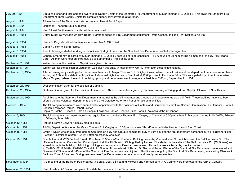| July 29, 1954      | Captains Fisher and McRedmond sworn in as Deputy Chiefs of the Stamford Fire Department by Mayor Thomas F. J. Quigley. This gives the Stamford Fire<br>Department Three Deputy Chiefs for complete supervisory coverage at all times.                                                                                                                                                                                                                                                                                                                                                                                                                                                                                                                                                                                                                                                                    |
|--------------------|----------------------------------------------------------------------------------------------------------------------------------------------------------------------------------------------------------------------------------------------------------------------------------------------------------------------------------------------------------------------------------------------------------------------------------------------------------------------------------------------------------------------------------------------------------------------------------------------------------------------------------------------------------------------------------------------------------------------------------------------------------------------------------------------------------------------------------------------------------------------------------------------------------|
| August 1, 1954     | All members of the Department started wearing New 8 Point Caps.                                                                                                                                                                                                                                                                                                                                                                                                                                                                                                                                                                                                                                                                                                                                                                                                                                          |
| August 1, 1954     | Lieutenant Theodore Studley retired                                                                                                                                                                                                                                                                                                                                                                                                                                                                                                                                                                                                                                                                                                                                                                                                                                                                      |
| August 9, 1954     | New 85' - 4 Section Aerial Ladder - Maxim - arrived.                                                                                                                                                                                                                                                                                                                                                                                                                                                                                                                                                                                                                                                                                                                                                                                                                                                     |
| August 13, 1954    | 2 New Super Duty Aluminum Row Boats (Starcraft) added to Fire Department equipment - from Goshen, Indiana -- #1 Station & #2 Sta.                                                                                                                                                                                                                                                                                                                                                                                                                                                                                                                                                                                                                                                                                                                                                                        |
| August 14, 1954    | Henry C. Dugdale retired Captain since November 1, 1941 died.                                                                                                                                                                                                                                                                                                                                                                                                                                                                                                                                                                                                                                                                                                                                                                                                                                            |
| August 15, 1954    | Captain Victor W. Kurth retired.                                                                                                                                                                                                                                                                                                                                                                                                                                                                                                                                                                                                                                                                                                                                                                                                                                                                         |
| August 16, 1954    | Joan L. Marengo started working in the office – First girl to work for the Stamford Fire Department – Clerk-Stenographer.                                                                                                                                                                                                                                                                                                                                                                                                                                                                                                                                                                                                                                                                                                                                                                                |
| August 31, 1954    | General Emergency declared by Mayor Thomas F. J. Quigley because of flood conditions - 6-6-6 sound at 2:57pm calling all men back to duty. "Hurricane<br>Carol" All men were kept on extra duty up to September 3, 1954 at 6:00pm.                                                                                                                                                                                                                                                                                                                                                                                                                                                                                                                                                                                                                                                                       |
| September 7, 1954  | Written tests for the position of Captain was given this date.                                                                                                                                                                                                                                                                                                                                                                                                                                                                                                                                                                                                                                                                                                                                                                                                                                           |
| September 8, 1954  | Written test for the position of Lieutenant was given this date. A total of forty two (42) men took these examinations.                                                                                                                                                                                                                                                                                                                                                                                                                                                                                                                                                                                                                                                                                                                                                                                  |
| September 10, 1954 | After an emergency meeting of all department heads with Mayor Thomas F. J. Quigley, it was ordered that all police and fire department personnel report back<br>for duty at 9:00pm this date in anticipation of abnormal high tide due in Stamford at 10:00pm due to Hurricane Edna. The anticipated tide did not materialize.<br>Mayor Quigley ordered the end of doubling up duty and department went on regular schedule at 2:05pm, September 11, 1954.                                                                                                                                                                                                                                                                                                                                                                                                                                               |
| September 21, 1954 | Oral examination given for the position of Captain.                                                                                                                                                                                                                                                                                                                                                                                                                                                                                                                                                                                                                                                                                                                                                                                                                                                      |
| September 23, 1954 | Oral examination given for the position of Lieutenant. Above examinations given by Captain Sweeney of Bridgeport and Captain Gleason of New Haven.                                                                                                                                                                                                                                                                                                                                                                                                                                                                                                                                                                                                                                                                                                                                                       |
| September 24, 1954 | As of this date the Stamford Fire Department started using the old incinerator and grounds on Magee Avenue as a drill field. These facilities have also been<br>offered the five volunteer departments and the Civil Defense Waterfront Patrol for use as a drill field.                                                                                                                                                                                                                                                                                                                                                                                                                                                                                                                                                                                                                                 |
| October 5, 1954    | The following men's names were submitted for appointments to the positions of Captain and Lieutenant by the Civil Service Commission: Lieutenants – John J.<br>Boesen, Lawrence Parkes, Robert Lawler.<br>Captains - John J. Boesen, Harold Gillespie, Lawrence Parkes, Charles Skiba, John J. Kokoska, John O'Connor.                                                                                                                                                                                                                                                                                                                                                                                                                                                                                                                                                                                   |
| October 5, 1954    | The following four men were sworn in as regular firemen by Mayor Thomas F. J. Quigley at City Hall at 5:00pm: Albert E. Marsden, James P. McAuliffe, Edward<br>L. Gillespie, Jeremiah                                                                                                                                                                                                                                                                                                                                                                                                                                                                                                                                                                                                                                                                                                                    |
| October 12, 1954   | Retired Fireman Edward Kingsley died this date.                                                                                                                                                                                                                                                                                                                                                                                                                                                                                                                                                                                                                                                                                                                                                                                                                                                          |
| October 14, 1954   | All City Departments alerted by Mayor Thomas F. J. Quigley at 10:00pm Hurricane "Hazel" reported to be headed toward East Coast.                                                                                                                                                                                                                                                                                                                                                                                                                                                                                                                                                                                                                                                                                                                                                                         |
| October 15, 1954   | Group 1 which was on duty from 8am to 6pm held on duty and Group 2 coming for duty at 6pm doubled the fire department personnel during Hurricane "Hazel"<br>- Group 1 dismissed at 2am 10/16/54 after emergency was over                                                                                                                                                                                                                                                                                                                                                                                                                                                                                                                                                                                                                                                                                 |
| October 29, 1954   | Double Alarm at #209 Bedford Street. Box 44 at 10:38am 2-2 at 10:46am. Building owned by Vouno-Mitchel Co. which housed the Delf Hardware Co., The<br>offices of the Vouno Construction Co. and part of all the All Stamford Club, gutted by flames. Fire started in the cellar of the Delf Hardware Co. (Oil Burner) and<br>spread through the building. Adjoining buildings and occupants suffered exposure loss. Those that were effected by the fire run from<br>#163-165-167-175-189-193-197-203 and 219. Firemen N. Kowaleski, J. Baran, D. Sileo and Robert Pilcher of the Stamford Fire Department were injured and<br>Firemen J. O'Donnel and O'Brien of the Glenbrook Fire Department also injured. This fire was fought by the Stamford Fire Department, assisted by Glenbrook,<br>Belltown, Turn of River and Springdale Volunteer Fire Departments for four hours and twenty-seven minutes. |
| November 1, 1954   | At a meeting of the Board of Public Safety this date, Lieut.'s Skiba and Kokoska and Fireman John J. O'Connor were promoted to the rank of Captain.                                                                                                                                                                                                                                                                                                                                                                                                                                                                                                                                                                                                                                                                                                                                                      |
| November 26, 1954  | New closets at #3 Station completed this date by members of the Department.                                                                                                                                                                                                                                                                                                                                                                                                                                                                                                                                                                                                                                                                                                                                                                                                                              |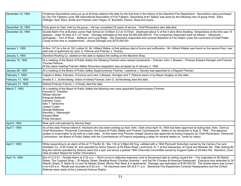| December 13, 1954 | Christmas Decorations were put up at all three stations this date for the first time in the history of the Stamford Fire Department. Decorations were purchased<br>by City Fire Fighters Local 786 International Association of Fire Fighters. Decorating at #1 Station was done by the following men of group three: Elect.<br>Oefinger, Asst. Elect. Smith and Firemen John Hogan, R. Buchetto, Passro, Rosa and Zyara.                                                                                                                                                                                                                                                                                 |
|-------------------|-----------------------------------------------------------------------------------------------------------------------------------------------------------------------------------------------------------------------------------------------------------------------------------------------------------------------------------------------------------------------------------------------------------------------------------------------------------------------------------------------------------------------------------------------------------------------------------------------------------------------------------------------------------------------------------------------------------|
| December 18, 1954 | Party given to Capt. Hart by his group - He has completed 25 years of service. Chief Richardson also attended.                                                                                                                                                                                                                                                                                                                                                                                                                                                                                                                                                                                            |
| December 22, 1954 | Double Alarm Fire at Burdick Junior High School at 12:49am 2-2 at 12:57am. Destroyed about 34 of the 4 story Brick Building. Temperature at the time was 15<br>degrees. Used 18 lines of 2 1/2" hose, - Damage estimated at this time \$3,000,000,000.00. Fire companies responded were as follows - Glenbrook -<br>Springdale - Turn of River - Belltown and Long Ridge. Old Greenwich responded and covered Stamford at Fire Hdqtrs under the command of Chief Potter.<br>Cause at this time is undetermined. (Actual Damage only \$375,000.00)                                                                                                                                                         |
| January 1, 1955   | At Box 147 for a fire at 192 Ludlow St. Mr. Hilliard Walker of that address died of burns and suffocation. Mr. Hilliard Walker was found on the second floor, rear<br>east side of apartment by Lieut. A. Petrone and Fireman J. Yanicky.                                                                                                                                                                                                                                                                                                                                                                                                                                                                 |
| January 3, 1955   | Stamford Roofing Co. started on this date to replace the roofing on the Machine Shop.                                                                                                                                                                                                                                                                                                                                                                                                                                                                                                                                                                                                                     |
| January 12, 1955  | At a meeting of the Board of Public Safety the following Firemen were named Lieutenants - Fireman John J. Boesen - Fireman Edward Kerrigan and Fireman<br>Thomas Petrone.<br>At this same meeting Fireman Walter Donovans resignation was accepted as of January 2, 1955.                                                                                                                                                                                                                                                                                                                                                                                                                                 |
| January 28, 1955  | At a meeting of the Board of Public Safety Supernumerary Fireman Lawrence J. Densky was appointed to a Regular Fireman.                                                                                                                                                                                                                                                                                                                                                                                                                                                                                                                                                                                   |
| February 1, 1955  | Captain's Skiba, Kokoska, O'Connor and Lieut.'s Boesen, Kerrigan and T. Petrone sworn in by Mayor Quigley on this date.                                                                                                                                                                                                                                                                                                                                                                                                                                                                                                                                                                                   |
| February 17, 1955 | Amelia S. L. Schlechtweg, widow of retired Fireman John G. Schlechtweg died this date.                                                                                                                                                                                                                                                                                                                                                                                                                                                                                                                                                                                                                    |
| February 21, 1955 | Retired Fireman Francis J. O'Grady died this date.                                                                                                                                                                                                                                                                                                                                                                                                                                                                                                                                                                                                                                                        |
| March 7, 1955     | At a meeting of the Board of Public Safety the following men were appointed Supernumerary Firemen.<br>Kenneth D. Hamilton<br><b>William Mocher</b><br>Pasquale Battinelli<br><b>Clement Turpin</b><br>Italo T. Tamborino<br>Joseph Cullen<br>George Matthews<br>Kenneth L. Wainwright<br><b>Edward Miller</b><br>Philip Giordano                                                                                                                                                                                                                                                                                                                                                                          |
| April 6, 1955     | Rear yard cold patched by Service Dept.                                                                                                                                                                                                                                                                                                                                                                                                                                                                                                                                                                                                                                                                   |
| April 7, 1955     | As of this date Fireman Albert A. Haviland who has been working as Asst. Adm. Clerk since April 15, 1954 has been approved as Acting Asst. Adm. Clerk by<br>Chief Richardson, Personnel Commission, the Board of Public Safety and Finance Commissioner. Salary to be retroactive to Aug. 8, 1954. This approval<br>subject to examination to be held at a later date. At this same time Fireman Joseph Zezima was approved as Acting Inspector by Chief Richardson, Personnel<br>Commission, the Board of Public Safety with the Commissioner of Finance requesting a delay for several weeks re: funds for salary.                                                                                      |
| April 7, 1955     | While responding to an alarm of fire at 77 Pacific St., Sta. 135 at 3:08pm #2 Eng. collided with a 1954 Plymouth Suburban owned by the Century Fan and<br>Ventilator Co. of 45 Cedar St. and operated by Arthur Deacon of 50 Elkan Road, Larchmont, N. Y. at the intersection of Canal and Markets Sts. After striking #2<br>Eng the vehicle operated by Deacon went into a spin and struck a parked 1950 Chevrolet Convertible owned by Eugene Dytko of 29 Albin Rd., Stamford, Conn.<br>(See Accident Report for further information)                                                                                                                                                                   |
| April 14, 1955    | Box 41-2-2-41 - Double Alarm at 4:32 a.m. - Short circuit in defective extension cord to fluorescent light at ceiling caused fire - Fire originated at 26 Atlantic<br>Street, The Coppola Shop - 30 Atlantic Street, Reading Room Christian Scientist - and Sai Wu Chinese & American Restaurant. Exposure loss extended to 34<br>Atlantic Street, P. Sabini & Co and 36 Atlantic Street, Morris Plan Bank & 4 apartments. Damage was estimated at \$150,000.00. The double alarm was turned<br>in at 4:55 a.m. Recall was sounded at 6:52 a.m. - All machines were OK at 8:11 a.m. Glenbrook Fire Department Covered Headquarters and the Civilian<br>Defense were ready at the Lockwood Avenue Station. |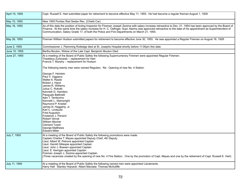| April 15, 1955 | Capt. Russell E. Hart submitted paper for retirement to become effective May 11, 1955. He had become a regular fireman August 1, 1929.                                                                                                                                                                                                                                                                                                                                                                                                                                                                                                                                                                                                         |
|----------------|------------------------------------------------------------------------------------------------------------------------------------------------------------------------------------------------------------------------------------------------------------------------------------------------------------------------------------------------------------------------------------------------------------------------------------------------------------------------------------------------------------------------------------------------------------------------------------------------------------------------------------------------------------------------------------------------------------------------------------------------|
| May 10, 1955   | New 1955 Pontiac Red Sedan Rec. (Chiefs Car)                                                                                                                                                                                                                                                                                                                                                                                                                                                                                                                                                                                                                                                                                                   |
| May 16, 1955   | As of this date the position of Acting Inspector for Fireman Joseph Zezima with salary increase retroactive to Dec. 21, 1954 has been approved by the Board of<br>Finance. At this same time the salary increase for H. C. Oefinger, Supt. Alarms was approved retroactive to the date of his appointment as Superintendent of<br>Communication, Salary Grade 17, of both the Police and Fire Departments on March 21, 1955.                                                                                                                                                                                                                                                                                                                   |
| May 26, 1955   | Fireman William Hudson submitted papers for retirement to become effective June 30, 1955. He was appointed a Regular Fireman on August 16, 1928.                                                                                                                                                                                                                                                                                                                                                                                                                                                                                                                                                                                               |
| June 2, 1955   | Commissioner J. Flemming Rutledge died at St. Josephs Hospital shortly before 11:00pm this date.                                                                                                                                                                                                                                                                                                                                                                                                                                                                                                                                                                                                                                               |
| June 10, 1955  | Bertha Bouton, Widow of the Late Capt. Benjamin Bouton Died                                                                                                                                                                                                                                                                                                                                                                                                                                                                                                                                                                                                                                                                                    |
| June 27, 1955  | At a meeting of the Board of Public Safety the following Supernumerary Firemen were appointed Regular Firemen.<br>Thaddeus Zurkowski - replacement for Hart<br>Francis T. Murphy - replacement for Hudson<br>The following twenty men were named Regulars. Re: Opening of new No. 4 Station.<br>George F. Heinlein<br>Paul V. Viggiano<br>Walter A. Rasile<br>Robert J. Hand<br>James R. Williams<br>Julius C. Robotti<br>Kenneth D. Hamilton<br>Pasquale Battinelli<br>Italo T. Tamborino<br>Kenneth L. Wainwright<br>Raymond P. Knebel<br>James N. Haggerty, Jr.<br>Karl C. Lindquist<br>Fred Augustyn<br>Frederick J. Persich<br>Robert Vernal<br><b>William Mocher</b><br><b>Clement Turpin</b><br>George Matthews<br><b>Edward Miller</b> |
| July 7, 1955   | At a meeting of the Board of Public Safety the following promotions were made:<br>Captain Charles T. Mayes appointed Deputy Chief, 4th Deputy<br>Lieut. Albert W. Petrone appointed Captain<br>Lieut. Harold Gillespie appointed Captain<br>Lieut. John J. Boesen appointed Captain<br>Lieut. E. Kerrigan appointed Captain<br>Fireman Joseph J. Zezima appointed Captain<br>(Three vacancies created by the opening of new No. 4 Fire Station. One by the promotion of Capt. Mayes and one by the retirement of Capt. Russell E. Hart)                                                                                                                                                                                                        |
| July 11, 1955  | At a meeting of the Board of Public Safety the following named men were appointed Lieutenants.<br>Harry Hall Stanley Hojnacki Albert Macsata Thomas McAuliffe                                                                                                                                                                                                                                                                                                                                                                                                                                                                                                                                                                                  |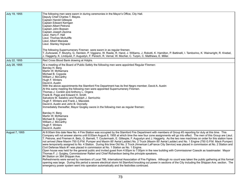| July 19, 1955  | The following men were sworn in during ceremonies in the Mayor's Office, City Hall.<br>Deputy Chief Charles T. Mayes.<br>Captain Harold Gillespie<br>Captain Edward Kerrigan<br><b>Captain Albert Petrone</b><br>Captain John Boesen<br>Captain Joseph Zezima<br>Lieut. Harry F. Hall<br>Lieut. Thomas McAuliffe<br>Lieut. Albert Macsata<br>Lieut. Stanley Hojnacki<br>The following Supernumerary Fireman were sworn in as regular firemen.<br>T. Zurkowski, F. Murphy, G. Heinlein, P. Viggiano, W. Rasile, R. Hand, J. Williams, J. Robotti, K. Hamilton, P. Battinelli, I. Tamborino, K. Wainwright, R. Knebel,<br>J. Haggerty, K. Lindquist, F. Augustyn, F. Persich, R. Vernal, W. Mocher, C. Turpin, C. Matthews, E. Miller.                                                                                                                                                                                                                                                                                                                                                                                                                                                                                                                                                                                                                                                                                                                                                                                                                                                                                            |
|----------------|---------------------------------------------------------------------------------------------------------------------------------------------------------------------------------------------------------------------------------------------------------------------------------------------------------------------------------------------------------------------------------------------------------------------------------------------------------------------------------------------------------------------------------------------------------------------------------------------------------------------------------------------------------------------------------------------------------------------------------------------------------------------------------------------------------------------------------------------------------------------------------------------------------------------------------------------------------------------------------------------------------------------------------------------------------------------------------------------------------------------------------------------------------------------------------------------------------------------------------------------------------------------------------------------------------------------------------------------------------------------------------------------------------------------------------------------------------------------------------------------------------------------------------------------------------------------------------------------------------------------------------|
| July 22, 1955  | Red Cross Blood Bank drawing at Hdqtrs.                                                                                                                                                                                                                                                                                                                                                                                                                                                                                                                                                                                                                                                                                                                                                                                                                                                                                                                                                                                                                                                                                                                                                                                                                                                                                                                                                                                                                                                                                                                                                                                         |
| July 28, 1955  | At a meeting of the Board of Public Safety the following men were appointed Regular Firemen:<br>Barclay H. Berg<br>Martin W. McNamara<br>Michael B. Coppola<br>William J. McCarthy<br>Hugh F. Winters<br>David A. Austin<br>With the above appointments the Stamford Fire Department has its first Negro member, David A. Austin<br>At this same meeting the following men were appointed Supernumerary Firemen.<br>Thomas J. Conklin and Anthony L. Orgera<br>Frank B. Page and Edward H. Smith<br>Salvatore M. Salatino and Rudolph J. Serricchio<br>Hugh F. Winters and Frank J. Maciolek<br>David A. Austin and John B. Donnelly<br>Immediately thereafter, Mayor Quigley swore in the following men as regular firemen:<br>Barclay H. Berg<br>Martin W. McNamara<br>Michael B. Coppola<br>William J. McCarthy<br>Hugh F. Winters<br>David A. Austin                                                                                                                                                                                                                                                                                                                                                                                                                                                                                                                                                                                                                                                                                                                                                                        |
| August 7, 1955 | At 8:00am this date New No. 4 Fire Station was occupied by the Stamford Fire Department with members of Group #3 reporting for duty at this time. This<br>Company will not answer alarms until 8:00am August 8, 1955 at which time the new four zone assignments will go into effect. The men of this Group are Lieut.<br>T. Petrone, and Firemen A. Betz, G. Barnett, T. Coutermash, E. Gillespie, F. Augustyn and J. Haggerty. As the two new machines on order for this station have<br>not arrived (New Maxim 750 G.P.M. Pumper and Maxim 85' Aerial Ladder) No. 2 Truck (Maxim 85' Aerial Ladder) and No. 1 Engine (750 G.P.M. Mack Pumper)<br>were temporarily assigned to No. 4 Station. During this time Old No. 2 Truck (American LaFrance City Service) was placed in commission at No. 2 Station and<br>Civil Defense Mack #1 was placed in commission at No. 1 Station as No. 1 Engine.<br>Open house was held for the general public and invited guest from 4:00pm to 7:00pm in the new building with Commissioner Czescik as toastmaster. Mayor<br>Thomas F. J. Quigley, Commissioner Raiteri and Chief Richardson being the principle speakers.<br>#4 Station on 364 Shippan Ave.<br>Refreshments were served by members of Local 786, International Association of Fire Fighters. Although no count was taken the public gathering at this formal<br>opening was large. During this period a severe electrical storm hit Stamford knocking out power in sections of the City including the Shippan Ave. section. The<br>emergency power system went into operation automatically and the festivities continued. |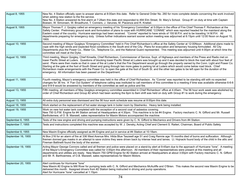| August 8, 1955     | New No. 4 Station officially open to answer alarms at 8:00am this date. Refer to General Order No. 260 for more complete details concerning the work involved<br>when adding new station to the fire service.<br>New No. 4 Station answered its first alarm at 7:28am this date and responded to 494 Elm Street, St. Mary's School. Group #1 on duty at time with Captain<br>Boesen, W. Simonsen, W. Broadhurst, T. Conners, J. Varunes, M. Piacenza and R. Knebel.                                                                                                                                                                                                                                                                                                                                                                                                          |
|--------------------|------------------------------------------------------------------------------------------------------------------------------------------------------------------------------------------------------------------------------------------------------------------------------------------------------------------------------------------------------------------------------------------------------------------------------------------------------------------------------------------------------------------------------------------------------------------------------------------------------------------------------------------------------------------------------------------------------------------------------------------------------------------------------------------------------------------------------------------------------------------------------|
| August 9, 1955     | Mayor Thomas F. J. Quigley called an emergency meeting of his "Emergency Committee" at 5:00pm in the office of Fire Chief Thomas F. Richardson at the<br>Safety Center. Preliminary ground work and formulation of plans to cope with HURRICANE "CONNIE" which was reported headed for the mainland along the<br>Eastern coast of the country. Hurricane warnings had been received. "Connie" reported to have winds of 155 M.P.H. and to be traveling 14 M.P.H. All<br>departments preparing for emergency duty. Unless further indications warrant sooner action meeting was adjourned at 6:15pm until 12:00 Noon on August 10,<br>1955.                                                                                                                                                                                                                                   |
| August 10, 1955    | Second meeting of Mayor Quigleys "Emergency Committee" held in Fire Chief Richardson's office at the Safety Center at 12:00Noon. Additional plans made to<br>cope with the high winds and expected flood conditions in the South end of the City. Plans for evacuation and temporary housing formulated. All City<br>Departments plus the Power Co., Water Co., Telephone Co., and the National Guard represented. This meeting was adjourned until 4:00pm at which time the<br>committee will meet at the Dyke.                                                                                                                                                                                                                                                                                                                                                             |
| August 10, 1955    | Third meeting, Mayor Quigley, Chief Kinsella, Chief Richardson, Commissioner of Service, Supt. of Highways and members of the Press and Radio met on<br>lower Pacific Street at Luders. Questions of blocking lower Pacific Street at Luders was brought up and it was decided to block the road with about four feet of<br>sand. Plans were then made so that in case of fire at Luder's that the Fire Department would go through the property owned by the Conn. Light and Power Co.<br>Starting at the gate at the foot of South Street and going through two more gates to parking lot at Luders which would come below road block. Chief<br>Richardson made arrangements with the Power Co. to open the gate at the foot of South St. and the other two gates to be left open for the duration of the<br>emergency. All information has been passed on the Department. |
| August 11, 1955    | Fourth meeting, Mayor's emergency committee was held in the office of Chief Richardson. As "Connie" was reported to be standing still with no expected<br>changes for 36 hrs. A "Fan Out System" of telephone calling was instituted to call members of this committee to a meeting if time was available otherwise 6-6-6<br>and 9-9-9 would be answered by members of the committee as well as police and fire.                                                                                                                                                                                                                                                                                                                                                                                                                                                             |
| August 13, 1955    | Fifth meeting, all members of May Quigleys emergency committee assembled in Chief Richardson' office at 4:45am. The 56 hour work week was abolished by<br>order of Chief Richardson and Group #2 which had been working the 6pm to 8am shift was held on duty with Group #1 to work during the emergency.                                                                                                                                                                                                                                                                                                                                                                                                                                                                                                                                                                    |
| August 13, 1955    | All extra duty personnel was dismissed and the 56 hour work schedule was resume at 8:00pm this date.                                                                                                                                                                                                                                                                                                                                                                                                                                                                                                                                                                                                                                                                                                                                                                         |
| August 18, 1955    | Work started on the replacement of hot water storage tank in boiler room by Stashenko. Heavy tank being installed.                                                                                                                                                                                                                                                                                                                                                                                                                                                                                                                                                                                                                                                                                                                                                           |
| August 19, 1955    | Work on new hot water tank completed with the exception of a second coat of asbestos covering.<br>New 750 G.P.M. Engine for #4 Station arrived at Headquarters at 4:30pm. This machine is to be #4 Engine. Factory mechanic C. N. Gifford and Mr. Russell<br>Bartholemew, of O. B. Maxwell, sales representative for Maxim Motors accompanied the machine.                                                                                                                                                                                                                                                                                                                                                                                                                                                                                                                   |
| September 6, 1955  | Tests of the new engine and driving and pumping instructions were given by C. N. Gifford to Mechanics and Drivers from #4 Station.                                                                                                                                                                                                                                                                                                                                                                                                                                                                                                                                                                                                                                                                                                                                           |
| September 7, 1955  | Tests and instructions completed this machine was accepted by W. J. Densky, Acting Chief and Clement S. Raiteri, Chairman, Board of Public Safety.                                                                                                                                                                                                                                                                                                                                                                                                                                                                                                                                                                                                                                                                                                                           |
| September 8, 1955  | New Maxim Engine officially assigned as #4 Engine and put in service at #4 Station at 10:18am.                                                                                                                                                                                                                                                                                                                                                                                                                                                                                                                                                                                                                                                                                                                                                                               |
| September 16, 1955 | At Box 216 for an alarm of fire at 336 West Avenue Mrs. Hilda Blue Taszwell age 51 and Craig Rannie age 15 months died of burns and suffocation. Although<br>firemen donned gas masks in an attempt to save victims they were driven back by intense heat and lames. Lt. Hojnacki found body of the child in the attic and<br>Fireman Battinelli found the body of the women.                                                                                                                                                                                                                                                                                                                                                                                                                                                                                                |
| September 19, 1955 | Acting Mayor George Connors called and all firemen and police were placed on a stand-by alert at 9:45am due to the approach of Hurricane "Ione". A meeting<br>of the Mayor's Emergency Committee was called for 3:00pm this afternoon. All members of their representatives were present at this meeting and all<br>departments and utilities are ready. New Maxim 750 GPM Engine for #2 Station arrived at Headquarters at about 3:00pm with Factory mechanic C. N. Gifford<br>and Mr. R. Barthoemew, of O.B. Maxwell, sales representatives for Maxim Motors.                                                                                                                                                                                                                                                                                                              |
| September 20, 1955 | Alert continues for Hurricane "lone"<br>New Maxim #2 Engine to Mill River for pumping tests with C. N. Gifford and Mechanics McAuliffe and O'Brien. This makes the second new Maxim Engine to be<br>delivered this month. Assigned drivers from #2 Station being instructed in driving and pump operations.<br>Alert for Hurricane "Ione" cancelled at 1:15pm                                                                                                                                                                                                                                                                                                                                                                                                                                                                                                                |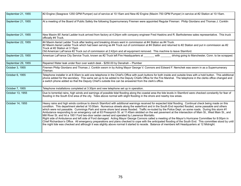| September 21, 1955 | #2 Engine (Seagrave 1250 GPM Pumper) out of service at 10:15am and New #2 Engine (Maxim 750 GPM Pumper) in service at #2 Station at 10:15am.                                                                                                                                                                                                                                                                                                                                                                                                                                                                                                                                                                                                                                                                                                                                                                                                                                                                                                                                                                                                                                                                   |
|--------------------|----------------------------------------------------------------------------------------------------------------------------------------------------------------------------------------------------------------------------------------------------------------------------------------------------------------------------------------------------------------------------------------------------------------------------------------------------------------------------------------------------------------------------------------------------------------------------------------------------------------------------------------------------------------------------------------------------------------------------------------------------------------------------------------------------------------------------------------------------------------------------------------------------------------------------------------------------------------------------------------------------------------------------------------------------------------------------------------------------------------------------------------------------------------------------------------------------------------|
| September 21, 1955 | At a meeting of the Board of Public Safety the following Supernumerary Firemen were appointed Regular Fireman: Philip Giordano and Thomas J. Conklin                                                                                                                                                                                                                                                                                                                                                                                                                                                                                                                                                                                                                                                                                                                                                                                                                                                                                                                                                                                                                                                           |
| September 21, 1955 | New Maxim 85' Aerial Ladder truck arrived from factory at 4:24pm with company engineer Fred Haskins and R. Bartholemew sales representative. This truck<br>officially #4 Truck.                                                                                                                                                                                                                                                                                                                                                                                                                                                                                                                                                                                                                                                                                                                                                                                                                                                                                                                                                                                                                                |
| September 22, 1955 | #4 Maxim Aerial Ladder Truck after testing and breaking drivers went in commission at #4 Station as #4 Truck.<br>#2 Maxim Aerial Ladder Truck which had been serving as #4 Truck out of commission at #4 Station and returned to #2 Station and put in commission as #2<br>Truck at #2 Station at 3:15pm<br>Old American LaFrance #2 Truck out of commission at 2:42pm and all equipment removed. This machine to leave Stamford.                                                                                                                                                                                                                                                                                                                                                                                                                                                                                                                                                                                                                                                                                                                                                                              |
| September 23, 1955 | American LaFrance City Service Truck, known as #2 Truck left Fire Headquarters at<br>with<br>driving going to Manchester, Conn. to be scrapped.                                                                                                                                                                                                                                                                                                                                                                                                                                                                                                                                                                                                                                                                                                                                                                                                                                                                                                                                                                                                                                                                |
| September 29, 1955 | Repaired Water leak under floor over watch desk - \$250.00 by Denahah - Plumber                                                                                                                                                                                                                                                                                                                                                                                                                                                                                                                                                                                                                                                                                                                                                                                                                                                                                                                                                                                                                                                                                                                                |
| October 3, 1955    | Firemen Philip Giordano and Thomas J. Conklin sworn in by Acting Mayor George V. Connors and Edward F. Nemchek was sworn in as a Supernumerary<br>Fireman.                                                                                                                                                                                                                                                                                                                                                                                                                                                                                                                                                                                                                                                                                                                                                                                                                                                                                                                                                                                                                                                     |
| October 6, 1955    | Telephone installer in at 8:30am to add one telephone in the Chief's Office with push buttons for both inside and outside lines with a hold button. This additional<br>phone added for the secretary. This same set up to be added to the Deputy Chiefs Office for the Fire Marshal. The telephone in the clerks office changed and<br>a switch phone added so that the Deputy Chief's outside line can be answered from the clerk's office.                                                                                                                                                                                                                                                                                                                                                                                                                                                                                                                                                                                                                                                                                                                                                                   |
| October 7, 1955    | Telephone installations completed at 3:30pm and new telephone set up in operation.                                                                                                                                                                                                                                                                                                                                                                                                                                                                                                                                                                                                                                                                                                                                                                                                                                                                                                                                                                                                                                                                                                                             |
| October 13, 1955   | Due to torrential rains, high winds and earnings of possible tidal flooding along the coastal area the tide levels in Stamford were checked constantly for fear of<br>flooding in the South End area of the city. Tides above normal with slight flooding in the shore and nearby low areas.                                                                                                                                                                                                                                                                                                                                                                                                                                                                                                                                                                                                                                                                                                                                                                                                                                                                                                                   |
| October 14, 1955   | Heavy rains and high winds continue to drench Stamford with additional warnings received for expected tidal flooding. Continual check being made on this<br>condition. This department alerted at 10:00am. Numerous streets along the waterfront and in the South End reported flooded, some passable and others<br>which were not passable. Cummings Park and some shore land areas flooded. Traffic re-routed by the Police Dept. on some roads. During this storm #1<br>Ambulance responding to an emergency call at 63 Pressprich St. at 11:45am skidded on the wet pavement at the intersection of Main St., West Main St., and<br>Mill River St. and hit a 1951 Ford two-door sedan owned and operated by Lawrence Montalto.<br>Right side of Ambulance and left side of Ford damaged. Acting Mayor George Connors called a meeting of the Mayor's Hurricane Committee for 8:00pm in<br>Chief Richardson's Office. All emergency preparations and plans checked to cope with the anticipated flooding of the South End. This committee stood by until<br>the night tide was checked and although it was slightly above normal it started to recede. Balance of members left Headquarters at 12 Midnight. |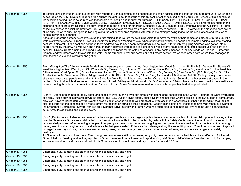| October 15, 1955 | Torrential rains continue through out the day with reports of various streets being flooded as the catch basins couldn't carry off the large amount of water being<br>deposited on the City. Rivers all reported high but not thought to be dangerous at this time. All attention focused on the South End. Check of tides continued<br>for possible flooding. Calls being received that cellars are flooding and request for pumping. RIPPOWAM RIVER REPORTED OVERFLOWING ITS BANKS<br>AND THAT AREA ALONG THE RIVER WERE BEING FLOODED. EMERGENCY RESCUES AND EVACUATIONS NEEDED. 6-6-6 ordered sounded on the<br>diaphone horn at 10:25pm calling all off duty Firemen to report at once for emergency disaster duty, all Volunteer Fire Companys and the Auxilary Fire Patrol<br>called into service to assist the Stamford Fire Department and to serve their own communities however possible. 9-9-9 Followed on the diaphone horn calling<br>all off duty Police to duty. Dangerous flooding along the entire river area reported with immediate attempts being made for the evacuations and rescues of<br>people in immediate danger.<br>Although numerous persons were evacuated the fast raising flood waters made it impossible to remove many from their homes and places of refuge until the<br>waters started to recede. Fireman Edward J. Andrews injured on Washington Ave. when struck down by floating debrie and jammed against old time hitching<br>post set in sidewalk, if this post had not been there Andrews would have been swept down into he river. After much struggling Andrews was gotten into a<br>nearby home by the crew he was with and although many attempts were made to get to him it was several hours before he could be rescued and sent to a<br>hospital. River currents running too strong in city streets and roads for the safe use of boats, many boats smashed, sunk and rendered useless. Numerous<br>firemen, and volunteer works thrown into the water, some stranded in various homes and still others carried into wooded areas from where they managed to<br>work themselves to shallow water and get out. |
|------------------|------------------------------------------------------------------------------------------------------------------------------------------------------------------------------------------------------------------------------------------------------------------------------------------------------------------------------------------------------------------------------------------------------------------------------------------------------------------------------------------------------------------------------------------------------------------------------------------------------------------------------------------------------------------------------------------------------------------------------------------------------------------------------------------------------------------------------------------------------------------------------------------------------------------------------------------------------------------------------------------------------------------------------------------------------------------------------------------------------------------------------------------------------------------------------------------------------------------------------------------------------------------------------------------------------------------------------------------------------------------------------------------------------------------------------------------------------------------------------------------------------------------------------------------------------------------------------------------------------------------------------------------------------------------------------------------------------------------------------------------------------------------------------------------------------------------------------------------------------------------------------------------------------------------------------------------------------------------------------------------------------------------------------------------------------------------------------------------------------------------------------------------------------------------|
| October 16, 1955 | From Midnight on The following streets flooded and emergency work being carried: Washington Ave., Court St., Linden St., North St., Vernon Pl., Stanley Ct.,<br>West Washington Ave., Washington Ct., Woodside St., Renwich St., Hollywood Ct., Woodside Village, Bridge St., Riverside Dr., Woodmere Rd., Hubbard Ave.,<br>Stillwater Ave., Cold Spring Rd., Forest Lawn Ave., Urban ST., part of Summer St., end of Fourth St., Fenway St., East Main St., (R.R. Bridge) Elm St., Miller<br>St. Hawthorne St., Weed Ave., Millers Bridge, West Main St., River St., South St., Clinton Ave., Richmond Hill Bridge and Bell St. During the night continuous<br>streams of evacuated people were taken to the Salvation Army, Public Schools and the Red Cross or to friends. Several large buses were stranded in the<br>center of Stamford as II bridges were under water and closed. Military mobilization call 10-10-10 sounded at 5:02am Army trucks being used for evacuations as<br>current running though most streets too strong for use of boats. Some firemen marooned for hours with people they had attempted to help.                                                                                                                                                                                                                                                                                                                                                                                                                                                                                                                                                                                                                                                                                                                                                                                                                                                                                                                                                                                                                              |
| October 16, 1955 | (Cont'd) Efforts of men hampered by depth and speed of water rushing over city streets with debris of all description in the water. Automobiles were overturned<br>and army trucks pushed sidewards down the street. U.S.C.G. Ducks arrived shortly after daylight and assisted where possible in the evacuation of some areas.<br>New York Airways Helicopters arrived over the area as soon after daylight as was practical to try to assist in areas where all other had failed but their lack of<br>pick-up slings and the absence of a dry spot or flat roof to land on curtailed their operations. Observation flights over the flooded area was made by several of<br>the Emergency Committee. Several families on Severance Drive, along with Firemen who had attempted to help them still stranded as late as 3:00pm this<br>date. Army trucks stalled and bogged down,                                                                                                                                                                                                                                                                                                                                                                                                                                                                                                                                                                                                                                                                                                                                                                                                                                                                                                                                                                                                                                                                                                                                                                                                                                                                                 |
| October 16, 1955 | (Cont'd)Ducks were not able to be controlled in the strong currents and stalled against poles, trees and other obstacles. An Army Helicopter with a sling arrived<br>over the Severance Drive area and directed by a New York Airways Helicopter in contact by radio with the Safety Center were directed to and proceeded to lift<br>out stranded persons. After removing a couple of people by air the Army trucks again got going and completed the evacuation. An expectant mother among<br>these gave birth to a daughter about twelve hours after being evacuated. Extensive flood damage along the entire Rippowam River Area, numerous bridges left<br>damaged some beyond use, roads were washed away, many homes damaged and private property washed away and some area bridges completely<br>destroyed.<br>All Firemen still doing continual duty. Even though some men were still out on emergency duty the emergency duty schedule went into effect at 12:45pm with<br>Group 2 held on fire duty and as they reported in Group 1 was sent home to rest and report for duty at 6:00pm. Half of Group 3 was held on duty for pumping<br>and various odd jobs and the second half of this Group was sent home to rest and report back for duty at 6:00pm                                                                                                                                                                                                                                                                                                                                                                                                                                                                                                                                                                                                                                                                                                                                                                                                                                                                                               |
| October 17, 1955 | Emergency duty, pumping and cleanup operations continue day and night.                                                                                                                                                                                                                                                                                                                                                                                                                                                                                                                                                                                                                                                                                                                                                                                                                                                                                                                                                                                                                                                                                                                                                                                                                                                                                                                                                                                                                                                                                                                                                                                                                                                                                                                                                                                                                                                                                                                                                                                                                                                                                           |
| October 18, 1955 | Emergency duty, pumping and cleanup operations continue day and night                                                                                                                                                                                                                                                                                                                                                                                                                                                                                                                                                                                                                                                                                                                                                                                                                                                                                                                                                                                                                                                                                                                                                                                                                                                                                                                                                                                                                                                                                                                                                                                                                                                                                                                                                                                                                                                                                                                                                                                                                                                                                            |
| October 19, 1955 | Emergency duty, pumping and cleanup operations continue day and night.                                                                                                                                                                                                                                                                                                                                                                                                                                                                                                                                                                                                                                                                                                                                                                                                                                                                                                                                                                                                                                                                                                                                                                                                                                                                                                                                                                                                                                                                                                                                                                                                                                                                                                                                                                                                                                                                                                                                                                                                                                                                                           |
| October 20, 1955 | Emergency duty, pumping and cleanup operations continue day and night.                                                                                                                                                                                                                                                                                                                                                                                                                                                                                                                                                                                                                                                                                                                                                                                                                                                                                                                                                                                                                                                                                                                                                                                                                                                                                                                                                                                                                                                                                                                                                                                                                                                                                                                                                                                                                                                                                                                                                                                                                                                                                           |
| October 21, 1955 | Emergency duty, pumping and cleanup operations continue day and night.                                                                                                                                                                                                                                                                                                                                                                                                                                                                                                                                                                                                                                                                                                                                                                                                                                                                                                                                                                                                                                                                                                                                                                                                                                                                                                                                                                                                                                                                                                                                                                                                                                                                                                                                                                                                                                                                                                                                                                                                                                                                                           |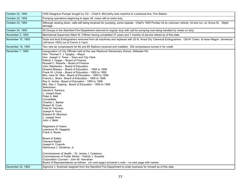| October 22, 1955  | 1935 Seagrave Pumper bought by CD - Chief A. McCarthy took machine to Lockwood Ave. Fire Station.                                                                                                                                                                                                                                                                                                                                                                                                                                                                                                                                                                                                                                                                                                                                                                                                                                                                                                                                                                                                                                                                                                                                                                                                 |
|-------------------|---------------------------------------------------------------------------------------------------------------------------------------------------------------------------------------------------------------------------------------------------------------------------------------------------------------------------------------------------------------------------------------------------------------------------------------------------------------------------------------------------------------------------------------------------------------------------------------------------------------------------------------------------------------------------------------------------------------------------------------------------------------------------------------------------------------------------------------------------------------------------------------------------------------------------------------------------------------------------------------------------------------------------------------------------------------------------------------------------------------------------------------------------------------------------------------------------------------------------------------------------------------------------------------------------|
| October 22, 1955  | Pumping operations beginning to taper off, crews still on extra duty.                                                                                                                                                                                                                                                                                                                                                                                                                                                                                                                                                                                                                                                                                                                                                                                                                                                                                                                                                                                                                                                                                                                                                                                                                             |
| October 23, 1955  | Although slowing down, calls still being received for pumping, some repeats. Chief's 1955 Pontiac hit by unknown vehicle, hit and run, on Grove St. Slight<br>damage.                                                                                                                                                                                                                                                                                                                                                                                                                                                                                                                                                                                                                                                                                                                                                                                                                                                                                                                                                                                                                                                                                                                             |
| October 24, 1955  | All Groups in the Stamford Fire Department returned to regular duty with call for pumping now being handled by crews on duty.                                                                                                                                                                                                                                                                                                                                                                                                                                                                                                                                                                                                                                                                                                                                                                                                                                                                                                                                                                                                                                                                                                                                                                     |
| November 2, 1955  | Mechanical Supervisor Mark W. O'Brien having completed 27 years and 7 months of service retired as of this date.                                                                                                                                                                                                                                                                                                                                                                                                                                                                                                                                                                                                                                                                                                                                                                                                                                                                                                                                                                                                                                                                                                                                                                                  |
| November 10, 1955 | Soda and Acid Extinguishers removed from all machines and replaced with 20 lb. Ansul Dry Chemical Extinguishers. Old #1 Chem. & Hose Wagon (American<br>LaFrance 1925) out of Comm 2:1xpm.                                                                                                                                                                                                                                                                                                                                                                                                                                                                                                                                                                                                                                                                                                                                                                                                                                                                                                                                                                                                                                                                                                        |
| November 18, 1955 | Two new air compressors for #2 and #3 Stations received and installed. Old compressors turned in for credit.                                                                                                                                                                                                                                                                                                                                                                                                                                                                                                                                                                                                                                                                                                                                                                                                                                                                                                                                                                                                                                                                                                                                                                                      |
| December 1, 1955  | Inauguration of City Officials held at the new Westover Elementary School, Stillwater Rd.<br>Hon. Thomas F. J. Quigley – Mayor<br>Hon. Joseph V. Toner - Town and City Clerk<br>Patrick J. Hogan - Board of Finance<br>Russell C. Roberts - Board of Finance<br>John Stashenko - Board of Education<br>Howard Allaway - Board of Education - 1955 to 1958<br>Frank W. LiVolsi – Board of Education - 1955 to 1958<br>Mrs. Jane W. Okie - Board of Education - 1955 to 1958<br>Francis L. Brant - Board of Education - 1955 to 1958<br>Ray H. Huhta - Board of Education - 1955 to 1958<br>Mrs. Etta J. Topping - Board of Education - 1955 to 1958<br>Selectmen:<br>Harold A. Parsons<br>J. Joseph Ryan<br>Peter A. Meli<br>Constables<br>Charles L. Barker<br>Robert W. Cook<br>Fred W. Herrman<br>Joseph A. Kunz<br>Edward W. Morrison<br>J. Joseph Hunt<br>John J. Bello<br>Registrars of Voters:<br>Lawrence W. Haggerty<br>Frank X. Burke<br>Board of Safety<br><b>Clement Raiteri</b><br>Joseph A. Czescik<br>Alphonsus J. Donahue, Jr.<br>Commissioner of Health - Dr. James J. Costanzo<br>Commissioner of Public Works – Patrick J. Scarella<br>Corporation Counsel - John M. Hanrahan<br>Board of Representatives as follows (on next page) scrivener's note – no next page with names. |
| December 22, 1955 | Zigmond J. Kozlinski resigned from the Stamford Fire Department to enter business for himself as of this date.                                                                                                                                                                                                                                                                                                                                                                                                                                                                                                                                                                                                                                                                                                                                                                                                                                                                                                                                                                                                                                                                                                                                                                                    |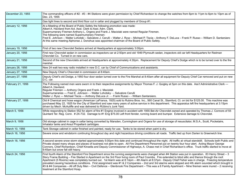| December 23, 1955 | The commanding officers of #2 - #3 - #4 Stations were given permission by Chief Richardson to change the watches from 6pm to 11pm to 6pm to 10pm as of<br>Dec. 23, 1955                                                                                                                                                                                                                                                                                                                                                                                                                                                                                                                                                                                                                                                                |
|-------------------|----------------------------------------------------------------------------------------------------------------------------------------------------------------------------------------------------------------------------------------------------------------------------------------------------------------------------------------------------------------------------------------------------------------------------------------------------------------------------------------------------------------------------------------------------------------------------------------------------------------------------------------------------------------------------------------------------------------------------------------------------------------------------------------------------------------------------------------|
|                   | Gas light lines to second and third floor cut in cellar and plugged by members of Group #1.                                                                                                                                                                                                                                                                                                                                                                                                                                                                                                                                                                                                                                                                                                                                            |
| January 12, 1956  | At a Meeting of the Board of Public Safety the following promotion was made:<br>Albert A. Haviland from Act. Asst. Clerk to Asst. Adm. Clerk.<br>Supernumerary Firemen Anthony L. Orgera and Frank J. Maciolak were named Regular Firemen.<br>The following were named Supernumerary Firemen:<br>Fred E. Johnson - Walter Lohotski - Salvatore J. Cerulli - Walter J. Rysz - Michael P. Tiscia - Anthony F. DeLuca - Frank P. Russo - William D. Santarsiero<br>At this same meeting Alphonse J. Donohue was appointed chairman of the Board of Public Safety.                                                                                                                                                                                                                                                                         |
| January 19, 1956  | First of two new Chevrolet Sedans arrived at Headquarters at approximately 3:00pm.                                                                                                                                                                                                                                                                                                                                                                                                                                                                                                                                                                                                                                                                                                                                                     |
| January 20, 1956  | First new Chevrolet sedan in commission as inspectors car at 2:50pm and old 1949 Plymouth sedan, inspectors old car left Headquarters for Redman<br>Chevrolet Co. Turned in on new cars.                                                                                                                                                                                                                                                                                                                                                                                                                                                                                                                                                                                                                                               |
| January 21, 1956  | Second of the new Chevrolets arrived at Headquarters at approximately 4:30pm. Replacement for Deputy Chief's Dodge which is to be turned over to the fire<br>marshal.                                                                                                                                                                                                                                                                                                                                                                                                                                                                                                                                                                                                                                                                  |
| January 26, 1956  | New 24 watt two-way radio installed in new D.C. car by Chief of Communications and assistants.                                                                                                                                                                                                                                                                                                                                                                                                                                                                                                                                                                                                                                                                                                                                         |
| January 27, 1956  | New Deputy Chief s Chevrolet in commission at 8:40am.                                                                                                                                                                                                                                                                                                                                                                                                                                                                                                                                                                                                                                                                                                                                                                                  |
| January 27, 1956  | Deputy Chief's old Dodge, a 1950 four door sedan turned over to the Fire Marshal at 8:40am after all equipment for Deputy Chief Car removed and put on new<br>D.C. car.                                                                                                                                                                                                                                                                                                                                                                                                                                                                                                                                                                                                                                                                |
| February 21, 1956 | The Following named men were sworn in to their respective assignments by Mayor Thomas F. J. Quigley at 5pm on this date. Ass't Administrative Clerk ---<br>Albert A. Haviland.<br>Regular Firemen --- Anthony Orgera and Frank J. Maciolek<br>Supernumeraries --- Fred E. Johnson - - Walter Lohotsky - - Salvatore Cerulli<br>Walter J. Rysz --- Michael Tiscia --- Anthony DeLuca Jr. - - Frank Russo - - William Santarsiero.                                                                                                                                                                                                                                                                                                                                                                                                       |
| February 27, 1956 | Old # Chemical and hose wagon (American LaFrance, 1925) sold to Rubino Bros. Inc., 560 Canal St., Stamford, Ct. on bid for \$125.00. This machine was<br>purchased May 22, 1925 for the City of Stamford and saw many years of active service in this department. This apparatus left fire headquarters at 3:15pm<br>driven by Mech. McAuliffe and was delivered to RUbino's Junk Yard.                                                                                                                                                                                                                                                                                                                                                                                                                                                |
| March 5, 1956     | While responding to Station 552 for alarm of fire #1 Engine involved in accident with 1955 Bel-Air Chevrolet owned and operated by Thomas J. Connors of 55<br>Quintard Ter. Reg. Conn. #2X-732. Damage to #1 Eng \$75.00 Left front fender, running board and bumper. Extensive damage to Chevrolet.                                                                                                                                                                                                                                                                                                                                                                                                                                                                                                                                   |
| March 9, 1956     | Old storage cabinet in cage in cellar being converted by Marsden, Cunningham and Orgera for use of storage of resuscitator, M.S.A., Scott, Pocketaire,<br>Inhalator tanks and Ansul Propellant cartridges.                                                                                                                                                                                                                                                                                                                                                                                                                                                                                                                                                                                                                             |
| March 10, 1956    | Tank Storage cabinet in cellar finished and painted, ready for use. Tanks to be stored when paint is dry.                                                                                                                                                                                                                                                                                                                                                                                                                                                                                                                                                                                                                                                                                                                              |
| March 16, 1956    | Severe snow and windstorm continuing throughout day and night hazardous driving conditions all roads. Traffic tied up from Darien to Greenwich line.                                                                                                                                                                                                                                                                                                                                                                                                                                                                                                                                                                                                                                                                                   |
| March 18, 1956    | A second severe snow storm started approximately 5:00pm this date and continued throughout the night. All traffic at virtual standstill. Schools both Public and<br>Private closed many shops and places of business not able to open. All Fire Department Personnel put on twenty four hour alert. Acting Mayor George<br>Connors, Chief Richardson, Chief Kinsella and Deputy Commissioner of Highways, A. Chase met in Chief Richardson's office. Truck traffic started to move at<br>9:45am but snow fall still heavy.                                                                                                                                                                                                                                                                                                             |
| March 24, 1956    | First fourth Alarm of the Stamford Fire Department since the running assignments were changed when #4 Station was put in operation. 83 Henry Street - 3<br>Story Frame Building - Fire Started in Apartment on the 3rd Floor living room of Paul Coombs. Fire extended to blind attic and thence through the roof.<br>Apartment (5 Rooms) was completely burned out. 1st Alarm was at 8:14pm - 4th Alarm at 8:37pm - Deputy Chief Fisher was in charge. Freezing temperature<br>prevailed causing hazardous conditions. First assignment was #1 & 2 Companies - 2nd and 3rd alarms were skipped and 4th alarm sounded which brought in<br>#3 & #4 Companies - All off Duty Men - Civil Defence - Glenbrook Fire Department - This was a 6 Family Apartment - Nine firemen were inured - 2 receiving<br>treatment at the Stamford Hosp. |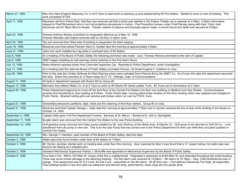| March 27, 1956     | Men form New England Masonary Co. in at 9:12am to start work on pointing up and waterproofing #2 Fire Station. Started to work on rear of building. This<br>work completed 4/1/56.                                                                                                                                                                                                                                                                                                                                                                                                                     |
|--------------------|--------------------------------------------------------------------------------------------------------------------------------------------------------------------------------------------------------------------------------------------------------------------------------------------------------------------------------------------------------------------------------------------------------------------------------------------------------------------------------------------------------------------------------------------------------------------------------------------------------|
| April 11, 1956     | Received call form Police Dept. that they had received call that a bomb was planted in the Palace Theater set to explode at 4:45pm 4:25pm Information<br>relayed to Chief Richardson who in turn set protective procedures in motion. Fire Prevention bureau under Chief Densky along with Asst. Clerk, Asst.<br>Electrician and #1 Mack Sent to theater. Theater cleared of patrons and thorough search made, no bomb found and detail was secured at 4:55pm.                                                                                                                                         |
| April 23, 1956     | Fireman Anthony Marion submitted his resignation effective as of May 16, 1956.<br>Firemen Marsden and Orgera removed wall on 3rd floor in alarm room.                                                                                                                                                                                                                                                                                                                                                                                                                                                  |
| April 24, 1956     | Top soil removed from West side of building in preparation for black topping.                                                                                                                                                                                                                                                                                                                                                                                                                                                                                                                          |
| June 16, 1956      | Received word that retired Firemen Harry A. Goettel died this morning at approximately 3:30am.                                                                                                                                                                                                                                                                                                                                                                                                                                                                                                         |
| June 21, 1956      | Jafco Iron work installed four lag bolts in overhead door of #2 Station                                                                                                                                                                                                                                                                                                                                                                                                                                                                                                                                |
| July 9, 1956       | At a meeting of the Board of Public Safety the following promotion was made: Lieut. Thomas Petrone promoted to the rank of Captain.                                                                                                                                                                                                                                                                                                                                                                                                                                                                    |
| July 9, 1956       | SNET began installing air raid warning control switches in the Fire Alarm Room.                                                                                                                                                                                                                                                                                                                                                                                                                                                                                                                        |
| July 13, 1956      | Radio Antenna reported stolen from Chevrolet Inspectors Car. Reported to Police Department, under investigation.                                                                                                                                                                                                                                                                                                                                                                                                                                                                                       |
| July 17, 1956      | At a meeting held this date the Board of Public Safety promoted Fireman 1st Grade Eugene F. Callahan to Lieut.                                                                                                                                                                                                                                                                                                                                                                                                                                                                                         |
| July 28, 1956      | Prior to this date the Civilian Defense Air Raid Warning sirens were activated from Precinct #2 by the SNET Co. As of noon this date this department assumed<br>this duty. Sirens first sounded at 12 Noon today by H. VC. Oefinger, Supt. of Communications.                                                                                                                                                                                                                                                                                                                                          |
| August 11, 1956    | All beds in department sprayed with Roach Kill by Group #2.                                                                                                                                                                                                                                                                                                                                                                                                                                                                                                                                            |
| August 13, 1956    | Mechanic from Maxim Motor Co. in at 2:13pm to work on #2 Maxim 85' Aerial Ladder Truck. #2 Truck out of commission at 2:13pm.                                                                                                                                                                                                                                                                                                                                                                                                                                                                          |
| August 20, 1956    | Police Department beginning to move off the third floor of the Central Fire Station into their new building on Bedford and Hoyt Streets. Communications<br>severed and transferred to new building at 8:45am. Public Works dept. moving police broke window on first floor landing which was replaced and charged to<br>Public Works. Bracket holding grill over window well broken when run over by P.W.D. truck.                                                                                                                                                                                     |
| August 27, 1956    | Dismantling temporary partitions, Sgts. Desk and the cleaning of third floor started. Group #3 on duty.                                                                                                                                                                                                                                                                                                                                                                                                                                                                                                |
| August 31, 1956    | Received word that Captain George L. Daily died this morning at approximately 7:30am due to injuries received the line of duty while working in the floods on<br>October 14, 1955.                                                                                                                                                                                                                                                                                                                                                                                                                     |
| September 3, 1956  | Captain Daily given Full Fire Department Funeral. Services at St. Mary's - Buried at St. John's, Springdale.                                                                                                                                                                                                                                                                                                                                                                                                                                                                                           |
| September 11, 1956 | Burglar alarm was removed from the Central Fire Station to the new Police Building.                                                                                                                                                                                                                                                                                                                                                                                                                                                                                                                    |
| September 12, 1956 | Gulf gasoline pump removed and Calso pump installed by Mr. John McAvoy of the liberty Auto. & Electric Co. Gulf pump to be returned to Gulf Oil Co. Lock<br>transferred from old pump to new one. This is for the Gas Pump that was turned over to the Police Department for their use while they occupied quarters in<br>Central Fire Hdqtrs.                                                                                                                                                                                                                                                         |
| September 25, 1956 | Rev. George V. Hamilton, past member of the Board of Public Safety, died this date.                                                                                                                                                                                                                                                                                                                                                                                                                                                                                                                    |
| October 2, 1956    | Water pipe (hot) found broken under floor of #4 station at 7:00pm.                                                                                                                                                                                                                                                                                                                                                                                                                                                                                                                                     |
| October 3, 1956    | Mr. Horner, plumber, started work on locating leak under floor this morning. Upon opening the floor it was found that a 3/4" copper tubing, hot water pipe was<br>found to be leaking at a sweated joint.                                                                                                                                                                                                                                                                                                                                                                                              |
| October 3, 1956    | Assistant Mechanical Supervisor Patrick J. McAuliffe was appointed to Mechanical Supervisor by the Board of Public Safety.                                                                                                                                                                                                                                                                                                                                                                                                                                                                             |
| October 8, 1956    | Four Alarm Fire - #99 to 103 Main St. Cause of the fire is undetermined. Originated in basement at #183 Main St. and extended throughout the entire building.<br>There was some smoke damage to the adjoining building. The first alarm was received at 10:09pm - 4th alarm at 10:16pm - Dep. Chief McRedmond was in<br>charge. First assignment was #1 & 2 Cons. #3 and 4 cos. responded on the 4th alarm. All off duty men - Civil defense Glenbrook Fire Dept. all responded.<br>This building housed a new and used car salesroom and service shop, pants factory, dress shop and dry goods store. |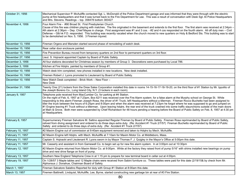| October 31, 1956  | Mechanical Supervisor P. McAuliffe contacted Sgt. L. McDonald of the Police Department garage and was informed that they were through with the electric<br>pump at fire headquarters and that it was turned back to the Fire Department for use. This was a result of conversation with Desk Sgt. At Police Headquarters<br>and Mrs. Stevens. Readings - top. 358478 bottom 383427                                                                                                                                                                                                                                                                                                                                                                                                                                                                                                                   |
|-------------------|------------------------------------------------------------------------------------------------------------------------------------------------------------------------------------------------------------------------------------------------------------------------------------------------------------------------------------------------------------------------------------------------------------------------------------------------------------------------------------------------------------------------------------------------------------------------------------------------------------------------------------------------------------------------------------------------------------------------------------------------------------------------------------------------------------------------------------------------------------------------------------------------------|
| November 4, 1956  | Four Alarm Fire - #90 Broad St. First Presbyterian Church.<br>Cause of this fire was children playing with matches. The fire originated in the basement and extends to the first floor. The first alarm was received at 2:34pm -<br>4th alarm at 2:36pm - Dep. Chief Mayes in charge. First assignment was #1 and 3 cos. - #2 and 4 cos responded on the fourth alarm. All off duty men - Civil<br>Defense - Glb'nk F.D. responded. This building was recently vacated when the church moved to new quarters on Hoty & Bedford Sts. This building was to start<br>to be demolished on Nov. 5, 1956. 3 Firemen injured.                                                                                                                                                                                                                                                                               |
| November 13, 1956 | Fireman Orgera and Marsden started second phase of remodeling of watch desk.                                                                                                                                                                                                                                                                                                                                                                                                                                                                                                                                                                                                                                                                                                                                                                                                                         |
| November 15, 1956 | Rear cellar door enclosure painted.                                                                                                                                                                                                                                                                                                                                                                                                                                                                                                                                                                                                                                                                                                                                                                                                                                                                  |
| November 15, 1956 | Fire Prevention Bureau moved from temporary quarters on 2nd floor to permanent quarters on 3rd floor.                                                                                                                                                                                                                                                                                                                                                                                                                                                                                                                                                                                                                                                                                                                                                                                                |
| November 27, 1956 | Lieut. S. Hojnacki appointed Captain by Board of Public Safety.                                                                                                                                                                                                                                                                                                                                                                                                                                                                                                                                                                                                                                                                                                                                                                                                                                      |
| December 3, 1956  | All four stations decorated for Christmas season by members of Group 3. Decorations were purchased by Local 786.                                                                                                                                                                                                                                                                                                                                                                                                                                                                                                                                                                                                                                                                                                                                                                                     |
| December 3, 1956  | Kitchen at Fire Hdqtrs. painted by members of Group #1.                                                                                                                                                                                                                                                                                                                                                                                                                                                                                                                                                                                                                                                                                                                                                                                                                                              |
| December 10, 1956 | Watch desk trim completed, new phones installed in new locations. New desk installed.                                                                                                                                                                                                                                                                                                                                                                                                                                                                                                                                                                                                                                                                                                                                                                                                                |
| December 10, 1956 | Firemen Robert J. Lyons promoted to Lieutenant by Board of Public Safety.                                                                                                                                                                                                                                                                                                                                                                                                                                                                                                                                                                                                                                                                                                                                                                                                                            |
| December 10, 1956 | New Watch Desk completed - Brick Work - New Floor -<br>New Desk                                                                                                                                                                                                                                                                                                                                                                                                                                                                                                                                                                                                                                                                                                                                                                                                                                      |
| December 31, 1956 | Twenty One (21) lockers from the Drew Sales Corporation installed this date in rooms 14-15-16-17-18-19-20, on the third floor of #1 Station by Mr. Ippolito of<br>the Joseph Boreno Co., Long Island City, N.Y. (3 lockers in each room).                                                                                                                                                                                                                                                                                                                                                                                                                                                                                                                                                                                                                                                            |
| January 9, 1957   | Telephone pole received from MacCumber Co. for parking at #4 Station.<br>On the night of Feb. 6, 1957 at 7:23pm, Box 6211 was received over the Fire Alarm system. for a false alarm at the Murphy school on George St. While<br>responding to this alarm Fireman Joseph Rosa, the driver of #1 Truck, left Headquarters without a tillerman. Fireman Rocco Buchetto had been assigned to<br>tiller the truck between the hours of 6:25pm and 8:00pm and when the alarm was received at 7:23pm he forgot where he was supposed to go and jumped on<br>#1 Engine leaving #1 Truck without a tillerman. Upon leaving hdqtrs. the rear end of the truck crashed into some traffic staunchions outside of the main doors<br>at Main & Grove. Both men were suspended by Chief Richardson for 48 hours pending a hearing before the Board of Public Safety on Feb. 8, 1957 at 4:30 pm<br>at Headquarters. |
| February 8, 1957  | Supernumerary Fireman Salvatore M. Saltino appointed Regular Fireman by Board of Public Safety. Fireman Rosa reprimanded by Board of Public Safety,<br>relived from diving assignment and ordered to do three days extra duty. (Re: Accident #1 Truck 2/7/57) Fireman Buchetto reprimanded by Board of Public<br>Safety and ordered to do three days of extra duty. (Re: Accident #1 Truck 2/7/57)                                                                                                                                                                                                                                                                                                                                                                                                                                                                                                   |
| February 10, 1957 | #2 Maxim Engine out of commission at 9:40am equipment removed and taken to Hdqtrs by Mech. McAuliffe.                                                                                                                                                                                                                                                                                                                                                                                                                                                                                                                                                                                                                                                                                                                                                                                                |
| February 11, 1957 | #2 Maxim Engine left Hdqtrs. with Mech. McAuliffe at 7:10am for Maxim Motor Co. at Middleboro, Mass.                                                                                                                                                                                                                                                                                                                                                                                                                                                                                                                                                                                                                                                                                                                                                                                                 |
| February 11, 1957 | Captain S. Hojnacki and Lieutenant R. Lyons sworn in by Mayor Thomas F. J. Quigley in the Mayor's Office at 5:00pm this date.                                                                                                                                                                                                                                                                                                                                                                                                                                                                                                                                                                                                                                                                                                                                                                        |
| February 11, 1957 | Mr. Casserly and assistant in from Gamewell Co. to begin set up for new fire alarm system. In at 3:00pm out at 10:30pm                                                                                                                                                                                                                                                                                                                                                                                                                                                                                                                                                                                                                                                                                                                                                                               |
| February 12, 1957 | #2 Maxim Engine returned from Maxim Motor Co. at 9:00pm. While at the factory they raised front of pump 5/16" with shims installed new bearings on pump<br>drive and new drive flange on front of pump.                                                                                                                                                                                                                                                                                                                                                                                                                                                                                                                                                                                                                                                                                              |
| February 13, 1957 | Southern New England Telephone Crew in at 1:15 pm to prepare for new terminal board in cellar out at 4:00pm.                                                                                                                                                                                                                                                                                                                                                                                                                                                                                                                                                                                                                                                                                                                                                                                         |
| February 19, 1957 | On 1/28/57 3 Maple tables and 12 Maple chairs were received from Sabini furniture co. These tables were paid for this date (2/19/15& by check from Mr.<br>Alphonsus J. Donahue, Chairman Board of Safety.                                                                                                                                                                                                                                                                                                                                                                                                                                                                                                                                                                                                                                                                                            |
| March 1, 1957     | Fireman Salvatore Salatino Reported for duty with Group #1 Station at 8:00am this date.                                                                                                                                                                                                                                                                                                                                                                                                                                                                                                                                                                                                                                                                                                                                                                                                              |
| March 13, 1957    | Firemen Battinelli, Lindquist, McAuliffe, Lee, Byrne, started constructing new garbage bin at rear of #3 Fire Station.                                                                                                                                                                                                                                                                                                                                                                                                                                                                                                                                                                                                                                                                                                                                                                               |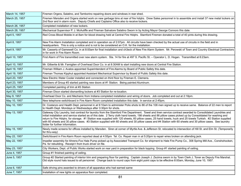| March 14, 1957 | Firemen Orgera, Salatino, and Tamborino repairing doors and windows in rear shed.                                                                                                                                                                                                                                                                                                                                                                                                                                                                                                                                                                                                           |
|----------------|---------------------------------------------------------------------------------------------------------------------------------------------------------------------------------------------------------------------------------------------------------------------------------------------------------------------------------------------------------------------------------------------------------------------------------------------------------------------------------------------------------------------------------------------------------------------------------------------------------------------------------------------------------------------------------------------|
| March 25, 1957 | Firemen Marsden and Orgera started work on new garbage bins at rear of fire hdqtrs. Drew Sales personnel in to assemble and install 37 new metal lockers on<br>2nd floor and in alarm room. Deputy Chiefs and Captains Office also to receive lockers.                                                                                                                                                                                                                                                                                                                                                                                                                                      |
| March 26, 1957 | Completed installation of new lockers.                                                                                                                                                                                                                                                                                                                                                                                                                                                                                                                                                                                                                                                      |
| March 28, 1957 | Mechanical Supervisor P. J. McAuliffe and Fireman Salvatore Salatino Sworn in by Acting Mayor George Connors this date.                                                                                                                                                                                                                                                                                                                                                                                                                                                                                                                                                                     |
| April 5, 1957  | Red Cross Blood Mobile in at 8am for blood drawing held at Central Fire Hdqtrs. Stamford Firemen donated a total of 40 pints during this drawing.                                                                                                                                                                                                                                                                                                                                                                                                                                                                                                                                           |
| April 8, 1957  | New Fire Alarm Installation completed and in operation as of 2:07pm. All circuits have been checked by the actual use of circuits in the field and in<br>headquarters. This is only a notice and is not to be considered an O.K. for the installation.                                                                                                                                                                                                                                                                                                                                                                                                                                      |
| April 9, 1957  | Mr. Casserly of Gamewell Co. in at 8:00am for final installation and ch3eck of New Fire Alarm System. Mr. Perowski of Town and Country Electrical Contractors<br>in for work in Fire Alarm Room.                                                                                                                                                                                                                                                                                                                                                                                                                                                                                            |
| April 10, 1957 | First Alarm of Fire transmitted over new alarm system. Sta. 14 for fire at 497 S. Pacific St. - Operator L. D. Hogan. Transmitted at 6:23am.                                                                                                                                                                                                                                                                                                                                                                                                                                                                                                                                                |
| April 10, 1957 | Mr. Gilbertie & Mr. Famiglien of Overhead Door Co. in at 8:30AM to start installing new doors at Central Fire Station.                                                                                                                                                                                                                                                                                                                                                                                                                                                                                                                                                                      |
| April 19, 1957 | Fireman William J. Avalos appointed Superintendent of Fire Alarms by Board of Public Safety this date.                                                                                                                                                                                                                                                                                                                                                                                                                                                                                                                                                                                      |
| April 19, 1957 | Fireman Thomas Kipphut appointed Assistant Mechanical Supervisor by Board of Public Safety this date.                                                                                                                                                                                                                                                                                                                                                                                                                                                                                                                                                                                       |
| April 20, 1957 | New Electric Water Cooler installed and connected on third floor by Fireman E. Clemens.                                                                                                                                                                                                                                                                                                                                                                                                                                                                                                                                                                                                     |
| April 23, 1957 | Members of Group #3 started painting new doors at #1 Station. Being painted Aluminum.                                                                                                                                                                                                                                                                                                                                                                                                                                                                                                                                                                                                       |
| April 25, 1957 | Completed painting of trim at #3 Station                                                                                                                                                                                                                                                                                                                                                                                                                                                                                                                                                                                                                                                    |
| April 30, 1957 | Fireman Dixon started dismantling lockers at #3 Station for re-location.                                                                                                                                                                                                                                                                                                                                                                                                                                                                                                                                                                                                                    |
| May 9, 1957    | Overhead Door Co. and Mechanic from Indiana completed installation and wiring of doors. Job completed and out at 2:18pm.                                                                                                                                                                                                                                                                                                                                                                                                                                                                                                                                                                    |
| May 10, 1957   | New telephone switchboard in Fire Alarm Room completed installation this date. In service at 2:45pm.                                                                                                                                                                                                                                                                                                                                                                                                                                                                                                                                                                                        |
| May 10, 1957   | Dr. Costanzo and Health Dept. personnel in at 9:10am to administer Polio shots to 86 of the 108 men signed up to receive same. Balance of 22 men to report<br>to Health Dept. Mondays or Wednesdays after 3:30pm for shots.                                                                                                                                                                                                                                                                                                                                                                                                                                                                 |
| May 13, 1957   | Gateway City Laundry, lost contract for laundry from the Stamford Fire Department. Towel and linen service contract awarded to Consolidated Laundries and<br>initial installation and service started as of this date. 2 Terry cloth hand towels, 198 sheets and 86 pillow cases picked up by Consolidated for washing and<br>return to Fire Hdqtrs. for storage. #1 Station was supplied with 120 sheets, 60 pillow cases, 25 hand towels, huck and 25 towels Turkish. #2 Station supplied<br>with 60 sheets and 30 pillow cases. #3 Station supplied with 60 sheets and 30 pillow cases and #4 Station with 60 sheets and 30 pillow cases. See laundry<br>folder for further information. |
| May 15, 1957   | Newly made screens for offices installed by Marsden. Siren at corner of Myrtle Ave. & Jefferson St. relocated to intersection of Hill St. and Elm St. (Temporarily<br>for thru-way)                                                                                                                                                                                                                                                                                                                                                                                                                                                                                                         |
| May 22, 1957   | Switchboard in Fire Alarm Room reported dead at 4:55pm Tel. Co. Repair man in at 5:20pm to repair wires broken on attending jack.                                                                                                                                                                                                                                                                                                                                                                                                                                                                                                                                                           |
| May 22, 1957   | Impeller assembly for Ahrens-Fox Hale Pump picked up by Associated Transport Co. for shipment to Hale Fire Pump Co., 308 Spring Mill Ave., Conshohocken,<br>Pa. for rebuilding. Receipt t from truck driver on file.                                                                                                                                                                                                                                                                                                                                                                                                                                                                        |
| May 23, 1957   | City Workers, Dept. of Public Works started work on rear yard in preparation for black topping Group #1 started painting of ceiling.                                                                                                                                                                                                                                                                                                                                                                                                                                                                                                                                                        |
| June 4, 1957   | Group #1 finished painting of ceiling.                                                                                                                                                                                                                                                                                                                                                                                                                                                                                                                                                                                                                                                      |
| June 5, 1957   | Group #2 Started painting of interior trim and preparing floor for painting. Captain Joseph J. Zezima sworn in by Town Clerk J. Toner as Deputy Fire Marshal.<br>Old style round hats issued to all personnel. Change back to round caps from eight point caps to be effective 8:00am, Monday, June 10, 1957.                                                                                                                                                                                                                                                                                                                                                                               |
| June 6, 1957   | Safe driving pins awarded to drivers of all apparatus who had earned same                                                                                                                                                                                                                                                                                                                                                                                                                                                                                                                                                                                                                   |
| June 7, 1957   | Installation of new lights on apparatus floor completed.                                                                                                                                                                                                                                                                                                                                                                                                                                                                                                                                                                                                                                    |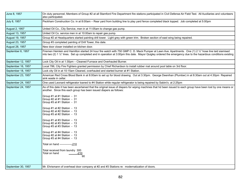| June 8, 1957       | On duty personnel, Members of Group #2 at all Stamford Fire Department fire stations participated in Civil Defense Air Field Test. All Auxiliaries and volunteers<br>also participated.                                                                                                                                                                                                                                                                                                                                                                                                                                                                                                                                                |
|--------------------|----------------------------------------------------------------------------------------------------------------------------------------------------------------------------------------------------------------------------------------------------------------------------------------------------------------------------------------------------------------------------------------------------------------------------------------------------------------------------------------------------------------------------------------------------------------------------------------------------------------------------------------------------------------------------------------------------------------------------------------|
| July 8, 1957       | Peckham Construction Co. in at 8:00am - Rear yard from building line to play yard fence completed black topped. Job completed at 5:00pm                                                                                                                                                                                                                                                                                                                                                                                                                                                                                                                                                                                                |
| August 2, 1957     | United Oil Co., City Service, men in at 11:05am to change gas pump.                                                                                                                                                                                                                                                                                                                                                                                                                                                                                                                                                                                                                                                                    |
| August 13, 1957    | United Oil Co. service men in at 10:00am to repair gas pump.                                                                                                                                                                                                                                                                                                                                                                                                                                                                                                                                                                                                                                                                           |
| August 19, 1957    | Group #2 at Headquarters started painting drill tower. Light grey with green trim. Broken section of east wing being repaired.                                                                                                                                                                                                                                                                                                                                                                                                                                                                                                                                                                                                         |
| August 23, 1957    | Group #3 completed painting of Drill Tower, this date.                                                                                                                                                                                                                                                                                                                                                                                                                                                                                                                                                                                                                                                                                 |
| August 28, 1957    | New door closer installed on kitchen door.                                                                                                                                                                                                                                                                                                                                                                                                                                                                                                                                                                                                                                                                                             |
| September 6, 1957  | Firemen Heinlein and Hamilton started 24 hour fire watch with 750 GMP C. D. Mack Pumper at Lawn Ave. Apartments. One (1) 2 1/2" hose line laid siamised<br>into two (2) 1 1/2" lines. Set up completed and in operation at 3:00pm this date. Mayor Quigley ordered the emergency due to the hazardous conditions existing                                                                                                                                                                                                                                                                                                                                                                                                              |
| September 12, 1957 | Lock City Oil in at 1:30pm - Cleaned Furnace and Overhauled Burner.                                                                                                                                                                                                                                                                                                                                                                                                                                                                                                                                                                                                                                                                    |
| September 16, 1957 | Local 786, City Fire Fighters granted permission by Chief Richardson to install rubber mat around pool table on 3rd floor.                                                                                                                                                                                                                                                                                                                                                                                                                                                                                                                                                                                                             |
| September 18, 1957 | Lock city Oil in at 10:15am Cleaned, overhauled and started burner at #1 Station.                                                                                                                                                                                                                                                                                                                                                                                                                                                                                                                                                                                                                                                      |
| September 23, 1957 | American Red Cross Blood Bank in at 8:00am to set up for blood drawing. Out at 3:30pm. George Deenihan (Plumber) in at 8:30am out at 4:30pm Repaired<br>sink waste in cellar.                                                                                                                                                                                                                                                                                                                                                                                                                                                                                                                                                          |
| September 24, 1957 | One used Leonard refrigerator loaned to #4 Station while regular refrigerator is being repaired by Sabini's. at 2:25pm                                                                                                                                                                                                                                                                                                                                                                                                                                                                                                                                                                                                                 |
| September 24, 1957 | As of this date it has been ascertained that the original issue of diapers for wiping machines that hd been issued to each group have been lost by one means or<br>another. Since this each group has been issued diapers as follows:<br>Group #1 at #1 Station - 31<br>Group #2 at #1 Station - 31<br>Group #3 at #1 Station - 31<br>Group #1 at #2 Station - 13<br>Group #2 at #2 Station - 13<br>Group #3 at #2 Station - 13<br>Group #1 at #3 Station - 13<br>Group #2 at #3 Station - 13<br>Group #3 at #3 Station - 13<br>Group #1 at #4 Station - 13<br>Group #2 at #4 Station - 13<br>Group #3 at #4 Station - 13<br>Total on hand ---------------210<br>Total received from laundry 300<br>Total on hand<br><u>-210</u><br>90 |
| September 30, 1957 | Mr. Ehrismann of overhead door company at #2 and #3 Stations re: modernatization of doors.                                                                                                                                                                                                                                                                                                                                                                                                                                                                                                                                                                                                                                             |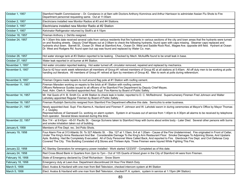| October 1, 1957   | Stamford Health Commissioner - Dr. Constanzo in at 9am with Doctors Anthony Komninos and Arthur Harrisson to administer Assian Flu Shots to Fire<br>Department personnel requesting same. Out at 11:00am                                                                                                                                                                                                                                                                                                                                                                                                         |
|-------------------|------------------------------------------------------------------------------------------------------------------------------------------------------------------------------------------------------------------------------------------------------------------------------------------------------------------------------------------------------------------------------------------------------------------------------------------------------------------------------------------------------------------------------------------------------------------------------------------------------------------|
| October 2, 1957   | Electricians installed new Monitor Radios at #3 and #4 Stations.                                                                                                                                                                                                                                                                                                                                                                                                                                                                                                                                                 |
| October 3, 1957   | Electricians installed new Monitor Radio at #2 Station                                                                                                                                                                                                                                                                                                                                                                                                                                                                                                                                                           |
| October 7, 1957   | Kelvinator Refrigerator returned by Stolfi's at 4:15pm                                                                                                                                                                                                                                                                                                                                                                                                                                                                                                                                                           |
| October 18, 1957  | Fireman Anthony J. DeVito resigned.                                                                                                                                                                                                                                                                                                                                                                                                                                                                                                                                                                              |
| October 24, 1957  | At 1:30am this date received several calls from various residents that fire hydrants in various sections of the city and town areas that fire hydrants were turned<br>on and flooding streets. Deputy Chief Mayes out at 2:08am to check the following hydrants, found open with caps missing. Steamer caps replaced and<br>hydrants shut down. Barrett St., Ocean Dr. West at Stamford Ave., Ocean Dr. West and Saddle Rock Rod., Magee Ave. opposite drill field. Hydrant at Ocean<br>Dr. West and Rodgers Rd. found open but cap was found and replaced by Water Co. man.                                     |
| October 26, 1957  | Hot water storage tank at #3 Station reported to be leaking. Checked by Mech. McAuliffe found to be small leak in base.                                                                                                                                                                                                                                                                                                                                                                                                                                                                                          |
| October 27, 1957  | Water leak reported in oil burner at #4 Station.                                                                                                                                                                                                                                                                                                                                                                                                                                                                                                                                                                 |
| November 1, 1957  | Hot water circulator reported leaking. Hot water turned off, circulator removed, repaired and replaced by mechanics.                                                                                                                                                                                                                                                                                                                                                                                                                                                                                             |
| November 5, 1957  | Due to 42 hour work week referendum all members of Group #1 relived members of Group #2 at all stations at 5:45am. All off duty men to be working at polls<br>handing out literature. All members of Group #1 relived at 5pm by members of Group #2. Men to work at polls during referendum.                                                                                                                                                                                                                                                                                                                     |
| November 9, 1957  | Fireman Orgera made repairs to roof around flag pole at #1 Station with roofing cement.                                                                                                                                                                                                                                                                                                                                                                                                                                                                                                                          |
| November 11, 1957 | Fireman Marsden working on repairs to fire brick at #1 Station with roofing cement.<br>Officers Reference Guides issued to all officers of he Stamford Fire Department by Deputy Chief Mayes.<br>Asst. Adm. Clerk A. Haviland appointed Asst. Supt. Fire Alarms by Board of Public Safety.                                                                                                                                                                                                                                                                                                                       |
| November 14, 1957 | Mr. Hal Quick of H. B. Smith Co. at #4 Station to check leak in boiler, reported to D. C. McRedmond. Supernumerary Firemen Fred Johnson and Walter<br>Lahotsky appointed Regular Firemen by Board of Public Safety.                                                                                                                                                                                                                                                                                                                                                                                              |
| November 19, 1957 | Fireman Rudolph Serricchio resigned from Stamford Fire Department effective this date. Serricchio to enter business.                                                                                                                                                                                                                                                                                                                                                                                                                                                                                             |
| November 21, 1957 | Newly appointed Asst. Supt. Fire Alarms A. Haviland and Firemen F. Johnson and W. Lahotski sworn in during ceremonies at Mayor's Office by Mayor Thomas<br>F. J. Quigley.<br>Representatives of Gamewell Co. working on alarm system. System in al houses out of service from 1:40pm to 4:30pm all alarms to be received by telephone<br>from operator. Several blows received during this time.                                                                                                                                                                                                                 |
| November 22, 1957 | Box 114 - at 9:43pm - 45-51 Pacific St. - George Scrivens taken to Stamford Hosp with burns about entire body - Later Died. Several other persons with burns<br>and smoke inhalation taken out of building.                                                                                                                                                                                                                                                                                                                                                                                                      |
| January 6, 1958   | Members of Fire Dept. rec. 3rd Polio Shots.                                                                                                                                                                                                                                                                                                                                                                                                                                                                                                                                                                      |
| January 19, 1958  | Four Alarm Fire at 313 Atlantic St. To 327 Atlantic St. - Sta. 127 at 1:15am, 8-4 at 1:20am - Cause of the Fire Undetermined. Fire originated in Front of Cellar,<br>Under The King's Arms Restaurant And Bar. Considerable Damage To the King's Arm Restaurant Floor. Smoke Damages To Adjoining Stores, And Upstairs<br>Apts. Building Had Be Completely Evacuated. All of Duty Personnel Were Called Back, And reported to Fire. Glenbrook Fire Dept. and Civil Defense Corp<br>Covered The City. This Building Consisted of 6 Stores and Thirteen Apts. Three Firemen were Injured While Fighting This Fire. |
| January 22, 1958  | AC Stanley Generators for emergency power installed - Work started 12/23/57 - Completed as of this date.                                                                                                                                                                                                                                                                                                                                                                                                                                                                                                         |
| January 24, 1958  | Red Cross Blood Bank in Quarters from 2pm to 7pm - Out of 105 Quarts of blood given in the City of Stamford 44 were from Firemen.                                                                                                                                                                                                                                                                                                                                                                                                                                                                                |
| February 16, 1958 | State of Emergency declared by Chief Richardson - Snow Storm                                                                                                                                                                                                                                                                                                                                                                                                                                                                                                                                                     |
| February 18, 1958 | Emergency duty at Lawn Ave. Department discontinued 24 Hour Fire Watch Duty                                                                                                                                                                                                                                                                                                                                                                                                                                                                                                                                      |
| March 5, 1958     | Elect. Avalos & Haviland with one man from Bell Television, checked intercom system at #4 Station                                                                                                                                                                                                                                                                                                                                                                                                                                                                                                                |
| March 5, 1958     | Elect. Avalos & Haviland with one man from Bell Television, checked P. A. system, system in service at 1:15pm (#4 Station)                                                                                                                                                                                                                                                                                                                                                                                                                                                                                       |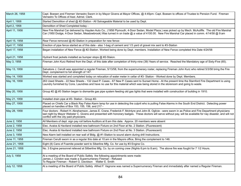| March 26, 1958 | Capt. Boesen and Firemen Verrastro Sworn in by Mayor Givens at Mayor Offices, @ 4:45pm- Capt. Boesen to offices of Trustee to Pension Fund. Fireman<br>Verrastro To Offices of Asst. Admst. Clerk.                                                                                                                                                                     |
|----------------|------------------------------------------------------------------------------------------------------------------------------------------------------------------------------------------------------------------------------------------------------------------------------------------------------------------------------------------------------------------------|
| April 1, 1958  | Started Demolition of shed @ #2-Station - All Salvageable Material to be used by Dept.                                                                                                                                                                                                                                                                                 |
| April 2, 1958  | Demolition of Shed Completed today -                                                                                                                                                                                                                                                                                                                                   |
| April 11, 1958 | New Fire Marshal Car delivered by Hayden Auto Co., (1958 Plymouth, 4-Door Sedan, Model Plaza.) was picked up by Mech. McAuliffe. The old Fire Marshal<br>Car (1950 Dodge, 4-Door Sedan, Meadowbrook) Was turned in on trade @ a value of 4100.00. New Fire Marshal Car placed in comm. 4/14/58 @ 9:am                                                                  |
| April 15, 1958 | Rear Fence removed @ #2-Station in preparation for new fence-                                                                                                                                                                                                                                                                                                          |
| April 17, 1958 | Erection of pipe fence started as of this date - also 1-bag of cement and 1/3 yard of gravel mix sent to #3-Station                                                                                                                                                                                                                                                    |
| April 17, 1958 | Began installation of New Fence @ #2-Station. Worked being done by Dept. members. Installation of New Fence completed this Date 4/24/58                                                                                                                                                                                                                                |
| April 21, 1958 | Hydrant frost jackets installed as bumper stops @ #2-Staion.                                                                                                                                                                                                                                                                                                           |
| May 3, 1958    | Fireman John Kurz Retired from the Dept. of this date after completion of thirty-nine (39) Years of service. Reached the Mandatory age of Sixty-Five (65).                                                                                                                                                                                                             |
| May 13, 1958   | Salvatore J. Cerulli was appointed a regular Fireman, 5/13/58, from the supernumerary roster, replacing Fireman John Kurz who retired 5/3/58 bring the Fire<br>Dept. complement to full strength of 147.                                                                                                                                                               |
| May 14, 1958   | Worked was started and completed today on relocation of water meter in cellar of #3- Station - Worked done by Dept. Members.                                                                                                                                                                                                                                           |
| May 16, 1958   | 263 Used Sheets - 22 New Sheets - 132 Used P. Cases - 67 New P. Cases sent to Sunset Home - At the present time the Stamford Fire Department is using<br>Laundry furnished by Cons. Laundries and have no use for this material which was being stored in the storeroom and going to waste.                                                                            |
| May 20, 1958   | Group #2 @ #3 Station began to dismantle gas pipe system feeding old gas lights that were installed with construction of building in 1910.                                                                                                                                                                                                                             |
| May 21, 1958   | Installed drain pipe at #3- Station - Group #2-                                                                                                                                                                                                                                                                                                                        |
| May 27, 1958   | Placed on Chiefs Car a Black Ray False Alarm lamp for use in detecting the culprit who is pulling False Alarms in the South End District. Detecting power<br>placed on handles of Box 153, 155, 156, and 217 -                                                                                                                                                         |
| May 28, 1958   | Four doctors - Robert H. Abrahamson, James E. Crane, Frederick F. McIntyre and John B. Oglivie - were sworn in as Police and Fire Department physicians<br>last night by Mayor Webster C. Givens and presented with honorary badges. These doctors will serve without pay, will be available for nay disaster, and will not<br>conflict with the city paid physicians. |
| June 2, 1958   | All Members of dept. sign pay roil before Auditors at 8:am this date. Approx. 20 members were absent                                                                                                                                                                                                                                                                   |
| June 2, 1958   | Elec. Avalos & Haviland installed new bathroom Fixture on 2nd Floor at No. 2 Station. (Fluorescent)                                                                                                                                                                                                                                                                    |
| June 2, 1958   | Elec. Avalos & Haviland installed new bathroom Fixture on 2nd Floor at No. 3 Station. (Fluorescent)                                                                                                                                                                                                                                                                    |
| June 3, 1958   | New Alarm bell installed on rear wall of Bldg. @ #1-Station to sound alarm during drill Instructions.                                                                                                                                                                                                                                                                  |
| June 11, 1958  | Fireman Cerulli sworn in as a regular this date at 10:am in the Mayors office, Bring the complement to 146.                                                                                                                                                                                                                                                            |
| June 21, 1958  | Eight (8) Cans of Foamite powder sent to Siberline Mfg. Co. for use by #3 Engine Co.                                                                                                                                                                                                                                                                                   |
| June 21, 1958  | No. 3 Engine personnel relieved at Silberline Mfg. Co. by on coming crew (Nights 6:pm to 8:am). The above fire was fought for 7 1/2 Hours.                                                                                                                                                                                                                             |
| July 3, 1958   | At a meeting of the Board of Public Safety the following appointments were made:<br>James J. Condon was made a Supernumerary Fireman - Refused<br>To Regular Fireman - Robert G. Davidson Walter E. Smith                                                                                                                                                              |
| July 12, 1958  | At a meeting of the Board of Public Safety Alfred F. Vagnone was named a Supernumerary Fireman and immediately after named a Regular Fireman.                                                                                                                                                                                                                          |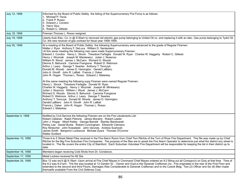| July 12, 1958      | Informed by the Board of Public Safety the listing of the Supernumerary Fire Force is as follows:<br>1. Michael P. Tiscia<br>2. Frank P. Russo<br>3. Edward J. Condon<br>4. Harry Gluz<br>5. Robert C. Gilleski                                                                                                                                                                                                                                                                                                                                                                                                                                                                                                                                                                                                                                                                                                                                                                                                                                                                                                                                                                                                                                                                                                                |
|--------------------|--------------------------------------------------------------------------------------------------------------------------------------------------------------------------------------------------------------------------------------------------------------------------------------------------------------------------------------------------------------------------------------------------------------------------------------------------------------------------------------------------------------------------------------------------------------------------------------------------------------------------------------------------------------------------------------------------------------------------------------------------------------------------------------------------------------------------------------------------------------------------------------------------------------------------------------------------------------------------------------------------------------------------------------------------------------------------------------------------------------------------------------------------------------------------------------------------------------------------------------------------------------------------------------------------------------------------------|
| July 18, 1958      | Fireman Thomas L. Rosso resigned.                                                                                                                                                                                                                                                                                                                                                                                                                                                                                                                                                                                                                                                                                                                                                                                                                                                                                                                                                                                                                                                                                                                                                                                                                                                                                              |
| July 19, 1958      | Liberty Auto Elec. Co. in @ 9:30am to removed old electric gas pump belonging to United Oil co. and replacing it with an elec. Gas pump belonging to Tydol Oil<br>Co. the new receiver of gas contract for fiscal year 1958-1959.                                                                                                                                                                                                                                                                                                                                                                                                                                                                                                                                                                                                                                                                                                                                                                                                                                                                                                                                                                                                                                                                                              |
| July 30, 1958      | At a meeting of the Board of Public Safety the following Supernumerary were advanced to the grade of Regular Firemen:<br>Walter J. Rysz Anthony F. DeLuca William D. Santarsiero<br>At this same meeting the following men were made Supernumerary Firemen:<br>Edward J. Condon Henry L. Strock Theodore Farfaglia Donald W. Ryan Charles W. Haggerty Robert C. Gilleski<br>Henry J. Wozniak Joseph M. Mankewicz Julian J. Nosenzo<br>William R. Wood James J. McCann Richard G. Woods<br>Dennis S. Behunick Carmine Frangione Robert D. Wetmore<br>Arthur J. Leary George T. Searles Anthony T. Tomczyk<br>Donald M. Woods James D. Harrington Gerald LaBlanc<br>John A. Ginolfi John R. LaBati Francis J. Osker<br>John R. Hogan Thomas L. Rosso Edward J. Malarkey<br>At this same meeting the following supp Firemen were named Regular Firemen:<br>Henry L. Strock Theodore Farfaglia Donald W. Ryan<br>Charles W. Haggerty Henry J. Wozniak Joseph M. Minkiewicz<br>Julian J. Nosznzo William r. Wood James J. McCann<br>Richard G. Woods Dennis S. Behunick Carmine Frangione<br>Robert D. Wetmore Arthur J. Leary George T. Searles<br>Anthony T. Tomczyk Donald M. Woods James D. Harrington<br>Gerald LaBlanc John A. Ginolfi John R. LaBati<br>Francis j. Osker John R. Hogan Thomas L. Rosso<br>Edward J. Malarkey |
| September 4, 1958  | Notified by Civil Service the following Firemen are on the Fire Lieutenants List:<br>Robert Callahan Ralph Petrone James Moriarty Robert Lawler<br>John J. Hogan Albert Kelley George Barnett Stanley Bienkowski<br>Perley Lee Daniel Burke Robert Cunningham Ellsworth Clemens<br>Roy Nireschel John Kowaleski John Varunes Andrew Sushocki<br>James Smith Benjamin Lockwood Michael Zyara Thomas O'Connor<br><b>Walter Scollard</b>                                                                                                                                                                                                                                                                                                                                                                                                                                                                                                                                                                                                                                                                                                                                                                                                                                                                                          |
| September 10, 1958 | Three A to Z Street Metal Files received in the Fire Alarm Room from Chief Tom Ritchie of the Turn of River Fire Department. This file was made up by Chief<br>Ritchie for the Big Five Suburban Fire Companies. The purpose of the files are to assist the Fire Alarm Operator to determine just what fire district any street is<br>located in. The file covers the entire City of Stamford. Each Suburban Volunteer Fire Department will be responsible for keeping the list in their district up to<br>date.                                                                                                                                                                                                                                                                                                                                                                                                                                                                                                                                                                                                                                                                                                                                                                                                               |
| September 16, 1958 | Members began receiving Cold Shots from Dr. Constanzo.                                                                                                                                                                                                                                                                                                                                                                                                                                                                                                                                                                                                                                                                                                                                                                                                                                                                                                                                                                                                                                                                                                                                                                                                                                                                         |
| September 17, 1958 | Metal Lockers received for #2 Sta.                                                                                                                                                                                                                                                                                                                                                                                                                                                                                                                                                                                                                                                                                                                                                                                                                                                                                                                                                                                                                                                                                                                                                                                                                                                                                             |
| September 24, 1958 | Box 12 was rec'd @ 9:18pm -Upon arrival at Fire Chief Mayes in Command Chief Mayes ordered an 8-2 Bring out all Company's on Duty at that time. Time of<br>the 8-2 was 9:21pm- The fire was located at 12 Garden St. - Owner and Ocpt is the Danerak Craftsman Inc. Fire originated in the rear of the First Floor and<br>extended to the second and third Floors, Damages Was Considerable to Danerak Craftsman and to the Czecik Bldg. Two (2) Officer and Six (6) Men made<br>themselfs available From the Civil Defense Corp.                                                                                                                                                                                                                                                                                                                                                                                                                                                                                                                                                                                                                                                                                                                                                                                              |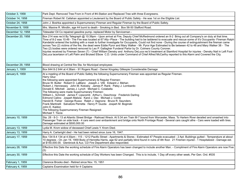| October 3, 1958   | Park Dept. Removed Tree From in Front of #4-Station and Replaced Tree with three Evergreens.                                                                                                                                                                                                                                                                                                                                                                                                                                                                                                                                                                                                                                                                                                                                                                                                                                                                                                                                                                                      |
|-------------------|-----------------------------------------------------------------------------------------------------------------------------------------------------------------------------------------------------------------------------------------------------------------------------------------------------------------------------------------------------------------------------------------------------------------------------------------------------------------------------------------------------------------------------------------------------------------------------------------------------------------------------------------------------------------------------------------------------------------------------------------------------------------------------------------------------------------------------------------------------------------------------------------------------------------------------------------------------------------------------------------------------------------------------------------------------------------------------------|
| October 14, 1958  | Fireman Robert M. Callahan appointed a Lieutenant by the Board of Public Safety - He was 1st on the Eligible List.                                                                                                                                                                                                                                                                                                                                                                                                                                                                                                                                                                                                                                                                                                                                                                                                                                                                                                                                                                |
| October 24, 1958  | John J. Boshka appointed a Supernumerary Fireman and Regular Fireman by the Board of Public Safety.                                                                                                                                                                                                                                                                                                                                                                                                                                                                                                                                                                                                                                                                                                                                                                                                                                                                                                                                                                               |
| November 9, 1958  | Mrs. Maxine R. Mindlin, age 44 burnt to death - Smoking in Bed. Box 56-50 Stafford Road.                                                                                                                                                                                                                                                                                                                                                                                                                                                                                                                                                                                                                                                                                                                                                                                                                                                                                                                                                                                          |
| December 12, 1958 | Tidewater Oil Co repaired gasoline pump- replaced Motor by Serviceman -                                                                                                                                                                                                                                                                                                                                                                                                                                                                                                                                                                                                                                                                                                                                                                                                                                                                                                                                                                                                           |
| December 20, 1958 | Box 214 was rec'd By Telegraph @ 10:39pm - Upon arrival at Fire, Deputy Chief McRedmond ordered an 8-2 Bring out all Company's on duty at that time.<br>Time of 8-2 was 10:49 - The Fire was located at 67 Ally--Place - The building had to be laddered to evacuate and rescue some of it's Occupants- Fireman Ralph  <br>Kandetzki entered the building with a mask to further investigate for Occupants, Could not find none - During the course of extinguishment the fireman came<br>across Two (2) victims of the fire, the dead were Eddie Pyror and Mary Walker - Mr. Pyror Age Estimated to Be between 42 to 48 and Mary Walker 38 - The<br>Two (2) bodies were ordered removed to Leo P. Gallagher Funderal Parlor by Dr. Colmers County Coroner.<br>Injuries received by Fireman Seven (7) - Chief William Densky and Anthony DeLuca rec'd treatment at Stamford Hospital for injuries - Densky Nail in Left Foot -<br>DeLuca lacertaion of Left Palm and Bruised Elbow C.D. Units under Command of Chief Alfred McCarthy reported to this Alarm and Covered the City. |
| December 29, 1958 | Blood drawing at Central fire Sta. for Municipal employees                                                                                                                                                                                                                                                                                                                                                                                                                                                                                                                                                                                                                                                                                                                                                                                                                                                                                                                                                                                                                        |
| January 1, 1959   | Box 644 8-2 644 at 4:38am - 91 Rogers Road - Owner Kingsley Gillespie Considerable Damage                                                                                                                                                                                                                                                                                                                                                                                                                                                                                                                                                                                                                                                                                                                                                                                                                                                                                                                                                                                         |
| January 6, 1959   | At a meeting of the Board of Public Safety the following Supernumerary Fireman was appointed as Regular Fireman.<br>Harry Gluz<br>the following were appointed Supernumerary & Regular Firemen:<br>Bruce W. Butler Robert D. LaBlanc Joseph J. Vitti Edward J. Mehan<br>Robert J. Hennessey John M. Kotosky James P. Rank Patsy J. Lombardo<br>Donald E. Mitchell James J. Lynch Michael C. Colabella<br>The following were made Supernumerary Firemen:<br>William L. Schmidt James F. Lipscomb Arthur L. Deschnow Frederick Darling<br>Edmond Catino Jospeh Malizia Karol J. Dec Michael J. Conte<br>Harold B. Fisher George Russo Ralph J. Vagnone Bruce R. Saunders<br>Frank Martinelli Salvatore Perretta Henry P. Guzda Jospeh M. Boginski<br>John E. Kaldon<br>The following Supernumerary Fireman Resigned:<br>Michael T. Tiscia                                                                                                                                                                                                                                           |
| January 10, 1959  | Sta. 28 - 8-3 - 13 at Atlantic Street Bridge - Railroad Wreck. At 5:34 am Train M-7 bound from Worcester, Mass. To Harlem River derailed and smashed into<br>Passenger Train on side track - 4 cars went over embankment and bridge onto North Frontage Road - Several cars caught afire - Cars were loaded with tires.<br>Damage estimated at \$500,000.00                                                                                                                                                                                                                                                                                                                                                                                                                                                                                                                                                                                                                                                                                                                       |
| January 13, 1959  | Lydia M. Krom widow of deceased Chief Lewis Y. Krom Died.                                                                                                                                                                                                                                                                                                                                                                                                                                                                                                                                                                                                                                                                                                                                                                                                                                                                                                                                                                                                                         |
| January 13, 1959  | Harry A. Cartwright died - He had been retired since June 16, 1947.                                                                                                                                                                                                                                                                                                                                                                                                                                                                                                                                                                                                                                                                                                                                                                                                                                                                                                                                                                                                               |
| January 17, 1959  | Box 134 8-4 134 at 4:30pm - 115 - 1212 Pacific Street - Apartments & Stores - Estimated 47 People evacuated - 2 Apt. Buildings gutted - Temperature at about<br>10 degrees - On Jan 19, 1959 Body of Henretta Harris, age 62 and partially blind found in ruins of 4th floor. 21 Firemen injured - 1 Hospitalized - Damage est.<br>at \$150,000.00. Glenbrook & Aux. CD Fire Department also responded.                                                                                                                                                                                                                                                                                                                                                                                                                                                                                                                                                                                                                                                                           |
| January 28, 1959  | Effective this Date the working schedule of Fire Alarm Operators has been changed to include another Man. - Compliment of Fire Alarm Operators are now Five<br>(5)                                                                                                                                                                                                                                                                                                                                                                                                                                                                                                                                                                                                                                                                                                                                                                                                                                                                                                                |
| January 30, 1959  | Effective this Date the working schedule of Day Workers has been Changed. This is to include, 1 Day off every other week, Per Gen. Ord. #535                                                                                                                                                                                                                                                                                                                                                                                                                                                                                                                                                                                                                                                                                                                                                                                                                                                                                                                                      |
| February 1, 1959  | Clarence Brooks died - Retired since Nov. 15, 1951                                                                                                                                                                                                                                                                                                                                                                                                                                                                                                                                                                                                                                                                                                                                                                                                                                                                                                                                                                                                                                |
| February 4, 1959  | Captains Examination held for 4 Captains                                                                                                                                                                                                                                                                                                                                                                                                                                                                                                                                                                                                                                                                                                                                                                                                                                                                                                                                                                                                                                          |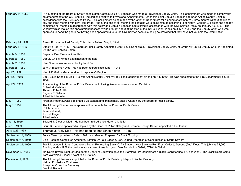| February 11, 1959  | At a Meeting of the Board of Safety on this date Captain Louis A. Sandella was made a Provisional Deputy Chief. This appointmetn was made to comply with<br>an amendment to the Civil Service Regulartions relative to Provisional Appointments. Up to this point Captain Sandella had been Acting Deputy Chief in<br>accordance with the Civil Service Policy. This assignment being made by the Chief of Departmetn for a period of six months., three months without additional<br>pay and three months with pay - top grade. And at the end of six months the cpatains were being rotated according to seniority. Captain E. Foster had already<br>completed six months in accordance with this policy and Captain Sandella had started in accordance with the Civil Service Policy on January 15, 1959. The<br>vacancy which makes this appointment necessary was brought about at the start of the 42 Hour Work Week on July 1, 1959 and the Deputy Chief who was<br>approved to head the gorup not having been appointed due to the Civil Service scheudle being so crowded that they have not yet held the Examination. |
|--------------------|---------------------------------------------------------------------------------------------------------------------------------------------------------------------------------------------------------------------------------------------------------------------------------------------------------------------------------------------------------------------------------------------------------------------------------------------------------------------------------------------------------------------------------------------------------------------------------------------------------------------------------------------------------------------------------------------------------------------------------------------------------------------------------------------------------------------------------------------------------------------------------------------------------------------------------------------------------------------------------------------------------------------------------------------------------------------------------------------------------------------------------|
| February 15, 1959  | Ernest B. Lamb retired Deputy Chief died - Retired May 1, 1944                                                                                                                                                                                                                                                                                                                                                                                                                                                                                                                                                                                                                                                                                                                                                                                                                                                                                                                                                                                                                                                                  |
| February 17, 1959  | Effective Feb. 11, 1959 The Board of Public Safety Appointed Capt. Louis Sandella a, "Provisional Deputy Chief, of Group #2" until a Deputy Chief is Appointed,<br>By The Civil Service Comm. -                                                                                                                                                                                                                                                                                                                                                                                                                                                                                                                                                                                                                                                                                                                                                                                                                                                                                                                                 |
| March 24, 1959     | <b>Captains Oral Examinations Held</b>                                                                                                                                                                                                                                                                                                                                                                                                                                                                                                                                                                                                                                                                                                                                                                                                                                                                                                                                                                                                                                                                                          |
| March 26, 1959     | Deputy Chiefs Written Examination to be held                                                                                                                                                                                                                                                                                                                                                                                                                                                                                                                                                                                                                                                                                                                                                                                                                                                                                                                                                                                                                                                                                    |
| March 26, 1959     | New Compressor received for Hydrant Dept.                                                                                                                                                                                                                                                                                                                                                                                                                                                                                                                                                                                                                                                                                                                                                                                                                                                                                                                                                                                                                                                                                       |
| March 28, 1959     | John J. Biessman Died - He had been retired since June 1, 1948                                                                                                                                                                                                                                                                                                                                                                                                                                                                                                                                                                                                                                                                                                                                                                                                                                                                                                                                                                                                                                                                  |
| April 7, 1959      | New 750 Gallon Mack received to replace #3 Engine                                                                                                                                                                                                                                                                                                                                                                                                                                                                                                                                                                                                                                                                                                                                                                                                                                                                                                                                                                                                                                                                               |
| April 23, 1959     | Capt. Louis Sandella Died - He was Acting Deputy Chief by Provisional appointment since Feb. 11, 1959 - He was appointed to the Fire Department Feb. 28,<br>1928.                                                                                                                                                                                                                                                                                                                                                                                                                                                                                                                                                                                                                                                                                                                                                                                                                                                                                                                                                               |
| April 29, 1959     | At a meeting of the Board of Public Safety the following lieutenants were named Captains:<br>Robert M. Callahan<br>Thomas P. McAuliffe<br>Eugene P. Callahan<br>Albert W. Macsata                                                                                                                                                                                                                                                                                                                                                                                                                                                                                                                                                                                                                                                                                                                                                                                                                                                                                                                                               |
| May 1, 1959        | Fireman Robert Lawler appointed a Lieutenant and immediately after a Captain by the Board of Public Safety.                                                                                                                                                                                                                                                                                                                                                                                                                                                                                                                                                                                                                                                                                                                                                                                                                                                                                                                                                                                                                     |
| May 1, 1959        | The following Firemen were appointed Lieutenants by the Board of Public Safety:<br>Ralph Petrone<br>James Moriarty<br>John J. Hogan<br><b>Albert Kelley</b>                                                                                                                                                                                                                                                                                                                                                                                                                                                                                                                                                                                                                                                                                                                                                                                                                                                                                                                                                                     |
| May 14, 1959       | Edward J. Gleason Died - He had been retired since March 21, 1940.                                                                                                                                                                                                                                                                                                                                                                                                                                                                                                                                                                                                                                                                                                                                                                                                                                                                                                                                                                                                                                                              |
| June 9, 1959       | Lieut. R. Petrone appointed a Captain by the Board of Public Safety and Fireman George Barrett appointed a Lieutenant.                                                                                                                                                                                                                                                                                                                                                                                                                                                                                                                                                                                                                                                                                                                                                                                                                                                                                                                                                                                                          |
| August 23, 1959    | Thomas J. Riely Died - He had been Retired Since March 1, 1945                                                                                                                                                                                                                                                                                                                                                                                                                                                                                                                                                                                                                                                                                                                                                                                                                                                                                                                                                                                                                                                                  |
| September 14, 1959 | Fence Taken up on North Side of Bldg. and Ground Prepared for Black Topping                                                                                                                                                                                                                                                                                                                                                                                                                                                                                                                                                                                                                                                                                                                                                                                                                                                                                                                                                                                                                                                     |
| September 16, 1959 | Black Topping Completed Around #2-Station By Paul Bacco & Son, During Operation of Construction of Storm Sewers                                                                                                                                                                                                                                                                                                                                                                                                                                                                                                                                                                                                                                                                                                                                                                                                                                                                                                                                                                                                                 |
| September 21, 1959 | Frank Mercede & Sons, Contractors Began Renovating Stairs @ #3-Station. New Stairs to Run From Cellar to Second (2nd) Floor. This job was \$2,060.<br>Starting in May 1958 the cost was spread over three budgets. See Requisition 50901, 57784 & 50116                                                                                                                                                                                                                                                                                                                                                                                                                                                                                                                                                                                                                                                                                                                                                                                                                                                                         |
| November 20, 1959  | Mr. Norris Brown, Supt. of Bldg. for the Board of Education gave the Stamford Fire Department a Black Board for use in Glass Work. The Black Board came<br>from Waterside School & went to #4-Station.                                                                                                                                                                                                                                                                                                                                                                                                                                                                                                                                                                                                                                                                                                                                                                                                                                                                                                                          |
| December 1, 1959   | The following Men were appointed to the Board of Public Safety by Mayor J. Walter Kennedy:<br>Nathan E. Martin - Chairman<br>Joseph A. Czescik - Secretary<br>Frank J. Robotti                                                                                                                                                                                                                                                                                                                                                                                                                                                                                                                                                                                                                                                                                                                                                                                                                                                                                                                                                  |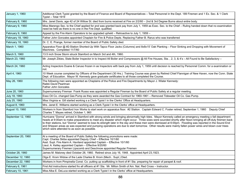| January 1, 1960    | Additional Clerk Typist granted by the Board of Finance and Board of Representatives - Total Personnel in the Dept. 189 Firemen and 1 Ex. Sec. & 1 Clerk<br>Typist - Total 1919                                                                                                                                                                                                                                                                                                                                                                                                                                                                                                              |
|--------------------|----------------------------------------------------------------------------------------------------------------------------------------------------------------------------------------------------------------------------------------------------------------------------------------------------------------------------------------------------------------------------------------------------------------------------------------------------------------------------------------------------------------------------------------------------------------------------------------------------------------------------------------------------------------------------------------------|
| February 8, 1960   | Mrs. Janet Davis, age 42 of 24 Willow St. died from burns received at Fire on 2/2/60 - 2nd & 3rd Degree Burns about entire body.                                                                                                                                                                                                                                                                                                                                                                                                                                                                                                                                                             |
| February 9, 1960   | Miss Marengo Sec. to the Chief applied for and was granted back pay from July 1, 1959 as Exec. Sec. to the Chief - Ruling handed down that no examination<br>need be held as there is no one in the Fire Dept. qualified.                                                                                                                                                                                                                                                                                                                                                                                                                                                                    |
| February 9, 1960   | Appeal by the Fire Alarm Operators to be upgraded upheld - Retroactive to July 1, 1959 -                                                                                                                                                                                                                                                                                                                                                                                                                                                                                                                                                                                                     |
| February 18, 1960  | Father John Gonzales appointed Chaplain for Fire & Police Depts. Replacing Father B. Rarus who was transferred                                                                                                                                                                                                                                                                                                                                                                                                                                                                                                                                                                               |
| February 18, 1960  | Dr. C. E. Prange, former member of the Board of Public Safety died.                                                                                                                                                                                                                                                                                                                                                                                                                                                                                                                                                                                                                          |
| March 1, 1960      | Apparatus Floor @ #2-Station Shorted-Up With Tapco Floor Jacks (Columns) and 8x8x15' Oak Planking - Floor Sinking and Dropping with Movement of<br>Machines. Completed 11/7/60                                                                                                                                                                                                                                                                                                                                                                                                                                                                                                               |
| March 5, 1960      | 13.5 inch Snow Storm struck Stamford on March 3rd and 4th, 1960.                                                                                                                                                                                                                                                                                                                                                                                                                                                                                                                                                                                                                             |
| March 23, 1960     | Mr. Joseph Zikies, State Boiler Inspector in to Inspect All Boiler and Compressors @ All Fire Houses, Sta., 2, 3, & 4's - All Found to Be Satisfactory -                                                                                                                                                                                                                                                                                                                                                                                                                                                                                                                                     |
| March 24, 1960     | Acting Inspectors Duane & Caruso frozen in as Inspectors with back pay from July 1, 1959 until decision is reached by Personnel Comm. for a examination or<br>not.                                                                                                                                                                                                                                                                                                                                                                                                                                                                                                                           |
| April 4, 1960      | 10 Week course completed by Officers of the Department (30 Hrs.) Training Course was given by Retired Chief Flannigan of New Haven, now the Conn. State<br>Dept. of Education. Mayor W. Kennedy gave graduate certificates to all those completed the Course.                                                                                                                                                                                                                                                                                                                                                                                                                                |
| May 26, 1960       | The following men were appointed as Chaplains of the Police and Fire Departments by Mayor J. Wlater Kennedy:<br>Rabbi David Pearlman<br><b>Father John Gonzales</b>                                                                                                                                                                                                                                                                                                                                                                                                                                                                                                                          |
| June 20, 1960      | Supernumerary Fireman Frank Russo was appointed a Regular Fireman by the Board of Public Safety at a regular meeting.                                                                                                                                                                                                                                                                                                                                                                                                                                                                                                                                                                        |
| July 18, 1960      | Esso Oil Co. changed Gas Pump as they were awarded the Gas Contract for 1960-1961 – Removed Tidewater Oil Co. Gas Pump.                                                                                                                                                                                                                                                                                                                                                                                                                                                                                                                                                                      |
| July 25, 1960      | Miss Virginia w. Gill started working s a Clerk-Typist I in the Clerks' Office at Headquarters.                                                                                                                                                                                                                                                                                                                                                                                                                                                                                                                                                                                              |
| August 8, 1960     | Mrs. Janet E. Williams started working as a Clerk-Typist I in the Clerks' office at Headquarters.                                                                                                                                                                                                                                                                                                                                                                                                                                                                                                                                                                                            |
| August 10, 1960    | Workers in from Stamford Iron Works to start work on apparatus floor. #2 Station. Captain Edward C. Foster retired, September 1, 1960 Deputy Chief<br>Charles T. Mayes retired, October 1, 960                                                                                                                                                                                                                                                                                                                                                                                                                                                                                               |
| September 12, 1960 | Hurricane "Donna" arrived in Stamford with strong winds and bringing abnormally high tides. Mayor Kennedy called an emergency meeting o fall department<br>heads at 9:00am to make preparations to meet any disaster which might occur. Three sixes were sounded shortly after Noon bringing all off-duty firemen back<br>to their stations, but "Donna" seemed to lose its strength later in the day and these men were dismissed at 6:00pm. Flooding was reported in the Sound End<br>and Shippan areas as was expected and pumping operations are due to start tomorrow. Other results were mainly fallen power wires and blown over trees<br>which were attended to as soon as possible. |
| September 20, 1960 | At a meeting of the Board of Public Safety the following promotions were made:<br>Capt. Charles Skiba appointed Deputy Chief - Effective 10/1/60<br>Asst. Supt. Fire Alarm A. Haviland appointed Captain - Effective 10/1/60<br>Lieut. A. Kelley appointed Captain - Effective 9/20/60<br>Supernumerary Firemen Lipscomb and Deschnow appointed Regular Firemen                                                                                                                                                                                                                                                                                                                              |
| October 28, 1960   | James M. Maloney died October 28, 1960. Retired since July 16, 1948. Appointed April 23,1923.                                                                                                                                                                                                                                                                                                                                                                                                                                                                                                                                                                                                |
| December 12, 1960  | Olga E. Krom Widow of the Lade Charles B. Krom (Mech Supt.) Died.                                                                                                                                                                                                                                                                                                                                                                                                                                                                                                                                                                                                                            |
| December 22, 1960  | Workers in from Pimpinella Const. Co. putting up scaffolding in front of #1 Sta. preparing for repair of parapet & roof.                                                                                                                                                                                                                                                                                                                                                                                                                                                                                                                                                                     |
| February 6, 1961   | First Aid instructions started fro all officers at #1 Sta. Mr. Milton Smith of Am. Nat. Red Cross - Instructor.                                                                                                                                                                                                                                                                                                                                                                                                                                                                                                                                                                              |
| February 10, 1961  | Miss Alba E. DeLuca started working as a Clerk Typist I in the Clerks' office at Headquarters.                                                                                                                                                                                                                                                                                                                                                                                                                                                                                                                                                                                               |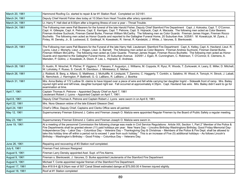| March 20, 1961  | Hammond Roofing Co. started to repair & tar #1 Station Roof. Completed on 3/21/61.                                                                                                                                                                                                                                                                                                                                                                                                                                                                                                                                                                                                                                                                             |
|-----------------|----------------------------------------------------------------------------------------------------------------------------------------------------------------------------------------------------------------------------------------------------------------------------------------------------------------------------------------------------------------------------------------------------------------------------------------------------------------------------------------------------------------------------------------------------------------------------------------------------------------------------------------------------------------------------------------------------------------------------------------------------------------|
| March 24, 1961  | Deputy Chief Harold Fisher dies today at 10:30am from Heart Trouble after artery operation                                                                                                                                                                                                                                                                                                                                                                                                                                                                                                                                                                                                                                                                     |
| March 24, 1961  | Lt. Harry F. Hall died at 6:00pm after a lingering Illness of over a year - Throat Trouble.                                                                                                                                                                                                                                                                                                                                                                                                                                                                                                                                                                                                                                                                    |
| March 24, 1961  | The Following men were Pall Bearers for the funeral of the late Harold Fisher, Deputy Chief Stamford Fire Department Capt. J. Kokoska, Capt. T. O'Connor,<br>Capt. H. Gillespie, Capt. A. Petrone, Capt. E. Kerrigan, Capt. T. Petrone, Capt. S. Hojnacki, Capt. A. Macsata. The following men acted as Color Bearers<br>Fireman Andrew Suchocki, Fireman Daniel Burke, Fireman William McCarthy. The following men as Color Guards: Fireman James Hogan, Fireman Rocco<br>Buchetto. The following men acted as Honor Guards and reported to the Gallagher Funeral Home, 20 Suburban Ave. 3/25/61: M. Kowalczyk, M. Zyara, J.<br>Finley, W. Densky, Jr., B. Lockwood, E. Goldkopf, N. Kowaleski, R. Vernal, R. Kandetzki, J. White, J. Varunes, S. Bienkowski. |
| March 25, 1961  | The Following men were Pall Bearers for the Funeral of the late Harry Hall, Lieutenant, Stamford Fire Department: Capt. A. Kelley, Capt. A. Haviland, Lieut. R.<br>Lyons, Lieut J. Moriarty, Lieut. J. Hogan, Lieut. G. Barnett. The following men acted as Color Bearers: Fireman Andrew Suchocki, Fireman Daniel Burke,<br>Fireman William McCarthy. The following men acted as Color Guards: Fireman James Hogan, Fireman Rocco Buchetto. The following men acted as Honor<br>Guards and reported to the Gallagher Funeral Home, 20 Suburban Avenue. 3/25/61 J. Egan, R. Cunningham, C. Robinson, T. O'Connor, E. Clemens, A.<br>Marsden, P. Golino, J. Kowaleski, A. Dixon, P. Lee, L. Hojnacki, E. Andrews.                                               |
| March 26, 1961  | D. Austin, R. Nirschel, R. Pilcher, P. Viggiano, F. Passaro, F. Augustyn, J. Williams, M. Coppola, R. Rysz, R. Woods, T. Zurkowski, A. Leary, E. Miller, D. Mitchell,<br>W. Lohotsky, F. Russo, S. Cerulli, R. Davidson, J. Minkiewicz, E. Mehan,                                                                                                                                                                                                                                                                                                                                                                                                                                                                                                              |
| March 26, 1961  | J. Robboti, B. Berg, a. Alfano, G. Matthews, J. McAuliffe, K. Lindquist, T. Zannino, C. Haggerty, T. Conklin, s. Salatino, W. Wood, A. Tomzyk, H. Strock, J. Labati,<br>E. Nemcheck, J. Harrington, P. Battinelli, G. G. LaBlanc, R. LaBlanc, J. Boshka                                                                                                                                                                                                                                                                                                                                                                                                                                                                                                        |
| March 31, 1961  | Mrs. Anna Bailey of 172 Ludlow St. claims to have tripped over a piece of wire and fell while carrying her daughter Ingrid - Sidewalk front of ramp. Mrs. Bailey<br>injured right wrist and left knee, daughter bumped right ear. Fall occurred at approximately 4:35pm. Capt. Haviland has wire. Mrs. Bailey didn't want to go for<br>examination at time.                                                                                                                                                                                                                                                                                                                                                                                                    |
| April 7, 1961   | Captain Thomas A. Petrone - Appointed Deputy Chief on April 7, 1961<br>Lieutenant Robert J. Lyons - Appointed Captain on April 7, 1961.                                                                                                                                                                                                                                                                                                                                                                                                                                                                                                                                                                                                                        |
| April 8, 1961   | Deputy Chief Thomas A. Petrone and Captain Robert J. Lyons were sworn in on April 8, 1961.                                                                                                                                                                                                                                                                                                                                                                                                                                                                                                                                                                                                                                                                     |
| April 22, 1961  | Mrs. Nora Gleason widow of the late Edward Gleason Died.                                                                                                                                                                                                                                                                                                                                                                                                                                                                                                                                                                                                                                                                                                       |
| April 24, 1961  | Chief's Office, Deputy Chief, Captains and Clerks Office were all painted.                                                                                                                                                                                                                                                                                                                                                                                                                                                                                                                                                                                                                                                                                     |
| May 12, 1961    | Supernumerary Fireman Edmond J. Catino and Fireman Joseph O. Malizia were appointed Regular Firemen by the Board of Public Safety a regular meeting.                                                                                                                                                                                                                                                                                                                                                                                                                                                                                                                                                                                                           |
| May 23, 1961    | Supernumerary Fireman Edmond J. Catino and Fireman Joseph O. Malizia were sworn in.                                                                                                                                                                                                                                                                                                                                                                                                                                                                                                                                                                                                                                                                            |
| June 19, 1961   | At a meeting of the personnel Commission the following change was made in Civil Service Regulations: Article XIII, Section 1, Part 2" Member of the Police &<br>Fire Departments shall be granted eleven (11) paid holidays per year: New Years Day - Lincolns Birthday-Washingtons Birthday, Good Friday-Memorial Day-<br>Independence Day - Labor Day - Columbus Day - Veterans Day - Thanksgiving Day & Christmas - Members of the Police & Fire Dept. shall be allowed to<br>take this holiday time off within a period not to exceed 1 year from such holiday." This is an increase of Five (5) additional holidays - As follows Lincoln's<br>Birthday - Washington's Birthday - Good Friday - Columbus Day - Veterans Day.                               |
| June 26, 1961   | Repairing and recovering of #3 Station roof completed.                                                                                                                                                                                                                                                                                                                                                                                                                                                                                                                                                                                                                                                                                                         |
| July 6, 1961    | Fireman Fred Johnson Resigned                                                                                                                                                                                                                                                                                                                                                                                                                                                                                                                                                                                                                                                                                                                                  |
| August 9, 1961  | Fireman Larry Densky appointed Asst. Supt. of Fire Alarms.                                                                                                                                                                                                                                                                                                                                                                                                                                                                                                                                                                                                                                                                                                     |
| August 9, 1961  | Fireman s. Bienkowski, J. Varunes, D. Burke appointed Lieutenants of the Stamford Fire Department                                                                                                                                                                                                                                                                                                                                                                                                                                                                                                                                                                                                                                                              |
| August 9, 1961  | Michael T. Conte appointed regular fireman of the Stamford Fire Department.                                                                                                                                                                                                                                                                                                                                                                                                                                                                                                                                                                                                                                                                                    |
| August 17, 1961 | Box #18 8-4 @ 9:24pm rear of 507 Canal Street estimated damge at \$75,000.00 4 firemen injured slightly.                                                                                                                                                                                                                                                                                                                                                                                                                                                                                                                                                                                                                                                       |
| August 18, 1961 | Roof at #1 Station completed                                                                                                                                                                                                                                                                                                                                                                                                                                                                                                                                                                                                                                                                                                                                   |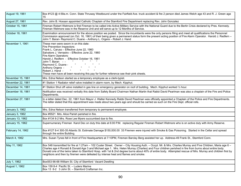| August 19, 1961   | Box #123 @ 4:59a.m. Conn. State Thruway Westbound under the Fairfield Ave. truck accident & fire 2 person died James Welch age 43 and R. J. Green age<br>15                                                                                                                                                                                                                                                                                                                                                                                                           |
|-------------------|-----------------------------------------------------------------------------------------------------------------------------------------------------------------------------------------------------------------------------------------------------------------------------------------------------------------------------------------------------------------------------------------------------------------------------------------------------------------------------------------------------------------------------------------------------------------------|
| August 27, 1961   | Rev. John B. Hossan appointed Catholic Chaplain of the Stamford Fire Department replacing Rev. John Gonzalez                                                                                                                                                                                                                                                                                                                                                                                                                                                          |
| October 15, 1961  | Fireman Robert Wetmore is first Fireman to be called into Active Military Service with the National Guard due to the Berlin Crisis declared by Pres. Kennedy.<br>Fireman Wetmore was in the Reserve Unit and will serve up to 12 Months of Service.                                                                                                                                                                                                                                                                                                                   |
| October 18, 1961  | Examination announcement for the above position we posted. Since the incumbents were the only persons filing and meet all qualifications the Personnel<br>Commission approved (on Oct. 16, 1961) of their being given a permanent status form the present acting position of Fire Alarm Operator. Harold J. Redfern -<br>John T. Baran- Raymond C. Duane - Anthony L. Orgera - Robert J. Hand                                                                                                                                                                         |
| November 1, 1961  | These men were sworn in on this date:<br>Fire Prevention Inspectors:<br>Frank L. Caruso - Effective June 22, 1960<br>Salvatore J. Verrastro - Effective June 22, 1960<br>Fire Alarm Operators:<br>Harold J. Redfern - Effective October 16, 1961<br>John T. Baran - -<br>Raymond C. Duane -<br>Anthony Orgera -<br>Robert J. Hand -<br>These men have all been receiving this pay for further reference see their pink sheets.                                                                                                                                        |
| November 15, 1961 | Mrs. Edna Nelson started as a temporary employee as a clerk-typist.                                                                                                                                                                                                                                                                                                                                                                                                                                                                                                   |
| November 22, 1961 | #1 Station 1 Radiator relief valve installed in alarm room, by Mech. Kipphut.                                                                                                                                                                                                                                                                                                                                                                                                                                                                                         |
| December 14, 1961 | #1 Station Shut off valve installed in gas line on emergency generator on roof of building. Mech. Kipphut worked 1/2 hour.                                                                                                                                                                                                                                                                                                                                                                                                                                            |
| December 18, 1961 | Notification was received verbally this date from Safety Board Chairman Nathan Martin that Rabbi David Pearlman was also a chaplain of the Fire and Police<br>Departments.                                                                                                                                                                                                                                                                                                                                                                                            |
| December 27, 1961 | In a letter dated Dec. 22, 1961 from Mayor J. Walter Kennedy Rabbi David Pearlman was officially appointed a Chaplain of the Police and Fire Departments.<br>The letter stated that this appointment was made about two years ago and should be carried as such on the Fire Dept. official rolls.                                                                                                                                                                                                                                                                     |
| January 3, 1962   | Mrs. Edna Nelson transferred from temporary to permanent employee.                                                                                                                                                                                                                                                                                                                                                                                                                                                                                                    |
| January 3, 1962   | Box #5521 Mrs. Alice Parish perished in fire.                                                                                                                                                                                                                                                                                                                                                                                                                                                                                                                         |
| January 13, 1962  | Box #134 8-2 Mrs. Rose Lee Myers succumbed due to fire.                                                                                                                                                                                                                                                                                                                                                                                                                                                                                                               |
| January 15, 1962  | Supernumerary Fireman Karol Dec on duty this date at 6:00 P.M. replacing Regular Fireman Robert Wetmore who is on active duty with Army Reserve.                                                                                                                                                                                                                                                                                                                                                                                                                      |
| February 14, 1962 | Box #127 8-4 300-35 Atlantic St. Estimate Damage \$150,000.00 33 Firemen were injured with Smoke & Gas Poisoning. Started in the Cellar and spread<br>through the entire Building.                                                                                                                                                                                                                                                                                                                                                                                    |
| March 4, 1962     | Mrs. Susan Tynes fell in front of Fire Headquarters at 7:10PM, Fireman Barclay Berg assisted her up. Address-49 Frank St., Stamford Conn.                                                                                                                                                                                                                                                                                                                                                                                                                             |
| May 11, 1962      | Box 548 transmitted for fire at 1:27am - 102 Custer Street. Owner - City Housing Auth. - Occpt. Mr. & Mrs. Charles Murray and Five Children, Maria age 6 -<br>Charles age 4 Ronald & Donald Age 3 and Michael age 1. Mrs. Helen Murray (Charles) and Four children perished in fire from burns about entire body.<br>Donald one of the twins taken to Stamford Hosp. with 1st & 2nd degree burns about 40% of entire body. Attempted rescue of Mrs. Murray and children first by<br>neighbors and then by firemen were defeated by intense heat and flames and smoke. |
| July 1, 1962      | Box553 66-68 William St. City of Stamford Vacant Dwelling                                                                                                                                                                                                                                                                                                                                                                                                                                                                                                             |
| August 1, 1962    | Box 159 8-4 Pacific St. - Luders Marine<br>Box 13 8-2 3 John St. - Stamford Craftsman Inc.                                                                                                                                                                                                                                                                                                                                                                                                                                                                            |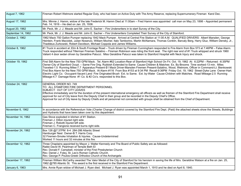| August 7, 1962     | Fireman Robert Wetmore started Regular Duty, who had been on Active Duty with The Army Reserve, replacing Supernumerary Fireman Karol Dec.                                                                                                                                                                                                                                                                                                                                                                                                                                                                                                                                                                                                                                                                                           |
|--------------------|--------------------------------------------------------------------------------------------------------------------------------------------------------------------------------------------------------------------------------------------------------------------------------------------------------------------------------------------------------------------------------------------------------------------------------------------------------------------------------------------------------------------------------------------------------------------------------------------------------------------------------------------------------------------------------------------------------------------------------------------------------------------------------------------------------------------------------------|
| August 17, 1962    | Mrs. Minnie J. Hamm, widow of the late Frederick M. Hamm Died at 11:00am - Fred Hamm was appointed call man on May 23, 1898 - Appointed permanent<br>Feb. 14, 1916 – He died on Jan. 25, 1936.                                                                                                                                                                                                                                                                                                                                                                                                                                                                                                                                                                                                                                       |
| August 20, 1962    | Mr. Peck, Mr. J. J. Meade and Mr. John E. Sacher – Fire Underwriters in to start Survey of the City.                                                                                                                                                                                                                                                                                                                                                                                                                                                                                                                                                                                                                                                                                                                                 |
| September 14, 1962 | Mr. Peck, Mr. J. J. Meade and Mr. John E. Sacher - Fire Underwriters Completed Their Survey of the City of Stamford.                                                                                                                                                                                                                                                                                                                                                                                                                                                                                                                                                                                                                                                                                                                 |
| October 2, 1962    | 1962 Mack 750 Gallon Pumper replacing 1942 Mack Pumper. Arrived at Central Fire Station at 11:00 A.M. QUALIFIED DRIVERS: Albert Marsden, George<br>Heinlein, Frank Maciolek, Julian Nosenzo, William Mocher, Italo Tamborino, Martin McNamara, Thomas Conklin, Barcaly Berg, Harry Gluz, William Densky, Jr.,<br>Thaddeus Zurkowski, Robert Davidson, Michael Coppola and James Williams.                                                                                                                                                                                                                                                                                                                                                                                                                                            |
| October 8, 1962    | #1 Truck in accident at ;Elm & South Frontage Road - Truck driven by Fireman Cunningham responded to Fire Alarm from Box 573 at 7:46PM - False Alarm.<br>Truck responded without Tillerman Fireman Salatino - Fireman Robinson was riding the front seat. The right rear end of #1 Truck whipped and struck 1960<br>Valiant 4 door sedan driven by Geraldine Palucci. Miss Geraldine Palucci was taken to Stamford Hospital with Neck Injury and shock.                                                                                                                                                                                                                                                                                                                                                                              |
| October 19, 1962   | First Still Alarm for the New 750 GPM Mack. Tel. Alarm #62 Location-Rear of Stamford High School On Fri. Oct. 19, 1962 At: 6:22PM - Returned: -6:35PM<br>Owner-City of Stamford Occpt. - Same Fire Orig. Rubbish Extended to-Same Cause-Children & Matches Ex. By-Brooms Time worked-13 min. Miles<br>Traveled-1.5 Running Miles-7.7 Apparatus Present-\$1 Mack Driver-Marsden Firemen Present-Salatino, Wood, Wetmore, Officer in Command-Lt. Bienkowski<br>First Box Alarm for the New 750 GPM Mack. At Alarm #116 From Box #153 at 9:34 PM Recall-9:36PM Friday Oct. 19, 1962 Street-Dyke Lane Owner-Hart.<br>Electric Light Co. Occupant-Vacant Land Fire Originated-Brush Ext. to Same. Ext. by-Water Cause-Children with Matches. Road Mileage-2.5 Running<br>Mileage-4.7 Damage-None #1 Co. & #2 Co's. responded to this Box. |
| October 24, 1962   | GENERAL ORDER NO. 749<br>TO: ALL STAMFORD FIRE DEPARTMENT PERSONNEL<br>SUBJECT: OUT OF CITY LEAVES<br>Effective immediately and for the duration of the present international emergency all officers as well as firemen of the Stamford Fire Department shall receive<br>approval for out of City leave from the Deputy Chief in their group and be recorded in the Deputy Chief's Office.<br>Approval for out of City leave by Deputy Chiefs and all personnel not connected with groups shall be obtained from the Chief of Department.                                                                                                                                                                                                                                                                                            |
| November 6, 1962   | In accordance with the Referendum Vote (Charter Change of district covered by the Stamford Fire Dept. (Paid) the attached sheets show the Streets, Buildings<br>and Hydrants that have been taken over by this department.                                                                                                                                                                                                                                                                                                                                                                                                                                                                                                                                                                                                           |
| November 14, 1962  | Gas Stove exploded in kitchen of #1 Station.<br>Fireman J. Dillon injured right side.<br>Fireman J. Robotti injured left side.<br>Fireman C. Frangione received burns right side.                                                                                                                                                                                                                                                                                                                                                                                                                                                                                                                                                                                                                                                    |
| November 24, 1962  | Box 126 @7:37PM 8-4 284-286 Atlantic Street<br>Hamburger Nest Owner-B.T. Harris Corp.<br>32 Firemen-Smoke Inhalation & Injuries. Cause-Undetermined<br>Worked 11 hours and 32 minutes at this fire.                                                                                                                                                                                                                                                                                                                                                                                                                                                                                                                                                                                                                                  |
| December 12, 1962  | Three Chaplains appointed by Mayor J. Walter Kennedy and The Board of Public Safety are as followed:<br>Rabbi David W. Pearlman of Temple Beth El<br>Rev. Donald F. Campbell, minister of the First Presbyterian Church<br>Rev. Daniel J. Foley, St. Leo's Roman Catholic Church.<br>Rev. George P. Poulos-Greek Orthodox Church of the Archangels                                                                                                                                                                                                                                                                                                                                                                                                                                                                                   |
| December 17, 1962  | Fireman William McCarthy awarded The Valor Medal of the City of Stamford for his heroism in saving the life of Mrs. Geraldine Watson at a fire on Jan. 25,<br>1962 @785 Atlantic St. This award is the first received in the Stamford Fire Department.                                                                                                                                                                                                                                                                                                                                                                                                                                                                                                                                                                               |
| January 6, 1963    | Mrs. Annie Ryan widow of Michael J. Ryan died. Michael J. Ryan was appointed March 1, 1910 and he died on April 8, 1940.                                                                                                                                                                                                                                                                                                                                                                                                                                                                                                                                                                                                                                                                                                             |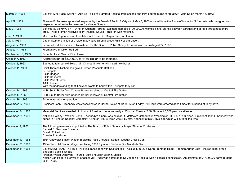| March 21, 1963     | Box #31 Mrs. Hazel Kellner - Age 62 - died at Stamford Hospital from second and third degree burns at fire at 611 Main St. on March 16, 1963.                                                                                                                                                                                                                                                                                |
|--------------------|------------------------------------------------------------------------------------------------------------------------------------------------------------------------------------------------------------------------------------------------------------------------------------------------------------------------------------------------------------------------------------------------------------------------------|
| April 29, 1963     | Fireman E. Andrews appointed Inspector by the Board of Public Safety as of May 5, 1963 - He will take the Place of Inspector S. Verrastro who resigned as<br>Inspector to return to the ranks as 1st Grade Fireman.                                                                                                                                                                                                          |
| May 3, 1963        | Box #36 @ 3:57PM, 8-4 - 24 to 34 Quintard Terrace- Estimate damage \$100,000.00, worked 5 hrsStarted between garages and spread throughout entire<br>area. Three firemen received slight injuries, Cause - children with matches.                                                                                                                                                                                            |
| June 1, 1963       | Mrs. Emelia Ragan widow of the late Capt. David G. Ragan Died, in Florida.                                                                                                                                                                                                                                                                                                                                                   |
| July 1, 1963       | City of Stamford in lieu of a raise in pay gave all employees Paid Hospitalization.                                                                                                                                                                                                                                                                                                                                          |
| August 12, 1963    | Fireman Fred Johnson was Reinstated by The Board of Public Safety, he was Sworn in on August 22, 1963.                                                                                                                                                                                                                                                                                                                       |
| August 14, 1963    | Fireman Arthur Dixon Retired.                                                                                                                                                                                                                                                                                                                                                                                                |
| September 13, 1963 | Boiler broke at Central Fire House.                                                                                                                                                                                                                                                                                                                                                                                          |
| October 7, 1963    | Appropriation of \$8,000.00 for New Boiler to be installed.                                                                                                                                                                                                                                                                                                                                                                  |
| October 8, 1963    | Started to tear out old Boiler. Mr. Charles S. Horner will install new boiler.                                                                                                                                                                                                                                                                                                                                               |
| October 11, 1963   | Chief Thomas Richardson gave Fireman Pasquale Battinelli<br>8-Trumpets<br>3-Old Badges<br>3-Old Helments<br>3-Old Pair of Boots<br>1-Old Lantern<br>With the understanding that if anyone wants to borrow this Trumpets they can.                                                                                                                                                                                            |
| October 14, 1963   | H. B. Smith Boiler from Charles Horner received at Central Fire Station.                                                                                                                                                                                                                                                                                                                                                     |
| October 14, 1963   | H. B. Smith Boiler from Charles Horner received at Central Fire Station.                                                                                                                                                                                                                                                                                                                                                     |
| October 26, 1963   | Boiler was put into operation.                                                                                                                                                                                                                                                                                                                                                                                               |
| November 22, 1963  | President John F. Kennedy was Assassinated in Dallas, Texas at 12:35PM on Friday. All Flags were ordered at half mast for a period of thirty-days.                                                                                                                                                                                                                                                                           |
| November 24, 1963  | Memorial Services were held in honor of President John Kennedy at City Hall Plaza at 2:30 PM about 5,000 persons attended.                                                                                                                                                                                                                                                                                                   |
| November 25, 1963  | National Holiday President John F. Kennedy's funeral was held at St. Matthews Cathedral in Washington, D.C. at 12:00 Noon. President John F. Kennedy was<br>buried in Arlington National Cemetery, Arlington, Va. A Torch was lit by Mrs. Kennedy at his Grave side which will burn all the time.                                                                                                                            |
| December 2, 1963   | The following men were appointed to The Board of Public Safety by Mayor Thomas C. Mayers:<br>Samuel F. Pierson - Chairman<br>Donald F. Zezima<br>Chester A. Addison                                                                                                                                                                                                                                                          |
| December 19, 1963  | 1964 Chevrolet Station Wagon replacing 1956 Chevrolet Sedan - Deputy Chief's Car.                                                                                                                                                                                                                                                                                                                                            |
| December 20, 1963  | 1964 Chevrolet Station Wagon replacing 1958 Plymouth Sedan - Fire Marshals Car.                                                                                                                                                                                                                                                                                                                                              |
| December 31, 1963  | Box #32 @5:46AM - #4 Truck involved in Accident with Sealtest Milk Truck @ Elm St. & North Frontage Road. Fireman Arthur Betz - Injured Right arm &<br>Shoulder, Back & Shock<br>Fireman Walter Donovan - Injured Right Shoulder, Back & Shock<br>Nelson Van Popering-Driver of Sealtest Milk Truck was admitted to St. Joseph's Hospital with a possible concussion. An estimate of \$17,000.00 damage done<br>to #4 Truck. |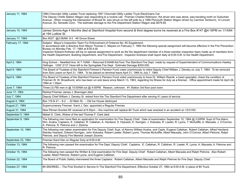| January 11, 1964   | 1964 Chevrolet Utility Ladder Truck replacing 1951 Chevrolet Utility Ladder Truck-Electricians Car.<br>The Deputy Chiefs Station Wagon was responding to a routine call. Fireman Charles Robinson, the driver who was alone, was traveling north on Suburban<br>Avenue. When crossing the intersection of Broad St. was struck on the left side by a 1956 Plymouth Station Wagon driven by Carmine Tamburro, 14 Lincoln<br>Avenue, So. Norwalk Conn. The estimate damage to the Fire Department Station Wagon was \$579.85.                                                                             |
|--------------------|---------------------------------------------------------------------------------------------------------------------------------------------------------------------------------------------------------------------------------------------------------------------------------------------------------------------------------------------------------------------------------------------------------------------------------------------------------------------------------------------------------------------------------------------------------------------------------------------------------|
| January 15, 1964   | James Simms-Age 4 Months died at Stamford Hospital from second & third degree burns he received at a Fire Box #147 @4:16PM on 1/14/64<br>at 194 Ludlow St.                                                                                                                                                                                                                                                                                                                                                                                                                                              |
| January 17, 1964   | Box #327 @2:06AM 8-2 -49 Grove Street.                                                                                                                                                                                                                                                                                                                                                                                                                                                                                                                                                                  |
| February 17, 1964  | Subject: Mayor's Inspection Team For Enforcement of Ordance No. 65 Supplement.<br>In accordance with a directive from Mayor Thomas C. Mayers on February 7, 1964 the following special assignment will become effective in the Fire Prevention<br>Bureau on Monday Feb. 17, 1964 at 8:00 A.M.<br>Inspector Edward Andrews will be on special assignment to work as the fire department member of a three member inspection team made up of members form<br>the Health Department, Building Department, and Fire Department. Inspector Andrews shall report daily at 8:00 A.M. to the Health Department. |
| April 2, 1964      | King School - Newfield Ave. At 7:10AM - Returned 8:04AM Aid from The Stamford Fire Dept. made by request of Superintendent of Communications Hawley<br>Oefinger. 1200' 2/12" Hose left to the Springdale Fire Dept. Estimate Damage \$200,000.                                                                                                                                                                                                                                                                                                                                                          |
| April 9, 1964      | The Board of Trustees of the Stamford Firemen's Pension Fund voted unanimously to retire Deputy Chief William J. Densky on July 7, 1964. To be removed<br>from Sick Leave on April 21, 1964. To be placed on terminal leave April 21, 1964 to July 7, 1964.                                                                                                                                                                                                                                                                                                                                             |
| April 9, 1964      | The Board of Trustees of the Stamford Firemen's Pension Fund voted unanimously to have Dr. William Resnik, a heart specialist, check the condition of<br>Fireman W. W. Broadhurst, who has been on sick leave since March 13, 1963, regarding his fitness for duty as a fireman. Office appointment made for April 28,<br>1964 at 1:30pm.                                                                                                                                                                                                                                                               |
| June 7, 1964       | Three (3) FBI men in @ 10:00AM out @ 4:50PM. Reason, unknown. #1 Station 3rd floor pool room.                                                                                                                                                                                                                                                                                                                                                                                                                                                                                                           |
| June 17, 1964      | Retired Fireman James J. Brannigan died.                                                                                                                                                                                                                                                                                                                                                                                                                                                                                                                                                                |
| July 7, 1964       | Deputy Chief William J. Densky Sr. retired from the The Stamford Fire Department after serving 41 years of service.                                                                                                                                                                                                                                                                                                                                                                                                                                                                                     |
| August 4, 1964     | Box 119 & 21 - 8-2 - 22 Main St. - Old Ice House destroyed                                                                                                                                                                                                                                                                                                                                                                                                                                                                                                                                              |
| August 21, 1964    | Supernumerary Fireman Karol J. Dec. appointed a Regular Fireman                                                                                                                                                                                                                                                                                                                                                                                                                                                                                                                                         |
| August 31, 1964    | New Pitman-Snorkel 85' received at 9:30pm - this machine will replace #4 Truck which was wrecked in an accident on 12/31/63.                                                                                                                                                                                                                                                                                                                                                                                                                                                                            |
| September 5, 1964  | Mabel G. Clark, Widow of the last Thomas F. Clark died.                                                                                                                                                                                                                                                                                                                                                                                                                                                                                                                                                 |
| September 9, 1964  | The following men have filed an application for examination for Fire Deputy Chief. Date of examination September 10, 1964 @ 2:00PM Supt of Fire Alarm,<br>Wm. Avalos, Captains, E. Callahan, R. Callahan, A. Haviland, S. Hojnacki, E. Kerrigan, J. Kokoska, R. Lawler, R. Lyons, T. McAuliffe, A. Macsata, J. O'Connor,<br>A. Petrone, R. Petrone and J. Zezima.                                                                                                                                                                                                                                       |
| September 10, 1964 | The following men taken examination for Fire Deputy Chief: Supt. of Alarms William Avalos, and Capts. Eugene Callahan, Robert Callahan, Alfred Haviland,<br>Stanley Hojnacki, Edward Kerrigan, John Kokoska, Robert Lawler, Robert Lyons, Thomas McAuliffe, Albert Macsata, John O'Connor, Albert Petrone, Ralph<br>Petrone, and Deputy Fire Marshal Joseph Zezima.                                                                                                                                                                                                                                     |
| September 23, 1964 | Fireman Karol Dec on Regular Duty at 8:00 A.M.                                                                                                                                                                                                                                                                                                                                                                                                                                                                                                                                                          |
| October 13, 1964   | The following men passed the examination for Fire Dept. Deputy Chief: Captains, E. Callahan, R. Callahan, R. Lawler, R. Lyons, A. Macsata, A. Petrone and<br>R. Petrone.                                                                                                                                                                                                                                                                                                                                                                                                                                |
| October 15, 1964   | The following men passed the Written & Oral examination for Fire Dept. Deputy Chief: Robert Callahan, Albert Macsata and Ralph Petrone. Also Robert<br>Lawler, Albert Petrone, Robert Lyons, and Eugene Callahan.                                                                                                                                                                                                                                                                                                                                                                                       |
| October 22, 1964   | The Board of Public Safety interviewed the three Captains: Robert Callahan, Albert Macsata and Ralph Petrone for Fire Dept. Deputy Chief.                                                                                                                                                                                                                                                                                                                                                                                                                                                               |
| October 27, 1964   | #4 SNORKEL – The First Snorkel In Service In The Stamford Fire Department, Effective October 27, 1964 at 8:00 A.M. in place of #4 Truck.                                                                                                                                                                                                                                                                                                                                                                                                                                                                |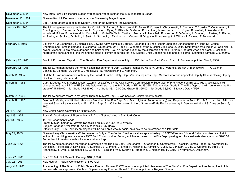| November 9, 1964  | New 1965 Ford 6 Passenger Station Wagon received to replace the 1956 Inspectors Sedan.                                                                                                                                                                                                                                                                                                                                                                                                                                                                                                                                                   |
|-------------------|------------------------------------------------------------------------------------------------------------------------------------------------------------------------------------------------------------------------------------------------------------------------------------------------------------------------------------------------------------------------------------------------------------------------------------------------------------------------------------------------------------------------------------------------------------------------------------------------------------------------------------------|
| November 10, 1964 | Fireman Karol J. Dec sworn in as a regular Fireman by Mayor Mayes.                                                                                                                                                                                                                                                                                                                                                                                                                                                                                                                                                                       |
| December 2, 1964  | Capt. Albert Macsata appointed Deputy Chief for the Stamford Fire Department.                                                                                                                                                                                                                                                                                                                                                                                                                                                                                                                                                            |
| January 25, 1965  | The following men taken examination for Captain: G. Barnett, S. Bienkowski, D. Burke, F. Caruso, L. Chrostowski, E. Clemens, T. Conklin, T. Coutermash, R.<br>Cunningham, L. Densky, W. Donovan, H. Dugdale, J. Dyas, E. Gillespie, S. Gonet, K. Hamilton, James Hogan, J. J. Hogan, R. Knebel, J. Kowaleski, N.<br>Kowaleski, P. Lee, B. Lockwood, H. Marschall, J. McAuliffe, W. McCarthy, J. Moriarty, L. Nemchek, R. Nirschel, T. O'Connor, J. Ormond, L. Parkes, R. Pilcher,<br>W. Rasile, W. Scollard, D. Smith, J. Smith, A. Suchocki, I. Tamborino, J. Varunes, P. Viggiano, K. Wainwright, J. William T. Zannino, T. Zurkowski. |
| February 7, 1965  | Box #347 8-2 Glenbrook-24 Colonial Rod. Bowling Alley, completely gutted. Extended to Shoe Repair Shop and Luncheonette on Hope St. Cause-<br>Undetermined. Smoke damage to Glenbrook Laundromat-264 Hope St. Glenbrook Wine & Liquor-268 Hope St. 2/1/2 Story frame dwelling on 30 Colonial Rd.<br>owner, Michael Colella-smoke damage and paint blister "Box alarm was put on by the discression of the Fire Alarm Operator when and Capt. E. Callahan<br>heard of the seriousness of the fire and the close proximity of our district line. Deputy Chief Boesen notified and ok'd same. Estimated damage \$350,000.00                 |
| February 12, 1965 | Frank J. Fox retired Captain of The Stamford Fire Department since July 1, 1956 died in Stamford, Conn. Frank J. Fox was appointed May 1, 1918.                                                                                                                                                                                                                                                                                                                                                                                                                                                                                          |
| February 12, 1965 | The following men passed the Written Examination for Fire Dept. Captain: James H. Moriarty, John G. Varunes, Stanley J. Bienkowski. - T. O'Connor, T.<br>Conklin, E. Clemens- Lt. Burke-L. Chrostowski- N. Kowaleski and L. Nemchek.                                                                                                                                                                                                                                                                                                                                                                                                     |
| March 11, 1965    | Lt. John G. Varunes named Captain by the Board of Public Safety. Capt. Varunes replaces Capt. Macsata who was appointed Deputy Chief replacing Deputy<br>Chief W. Densky who retired.                                                                                                                                                                                                                                                                                                                                                                                                                                                    |
| March 15, 1965    | Capt. & Deputy Fire Marshal Joseph Zezima reclassified by the Civil Service Commission to Supervisor of Fire Prevention Bureau. His Classification will<br>change from Grade PF-3 to PF-3A. His Salary will start at the 2nd Grade of PF-3A \$8,395. This is a New Grade in The Fire Dept. and will range from the 5th<br>grade of \$7,540.00 - 4th Grade \$7,825.00 - 3rd Grade \$8,110.00 2nd Grade \$8,395.00 - 1st Grade \$8,690. Effective Date 4/1/65.                                                                                                                                                                             |
| March 24, 1965    | The following were sworn in by Mayor Thomas Mayers: Capt. J. Varunes Dep. Chief: Albert Macsata                                                                                                                                                                                                                                                                                                                                                                                                                                                                                                                                          |
| March 29, 1965    | George S. Mattis, age 45 died. He was a Member of the Fire Dept. from Mar. 12,1948 (Supernumerary) and Regular from Sept. 12, 1948 to Jan. 18, 1951. He<br>received Special Leave from Jan. 18, 1951 to Sept. 3, 1952 while serving in the U.S. Army AF. He Resigned to stay in Service with the U.S. Army on Sept. 3,<br>1952.                                                                                                                                                                                                                                                                                                          |
| April 7, 1965     | New Chiefs Car in Commission @10:00A.M.                                                                                                                                                                                                                                                                                                                                                                                                                                                                                                                                                                                                  |
| April 28, 1965    | Rose M. Dodd Widow of Fireman Harry F. Dodd (Retired) died in Stamford, Conn.                                                                                                                                                                                                                                                                                                                                                                                                                                                                                                                                                            |
| April 30, 1965    | To: All Department Heads<br>From: Mayor Thomas C. Mayers (Cancelled on July 2, 1965) to Bi-Weekly<br>Subject: Change-Over from Bi-Weekly to Weekly Pay Basis<br>Effective July 1, 1965, all City employees will be paid on a weekly basis, on a day to be determined at a later date.                                                                                                                                                                                                                                                                                                                                                    |
| May 22, 1965      | Fireman Larry Chrostowski – While he was on Duty at The Central Fire House at an approximately 10:00PM-Fireman Edmond Catino surprised a culprit in<br>action of committing vandalism to a 1957 Ford Custom 4 door Sedan, which was parked in the Fire Dept. parking lot. Total estimate damage to car \$200.52.<br>For further information see his file where letter is kept.                                                                                                                                                                                                                                                           |
| June 25, 1965     | The following men passed the written Examination for The Fire Dept. Lieutenant: T. O'Connor, L. Chrostowski, T. Conklin, James Hogan, N. Kowaleksi, R.<br>Davidson, T. Farfaglia, J. Kowaleski, A. Suchocki, E. Clemens, J. Smith, R. Nirschel, K. Hamilton, P. Lee, W. Donovan, J. Vitti, J. Williams, H. Strock, R.<br>Hennessey, J. Dyas, L. Nemcheck, E. Gillespie, R. LaBlanc, W. McCarthy, I. Tamborino, E. Nemcheck, H. Gluz, R. Wetmore, A. Deschnow.                                                                                                                                                                            |
| June 27, 1965     | Box 177 8-4 271 Main St. Damage \$103,000.00                                                                                                                                                                                                                                                                                                                                                                                                                                                                                                                                                                                             |
| July 22, 1965     | New Hydrant Truck in Commission at 8:00 A.M.                                                                                                                                                                                                                                                                                                                                                                                                                                                                                                                                                                                             |
| August 9, 1965    | At a meeting of The Board of Public Safety, Fireman Thomas F. O'Connor was appointed Lieutenant of The Stamford Fire Department, replacing Lieut. John<br>Varunes who was appointed Captain. Supernumerary Fireman Harold B. Fisher appointed a Regular Fireman.                                                                                                                                                                                                                                                                                                                                                                         |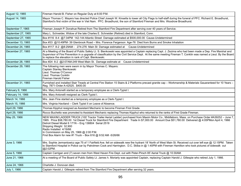| August 12, 1965    | Fireman Harold B. Fisher on Regular Duty at 6:00 P.M.                                                                                                                                                                                                                                                                                                                                                                                                                                                                               |
|--------------------|-------------------------------------------------------------------------------------------------------------------------------------------------------------------------------------------------------------------------------------------------------------------------------------------------------------------------------------------------------------------------------------------------------------------------------------------------------------------------------------------------------------------------------------|
| August 14, 1965    | Mayor Thomas C. Mayers has directed Police Chief Joseph W. Kinsella to lower all City Flags to half-staff during the funeral of PFC. Richard E. Broadhurst,<br>Stamford's first victim of the war in Viet Nam. PFC. Broadhurst, the son of Stamford Fireman and Mrs. Woodrow Broadhurst.                                                                                                                                                                                                                                            |
| September 7, 1965  | Fireman Joseph P. Donahue Retired from The Stamford Fire Department after serving over 40 years of Service.                                                                                                                                                                                                                                                                                                                                                                                                                         |
| September 27, 1965 | Mary L. Schneider, Widow of the late Charles E. Schneider (Retired) died in Stamford, Conn.                                                                                                                                                                                                                                                                                                                                                                                                                                         |
| September 27, 1965 | Box #116 8-4 @7:34PM 142-144 Atlantic Street Damage estimated at \$500,000.00 Cause-Undetermined                                                                                                                                                                                                                                                                                                                                                                                                                                    |
| December 13, 1965  | Box #33 @10:49PM- 39 Glenbrook Road - Mrs. Florence Fergerson Age-76 Died from Burns and Smoke Inhalation                                                                                                                                                                                                                                                                                                                                                                                                                           |
| December 24, 1965  | Box #117 8-2 @8:29AM - 274-276 Main St Damage estimated at Cause-Undetermined                                                                                                                                                                                                                                                                                                                                                                                                                                                       |
| December 27, 1965  | At a Meeting of the Board of Public Safety Lt. S. Bienkowski was appointed a Captain replacing Capt. J. Zezima who had been made a Dep. Fire Marshal and<br>Supervisor of Fire Prevention in a upgrade of classification by the Civil Service Dept. At the same meeting Fireman T. Conklin was named a Lieut. By the Board<br>to replace the elevation in rank of Capt. Bienkowski.                                                                                                                                                 |
| December 28, 1965  | Box #24 8-2 @2:07AM-249 West Main St. Damage estimate at Cause-Undetermined                                                                                                                                                                                                                                                                                                                                                                                                                                                         |
| December 29, 1965  | The following men were sworn in by Mayor Thomas C. Mayers:<br>Captain Stanley Bienkowski<br>Lieut. Thomas O'Connor<br>Lieut. Thomas Conklin<br>Fireman Harold Fisher                                                                                                                                                                                                                                                                                                                                                                |
| December 31, 1965  | Furnished and installed Stair Treads at Central Fire Station 15 Stairs & 2 Platforms precast granite cap - Workmanship & Materials Gauaranteed for 10 Years -<br>Reg. 7871-Order A-42525. \$400.00                                                                                                                                                                                                                                                                                                                                  |
| February 9, 1966   | Mrs. Mary Antonelli started as a temporary employee as a Clerk-Typist I.                                                                                                                                                                                                                                                                                                                                                                                                                                                            |
| February 14, 1966  | Mrs. Mary Antonelli resigned as Clerk-Typist I.                                                                                                                                                                                                                                                                                                                                                                                                                                                                                     |
| March 14, 1966     | Mrs. Jean Fine started as a temporary employee as a Clerk-Typist I.                                                                                                                                                                                                                                                                                                                                                                                                                                                                 |
| March 15, 1966     | Mrs. Virginia Haviland - Clerk Typist II on Leave of Absence.                                                                                                                                                                                                                                                                                                                                                                                                                                                                       |
| April 29, 1966     | Thomas Kipphut resigned as Assistant Mechanic to become Fireman First Grade.                                                                                                                                                                                                                                                                                                                                                                                                                                                        |
| April 29, 1966     | Rocco Buchetto was promoted to Assistant Mechanic replacing Thomas Kipphut who returned to the ranks of First Grade Fireman.                                                                                                                                                                                                                                                                                                                                                                                                        |
| May 25, 1966       | NEW MAXIM LADDER TRUCK (100' Tractor Trailer Aerial Ladder) purchased from Maxim Motor Co., Middleboro, Mass. on Purchase Order #A39252 - June 7,<br>1965. Price \$58,780.00 1st Diesel Truck for Stamford Fire Department Trade In \$7,000.00 Amount Due \$51,780.00 Delivered @ 4:05PMon April 4, 1966<br>Detroit Diesel Model 6 171N - Eng 138804 Serial 2519<br>Shipping Weight 32,900<br>Radio Installed 4/19/66<br>In Commission on May 25, 1966 @ 2:00 P.M.<br>First Box Alarm for new #1 Truck - Box 616 @ 9:52 AM -5/26/66 |
| June 3, 1966       | Mrs. Sophie Jermantowicz age 75 of 1 Fairfield Ave. fell on sidewalk new fire hydrant 18' North of West Main St. Received cut over left eye @ 12:15PM. Taken<br>to Stamford Hospital in Police car by Patrolmen Cook and Harrington. D.C. Skiba in @ 1:40PM with Fireman Hamilton who took pictures of sidewalk out<br>@2:02PM.                                                                                                                                                                                                     |
| June 5, 1966       | Captain Carrigan and (7) seven men from West Haven Fire Dept. out with Peter-Pirsch 85' Aerial Truck @ 10:30AM.                                                                                                                                                                                                                                                                                                                                                                                                                     |
| June 21, 1966      | At a meeting of The Board of Public Safety Lt. James h. Moriarty was appointed Captain, replacing Captain Harold J. Gillespie who retired July 1, 1966.                                                                                                                                                                                                                                                                                                                                                                             |
| June 24, 1966      | Charlotte J. Donovan died.                                                                                                                                                                                                                                                                                                                                                                                                                                                                                                          |
| July 1, 1966       | Captain Harold J. Gillespie retired from The Stamford Fire Department after serving 32 years.                                                                                                                                                                                                                                                                                                                                                                                                                                       |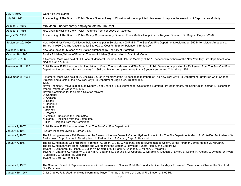| July 8, 1966       | Weekly Payroll started.                                                                                                                                                                                                                                                                                                                                                                                                                                                                                                                                                                                                                                                                                                      |
|--------------------|------------------------------------------------------------------------------------------------------------------------------------------------------------------------------------------------------------------------------------------------------------------------------------------------------------------------------------------------------------------------------------------------------------------------------------------------------------------------------------------------------------------------------------------------------------------------------------------------------------------------------------------------------------------------------------------------------------------------------|
| July 16, 1966      | At a meeting of The Board of Public Safety Fireman Larry J. Chrostowski was appointed Lieutenant, to replace the elevation of Capt. James Moriarty.                                                                                                                                                                                                                                                                                                                                                                                                                                                                                                                                                                          |
| August 12, 1966    | Mrs. Jean Fine temporary employee left the Fire Dept.                                                                                                                                                                                                                                                                                                                                                                                                                                                                                                                                                                                                                                                                        |
| August 15, 1966    | Mrs. Virginia Haviland Clerk-Typist II returned from her Leave of Absence.                                                                                                                                                                                                                                                                                                                                                                                                                                                                                                                                                                                                                                                   |
| August 27, 1966    | At a meeting of The Board of Public Safety, Supernumerary Fireman Frank Martinelli appointed a Regular Fireman. On Regular Duty - 8-29-66.                                                                                                                                                                                                                                                                                                                                                                                                                                                                                                                                                                                   |
| September 20, 1966 | New 1966 Miller Meteor Cadillac Ambulance was put in Service at 3:00 P.M. in The Stamford Fire Department, replacing a 1960 Miller Meteor Ambulance.<br>Turned in 1960 Cadillac Ambulance for \$5,400.00. Cost for 1966 Ambulance - \$15,400.00                                                                                                                                                                                                                                                                                                                                                                                                                                                                              |
| October 6, 1966    | New Gas Stove for Kitchen at #1 Station purchased by The City of Stamford.                                                                                                                                                                                                                                                                                                                                                                                                                                                                                                                                                                                                                                                   |
| October 18, 1966   | Estella F. Maher, Widow of Fireman Thomas J. Maher (Retired) died in Stamford, Conn.                                                                                                                                                                                                                                                                                                                                                                                                                                                                                                                                                                                                                                         |
| October 27, 1966   | A Memorial Mass was held at Out Lade of Monseret Church at 5:00 P.M. in Memory of the 12 deceased members of the New York City Fire Department who<br>died on Oct. 17, 1966.                                                                                                                                                                                                                                                                                                                                                                                                                                                                                                                                                 |
| November 19, 1966  | Chief Thomas F. Richardson submitted letter to Mayor Thomas Mayers and The Board of Public Safety for application for Retirement from The Stamford Fire<br>Department to become effective January 2, 1967 and having completed more than 43 years service and Chief since 1954.                                                                                                                                                                                                                                                                                                                                                                                                                                              |
| November 28, 1966  | A Memorial Mass was held at St. Cecilia's Church in Memory of the 12 deceased members of The New York City Fire Department. Battallion Chief Charles<br>Stressler and guests of the New York City Fire Department Engine Co. 18 attended.<br>12/23<br>Mayor Thomas C. Mayers appointed Deputy Chief Charles R. McRedmond for Chief of the Stamford Fire Department, replacing Chief Thomas F. Richardson<br>who will retired on January 2, 1967.<br>Mayors Committee for to select a Chief as follows:<br>D. Campbell<br>C. Addison<br>C. Raiteri<br>A. Donahue<br>J. Yeager<br>Delaney<br>S. Pearson<br>D. Zezima - Resigned the Committee<br>N. Martin - Resigned from the Committee<br>Rich - Resigned from the Committee |
| January 2, 1967    | Chief Thomas F. Richardson retired from The Stamford Fire Department                                                                                                                                                                                                                                                                                                                                                                                                                                                                                                                                                                                                                                                         |
| January 4, 1967    | Hydrant Inspector Owen J. Carrier Died.                                                                                                                                                                                                                                                                                                                                                                                                                                                                                                                                                                                                                                                                                      |
| January 7, 1967    | The following men were Pall Bearers for the funeral of the late Owen J. Carrier, Hydrant Inspector for The Fire Department- Mech. P. McAuliffe, Supt. Alarms W.<br>Avalos, Asst. Supt. Alarms L. Densky, Insp. L. Parkes, Insp. F. Caruso, Capt. A. Haviland                                                                                                                                                                                                                                                                                                                                                                                                                                                                 |
| January 7, 1967    | The following men as Color Bearers: Firemen- W. Smith, J. Vitti, J. Nosenzo, The following men as Color Guards: Firemen James Hogan-W. McCarthy<br>The following men were Honor Guards and will report to the Bouton & Reynolds Funeral Home, 545 Bedford St.<br>1/5/67: P. Lombardo, H. Fisher, B. Butler, W. Santarsiero, J. Rank, A. Vagnone, E. Mehan, E. Malarkey<br>1/6/67: R. LaBlanc, C. Haggerty, J. Boshka, G. LaBlanc, D. Behuncik, M. Coppola, J. Williams, A. DeLuca, J. Lynch, E. Catino, R. Knebel, J. Ormond, D. Ryan,<br>F. Maciolek, G. Searles, H. Marschall<br>1/7/67: B. Berg, C. Frangione                                                                                                             |
| January 9, 1967    | The Stamford Board of Representatives confirmed the name of Charles R. McRedmond submitted by Mayor Thomas C. Mayers to be Chief of the Stamford<br>Fire Department.                                                                                                                                                                                                                                                                                                                                                                                                                                                                                                                                                         |
| January 19, 1967   | Chief Charles R. McRedmond was Sworn In by Mayor Thomas C. Mayers at Central Fire Station at 5:00 P.M.                                                                                                                                                                                                                                                                                                                                                                                                                                                                                                                                                                                                                       |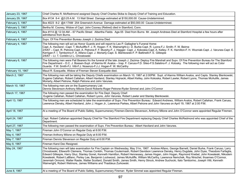| January 23, 1967  | Chief Charles R. McRedmond assigned Deputy Chief Charles Skiba to Deputy Chief of Training and Education.                                                                                                                                                                                                                                                                                                                                                                                                                                                                                                                                                                                                                                                                                                                                     |
|-------------------|-----------------------------------------------------------------------------------------------------------------------------------------------------------------------------------------------------------------------------------------------------------------------------------------------------------------------------------------------------------------------------------------------------------------------------------------------------------------------------------------------------------------------------------------------------------------------------------------------------------------------------------------------------------------------------------------------------------------------------------------------------------------------------------------------------------------------------------------------|
| January 29, 1967  | Box #134 8-4 @3:25 A.M. 13 Wall Street Damage estimated at \$150,000.00 Cause-Undetermined.                                                                                                                                                                                                                                                                                                                                                                                                                                                                                                                                                                                                                                                                                                                                                   |
| February 3, 1967  | Box #223 8-2 @4:17AM 254 Greenwich Avenue Damage estimated at \$50,000.00 Cause-Undetermined.                                                                                                                                                                                                                                                                                                                                                                                                                                                                                                                                                                                                                                                                                                                                                 |
| February 3, 1967  | Bertha M. Cooney, Widow of Capt. John Cooney (Retired) died in Stamford, Conn.                                                                                                                                                                                                                                                                                                                                                                                                                                                                                                                                                                                                                                                                                                                                                                |
| February 4, 1967  | Box #114 @ 12:34 AM - 67 Pacific Street Albertha Fields Age-55 Died from Burns Mr. Joseph Andrews Died at Stamford Hospital a few hours after<br>admittance from Burns.                                                                                                                                                                                                                                                                                                                                                                                                                                                                                                                                                                                                                                                                       |
| February 4, 1967  | Supv. Of Fire Prevention Bureau Joseph J. Zezima Died.                                                                                                                                                                                                                                                                                                                                                                                                                                                                                                                                                                                                                                                                                                                                                                                        |
| February 4, 1967  | The following men will act as Honor Guards and will report to Leo P. Gallagher's Funeral Home:<br>Capt. A. Haviland -Capt. T. McAuliffe-F. J. R. Hogan- F. K. Wainwright-Lt. D. Burke-Capt. R. Lyons-F.J. Smith- F. W. Beirne<br>2/5/67 - Capt. R. Petrone-Capt. A. Petrone-F. F. Murphy-F. J. Hagger- Capt. J. Kokoska-Capt. A. Kelley- F. K. Hamilton-F. H. Wozniak-Capt. J. Varunes-Capt. E.<br>Kerrigan-F. I. Tamborino-F. A. Alfano-Capt. J. Moriarty-Capt. S. Bienkowski-F. P. Battinelli-F. E. Gillespie<br>2/6/67 - Lt. T. Conklin-Lt L. Chrostowski                                                                                                                                                                                                                                                                                  |
| February 6, 1967  | The following men were Pall Bearers fro the funeral of the late Joseph J. Zezima- Deptuy Fire Marshall and Supv. Of Fire Prevention Bureau for The Stamford<br>Fire Department - D.C. J. Boesen-Supt. of Alarms-W. Avalos - Insp. F. Caruso-F.D. Sileo-F.S.Salatino-F. J. Kotosky. The following men will act as Color<br>Guards: F.W. Smith-FJ. Vitti-F.J. Nosenzo-F.J.J. Hogan-F. W. McCarthy                                                                                                                                                                                                                                                                                                                                                                                                                                               |
| February 10, 1967 | Maud R. Ezequelle, Widow of Fireman Steven Ezequelle died.                                                                                                                                                                                                                                                                                                                                                                                                                                                                                                                                                                                                                                                                                                                                                                                    |
| March 2, 1967     | The following men will be taking the Deputy Chiefs examination on March 10, 1967 at 2:00PM: Supt. of Alarms William Avalos, and Capts. Stanley Bienkowski,<br>Eugene Callahan, Robert Callahan, Albert Haviland, Stanley Hojnacki, Albert Kelley, John Kokoska, Robert Lawler, Robert Lyons, Thomas McAulife, James<br>Moriarty, Albert Petrone, Ralph Petrone and John Varunes.                                                                                                                                                                                                                                                                                                                                                                                                                                                              |
| March 10, 1967    | The following men are on the Supernumerary List:<br>Dennis Stevenson-Anthony Milone-David Roberts-Roger Petrone-Ryder Simmel and John O'Connor                                                                                                                                                                                                                                                                                                                                                                                                                                                                                                                                                                                                                                                                                                |
| March 17, 1967    | The following men passed the examination for Fire Dept. Deputy Chief:<br>Eugene Callahan, Robert Callahan, Robert Lyons, John Varunes, Robert Lawler and Stanley Bienkowski.                                                                                                                                                                                                                                                                                                                                                                                                                                                                                                                                                                                                                                                                  |
| April 13, 1967    | The following men are scheduled to take the examination of Supv. Fire Prevention Bureau: Edward Andrews, William Avalos, Robert Callahan, Frank Caruso,<br>Lawrence Densky, Albert Haviland, John J. Hogan Jr., Lawrence Parkes, Albert Petrone and John Varunes on April 19, 1967 at 2:00 P.M.                                                                                                                                                                                                                                                                                                                                                                                                                                                                                                                                               |
| April 18, 1967    | At a meeting of The Board of Public Safety, Supernumerary Firemen-Dennis Stevenson, Anthony Milone and John O'Connor were appointed Regular Firemen.                                                                                                                                                                                                                                                                                                                                                                                                                                                                                                                                                                                                                                                                                          |
| April 24, 1967    | Capt. Robert Callahan appointed Deputy Chief for The Stamford Fire Department replacing Deputy Chief Charles McRedmond who was appointed Chief of the<br>Department.                                                                                                                                                                                                                                                                                                                                                                                                                                                                                                                                                                                                                                                                          |
| April 27, 1967    | The following men passed the examination of Supv. Fire Prevention Bureau: Albert Haviland and John Varunes.                                                                                                                                                                                                                                                                                                                                                                                                                                                                                                                                                                                                                                                                                                                                   |
| May 1, 1967       | Fireman John O'Connor on Regular Duty at 6:00 P.M.                                                                                                                                                                                                                                                                                                                                                                                                                                                                                                                                                                                                                                                                                                                                                                                            |
| May 4, 1967       | Fireman Anthony Milone on Regular Duty at 6:00 P.M.                                                                                                                                                                                                                                                                                                                                                                                                                                                                                                                                                                                                                                                                                                                                                                                           |
| May 7, 1967       | Fireman Dennis Stevenson on Regular Duty at 6:00 P.M.                                                                                                                                                                                                                                                                                                                                                                                                                                                                                                                                                                                                                                                                                                                                                                                         |
| May 8, 1967       | Fireman Karol Dec Resigned.                                                                                                                                                                                                                                                                                                                                                                                                                                                                                                                                                                                                                                                                                                                                                                                                                   |
| May 24, 1967      | The following men will take examination for Fire Captain on Wednesday, May 31m, 1967: Andrew Alfano, George Barnett, Daniel Burke, Frank Caruso, Larry<br>Chrostowski, Ellsworth Clemens, Thomas Conklin, Thomas Coutermash, Robert Davidson Lawrence Densky, Henry Dugdale, John Dyas, Theodore Farfaglia,<br>Edward Gillespie, Harry Gluz, Stanley Gonet, Kenneth Hamilton, Robert Hennessey, James Hogan, John Hogan, Raymond Knebel, John Kowaleski, Nikodem<br>Kowaleski, Robert LaBlanc, Perley Lee, Benjamin Lockwood, James McAuliffe, William McCarthy, Lawrence Nemchek, Roy Nirschel, thoamws O'Connor,<br>Jeremiah Ormond, Walter Rasile, Walter Scollard, Donald Smith, James Smith, Henry Strock, Andrew Suchocki, Italo Tamborino, Joseph Vitti, Kenneth<br>Wainwright, Robert Wetmore, James Williams and Thaddeus Zurkowski. |
| June 8, 1967      | At a meeting of The Board of Public Safety, Supernumerary Fireman Ryder Simmel was appointed Regular Fireman.                                                                                                                                                                                                                                                                                                                                                                                                                                                                                                                                                                                                                                                                                                                                 |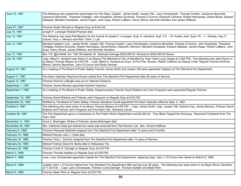| June 15, 1967      | The following men passed the examination for Fire Dept. Captain: James Smith, Joseph Vitti, Larry Chrostowski, Thomas Conklin, Lawrence Nemchek,<br>Lawrence Nemchek, Theodore Farfaglia, John Kowaleski, Andrew Suchocki, Thomas O'Connor, Ellsworth Clemens, Robert Hennessey, Daniel Burke, Edward<br>Gillespie, Nikodem Kowaleski, James Hogan, John Dyas, Robert LaBlanc, Henry Strock, Kenneth Hamilton and James Williams. |
|--------------------|-----------------------------------------------------------------------------------------------------------------------------------------------------------------------------------------------------------------------------------------------------------------------------------------------------------------------------------------------------------------------------------------------------------------------------------|
| June 27, 1967      | Fireman Ryder Simmel on Regular Duty at 8:00 A.M.                                                                                                                                                                                                                                                                                                                                                                                 |
| July 10, 1967      | Joseph F. Lonergan Retired Fireman died.                                                                                                                                                                                                                                                                                                                                                                                          |
| July 13, 1967      | The following men were Pall Bearers for the funeral of Joseph F. Lonergan: Supt. A. Haviland, Supt. F.A. - W. Avalos, Asst. Supt. FA. - L. Densky, Insp.-F.<br>Caruso, Insp.-J. Monaco and Adm. Clerk J. Lyle.                                                                                                                                                                                                                    |
| July 14, 1967      | Revised Captain's List - James Smith, Joseph Vitti, Thomas Conklin, Larry Chrostowski, Lawrence Nemchek, Thomas O'Connor, John Kowaleski, Theodore<br>Farfaglia, Andrew Suchocki, Robert Hennessey, Daniel Burke, Ellsworth Clemens, Nikodem Kowaleski, Edward Gillespie, James Hogan, Robert LaBlanc, John<br>Dyas, Henry Strock, James Williams, and Kenneth Hamilton.                                                          |
| July 17, 1967      | Box 116 @2:44AM 8-4 106-184 Atlantic St. Estimate Damage \$250,000.00 Revised to \$500,000.00 Stores                                                                                                                                                                                                                                                                                                                              |
| July 18, 1967      | Capt. Albert A. Haviland was Sworn in as Deputy Fire Marshall of City of Stamford by Town Clerk Louis Clapes at 3:000 P.M. The following men were Sworn in<br>by Mayor Thomas Mayers at 4:00 P.M. - Capt. Albert A. Haviland as Supv. of Fire Prev. Bureau, Robert Callahan as Deputy Chief, Regular Firemen-Anthony<br>Milone, Dennis Stevenson, John O'Connor and Ryder Simmel.                                                 |
| August 10, 1967    | At a meeting of The Board of Public Safety Firemen James Smith and Joseph Vitti were appointed Captains of The Stamford Fire Department.                                                                                                                                                                                                                                                                                          |
| August 11, 1967    | Fire Alarm Operator Raymond Duane retired from The Stamford Fire Department after 26 years of Service.                                                                                                                                                                                                                                                                                                                            |
| August 12, 1967    | Fireman Dominic LoBuglio was put on Veterans Reserve.                                                                                                                                                                                                                                                                                                                                                                             |
| September 1, 1967  | Fireman James Monaco appointed Hydrant Inspector.                                                                                                                                                                                                                                                                                                                                                                                 |
| September 1, 1967  | At a meeting of The Board of Public Safety, Supernumerary Firemen David Roberts and John Ferguson were appointed Regular Firemen.                                                                                                                                                                                                                                                                                                 |
| September 16, 1967 | Fireman David Roberts and Fireman John Ferguson on Regular Duty at 6:00 P.M.                                                                                                                                                                                                                                                                                                                                                      |
| September 22, 1967 | Notified by The Board of Public Safety, Fireman Salvatore Cerulli appointed Fire Alarm Operator effective Sept. 5, 1967.                                                                                                                                                                                                                                                                                                          |
| October 6, 1967    | The following men were sworn in by Mayor Thomas Mayers at 4:00 P.M. - Capt. James Smith, Capt. Joseph Vitti, Hydrant Insp. James Monaco, Fireman David<br>Roberts and Fireman John Ferguson and Fire Alarm Opr. Salvatore Cerulli                                                                                                                                                                                                 |
| October 25, 1967   | The Fire Department gave a Compressor to The Public Works Department cost \$2,200.00. They Black Topped the Driveway. Received 6 Hydrants from The<br>Town Yard.                                                                                                                                                                                                                                                                  |
| November 11, 1967  | Anna C. Brannigan, Widow of Fireman James Brannigan died.                                                                                                                                                                                                                                                                                                                                                                         |
| November 25, 1967  | Mrs. Catherine Daily got married her name was removed from The Pension List. Mrs. Vincent Hoffman                                                                                                                                                                                                                                                                                                                                 |
| February 5, 1968   | Fireman Pasquale Battinelli resigned from The Stamford Fire Department after 12 years and 8 months.                                                                                                                                                                                                                                                                                                                               |
| February 14, 1968  | Retired Fireman John J. Clark died.                                                                                                                                                                                                                                                                                                                                                                                               |
| February 16, 1968  | Fireman Tony L. Zannino resigned from The Stamford Fire Department after 14 years of Service.                                                                                                                                                                                                                                                                                                                                     |
| February 23, 1968  | Retired Fireman David W. Burke died in Hollywood, Fla.                                                                                                                                                                                                                                                                                                                                                                            |
| February 25, 1968  | Fireman Curtis R. Darragh on Regular Duty at 6:00 P.M.                                                                                                                                                                                                                                                                                                                                                                            |
| March 2, 1968      | Fireman Thomas Hadden on Regular Duty at 6:00 P.M.                                                                                                                                                                                                                                                                                                                                                                                |
| March 7, 1968      | Lieut. Larry Chrostowski appointed Captain for The Stamford Fire Department, replacing Capt. John J. O'Connor who retired on March 8, 1968.                                                                                                                                                                                                                                                                                       |
| March 8, 1968      | Captain John J. O'Connor retired from The Stamford Fire Department after serving over 26 years. The following men were sworn in by Mayor Bruno Giordano<br>at 11:30 A.M. - Capt. Larry Chrostowski, Firemen Curtis Darragh, Thomas Hadden and Albert Rich.                                                                                                                                                                        |
| March 9, 1968      | Fireman Albert Rich on Regular Duty at 6:00 P.M.                                                                                                                                                                                                                                                                                                                                                                                  |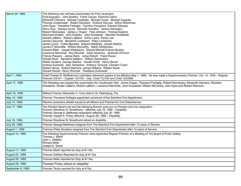| March 29, 1968    | The following men will take examination for Fire Lieutenant:<br>Fred Augustyn John Boshka Frank Caruso Edmond Catino<br>Ellsworth Clemens Michael Colabella Michael Conte Michael Coppola<br>Thomas Coutermash Robert Davidson Anthony DeLuca Arthur Deschnow<br>John Dyas Theodore Farfaglia Carmine Frangione Edward Gillespie<br>Harry Gluz Stanley Gonet Kenneth Hamilton James Harrington<br>Robert Hennessey James J. Hogan Fred Johnson Thomas Kipphut<br>Raymond Knebel John Kotosky John Kowaleski Nikodem Kowaleski<br>Gerald LaBlanc Robert LaBlanc Arthur Leary Perley Lee<br>James Lipscomb Benjamin Lockwood Patsy Lombardo<br>James Lynch Frank Maciolek Edward Malarkey Joseph Malizia<br>James P. McAuliffe William McCarthy Martin McNamara<br>Edward Miller Joseph Minkiewicz Donald Mitchell Francis Murphy<br>Lawrence Nemchek Roy Nirschel Julian Nosenzo Jeremiah Ormond<br>Francis Passaro James Rank Julius Robotti Frank Russo<br>Donald Ryan Salvatore Salatino William Santarsiero<br>Walter Scollard George Searles Donald Smith Henry Strock<br>Andrew Suchocki Italo Tamborino Anthony Tomczyk Clement Turpin<br>Robert Vernal Robert Wetmore James Williams William Wood<br>Donald Woods Henry Wozniak Thaddeus Zurkowski |
|-------------------|-----------------------------------------------------------------------------------------------------------------------------------------------------------------------------------------------------------------------------------------------------------------------------------------------------------------------------------------------------------------------------------------------------------------------------------------------------------------------------------------------------------------------------------------------------------------------------------------------------------------------------------------------------------------------------------------------------------------------------------------------------------------------------------------------------------------------------------------------------------------------------------------------------------------------------------------------------------------------------------------------------------------------------------------------------------------------------------------------------------------------------------------------------------------------------------------------------------------------------------------------------------|
| April 1, 1968     | Chief Charles R. McRedmond submitted retirement papers to be effective May 1, 1968. He was made a Supernumerary Fireman Oct. 14, 1939 - Regular<br>Fireman 2/2141 - Captain 12/1/50 - Dep. Chief 7/21/54 and Chief 12/23/66.                                                                                                                                                                                                                                                                                                                                                                                                                                                                                                                                                                                                                                                                                                                                                                                                                                                                                                                                                                                                                              |
| April 17, 1968    | The following men passed the examination for Lieutenants Test: James Hogan, Theodore Farfaglia, Robert Hennessey, Ellsworth Clemens, Nikodem<br>Kowaleski, Gerald LaBlanc, Robert LaBlanc, Lawrence Nemchek, John Kowaleski, William McCarthy, John Dyas and Robert Wetmore.                                                                                                                                                                                                                                                                                                                                                                                                                                                                                                                                                                                                                                                                                                                                                                                                                                                                                                                                                                              |
| April 18, 1968    | Retired Fireman Alexander C. Coon died in St. Petersburg, Fla.                                                                                                                                                                                                                                                                                                                                                                                                                                                                                                                                                                                                                                                                                                                                                                                                                                                                                                                                                                                                                                                                                                                                                                                            |
| May 14, 1968      | Fireman Theodore Farfaglia appointed Lieutenant of the Stamford Fire Department.                                                                                                                                                                                                                                                                                                                                                                                                                                                                                                                                                                                                                                                                                                                                                                                                                                                                                                                                                                                                                                                                                                                                                                          |
| July 17, 1968     | Plectron protective shields issued to all officers and Firemen for Civil Disturbances.                                                                                                                                                                                                                                                                                                                                                                                                                                                                                                                                                                                                                                                                                                                                                                                                                                                                                                                                                                                                                                                                                                                                                                    |
| July 17, 1968     | The Pension Board met and the following firemen were put on Pension and one resignation:<br>Fireman Woodrow W. Broadhurst – effective July 18, 1968 – Disability.<br>Fireman George A. Matthews resignation effective July 30, 1968.<br>Fireman Joseph E. Finley effective -August 29, 1968 - Disability.                                                                                                                                                                                                                                                                                                                                                                                                                                                                                                                                                                                                                                                                                                                                                                                                                                                                                                                                                 |
| July 18, 1968     | Fireman Woodrow W. Broadhurst retired on disability.                                                                                                                                                                                                                                                                                                                                                                                                                                                                                                                                                                                                                                                                                                                                                                                                                                                                                                                                                                                                                                                                                                                                                                                                      |
| July 30, 1968     | Fireman George Matthews resigned from The Stamford Fire Department after 13 years of Service.                                                                                                                                                                                                                                                                                                                                                                                                                                                                                                                                                                                                                                                                                                                                                                                                                                                                                                                                                                                                                                                                                                                                                             |
| August 1, 1968    | Fireman Philip Giordano resigned from The Stamford Fire Department after 13 years of Service.                                                                                                                                                                                                                                                                                                                                                                                                                                                                                                                                                                                                                                                                                                                                                                                                                                                                                                                                                                                                                                                                                                                                                             |
| August 14, 1968   | The following Supernumerary Firemen were appointed Regular Firemen at a Meeting of The Board of Public Safety<br>Thomas J. Mardi<br>John L. DeMaio<br><b>Richard Miller</b><br>Joseph A. Tarzia                                                                                                                                                                                                                                                                                                                                                                                                                                                                                                                                                                                                                                                                                                                                                                                                                                                                                                                                                                                                                                                           |
| August 17, 1968   | Fireman Mardi reported for duty at #1 Sta.                                                                                                                                                                                                                                                                                                                                                                                                                                                                                                                                                                                                                                                                                                                                                                                                                                                                                                                                                                                                                                                                                                                                                                                                                |
| August 23, 1968   | Fireman DeMaio Reported for duty at #1 Sta.                                                                                                                                                                                                                                                                                                                                                                                                                                                                                                                                                                                                                                                                                                                                                                                                                                                                                                                                                                                                                                                                                                                                                                                                               |
| August 26, 1968   | Fireman Miller reported for Duty at #1 Sta.                                                                                                                                                                                                                                                                                                                                                                                                                                                                                                                                                                                                                                                                                                                                                                                                                                                                                                                                                                                                                                                                                                                                                                                                               |
| August 29, 1968   | Fireman Finley retired on disability                                                                                                                                                                                                                                                                                                                                                                                                                                                                                                                                                                                                                                                                                                                                                                                                                                                                                                                                                                                                                                                                                                                                                                                                                      |
| September 4, 1968 | Fireman Tarzia reported for duty at # Sta.                                                                                                                                                                                                                                                                                                                                                                                                                                                                                                                                                                                                                                                                                                                                                                                                                                                                                                                                                                                                                                                                                                                                                                                                                |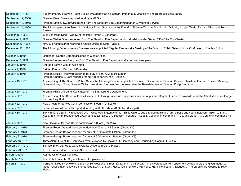| September 4, 1968  | Supernumerary Fireman Peter Stokes was appointed a Regular Fireman at a Meeting of The Board of Public Safety.                                                                                                                                                                                                       |
|--------------------|----------------------------------------------------------------------------------------------------------------------------------------------------------------------------------------------------------------------------------------------------------------------------------------------------------------------|
| September 19, 1968 | Fireman Peter Stokes reported for duty at #1 Sta.                                                                                                                                                                                                                                                                    |
| September 19, 1968 | Fireman Stanley Swiatowicz retired from The Stamford Fire Department after 27 years of Service.                                                                                                                                                                                                                      |
| September 24, 1968 | The following me were Sworn In by Mayor Bruno Giordano at 10:30 A.M. - Firemen Thomas Mardi, John DeMaio, Joseph Tarzia, Richard Miller and Peter<br><b>Stokes</b>                                                                                                                                                   |
| October 16, 1968   | Julia Lonergan Died - Widow of the late Fireman J. Lonergan.                                                                                                                                                                                                                                                         |
| November 1, 1968   | Fireman Walter Donovan retired from The Stamford Fire Department on disability under Secion 713 of the City Charter.                                                                                                                                                                                                 |
| December 16, 1968  | Mrs. Juli Kohut started working in Clerks Office as Clerk-Typist I.                                                                                                                                                                                                                                                  |
| December 18, 1968  | The following Supernumerary Firemen were appointed Regular Firemen at a Meeting of the Board of Public Safety Louis C. Moavero Charles C. Lord                                                                                                                                                                       |
| October 8, 1969    | Lieutenant George Barnett assigned to Clerks Office.                                                                                                                                                                                                                                                                 |
| December 7, 1969   | Fireman Hennessey Resigned from The Stamford Fire Department after serving nine years.                                                                                                                                                                                                                               |
| January 1, 1970    | Retired Fireman Wm. P. Allen died.                                                                                                                                                                                                                                                                                   |
| January 2, 1970    | Retired Fireman Mark W. O'Brien died.                                                                                                                                                                                                                                                                                |
| January 8, 1970    | Fireman Louis C. Moavero reported for duty at 8:00 A.M. at #1 Station.<br>Fireman Charles E. Lord reported for duty at 8:00 A.m. at #1 Station.                                                                                                                                                                      |
| January 15, 1970   | At a meeting of The Board of Public Safety the following Firemen appointed Fire Alarm Dispatchers: Fireman Kenneth Hamilton, Fireman Edward Malarkey,<br>Fireman Joseph Rosa, Fireman William Wood and Fireman Fred Johnson also the Reinstatement of Fireman Philip Giordano.                                       |
| January 20, 1970   | Fireman Philip Giordano Reinstated to The Stamford Fire Department.                                                                                                                                                                                                                                                  |
| January 22, 1970   | At a meeting of the Board of Public Safety the following Supernumerary Firemen were appointed Regular Firemen: Howard Donnelly-Robert Vennere-George<br>Barron-Harry Bode.                                                                                                                                           |
| January 22, 1970   | New Chevrolet Service Car in commission 8:00am (Unit 245)                                                                                                                                                                                                                                                            |
| January 29, 1970   | Fireman Howard Donnelly reported for duty at 6:00 P.M> at #1 Station (Group #4)                                                                                                                                                                                                                                      |
| January 30, 1970   | Box 416 @ 5:26am - Fire located at 21 West Washington Avenue. Zaida Calera, age 33, died at this fire form smoke and heat inhalation. Taken to Stam.<br>Hosp. In #1 Amb. Pronounced D/O/A at hospital. Dep. Ch. Boessen in charge - Capt E. Callahan in command #1 Co. and Lieut. T. O'Connor in command #3<br>Co.   |
| January 30, 1970   | New Chevrolet Service Car in commission 8:00am (Unit 225)                                                                                                                                                                                                                                                            |
| February 4, 1970   | Fireman Robert Venerri reported for duty at 8:00am at #1 Station (Group #4)                                                                                                                                                                                                                                          |
| February 4, 1970   | Fireman George Barron reported for duty at 6:00pm at #1 Station. (Group #2)                                                                                                                                                                                                                                          |
| February 8, 1970   | Fireman George Barron reported for duty at 6:00pm at #1 Station. (Group #3)                                                                                                                                                                                                                                          |
| February 16, 1970  | Three Alarm Fire at 100 Southfield Avenue owned by Chevron Oil Company and Occupied by Hoffman Fuel Co.                                                                                                                                                                                                              |
| February 17, 1970  | Bernice Elliott started to work in Clerks Office as a Clerk-Typist I.                                                                                                                                                                                                                                                |
| February 23, 1970  | Jennie Coon widow of the late Ally Coon died.                                                                                                                                                                                                                                                                        |
| March 7, 1970      | Retired Chief Victor Veit died.                                                                                                                                                                                                                                                                                      |
| March 17, 1970     | Julie Kohut quite the City of Stamford Employmenet.                                                                                                                                                                                                                                                                  |
| March 21, 1970     | 4 children killed by smoke inhalation at 85 Pressprich street. @ 12:44am on Box 217. They were taken from apartment by neighbors and given mouth to<br>mouth resuscitation but were pronounced D.O.A. at Stam. Hosp. Children were Marylene, Frankline, Ileane & Elizabeth. The parents are George & Betty<br>Moore. |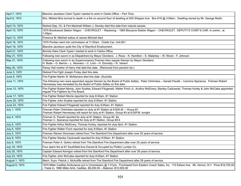| April 7, 1970  | Blanche Jacobson Clerk-Typist I started to work in Clerks Office – Part Time.                                                                                                                                                      |
|----------------|------------------------------------------------------------------------------------------------------------------------------------------------------------------------------------------------------------------------------------|
| April 8, 1970  | Mrs. Mildred Bria burned to death in a fire on second floor of dwelling at 935 Shippan Ave. Box 616 @ 3:59am. Dwelling owned by Mr. George Redin.                                                                                  |
| April 10, 1970 | Retired Dep. Ch. & Fire Marshall William J. Densky died this date from natural causes.                                                                                                                                             |
| April 10, 1970 | 1970 Brookwood Station Wagon - CHEVROLET - Replacing - 1964 Biscayne Station Wagon - CHEVROLET. DEPUTY'S CHIEF'S CAR. In comm at<br>$1:45$ pm.                                                                                     |
| April 13, 1970 | Florence M. Mitchell widow of James Mitchell died.                                                                                                                                                                                 |
| April 16, 1970 | 1970 Pontiac went into commission at 11:00am. Chiefs Car. Unit #21                                                                                                                                                                 |
| April 18, 1970 | Blanche Jacobson quite the City of Stamford Employment.                                                                                                                                                                            |
| April 21, 1970 | Brenda Ware Clerk-Typist I started to work in Clerks Office.                                                                                                                                                                       |
| May 21, 1970   | Following men sworn in as Dispatchers by Mayor Giordano: J. Rosa - K. Hamilton - E. Malarkey - W. Wood - F. Johnson                                                                                                                |
| May 21, 1970   | Following men sworn in as Supernumerary Firemen then regular firemen by Mayor Giordano:<br>H. Bode - G. Barron - L. Moavero - C. Lord - H. Donnelly - R. Venerri                                                                   |
| May 30, 1970   | Pansy Hall mother of Harry Hall died this date. (Removed from pension list.)                                                                                                                                                       |
| June 3, 1970   | Retired Fire Fight Joseph Finley died this date.                                                                                                                                                                                   |
| June 8, 1970   | Fire Fighter Martin W. McNamara died this date. (Suicide)                                                                                                                                                                          |
| June 11, 1970  | The following men were appointed regular firemen by the Board of Public Safety: Peter Chirimbes - Gerald Pacelli - Carmine Speranza. Fireman Robert<br>Hennessey was reinstated by the Board of Public Safety on this date.        |
| June 13, 1970  | Fire Fighter Robert Morris, John Scalise, Edward Fitzgerald, Walter Finch Jr., Aruthur McElvery, Stanley Cackowski, Thomas Hurley & John McCabe appointed<br>regular Fire Fighters by Fire Board.                                  |
| June 17, 1970  | Fire Fighter Robert Morris reported for duty 8:00am. #1 Station                                                                                                                                                                    |
| June 20, 1970  | Fire Fighter John Scalise reported for duty 8:00am. #1 Station                                                                                                                                                                     |
| June 23, 1970  | Fire Fighter Edward Fitzgerald reported for duty 8:00am. #1 Station                                                                                                                                                                |
| July 1, 1970   | Fireman Peter Chirimbes reported on duty at #1 Station at 8:00A.M. - Group #1.<br>Fireman Robert Hennessey will report for duty at #1 Station, Group #3 at 6:00P.M. tonight.                                                       |
| July 4, 1970   | Fireman G. Pacelli reported for duty at #1 Station, Group #2. 8a<br>Fireman C. Speranza reported for duty at #1 Station, Group #4.6                                                                                                |
| July 5, 1970   | Fire Fighter Arthur McElvery, Thomas Hurley, reported for duty 6pm. #1 Station.                                                                                                                                                    |
| July 5, 1970   | Fire Fighter Walter Finch reported for duty 8:00am. #1 Station                                                                                                                                                                     |
| July 5, 1970   | Fireman Warren Simonsen retired from The Stamford Fire Department after over 25 years of service.                                                                                                                                  |
| July 8, 1970   | Fire Fighter Stanley Cackowski reported for duty 8:00am. #1 Station                                                                                                                                                                |
| July 8, 1970   | Fireman Peter A. Golino retired from The Stamford Fire Department after over 25 years of service.                                                                                                                                  |
| July 18, 1970  | Four alarm fire at 81 Southfield Ave-Owned & Occupied by Plotkin Lumber Co.                                                                                                                                                        |
| July 20, 1970  | Captain Edward Kerrigan retired from the Stamford Fire Department after over 26 years of service.                                                                                                                                  |
| July 23, 1970  | Fire Fighter John McCabe reported for duty 8:00am. #1 Station                                                                                                                                                                      |
| August 1, 1970 | Mech. Supv. Patrick J. McAuliffe retired from The Stamford Fire Department after 29 years of service.                                                                                                                              |
| August 6, 1970 | 1970 Miller Cadillac Ambulance put in Commission @ 1:41pm. Purchased from Eastern Coach Sales, Inc. 115 Edison Ave. Mt. Vernon, N.Y. Price \$18,700.00<br>- Trade In, 1966 Miller Amb. Cadillac- \$8,200.00 - Balance -\$10,500.00 |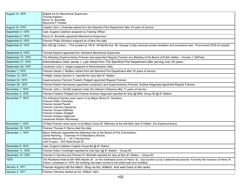| August 13, 1970    | Eligible list for Mechanical Supervisor:<br>Thomas Kipphut<br>Rocco G. Buchetto<br>Raymond P. Knebel                                                                                                                                                             |
|--------------------|------------------------------------------------------------------------------------------------------------------------------------------------------------------------------------------------------------------------------------------------------------------|
| August 16, 1970    | Captain John J. Kokoska retired from the Stamford Fire Department after 30 years of service.                                                                                                                                                                     |
| September 3, 1970  | Capt. Eugene Callahan assigned as Training Officer.                                                                                                                                                                                                              |
| September 5, 1970  | Rocco G. Buchetto appointed Mechanical Supervisor.                                                                                                                                                                                                               |
| September 6, 1970  | Fireman Philip Giordano resigned as of 8am this date.                                                                                                                                                                                                            |
| September 6, 1970  | Box 526 @ 2:42am. - Fire located at 146 & 148 Myrtle Ave. Mr. George Cuddy received smoke inhalation and excessive heat. Pronounced DOA at hospital.                                                                                                             |
| September 9, 1970  | Thomas Kipphut appointed Act. Assistant Mechanical Supervisor.                                                                                                                                                                                                   |
| September 10, 1970 | The following Supernumerary Fireman was appointed Regular Fireman at a Meeting of the Board of Public Safety - Vincent J. DePreta                                                                                                                                |
| September 27, 1970 | Administrative Clerk James J. Lyle retired from The Stamford Fire Department after serving over 25 years.                                                                                                                                                        |
| September 29, 1970 | Lieutenant John J. Hogan assigned to Administrative Clerk.                                                                                                                                                                                                       |
| October 7, 1970    | Fireman Harold J. Redfern retired from the Stamford Fire Department after 25 years of service.                                                                                                                                                                   |
| October 13, 1970   | Firefight Joseph Zezima Jr. reported for duty 8am #1 Station                                                                                                                                                                                                     |
| October 22, 1970   | Supernumerary Fireman Frederic Padgett appointed Regular Fireman.                                                                                                                                                                                                |
| October 29, 1970   | Fireman Robert Hennessey appointed Lieutenant, and Supernumerary Fireman Andrew Hagymasi appointed Regular Fireman.                                                                                                                                              |
| November 1, 1970   | Fireman John J. Ginolfi resigned under the Veteran's Reserve after 11 years of service.                                                                                                                                                                          |
| November 4, 1970   | Fireman Frederic Padgett and Fireman Andrew Hagymasi reported for duty @ 8AM, Group #3 @ #1 Station.                                                                                                                                                             |
| November 7, 1970   | The following Firemen were sworn in by Mayor Bruno E. Giordano<br>Fireman Peter Chirimbes<br>Fireman Gerald Pacelli<br>Fireman Carmine Speranza<br>Fireman Vincent DePreta<br>Fireman Frederic Padgett<br>Fireman Andrew Hagymasi<br>Lieutenant Robert Hennessey |
| November 7, 1970   | 15 New Firemen were sworn in by Mayor Julius M. Wilensky at the drill field, rear of Hdqtrs. (As Supernumerary)                                                                                                                                                  |
| November 16, 1970  | Fireman Thomas H. Byrne died this date.                                                                                                                                                                                                                          |
| December 1, 1970   | Mayor Wilensky appointed the following men to the Board of Fire Commission:<br>Daniel Remling - Chairman-419 Strawberry Hill Ave.<br>Gaynor Brennan Jr. - 241 Fairview Ave.<br>John Fusaro - 303 West Broad St.                                                  |
| December 8, 1970   | Capt. Eugene Callahan Captain Group #4 @ #1 Station.                                                                                                                                                                                                             |
| December 11, 1970  | Fireman Arthur Cronkright reported for duty 6pm @ #1 Station - Group #3                                                                                                                                                                                          |
| December 14, 1970  | Fireman S. Elumba and Fireman R. McGrath reported for duty at 8am #1 Station - Group #2.                                                                                                                                                                         |
| 1970--             | The Rockland Hotel at 691-695 Atlantic St. on the northwest corner of Henry St., was burned out by a determined arsonist. Formerly the mansion of Henry R.<br>Towne, completed in 1879, the building had been moved to the street side and modified.             |
| January 4, 1971    | Fireman Kipphut left the Mech. Shop as Act. A/Mech. And went back to the ranks.                                                                                                                                                                                  |
| January 4, 1971    | Fireman Clemens started as Act. A/Mech. 8am.                                                                                                                                                                                                                     |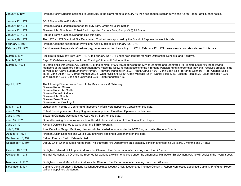| January 4, 1971    | Fireman Henry Dugdale assigned to Light Duty in the alarm room to January 19 then assigned to regular duty in the Alarm Room. Until further notice.                                                                                                                                                                                                                                                                                                                                                                                                                                                                                                                                                    |
|--------------------|--------------------------------------------------------------------------------------------------------------------------------------------------------------------------------------------------------------------------------------------------------------------------------------------------------------------------------------------------------------------------------------------------------------------------------------------------------------------------------------------------------------------------------------------------------------------------------------------------------------------------------------------------------------------------------------------------------|
| January 12, 1971   | 8-3-2 Fire at 449 to 461 Main St.                                                                                                                                                                                                                                                                                                                                                                                                                                                                                                                                                                                                                                                                      |
| January 19, 1971   | Fireman Donald Lindquist reported for duty 8am, Group #2 @ #1 Station.                                                                                                                                                                                                                                                                                                                                                                                                                                                                                                                                                                                                                                 |
| January 22, 1971   | Firemen John Donch and Robert Simko reported for duty 8am, Group #3 @ #1 Station.                                                                                                                                                                                                                                                                                                                                                                                                                                                                                                                                                                                                                      |
| January 27, 1971   | Retired Fireman Joseph Donahue died this date.                                                                                                                                                                                                                                                                                                                                                                                                                                                                                                                                                                                                                                                         |
| January 29, 1971   | The 1970 - 1971 Stamford Fire Department Contract was approved by the Board of Representatives this date.                                                                                                                                                                                                                                                                                                                                                                                                                                                                                                                                                                                              |
| February 3, 1971   | Fireman Clemens assigned as Provisional Ass't. Mech as of February 12, 1971.                                                                                                                                                                                                                                                                                                                                                                                                                                                                                                                                                                                                                           |
| February 19, 1971  | Rec'd. retro Active pay also Overtime pay, under new contract from July 1, 1970 to February 12, 1971. New weekly pay rates also rec'd this date.                                                                                                                                                                                                                                                                                                                                                                                                                                                                                                                                                       |
| March 5, 1971      | Rec'd retro active pay from July 1, 1970 to February 12, 1971 under new contract for Night Differential, Sundays, and Holidays.                                                                                                                                                                                                                                                                                                                                                                                                                                                                                                                                                                        |
| March 8, 1971      | Capt. E. Callahan assigned as Acting Training Officer until further notice.                                                                                                                                                                                                                                                                                                                                                                                                                                                                                                                                                                                                                            |
| March 10, 1971     | In Compliance with Article XX, Section 10 of the contract (1970-1972) between the City of Stamford and Stamford Fire Fighters Local 786 the following<br>members of the Stamford Fire Department have made the following contributions to the Firemens Pension Fund in order that they shall received credit for time<br>served as an Active Supernumerary Fireman. - Howard Marschall #13.93 - Frank Caruso 4.92 - John Egan 8.56- Terrance Conners 11.48- Charles Skiba<br>35.48- John Dillon 13.9- James Monaco 21.75- Walter Scollard 13.50- Albert Macsata 12.84- Daniel Sileo 13.50- Joseph Rosa 11.20- Louis Hojnacki 19.26-<br>John Boesen 12.00- Benjamin Lockwood 2.25- Ralph Kandetzki 1.50 |
| April 1, 1971      | The following Firemen were Sworn In by Mayor Julius M. Wilensky:<br>Fireman Robert Simko<br>Fireman Robert McGrath<br>Fireman Donald Lindquist<br>Fireman John Donch<br>Fireman Sean Elumba<br>Fireman Arthur Cronkright                                                                                                                                                                                                                                                                                                                                                                                                                                                                               |
| May 6, 1971        | Lieutenants Thomas O'Connor and Theodore Farfalia were appointed Captains on this date.                                                                                                                                                                                                                                                                                                                                                                                                                                                                                                                                                                                                                |
| June 1, 1971       | Robert Cunningham and Henry Dugdale were appointed Fire Alarm Operators on this date.                                                                                                                                                                                                                                                                                                                                                                                                                                                                                                                                                                                                                  |
| June 1, 1971       | Ellsworth Clemens was appointed Asst. Mech. Supv. on this date.                                                                                                                                                                                                                                                                                                                                                                                                                                                                                                                                                                                                                                        |
| June 15, 1971      | Ground breaking Ceremony was held at this date for construction of New Central Fire Hdqtrs.                                                                                                                                                                                                                                                                                                                                                                                                                                                                                                                                                                                                            |
| June 24, 1971      | Richard Daniels Started to work under the STEP Program.                                                                                                                                                                                                                                                                                                                                                                                                                                                                                                                                                                                                                                                |
| July 8, 1971       | Jose Ceballos, Sergio Martinez, Hernando Miller started to work under the NYC Program. Also Roberto Charris.                                                                                                                                                                                                                                                                                                                                                                                                                                                                                                                                                                                           |
| August 16, 1971    | Firemen Julian Nosenzo and Gerald LaBlanc were appointed Lieutenants on this date.                                                                                                                                                                                                                                                                                                                                                                                                                                                                                                                                                                                                                     |
| September 18, 1971 | Retired Fireman Earl L. Edwards died.                                                                                                                                                                                                                                                                                                                                                                                                                                                                                                                                                                                                                                                                  |
| September 18, 1971 | Deputy Chief Charles Skiba retired from The Stamford Fire Department on a disability pension after serving 28 years, 2 months and 27 days.                                                                                                                                                                                                                                                                                                                                                                                                                                                                                                                                                             |
| October 16, 1971   | Firefighter Edward Goldkopf retired from the Stamford Fire Department after serving more than 27 years.                                                                                                                                                                                                                                                                                                                                                                                                                                                                                                                                                                                                |
| October 18, 1971   | Michael Marschall, 28 Orchard St. reported for work as a civilian employee under the emergency Manpower Employment Act, he will assist in the hydrant dept.                                                                                                                                                                                                                                                                                                                                                                                                                                                                                                                                            |
| November 1, 1971   | Firefighter Howard Marschall retired from the Stamford Fire Department after serving more than 28 years.                                                                                                                                                                                                                                                                                                                                                                                                                                                                                                                                                                                               |
| November 4, 1971   | Captains John Varunes & Eugene Callahan Appointed Deputy Chief. Lieutenants Thomas Conklin & Robert Hennessey appointed Captain. Firefighter Robert<br>LaBlanc appointed Lieutenant.                                                                                                                                                                                                                                                                                                                                                                                                                                                                                                                   |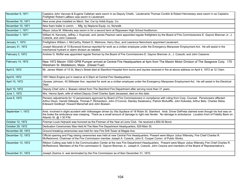| November 9, 1971  | Captains John Varunes & Eugene Callahan were sworn in as Deputy Chiefs. Lieutenants Thomas Conklin & Robert Hennessey were sworn in as Captains.<br>Firefighter Robert LaBlanc was sworn in Lieutenant.                                                                                                                                                            |
|-------------------|--------------------------------------------------------------------------------------------------------------------------------------------------------------------------------------------------------------------------------------------------------------------------------------------------------------------------------------------------------------------|
| November 10, 1971 | New snow plow installed on Mech. Ser. Car by Hobb Equip. Co.                                                                                                                                                                                                                                                                                                       |
| November 10, 1971 | New foam trailer in comm. - Mfg. by Neptune Equip. co. Norwalk.                                                                                                                                                                                                                                                                                                    |
| December 1, 1971  | Mayor Julius M. Wilensky was sworn in for a second term at Rippowam High School Auditorium.                                                                                                                                                                                                                                                                        |
| December 1, 1971  | William N. Kennedy, Jeffrey J. Koproski, and James Pearson were appointed regular firefighters by the Board of Fire Commissioners E. Gaynor Brennan Jr., J.<br>Czescik, and John Cassone.                                                                                                                                                                          |
| January 1, 1972   | Firefighters William J. McCarthy, Robert D. Wetmore, Harry Gluz, and Lawrence Nemcheck appointed Lieutenant.                                                                                                                                                                                                                                                       |
| January 31, 1972  | Joseph Mocarski of 15 Burwood Avenue reported for work as a civilian employee under the Emergency Manpower Employment Act. He will assist in the<br>mechanical hydrant or alarm division as needed.                                                                                                                                                                |
| February 3, 1972  | Andrew G. Moffat was appointed regular fireman by the Board of Fire Commisioners E. Gaynor Brennan Jr., J. Czescik, and John Cassone.                                                                                                                                                                                                                              |
| February 14, 1972 | New 1972 Maxim 1000 GPM Pumper arrived at Central Fire Headquarters at 4pm from The Maxim Motor Division of The Seagrave Corp. 170<br>Wareham St. Middleboro, Mass. (Diesel Fuel)                                                                                                                                                                                  |
| April 5, 1972     | Mr. James Walsh of 15 St. Mary's Street died at Stamford Hospital form burns and injuries received in fire at above address on April 4, 1972 at 12:13am.                                                                                                                                                                                                           |
| April 6, 1972     | 1951 Mack Engine put in reserve at 4:30pm at Central Fire Headquarters.                                                                                                                                                                                                                                                                                            |
| April 10, 1972    | Ulysses Johnson, 45 Stillwater Ave. reported for work as a civilian employee under the Emergency Manpower Employment Act. He will assist in the Electrical<br>Dept.                                                                                                                                                                                                |
| April 10, 1972    | Deputy Chief John J. Boesen retired from The Stamford Fire Department after serving more than 31 years.                                                                                                                                                                                                                                                            |
| June 1, 1972      | Mrs. Hanna Speh, wife of retired Deputy Chief Charles Speh deceased, died on this date.                                                                                                                                                                                                                                                                            |
| June 6, 1972      | Pension adjustments for 12 pensioneers approved by Board of Fire Commissioners in compliance with ruling from Corp. Counsel. Pensioneers affected:<br>Arthur Dixon, Harold Gillespie, Thomas F. Richardson, John O'Connor, Stanley Swiatowicz, Patrick McAuliffe, John Kokoska, Arthur Betz, Charles Skiba,<br>Edeward Goldkopf, Howard Marschall and John Boesen. |
| September 1, 1972 | Amb. involved in slight accident with Volkswagen driven by Vita Squllace of 18 Robin St. Stamford. Amb. Driver DePreta claimed even though his foot was on<br>the brake the ambulance was creeping. There as a small amount of damage to right rear fender. No damage to ambulance. Location front of Fidelity Bank on<br>Atlantic St. @ 1:30 P.M.                 |
| October 12, 1972  | Fireman Louis Hojnacki was honored as the Fireman of the Year at Lions Club. He received a \$50.00 Bond.                                                                                                                                                                                                                                                           |
| October 29, 1972  | Dedication Ceremonies Was Held At The New Fire Department Headquarters, 629 Main St.                                                                                                                                                                                                                                                                               |
| November 29, 1972 | Ground breaking ceremonies was held for new Fire Drill Tower at Magee Ave.                                                                                                                                                                                                                                                                                         |
| December 12, 1972 | Official opening and Flag raising ceremonies was held at new Central Fire Headquarters. Present were Mayor Julius Wilensky, Fire Chief Charles R.<br>McRedmond, Chairman of the Fire Commission member Joseph A. Czescik, John E. Cooper Comm. of Public Works.                                                                                                    |
| December 13, 1972 | Ribbon Cutting was held in the Communication Center at the new Fire Department Headquarters. Present were Mayor Julius Wilensky Fire Chief Charles R.<br>McRedmond, Members of the Fire commission E. Gaynor Brennan Jr., Joseph A. Czescik, John Cssone and members of the Board of Representative's.                                                             |
| December 31, 1972 | Joseph Zezima Jr. was terminated by the Fire Commission as of 8am December 31, 1972.                                                                                                                                                                                                                                                                               |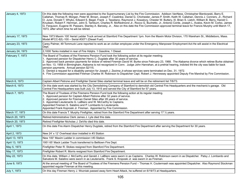| January 4, 1973  | On this date the following men were appointed to the Supernumerary List by the Fire Commission. Addison VanNess, Christopher Bienkowski, Barry E.<br>Callahan, Thomas R. Morgan, Peter M. Brown, Joseph F. Cwalinksi, Daniel G. Chichester, James P. Smith, Keith W. Callahan, Dennis J. Conners, Jr., Richard<br>O. June, Donald T. Whyko, Edward S. Begel, Frank J. Tassitano, Raymond J. Kowalczy, Chester W. Buttery, III, Brian S. Lietch, William B. Berry, Harold C.<br>Knudsen, Robert F. Herrman, John S. Tamburri, Charles R. McRedmond Jr., Rocco G. Buchetto, Jr., Antonio Conte, Joseph L. Avalos, Kevin M. Corbo, James<br>G. Ferguson, Eugene W. Passaro, Stanley A. Barosky, Jr., Also on this date the Fire Commission approved terminal leave for Francis Murphy until March 17,<br>1973, after which time he will be retired. |
|------------------|--------------------------------------------------------------------------------------------------------------------------------------------------------------------------------------------------------------------------------------------------------------------------------------------------------------------------------------------------------------------------------------------------------------------------------------------------------------------------------------------------------------------------------------------------------------------------------------------------------------------------------------------------------------------------------------------------------------------------------------------------------------------------------------------------------------------------------------------------|
| January 17, 1973 | New 1973 Maxim 100' Aerial Ladder Truck arrived at Stamford Fire Department 1pm. from the Maxim Motor Division, 170 Wareham St., Middleboro, Mass.<br>Model #FCC-82L-100 - Serial #3071 (Diesel Fuel)                                                                                                                                                                                                                                                                                                                                                                                                                                                                                                                                                                                                                                            |
| January 23, 1973 | Carey Palmer, 49 Tommuck Lane reported to work as an civilian employee under the Emergency Manpower Employment Act-He will assist in the Electrical<br>Dept.                                                                                                                                                                                                                                                                                                                                                                                                                                                                                                                                                                                                                                                                                     |
| January 24, 1973 | 2,1000 Tanks installed in rear of Fire Hdgtrs. 1 Gasoline, 1 Diesel.                                                                                                                                                                                                                                                                                                                                                                                                                                                                                                                                                                                                                                                                                                                                                                             |
| February 7, 1973 | The Board of Trustees of the Firemens Pension Fund took the following action at its regular meeting.<br>1. Approved pension for Dispatcher Henry C. Dugdale after 30 years of service.<br>2. Approved back pension payments for widow of retired Fireman David W. Burke since February 23, 1968. The Alabama divorce which retiree Burke obtained<br>on Nov. 13, 1958 in Birmingham, Alabama is not recognized in Conn. Judge John Hanrahan, at a pretrial hearing, indicted tht the city was liable for back<br>pension payments. Annual pension \$2115.<br>3. Denied a request for a disability pension for Joseph J. Zezima Jr.whose services were terminated on Dec. 31, 1972.<br>4. Fire Commission appointed Fireman Charles W. Robinson to Dispatcher Capt. Robert J. Hennessey appointed Deputy Fire Marshal by Fire Commission.         |
| March 6, 1973    | Captain Albert Petrone and Firefighter Daniel Sileo started terminal leave and will be on the retirement list 7/6/73.                                                                                                                                                                                                                                                                                                                                                                                                                                                                                                                                                                                                                                                                                                                            |
| March 6, 1973    | On this date work was started by the City Demolishing Company of Stamford to demolish old Central Fire Headquarters and the mechanic's garage. Old<br>Central Fire Headquarters was built July 13, 1915 and served the City of Stamford for 57 years.                                                                                                                                                                                                                                                                                                                                                                                                                                                                                                                                                                                            |
| March 7, 1973    | The Board of Trustees of the Firemens Pension Fund took the following action at its regular meeting.<br>1. Approved pension for Captain Albert Petrone after 32 years of service.<br>2. Approved pension for Fireman Daniel Sileo after 28 years of service.<br>3. Appointed Lieutenants G. LaBlanc and W. McCarthy to Captains.<br>Appointed Firemen S. Salatino and P. Lombardo to Lieutenants.<br>Appointed Frank Koproski Jr. Fireman. Appointed by Fire Commission.                                                                                                                                                                                                                                                                                                                                                                         |
| March 17, 1973   | On this date Francis T. Murphy Firefighter, retired from the Stamford Fire Department after serving 17 1/2 years.                                                                                                                                                                                                                                                                                                                                                                                                                                                                                                                                                                                                                                                                                                                                |
| March 20, 1973   | Retired Administrative Clerk James J. Lyle died this date.                                                                                                                                                                                                                                                                                                                                                                                                                                                                                                                                                                                                                                                                                                                                                                                       |
| March 20, 1973   | Retired Firefighter Nicholas J. DeVito died this date.                                                                                                                                                                                                                                                                                                                                                                                                                                                                                                                                                                                                                                                                                                                                                                                           |
| April 1, 1973    | On this date Fire Alarm Dispatcher Henry Dugdale, retired from the Stamford Fire Department after serving the Department for 30 years.                                                                                                                                                                                                                                                                                                                                                                                                                                                                                                                                                                                                                                                                                                           |
| April 2, 1973    | New 24' x 12' Overhead door installed in #3 Station                                                                                                                                                                                                                                                                                                                                                                                                                                                                                                                                                                                                                                                                                                                                                                                              |
| April 13, 1973   | New 100" Maxim Ladder in commission t#3 Station                                                                                                                                                                                                                                                                                                                                                                                                                                                                                                                                                                                                                                                                                                                                                                                                  |
| April 13, 1973   | 1951 65' Mack Ladder Truck transferred to Belltown Fire Dept.                                                                                                                                                                                                                                                                                                                                                                                                                                                                                                                                                                                                                                                                                                                                                                                    |
| May 5, 1973      | Firefighter Peter R. Stokes resigned from Stamford Fire Department.                                                                                                                                                                                                                                                                                                                                                                                                                                                                                                                                                                                                                                                                                                                                                                              |
| May 17, 1973     | Firefighter Robert R. Morris resigned from Stamford Fire Department.                                                                                                                                                                                                                                                                                                                                                                                                                                                                                                                                                                                                                                                                                                                                                                             |
| May 22, 1973     | On this date, William J. McCarthy and Gerald J. LaBlanc were sworn in as Captains. Charles W. Robinson sworn in as Dispatcher. Patsy J. Lombardo and<br>Salvatore M. Salatino were sworn in as Lieutenants. Frank S. Kroposki Jr. was sworn in as Fireman.                                                                                                                                                                                                                                                                                                                                                                                                                                                                                                                                                                                       |
| June 9, 1973     | At the annual meeting of The Board of Trustees of the Firemens Pension Fund - Thomas H. Coutermash was appointed Dispatcher. Also Raymond Stockman<br>appointed regular Fireman at this meeting.                                                                                                                                                                                                                                                                                                                                                                                                                                                                                                                                                                                                                                                 |
| July 1, 1973     | On this day Fireman Henry J. Wozniak passed away form Heart Attack, he suffered on 6/19/73 at Headquarters.                                                                                                                                                                                                                                                                                                                                                                                                                                                                                                                                                                                                                                                                                                                                      |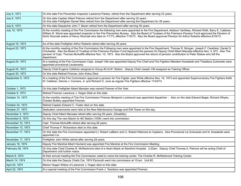| July 5, 1973      | On this date Fire Prevention Inspector Lawrence Parkes, retired from the Department after serving 33 years.                                                                                                                                                                                                                                                                                                                                                                              |
|-------------------|------------------------------------------------------------------------------------------------------------------------------------------------------------------------------------------------------------------------------------------------------------------------------------------------------------------------------------------------------------------------------------------------------------------------------------------------------------------------------------------|
| July 6, 1973      | On this date Captain Albert Petrone retired from the Department after serving 32 years.<br>On this date Firefighter Daniel Sileo retired from the Department after serving the Department for 28 years.                                                                                                                                                                                                                                                                                  |
| July 8, 1973      | On this date Dispatcher John T. Baran retired from the Department after serving 30 years.                                                                                                                                                                                                                                                                                                                                                                                                |
| July 10, 1973     | At the monthly meeting of the Fire Commission the following men were appointed to the Fire Department, Addison VanNess, Richard Wolk, Barry E. Callahan.<br>William R. Wood was appointed Inspector in the Fire Prevention Bureau. Also the Board of Trustees of the Firemens Pension Fund approved the Pension of<br>Doris Wozniak widow of Henry Wozniak who died on 7/1/73, effective 7/18/73. Also the Board approved Pension for Arthur Roberts effective 8/16/73.                  |
| August 16, 1973   | As of this date Firefighter Arthur Roberts retired after serving 36 years.                                                                                                                                                                                                                                                                                                                                                                                                               |
| August 22, 1973   | At the monthly meeting of the Fire Commission the Following men were appointed to the Fire Department, Thomas R. Morgan, Joseph F. Cwalinksi, Daniel G.<br>Chichester. Also the Board of Trustees of the Firemens Pension Fund Approved the pension for Deputy Chief Albert Macsata effective Nov. 3, 973. Also The<br>pension of Capt. Thomas McAuliffe effective Nov. 10, 1973. Also the Board approved the refund of pension contribution to Peter Stokes who left the<br>department. |
| August 24, 1973   | At a meeting of the Fire Commission Capt. Joseph Vitti was appointed Deputy Fire Chief and Fire Fighters Nikodem Kowaleski and Thaddeus Zurkowski were<br>appointed provisional Lieutenants.                                                                                                                                                                                                                                                                                             |
| August 24, 1973   | Deputy Chief Eugene Callahan assigned to Group #3 At #1 Station. Deputy Chief Joseph Vitti assigned as Training Officer.                                                                                                                                                                                                                                                                                                                                                                 |
| August 30, 1973   | On this date Retired Fireman John Kotos Died.                                                                                                                                                                                                                                                                                                                                                                                                                                            |
| September 5, 1973 | At a meeting of the Fire Commission approved a pension for Fire Fighter Jack White effective Nov. 18, 1973 and appointed Supernumerary Fire Fighters Keith<br>W. Callahan, Dennis J. Conners, Jr. and Richard O. June as regular Fire Fighters effective 11/24/73.                                                                                                                                                                                                                       |
| October 1, 1973   | On this date Firefighter Albert Marsden was named Fireman of the Year.                                                                                                                                                                                                                                                                                                                                                                                                                   |
| October 9, 1973   | Retired Fireman Lawrence J. Hogan Died on this date.                                                                                                                                                                                                                                                                                                                                                                                                                                     |
| October 10, 1973  | At the monthly meeting of The Fire Commission Fireman Benjamin Lockwood was appointed dispatcher - Also on this date Edward Begel, Richard Whyko,<br>Chester Buttery appointed Fireman.                                                                                                                                                                                                                                                                                                  |
| October 24, 1973  | Retired Captain Edward C. Foster died on this date.                                                                                                                                                                                                                                                                                                                                                                                                                                      |
| October 27, 1973  | Dedication ceremonies were held at the New Maintenance Garage and Drill Tower on this day.                                                                                                                                                                                                                                                                                                                                                                                               |
| November 3, 1973  | Deputy Chief Albert Macsata retired after serving 29 years. (Disability)                                                                                                                                                                                                                                                                                                                                                                                                                 |
| November 6, 1973  | On this day The new Maxim fo r#2 Station (100ft.) went into commission.                                                                                                                                                                                                                                                                                                                                                                                                                  |
| November 10, 1973 | Capt. Thomas McAuliffe retired after serving 28 years.                                                                                                                                                                                                                                                                                                                                                                                                                                   |
| November 13, 1973 | Chief Thomas F. Richardson died on this date.                                                                                                                                                                                                                                                                                                                                                                                                                                            |
| November 17, 1973 | On this date the Fire Commission appointed Lt. Robert LaBlanc and Lt. Robert Wetmore to Captains. Also Provisional Lts Zurkowski and N. Kowaleski were<br>appointed Lts.                                                                                                                                                                                                                                                                                                                 |
| November 17, 1973 | Firefighter John White retired after serving 28 years.                                                                                                                                                                                                                                                                                                                                                                                                                                   |
| January 16, 1974  | Deputy Fire Marshal Albert Haviland was appointed Fire Marshal at the Fire Commission Meeting.                                                                                                                                                                                                                                                                                                                                                                                           |
| February 28, 1974 | On this date Chief Charles R. McRedmond died of a Heart Attack at Stamford Hospital. 2:20am. Deputy Chief Thomas A. Petrone will be acting Chief of<br>Department until further notice.                                                                                                                                                                                                                                                                                                  |
| March 6, 1974     | At their annual meeting the Fire Commission voted to name the training center, The Charles R. McRedmond Training Center.                                                                                                                                                                                                                                                                                                                                                                 |
| March 14, 1974    | On this date the Deputy Chiefs Car, 1974 Plymouth went into commission at 10:am. Unit #2.                                                                                                                                                                                                                                                                                                                                                                                                |
| April 20, 1974    | Marion Hogan Widow of Lawrence J. Hogan died on this date.                                                                                                                                                                                                                                                                                                                                                                                                                               |
| April 22, 1974    | At a special meeting of the Fire Commission-Frank J. Tassitano was appointed Fireman.                                                                                                                                                                                                                                                                                                                                                                                                    |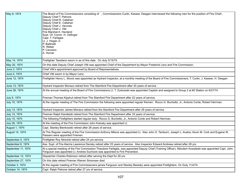| May 8, 1974        | The Board of Fire Commissioners consisting of , Commissioners Curtin, Kaswer, Deegan interviewed the following men for the position of Fire Chief-,<br>Deputy Chief T. Petrone<br>Deputy Chief R. Callahan<br>Deputy Chief E. Callahan<br>Deputy Chief J. Varunes<br>Deputy Chief J. Vitti<br>Fire Marshal A. Haviland<br>Supt. Of. Comm. H. Oefinger<br>Capt. T. Farfaglia<br>Lt. J. Hogan Jr.<br>P. Battinelli<br>R. Weber<br>P. Canzano<br>A. Horner |
|--------------------|---------------------------------------------------------------------------------------------------------------------------------------------------------------------------------------------------------------------------------------------------------------------------------------------------------------------------------------------------------------------------------------------------------------------------------------------------------|
| May 14, 1974       | Firefighter Tassitano sworn in as of this date. On duty 5/15/74.                                                                                                                                                                                                                                                                                                                                                                                        |
| May 20, 1974       | On this date Deputy Chief Joseph Vitti was appointed Chief of the Department by Mayor Frederick Lenz and Fire Commission.                                                                                                                                                                                                                                                                                                                               |
| June 3, 1974       | Chief Vitti's appointment approved by Board of Representatives.                                                                                                                                                                                                                                                                                                                                                                                         |
| June 4, 1974       | Chief Vitti sworn in by Mayor Lenz.                                                                                                                                                                                                                                                                                                                                                                                                                     |
| June 12, 1974      | Firefighter Henry L. Strock was appointed as Hydrant Inspector, at a monthly meeting of the Board of Fire Commissioners, T. Curtin, J. Kaswer, H. Deegan.                                                                                                                                                                                                                                                                                               |
| June 13, 1974      | Hydrant Inspector Monaco retired from The Stamford Fire Department after 30 years of service.                                                                                                                                                                                                                                                                                                                                                           |
| June 26, 1974      | At the annual meeting of the Board of Fire Commissions Lt. T. Zurkowski was appointed Captain and assigned to Group 2 at #2 Station on 6/27/74.                                                                                                                                                                                                                                                                                                         |
| July 8, 1974       | Fireman Thomas Kipphut retired from The Stamford Fire Department after 22 years of service.                                                                                                                                                                                                                                                                                                                                                             |
| July 10, 1974      | At the regular meeting of The Fire Commission the following were appointed regular firemen: Rocco G. Buchetto, Jr., Antonio Conte, Robert Herrman.                                                                                                                                                                                                                                                                                                      |
| July 13, 1974      | Hydrant Inspector James Monaco retired from the Stamford Fire Department after 29 years of service.                                                                                                                                                                                                                                                                                                                                                     |
| July 14, 1974      | Fireman Ralph Kandetzki retired from The Stamford Fire Department after 33 years of service.                                                                                                                                                                                                                                                                                                                                                            |
| July 15, 1974      | The following Firefighters started regular duty: Rocco G. Buchetto, Jr., Antonio Conte and Robert Herrman.                                                                                                                                                                                                                                                                                                                                              |
| July 26, 1974      | At the meeting of the Fire Commission John Kotosky was appointed Lt.                                                                                                                                                                                                                                                                                                                                                                                    |
| August 1, 1974     | Capt. Stanley Bienkowski retired after 26 years of service.                                                                                                                                                                                                                                                                                                                                                                                             |
| August 14, 1974    | At The Regular meeting of the Fire Commission Anthony Milone was appointed Lt. Also John S. Tamburri, Joseph L. Avalos, Kevin M. Cork and Eugene W.<br>Passaro were appointed Firemen.                                                                                                                                                                                                                                                                  |
| September 5, 1974  | Firefighter Roy Nirschel retired after 24 yrs service.                                                                                                                                                                                                                                                                                                                                                                                                  |
| September 6, 1974  | Ass. Supt. of Fire Alarms Lawrence Densky retired after 25 years of service. Also Inspector Edward Andrews retired after 28 yrs.                                                                                                                                                                                                                                                                                                                        |
| September 11, 1974 | At a special meeting of the Fire Commission Theodore Farfaglia, was appointed Deputy Chief (Training Officer), Nikodem Kowaleski was appointed Capt. John<br>Ferguson was appointed Lt. Andrew Suchocki was appointed to Fire Prevention.                                                                                                                                                                                                               |
| September 12, 1974 | Dispatcher Charles Robinson retired after serving the Dept for 28 yrs.                                                                                                                                                                                                                                                                                                                                                                                  |
| September 27, 1974 | On this date retired Fireman Warren Simonsen died.                                                                                                                                                                                                                                                                                                                                                                                                      |
| October 3, 1974    | At the regular meeting of Fire Commissioners james Ferguson and Stanley Baresky were appointed Firefighters. On Duty 11/4/74.                                                                                                                                                                                                                                                                                                                           |
| October 14, 1974   | Capt. Ralph Petrone retired after 27 yrs of service.                                                                                                                                                                                                                                                                                                                                                                                                    |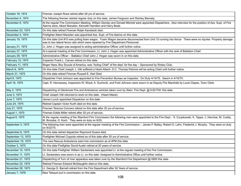| October 18, 1974   | Fireman Joseph Rosa retired after 28 yrs of service.                                                                                                                                                                                     |
|--------------------|------------------------------------------------------------------------------------------------------------------------------------------------------------------------------------------------------------------------------------------|
| November 4, 1974   | The following firemen started regular duty on this date, James Ferguson and Stanley Barosky.                                                                                                                                             |
| November 6, 1974   | At the regular Fire Commission Meeting, William Densky and Donald Mitchell were appointed Dispatchers. Also interview for the position of Ass. Supt. of Fire<br>Alarms were, Albert Marsden, Kenneth Hamilton and Harry Bode.            |
| November 23, 1974  | On this date retired Fireman Ralph Kandetzki died.                                                                                                                                                                                       |
| December 4, 1974   | Firefighter Albert Marsden was appointed Ass. Supt. of Fire Alarms on this date.                                                                                                                                                         |
| January 19, 1975   | On this date Unit #10 was pulling foam wagon. Foam Wagon became disconnected from Unit 10 running into fence- There were no injuries Property damage<br>was to two lateral fence rails which were repaired by Fire Department Personnel. |
| January 21, 1975   | Lt. John J. Hogan was assigned to acting administrative Officer until further notice.                                                                                                                                                    |
| January 27, 1975   | At a special meeting of the Fire Commission, Lt. John J. Hogan was appointed Administrative Officer with the rank of Battalion Chief.                                                                                                    |
| January 29, 1975   | Administrative Officer - Battalion Chief John J. Hogan was sworn in on this date.                                                                                                                                                        |
| February 10, 1975  | Inspector Frank L. Caruso retired on this date.                                                                                                                                                                                          |
| February 11, 1975  | Roger Hess, Boy Scouts of America, was "Acting Chief" of the dept. for the day - Sponsored by Rotary Club.                                                                                                                               |
| March 6, 1975      | On this date Chief Joseph J. Vitti suffered a Heart Attach- D.C. Thomas Petrone will be acting Chief until further notice.                                                                                                               |
| March 31, 1975     | On this date retired Fireman Russell E. Hart Died.                                                                                                                                                                                       |
| April 8, 1975      | Dispatcher Fred Johnson was appointed to Fire Prevention Bureau as Inspector. On Duty 4/14/75. Sworn in 4/15/75.                                                                                                                         |
| April 16, 1975     | Capt. R. Hennessey, Inspectors W. Wood, A. Suchocki, and Fred Johnson were sworn in as Deputy Fire Marshals by Louis Clapes, Town Clerk.                                                                                                 |
| May 2, 1975        | Dispatching of Glenbrook Fire and Ambulance vehicles taken over by Stam. Fire Dept. @ 6:00 P.M. this date.                                                                                                                               |
| June 3, 1975       | Chief Joseph Vitti returned to work on this date. (Heart Attack)                                                                                                                                                                         |
| June 7, 1975       | James Lunch appointed Dispatcher on this date.                                                                                                                                                                                           |
| June 24, 1975      | Retired Captain Victor Kurth died on this date.                                                                                                                                                                                          |
| July 21, 1975      | Fireman Terence Conners retired on this date after 30 yrs of service.                                                                                                                                                                    |
| August 1, 1975     | Fireman Eddie Miller retired after 20 yrs of service.                                                                                                                                                                                    |
| August 6, 1975     | At the regular meeting of the Stamford Fire Commission the following men were appointed to the Fire Dept.: S. Czupkowski, K. Tappe, J. Henchar, M. Cuddy,<br>M. Brozska, D. Koch. They were on duty on 8/25.                             |
| September 3, 1975  | The following men were appointed at the regular meeting of the Fire Commission - James P. Bailey, Robert G. Lehn, Frederick J. Murphy. They were on duty<br>on 9/22/75.                                                                  |
| September 8, 1975  | On this date retired dispatcher Raymond Duane died.                                                                                                                                                                                      |
| September 13, 1975 | Firefighter Michael Coppola retired as of this date after 20 yrs of service.                                                                                                                                                             |
| September 19, 1975 | The new Rescue Ambulance went into commission as of 4PM this date.                                                                                                                                                                       |
| October 3, 1975    | On this date Firefighter David Austin retired at 20 years of service.                                                                                                                                                                    |
| November 10, 1975  | On this date Firefighter William Santarsiero was appointed Lt. at the regular meeting of the Fire Commission.                                                                                                                            |
| November 11, 1975  | Lt. Santarsiero was sworn in as Lt. on this date- Assigned to Administrative Office until further notice.                                                                                                                                |
| November 21, 1975  | Dispatching of Turn of river apparatus was taken over by the Stamford Fire Department @ 0800 this date.                                                                                                                                  |
| November 22, 1975  | Retired Fireman Edward McGlaughlin died on this date.                                                                                                                                                                                    |
| November 29, 1975  | Lt. George D. Barnett retired from the Fire Department after 30 Years of service.                                                                                                                                                        |
| January 7, 1976    | New Telsqurt put in commission on this date.                                                                                                                                                                                             |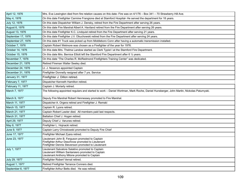| April 12, 1976     | Mrs. Eva Lewington died from fire relation causes on this date- Fire was on 4/1/76 – Box 341 – 70 Strawberry Hill Ave.                                       |
|--------------------|--------------------------------------------------------------------------------------------------------------------------------------------------------------|
| May 4, 1976        | On this date Firefighter Carmine Frangione died at Stamford Hospital- He served the department for 18 years.                                                 |
| July 12, 1976      | On this date Dispatcher William J. Densky, retired from the Fire Department after serving 26 years.                                                          |
| August 6, 1976     | On this date Fire Marshal Albert A. Haviland retired from the Fire Department after serving 26 years.                                                        |
| August 13, 1976    | On this date Firefighter K.C. Lindquist retired from the Fire Department after serving 21 years.                                                             |
| September 17, 1976 | On this date Firefighter J.V. Obuchowski retired from the Fire Department after serving 24 years.                                                            |
| September 27, 1976 | On this date #1 Truck was picked up from Middleboro Conn after having a automatic transmission installed.                                                    |
| October 7, 1976    | Captain Robert Wetmore was chosen as a Firefighter of the year for 1976.                                                                                     |
| October 14, 1976   | On this date Mrs. Thelma Landow started as Clerk Typist I at the Stamford Fire Department.                                                                   |
| October 15, 1976   | On this date Mrs. Bernice Elliott left the Stamford Fire Department after 6 1/2 years.                                                                       |
| November 7, 1976   | On this date "The Charles R. McRedmond Firefighters Training Center" was dedicated.                                                                          |
| December 21, 1976  | Retired Fireman Walter Seeley died.                                                                                                                          |
| December 24, 1976  | Lt. J. Nosenzo appointed Captain                                                                                                                             |
| December 31, 1976  | Firefighter Donnelly resigned after 7 yrs. Service                                                                                                           |
| January 31, 1977   | Firefighter J. Dillon retired.                                                                                                                               |
| February 7, 1977   | Dispatcher Kenneth Hamilton retired.                                                                                                                         |
| February 11, 1977  | Captain J. Moriarty retired.                                                                                                                                 |
| March 7, 1977      | The following appointed regulars and started to work - Daniel Wortman, Mark Roche, Daniel Hunsberger, John Martin, Nickolas Paturnyski.                      |
| March 9, 1977      | Deputy Fire Marshal Robert Hennessey promoted to Fire Marshal.                                                                                               |
| March 11, 1977     | Dispatcher A. Orgera retired and Firefighter J. Remski                                                                                                       |
| March 15, 1977     | Captain R. Lyons retired.                                                                                                                                    |
| March 21, 1977     | Captain Robert Lawler died. All members paid last respects.                                                                                                  |
| March 31, 1977     | Battalion Chief J. Hogan retired.                                                                                                                            |
| April 29, 1977     | Deputy Chief J. Varunes retired.                                                                                                                             |
| May 6, 1977        | Firefighter L. Hojnacki retired.                                                                                                                             |
| June 9, 1977       | Captain Larry Chrostowski promoted to Deputy Fire Chief                                                                                                      |
| June 17, 1977      | Firefighter Michael Zyara retired.                                                                                                                           |
| June 23, 1977      | Lieutenant John B. Ferguson promoted to Captain<br>Firefighter Arthur Deschnow promoted to Lieutenant<br>Firefighter Dennis Stevenson promoted to Lieutenant |
| July 1, 1977       | Lieutenant Salvatore Salatino promoted to Captain<br>Lieutenant William Santarsiero promoted to Captain<br>Lieutenant Anthony Milone promoted to Captain     |
| July 29, 1977      | Firefighter Robert Vernal retired.                                                                                                                           |
| August 1, 1977     | Retired Firefighter Terrance Conners died.                                                                                                                   |
| September 6, 1977  | Firefighter Arthur Betts died. He was retired.                                                                                                               |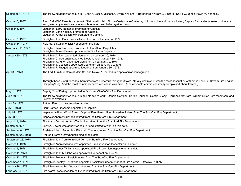| September 7, 1977  | The following appointed regulars - Brian s. Leitch, Michael A. Zyara, William H. Berhnhard, William J. Smith III, David W. Jones, Kevin M. Kennedy.                                                                                                                                                                                                                                    |
|--------------------|----------------------------------------------------------------------------------------------------------------------------------------------------------------------------------------------------------------------------------------------------------------------------------------------------------------------------------------------------------------------------------------|
| October 6, 1977    | Amb. Call #806 Parents came to #4 Station with child, Nicole Costas, age-3 Weeks, child was blue and had aspirated, Captain Santarsiero cleared out mucus<br>and gave baby a few breaths of mouth to mouth and baby regained color.                                                                                                                                                    |
| October 6, 1977    | Lieutenant Larry Nemchek promoted to Captain.<br>Lieutenant John Kotosky promoted to Captain.<br>Lieutenant Arthur Deschnow promoted to Captain.                                                                                                                                                                                                                                       |
| October 7, 1977    | Firefighter John Donch was selected fireman of the year for 1977.                                                                                                                                                                                                                                                                                                                      |
| October 14, 1977   | New No. 5 Station officially opened on this date.                                                                                                                                                                                                                                                                                                                                      |
| November 16, 1977  | Firefighter Italo Tamborino promoted to Fire Alarm Dispatcher.<br>Firefighter James Pearson promoted to Fire Alarm Dispatcher.                                                                                                                                                                                                                                                         |
| January 30, 1978   | Firefighter A. Rich appointed Lieutenant on January 30, 1978.<br>Firefighter C. Speranza appointed Lieutenant on January 30, 1978.<br>Firefighter W. Finch appointed Lieutenant on January 30, 1978.<br>Firefighter J. Lipscomb appointed Lieutenant on January 30, 1978.<br>Firefighter F. Padgett appointed Lieutenant on January 30, 1978.                                          |
| April 30, 1978     | The Fodi Furniture store at Main St. and Relay Pl. burned in a spectacular conflagration.<br>Through these 2 or 3 decades, barn fires were numerous throughout town. "Totally destroyed" was the most description of them in The Gulf Stream Fire Engine<br>Company's log. And the most commonly perceived cause was arson. (The Advocate editors constantly complained about tramps.) |
| May 1, 1978        | Deputy Chief Farfaglia promoted to Assistant Chief of the Fire Department.                                                                                                                                                                                                                                                                                                             |
| June 19, 1978      | The following appointed regulars and started to work: Donald Corrigan Harold Knudsen Gerald Kuchyt Terrance McGrath William Miller Tom Martinsen and<br>Lawrence Walewski.                                                                                                                                                                                                             |
| June 29, 1978      | Retired Fireman Lawrence Hogan died.                                                                                                                                                                                                                                                                                                                                                   |
| July 5, 1978       | Lieut. James Lipscomb appointed to Captain.                                                                                                                                                                                                                                                                                                                                            |
| July 15, 1978      | Inspector William Wood & Asst. Supt. of Fire Alarms Albert Marsden Retired from The Stamford Fire Department.                                                                                                                                                                                                                                                                          |
| July 28, 1978      | Inspector Andrew Suchocki retired from the Stamford Fire Department.                                                                                                                                                                                                                                                                                                                   |
| August 11, 1978    | Fire Alarm Dispatcher Italo Tamborino retired from the Stamford Fire Department.                                                                                                                                                                                                                                                                                                       |
| September 5, 1978  | Larry A. Bowler was appointed regular and started to work on this date.                                                                                                                                                                                                                                                                                                                |
| September 6, 1978  | Assistant Mech. Supervisor Ellsworth Clemens retired from the Stamford Fire Department.                                                                                                                                                                                                                                                                                                |
| September 22, 1978 | Retired Fireman David Austin died on this date.                                                                                                                                                                                                                                                                                                                                        |
| September 23, 1978 | Firefighter John Yanicky retired from the Stamford Fire Department.                                                                                                                                                                                                                                                                                                                    |
| October 4, 1978    | Firefighter Andrew Alfano was appointed Fire Prevention Inspector on this date.                                                                                                                                                                                                                                                                                                        |
| October 4, 1978    | Firefighter James Williams was appointed Fire Prevention Inspector on this date.                                                                                                                                                                                                                                                                                                       |
| October 11, 1978   | Firefighter John McCabe was appointed Lieutenant on 10/4/78.                                                                                                                                                                                                                                                                                                                           |
| October 13, 1978   | Firefighter Frederick Persich retired from The Stamford Fire Department.                                                                                                                                                                                                                                                                                                               |
| December 7, 1978   | Firefighter Stanley Gonet was appointed Assistant Superintendent of Fire Alarms. Effective 8:00 AM.                                                                                                                                                                                                                                                                                    |
| January 26, 1979   | Firefighter Kenneth L. Wainwright retired from the Stamford Fire Department.                                                                                                                                                                                                                                                                                                           |
| February 24, 1979  | Fire Alarm Dispatcher James Lynch retired from the Stamford Fire Department.                                                                                                                                                                                                                                                                                                           |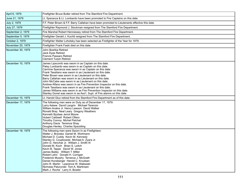| April 6, 1979     | Firefighter Bruce Butler retired from The Stamford Fire Department.                                                                                                                                                                                                                                                                                                                                                                                                                                                                                                                                                                                                                                     |
|-------------------|---------------------------------------------------------------------------------------------------------------------------------------------------------------------------------------------------------------------------------------------------------------------------------------------------------------------------------------------------------------------------------------------------------------------------------------------------------------------------------------------------------------------------------------------------------------------------------------------------------------------------------------------------------------------------------------------------------|
| June 21, 1979     | Lt. Speranza & Lt. Lombardo have been promoted to Fire Captains on this date.                                                                                                                                                                                                                                                                                                                                                                                                                                                                                                                                                                                                                           |
| July 2, 1979      | F.F. Peter Brown & F.F. Barry Callahan have been promoted to Lieutenants effective this date.                                                                                                                                                                                                                                                                                                                                                                                                                                                                                                                                                                                                           |
| July 27, 1979     | Firefighter Raymond J. Stockman resigned from The Stamford Fire Department.                                                                                                                                                                                                                                                                                                                                                                                                                                                                                                                                                                                                                             |
| September 2, 1979 | Fire Marshal Robert Hennessey retired from The Stamford Fire Department.                                                                                                                                                                                                                                                                                                                                                                                                                                                                                                                                                                                                                                |
| September 5, 1979 | Firefighter Gerald J. Kuchtt resigned from The Stamford Fire Department.                                                                                                                                                                                                                                                                                                                                                                                                                                                                                                                                                                                                                                |
| October 2, 1979   | Firefighter Walter Lohotsky has been selected as Firefighter of the Year for 1979.                                                                                                                                                                                                                                                                                                                                                                                                                                                                                                                                                                                                                      |
| November 20, 1979 | Firefighter Frank Faski died on this date.                                                                                                                                                                                                                                                                                                                                                                                                                                                                                                                                                                                                                                                              |
| November 30, 1979 | John Boshka Retired<br>Jack Dyas Retired<br>Francis Passaro Retired<br><b>Clement Turpin Retired</b>                                                                                                                                                                                                                                                                                                                                                                                                                                                                                                                                                                                                    |
| December 10, 1979 | James Lipscomb was sworn in as Captain on this date.<br>Patsy Lombardo was sworn in as Captain on this date.<br>Carmine Speranza was sworn in as Captain on this date.<br>Frank Tassitano was sworn in as Lieutenant on this date.<br>Peter Brown was sworn in as Lieutenant on this date.<br>Barry Callahan was sworn in as Lieutenant on this date.<br>John McCabe was sworn in as Lieutenant on this date.<br>Andrew Alfano was sworn in as Fire Prevention Inspector on this date.<br>Frank Tassitano was sworn in as Lieutenant on this date.<br>James Williams was sworn in as Fire Prevention Inspector on this date.<br>Stanley Gonet was sworn in as Ass't. Supt. of Fire alarms on this date. |
| December 15, 1979 | Lt. Harold Gluz retired from the Stamford Fire Department as of this date.                                                                                                                                                                                                                                                                                                                                                                                                                                                                                                                                                                                                                              |
| December 17, 1979 | The following men were on Duty as of December 17, 1979:<br>Larry Askew David Langrin Michael Terenzio<br>William Avalos Jr. Henry Lawson David Walker<br>Ronald Bray Neal Leary Gregory Weathers<br>Kenneth Byzbee Jerrol Moore<br>Hubert Caldwell Robert Ofiero<br>Timothy Conroy Michel Pelchat<br>Anthony Davis Terrence Shay<br>Douglas Henley Charles Spaulding                                                                                                                                                                                                                                                                                                                                    |
| December 18, 1979 | The following men were Sworn In as Firefighters:<br>Walter J. Brzoska Daniel M. Wortmann<br>Michael D. Cuddy Kevin M. Kennedy<br>Stanley G. Czupkowski Michael A. Zyara Jr.<br>John G. Henchar Jr. William J. Smith III<br>Donald M. Koch Brian S. Leitch<br>Kevin B. Tappe David W. Jones<br>James Bailey William T. Miller<br>Robert Lehn Donald H. Corrigan<br>Frederick Murphy Terrance J. McGrath<br>Daniel Hunsberger Harold C. Knudsen<br>John R. Martin Lawrence W. Walewski<br>Nicholas Paturynski Tom A. Martinsen<br>Mark J. Roche Larry A. Bowler                                                                                                                                           |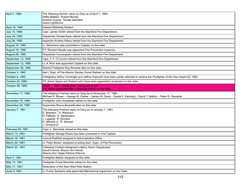| April 7, 1980      | The following firemen were on Duty as of April 7, 1980:<br>Willie Baldwin Robert Murray<br>Antonio Cosme Gerald Valentine<br>David Lightburne                                            |
|--------------------|------------------------------------------------------------------------------------------------------------------------------------------------------------------------------------------|
| April 19, 1980     | <b>Edward Malarkey Retired</b>                                                                                                                                                           |
| July 19, 1980      | Capt. James Smith retired from the Stamford Fire Department.                                                                                                                             |
| July 19, 1980      | Dispatcher Donald Ryan retired from the Stamford Fire Department.                                                                                                                        |
| July 26, 1980      | Inspector Andrew Alfano retired from the Stamford Fire Department.                                                                                                                       |
| August 16, 1980    | Lt. Stevenson was promoted to Captain on this date.                                                                                                                                      |
| August 18, 1980    | F.F. Richard Woods was appointed Fire Prevention Inspector.                                                                                                                              |
| August 28, 1980    | Dispatcher Cunningham retired from the Stamford Fire Department.                                                                                                                         |
| September 12, 1980 | Capt. T. F. O'Connor retired from the Stamford Fire Department.                                                                                                                          |
| September 12, 1980 | Lt. A. Rich was appointed Captain on this date.                                                                                                                                          |
| September 30, 1980 | Retired Firefighter Roy Nirschel died on this date.                                                                                                                                      |
| October 3, 1980    | Ass't. Supt. of Fire Alarms Stanley Gonet Retired on this date.                                                                                                                          |
| October 8, 1980    | Firefighters Arthur Cronkright and Jeffrey Koproski have been jointly selected to receive the Firefighter of the Year Award for 1980.                                                    |
| October 22, 1980   | F.F. Kevin Tappe and Robert Lehn have been appointed Lieutenant on this date.                                                                                                            |
| October 29, 1980   | note - check date - obscured on pdf<br>10/29<br>Fire Alarm Dispatcher Ben Lockwood retired on this date.                                                                                 |
| November 17, 1980  | The following Firemen were on Duty as of November 17, 1980:<br>Michael E. Brown - George M. Clarke - James W. Davis - Daniel F. Kennedy - David T. Mathis - Peter R. Olavarria.          |
| November 19, 1980  | Firefighter John Kowaleski retired on this date.                                                                                                                                         |
| December 28, 1980  | Supervisor Rocco Buchetto died on this date.                                                                                                                                             |
| January 7, 1981    | The following Firemen were on Duty as of January 7, 1981:<br>E. Brereton G. Robinson<br>R. DeBlasi G. Santarsiero<br>J. Lagares R. Schreck<br>D. Mitchell Jr. R. Simmel<br>J. Ormond III |
| February 28, 1981  | Capt. L. Nemchek retired on this date.                                                                                                                                                   |
| March 13, 1981     | Firefighter George Russo has been promoted to Fire Captain.                                                                                                                              |
| March 16, 1981     | Connie Redfield assigned to Administrative Office.                                                                                                                                       |
| March 30, 1981     | Lt. Peter Brown, assigned to acting Ass't. Supv. of Fire Prevention.                                                                                                                     |
| March 30, 1981     | Following Civilians Assigned to Alarm Room Dispatchers:<br>David Francis Sharon Ann Rendi<br>Sharon Ann Tappe Patricia Petrone                                                           |
| April 3, 1981      | Firefighter Mathis resigned on this date.                                                                                                                                                |
| May 15, 1981       | Firefighter Frank Maciolek retired on this date.                                                                                                                                         |
| May 17, 1981       | Dedication of the New West Side Station:                                                                                                                                                 |
| June 3, 1981       | Lt. Frank Tassitano was appointed Mechanical Supervisor on this Date.                                                                                                                    |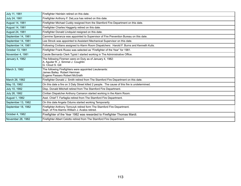| July 11, 1981      | Firefighter Heinlein retired on this date.                                                                                |
|--------------------|---------------------------------------------------------------------------------------------------------------------------|
| July 24, 1981      | Firefighter Anthony F. DeLuca has retired on this date.                                                                   |
| August 14, 1981    | Firefighter Michael Cuddy resigned from the Stamford Fire Department on this date.                                        |
| August 14, 1981    | Firefighter Charles Haggerty retired on this date.                                                                        |
| August 24, 1981    | Firefighter Donald Lindquist resigned on this date.                                                                       |
| September 14, 1981 | Carmine Speranza was appointed to Supervisor of Fire Prevention Bureau on this date.                                      |
| September 14, 1981 | Lee Strock was appointed to Assistant Mechanical Supervisor on this date.                                                 |
| September 14, 1981 | Following Civilians assigned to Alarm Room Dispatchers: Harold F. Burns and Kenneth Kulis.                                |
| October 13, 1981   | Firefighter Frank Russo was selected as "Firefighter of the Year" for 1981.                                               |
| November 4, 1981   | Carole Bernardo Clerk Typist I started working in The Administrative Office.                                              |
| January 4, 1982    | The following Firemen were on Duty as of January 4, 1982:<br>A. Aguilar R. J. Simmel J. Coughlin<br>G. Cloud S. Gill      |
| March 3, 1982      | The following Firefighters were appointed Lieutenants:<br>James Bailey Robert Herrman<br>Eugene Passaro Robert McGrath    |
| March 26, 1982     | Firefighter Donald J. Smith retired from The Stamford Fire Department on this date.                                       |
| May 15, 1982       | On this date a fire on 3 Daly Street killed 2 people. The cause of this fire is undetermined.                             |
| July 10, 1982      | Disp. Donald Mitchell retired from The Stamford Fire Department.                                                          |
| July 26, 1982      | Civilian Dispatcher Anthony Camaron started working in the Alarm Room.                                                    |
| August 1, 1982     | Asst. Chief T. Farfaglia retired from The Stamford Fire Department.                                                       |
| September 13, 1982 | On this date Angela Odums started working Temporarily                                                                     |
| September 18, 1982 | Firefighter Anthony Tomczyk retired form The Stamford Fire Department.<br>Supt. of Fire Alarms William J. Avalos retired. |
| October 4, 1982    | Firefighter of the Year 1982 was rewarded to Firefighter Thomas Mardi.                                                    |
| November 28, 1982  | Firefighter Albert Celotto retired from The Stamford Fire Department.                                                     |